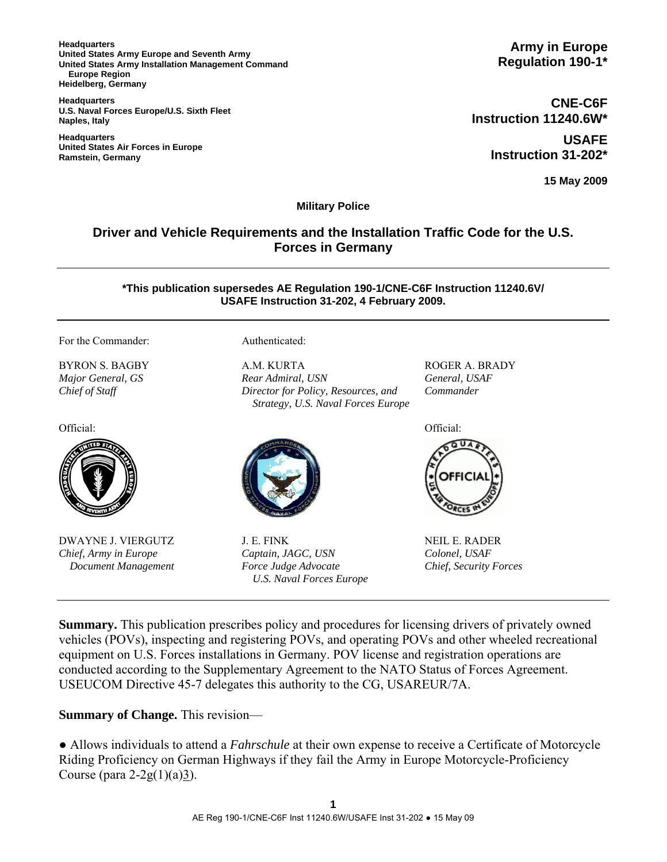**Headquarters United States Army Europe and Seventh Army United States Army Installation Management Command Europe Region Heidelberg, Germany** 

**Headquarters U.S. Naval Forces Europe/U.S. Sixth Fleet Naples, Italy** 

**Headquarters United States Air Forces in Europe Ramstein, Germany** 

**CNE-C6F Instruction 11240.6W\* USAFE Instruction 31-202\***

**15 May 2009**

**Military Police**

## **Driver and Vehicle Requirements and the Installation Traffic Code for the U.S. Forces in Germany**

**\*This publication supersedes AE Regulation 190-1/CNE-C6F Instruction 11240.6V/ USAFE Instruction 31-202, 4 February 2009.**

For the Commander: Authenticated:

BYRON S. BAGBY *Major General, GS Chief of Staff*

Official: Official:



DWAYNE J. VIERGUTZ *Chief, Army in Europe Document Management*

A.M. KURTA *Rear Admiral, USN Director for Policy, Resources, and Strategy, U.S. Naval Forces Europe* 



J. E. FINK *Captain, JAGC, USN Force Judge Advocate U.S. Naval Forces Europe* ROGER A. BRADY *General, USAF Commander* 



NEIL E. RADER *Colonel, USAF Chief, Security Forces*

**Summary.** This publication prescribes policy and procedures for licensing drivers of privately owned vehicles (POVs), inspecting and registering POVs, and operating POVs and other wheeled recreational equipment on U.S. Forces installations in Germany. POV license and registration operations are conducted according to the Supplementary Agreement to the NATO Status of Forces Agreement. USEUCOM Directive 45-7 delegates this authority to the CG, USAREUR/7A.

**Summary of Change.** This revision—

● Allows individuals to attend a *Fahrschule* at their own expense to receive a Certificate of Motorcycle Riding Proficiency on German Highways if they fail the Army in Europe Motorcycle-Proficiency Course (para  $2-2g(1)(a)3$ ).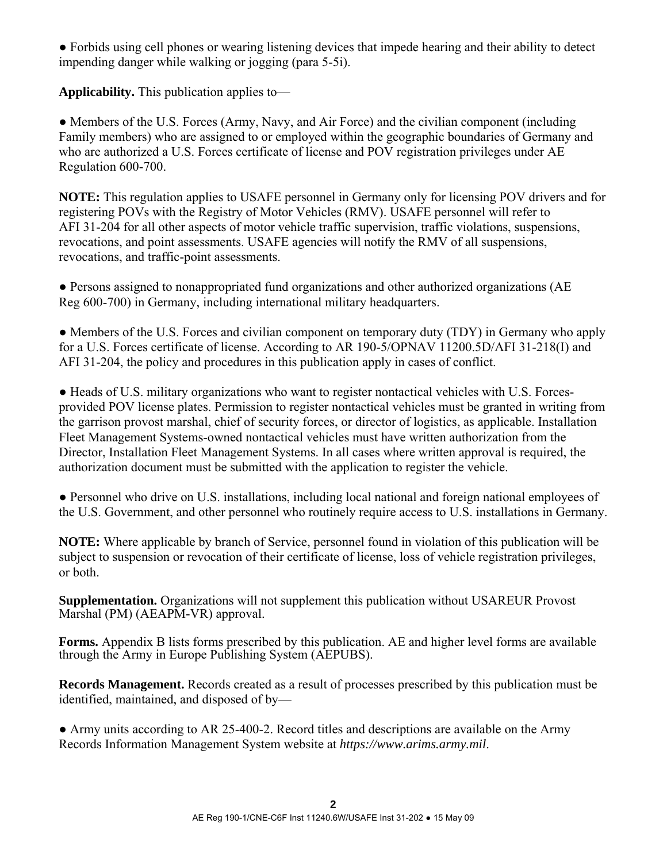● Forbids using cell phones or wearing listening devices that impede hearing and their ability to detect impending danger while walking or jogging (para 5-5i).

**Applicability.** This publication applies to—

• Members of the U.S. Forces (Army, Navy, and Air Force) and the civilian component (including Family members) who are assigned to or employed within the geographic boundaries of Germany and who are authorized a U.S. Forces certificate of license and POV registration privileges under AE Regulation 600-700.

**NOTE:** This regulation applies to USAFE personnel in Germany only for licensing POV drivers and for registering POVs with the Registry of Motor Vehicles (RMV). USAFE personnel will refer to AFI 31-204 for all other aspects of motor vehicle traffic supervision, traffic violations, suspensions, revocations, and point assessments. USAFE agencies will notify the RMV of all suspensions, revocations, and traffic-point assessments.

• Persons assigned to nonappropriated fund organizations and other authorized organizations (AE Reg 600-700) in Germany, including international military headquarters.

• Members of the U.S. Forces and civilian component on temporary duty (TDY) in Germany who apply for a U.S. Forces certificate of license. According to AR 190-5/OPNAV 11200.5D/AFI 31-218(I) and AFI 31-204, the policy and procedures in this publication apply in cases of conflict.

● Heads of U.S. military organizations who want to register nontactical vehicles with U.S. Forcesprovided POV license plates. Permission to register nontactical vehicles must be granted in writing from the garrison provost marshal, chief of security forces, or director of logistics, as applicable. Installation Fleet Management Systems-owned nontactical vehicles must have written authorization from the Director, Installation Fleet Management Systems. In all cases where written approval is required, the authorization document must be submitted with the application to register the vehicle.

• Personnel who drive on U.S. installations, including local national and foreign national employees of the U.S. Government, and other personnel who routinely require access to U.S. installations in Germany.

**NOTE:** Where applicable by branch of Service, personnel found in violation of this publication will be subject to suspension or revocation of their certificate of license, loss of vehicle registration privileges, or both.

**Supplementation.** Organizations will not supplement this publication without USAREUR Provost Marshal (PM) (AEAPM-VR) approval.

**Forms.** Appendix B lists forms prescribed by this publication. AE and higher level forms are available through the Army in Europe Publishing System (AEPUBS).

**Records Management.** Records created as a result of processes prescribed by this publication must be identified, maintained, and disposed of by—

• Army units according to AR 25-400-2. Record titles and descriptions are available on the Army Records Information Management System website at *https://www.arims.army.mil*.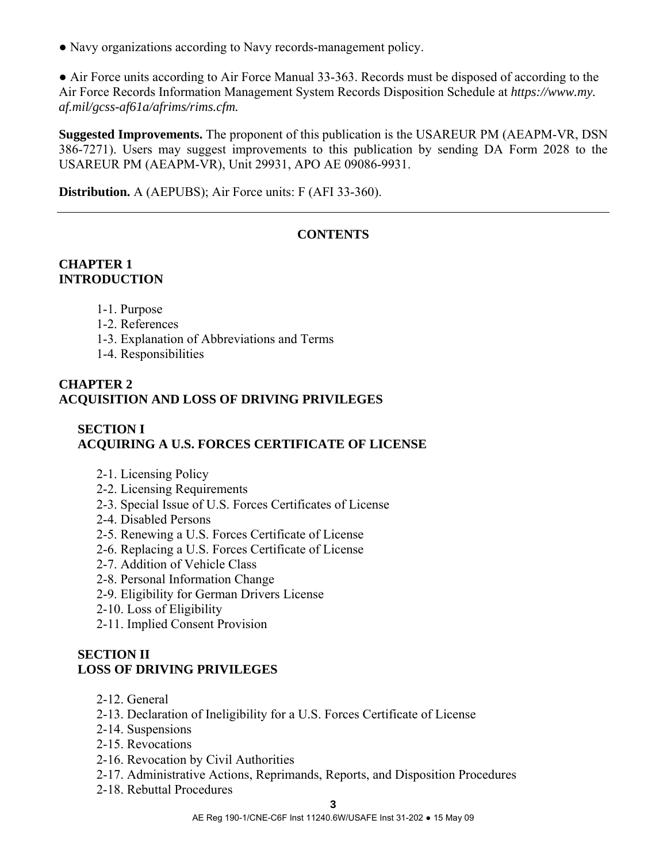● Navy organizations according to Navy records-management policy.

• Air Force units according to Air Force Manual 33-363. Records must be disposed of according to the Air Force Records Information Management System Records Disposition Schedule at *https://www.my. af.mil/gcss-af61a/afrims/rims.cfm.* 

**Suggested Improvements.** The proponent of this publication is the USAREUR PM (AEAPM-VR, DSN 386-7271). Users may suggest improvements to this publication by sending DA Form 2028 to the USAREUR PM (AEAPM-VR), Unit 29931, APO AE 09086-9931.

**Distribution.** A (AEPUBS); Air Force units: F (AFI 33-360).

## **CONTENTS**

## **CHAPTER 1 INTRODUCTION**

- 1-1. Purpose
- 1-2. References
- 1-3. Explanation of Abbreviations and Terms
- 1-4. Responsibilities

## **CHAPTER 2 ACQUISITION AND LOSS OF DRIVING PRIVILEGES**

# **SECTION I ACQUIRING A U.S. FORCES CERTIFICATE OF LICENSE**

- 2-1. Licensing Policy
- 2-2. Licensing Requirements
- 2-3. Special Issue of U.S. Forces Certificates of License
- 2-4. Disabled Persons
- 2-5. Renewing a U.S. Forces Certificate of License
- 2-6. Replacing a U.S. Forces Certificate of License
- 2-7. Addition of Vehicle Class
- 2-8. Personal Information Change
- 2-9. Eligibility for German Drivers License
- 2-10. Loss of Eligibility
- 2-11. Implied Consent Provision

## **SECTION II LOSS OF DRIVING PRIVILEGES**

- 2-12. General
- 2-13. Declaration of Ineligibility for a U.S. Forces Certificate of License
- 2-14. Suspensions
- 2-15. Revocations
- 2-16. Revocation by Civil Authorities
- 2-17. Administrative Actions, Reprimands, Reports, and Disposition Procedures
- 2-18. Rebuttal Procedures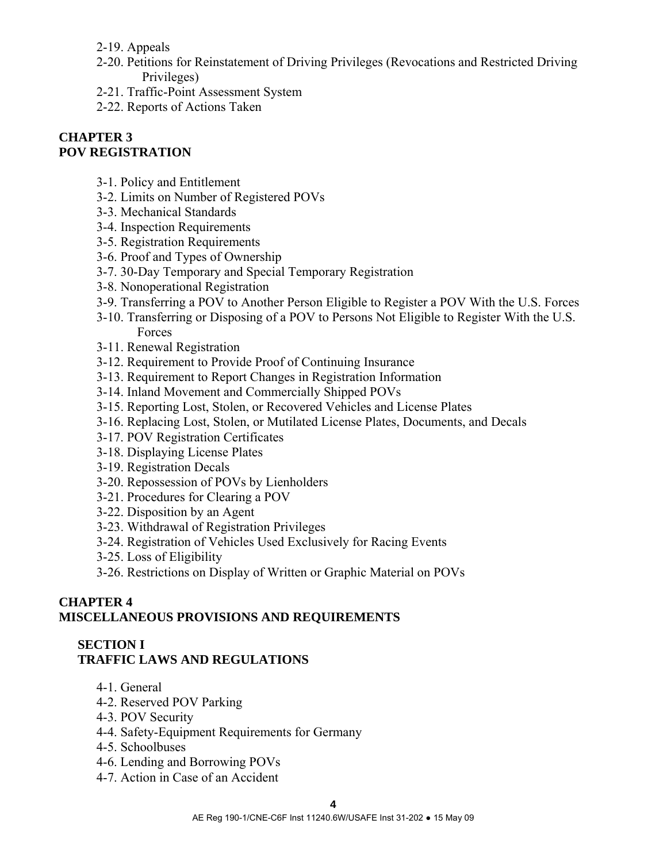2-19. Appeals

- 2-20. Petitions for Reinstatement of Driving Privileges (Revocations and Restricted Driving Privileges)
- 2-21. Traffic-Point Assessment System
- 2-22. Reports of Actions Taken

#### **CHAPTER 3 POV REGISTRATION**

- 3-1. Policy and Entitlement
- 3-2. Limits on Number of Registered POVs
- 3-3. Mechanical Standards
- 3-4. Inspection Requirements
- 3-5. Registration Requirements
- 3-6. Proof and Types of Ownership
- 3-7. 30-Day Temporary and Special Temporary Registration
- 3-8. Nonoperational Registration
- 3-9. Transferring a POV to Another Person Eligible to Register a POV With the U.S. Forces
- 3-10. Transferring or Disposing of a POV to Persons Not Eligible to Register With the U.S. Forces
- 3-11. Renewal Registration
- 3-12. Requirement to Provide Proof of Continuing Insurance
- 3-13. Requirement to Report Changes in Registration Information
- 3-14. Inland Movement and Commercially Shipped POVs
- 3-15. Reporting Lost, Stolen, or Recovered Vehicles and License Plates
- 3-16. Replacing Lost, Stolen, or Mutilated License Plates, Documents, and Decals
- 3-17. POV Registration Certificates
- 3-18. Displaying License Plates
- 3-19. Registration Decals
- 3-20. Repossession of POVs by Lienholders
- 3-21. Procedures for Clearing a POV
- 3-22. Disposition by an Agent
- 3-23. Withdrawal of Registration Privileges
- 3-24. Registration of Vehicles Used Exclusively for Racing Events
- 3-25. Loss of Eligibility
- 3-26. Restrictions on Display of Written or Graphic Material on POVs

### **CHAPTER 4 MISCELLANEOUS PROVISIONS AND REQUIREMENTS**

#### **SECTION I TRAFFIC LAWS AND REGULATIONS**

- 4-1. General
- 4-2. Reserved POV Parking
- 4-3. POV Security
- 4-4. Safety-Equipment Requirements for Germany
- 4-5. Schoolbuses
- 4-6. Lending and Borrowing POVs
- 4-7. Action in Case of an Accident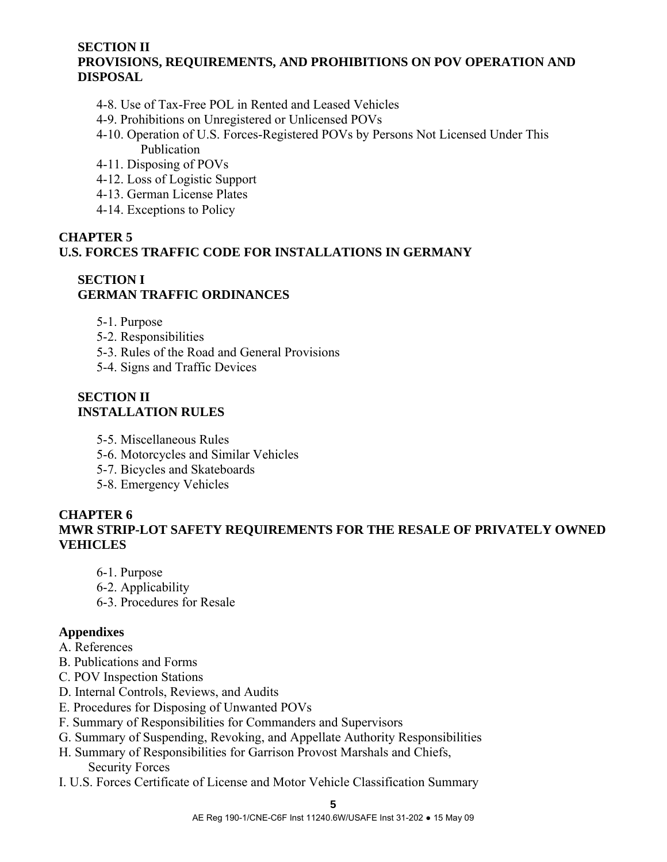## **SECTION II PROVISIONS, REQUIREMENTS, AND PROHIBITIONS ON POV OPERATION AND DISPOSAL**

- 4-8. Use of Tax-Free POL in Rented and Leased Vehicles
- 4-9. Prohibitions on Unregistered or Unlicensed POVs
- 4-10. Operation of U.S. Forces-Registered POVs by Persons Not Licensed Under This Publication
- 4-11. Disposing of POVs
- 4-12. Loss of Logistic Support
- 4-13. German License Plates
- 4-14. Exceptions to Policy

### **CHAPTER 5 U.S. FORCES TRAFFIC CODE FOR INSTALLATIONS IN GERMANY**

#### **SECTION I GERMAN TRAFFIC ORDINANCES**

- 5-1. Purpose
- 5-2. Responsibilities
- 5-3. Rules of the Road and General Provisions
- 5-4. Signs and Traffic Devices

#### **SECTION II INSTALLATION RULES**

- 5-5. Miscellaneous Rules
- 5-6. Motorcycles and Similar Vehicles
- 5-7. Bicycles and Skateboards
- 5-8. Emergency Vehicles

## **CHAPTER 6 MWR STRIP-LOT SAFETY REQUIREMENTS FOR THE RESALE OF PRIVATELY OWNED VEHICLES**

- 6-1. Purpose
- 6-2. Applicability
- 6-3. Procedures for Resale

## **Appendixes**

- A. References
- B. Publications and Forms
- C. POV Inspection Stations
- D. Internal Controls, Reviews, and Audits
- E. Procedures for Disposing of Unwanted POVs
- F. Summary of Responsibilities for Commanders and Supervisors
- G. Summary of Suspending, Revoking, and Appellate Authority Responsibilities
- H. Summary of Responsibilities for Garrison Provost Marshals and Chiefs, Security Forces
- I. U.S. Forces Certificate of License and Motor Vehicle Classification Summary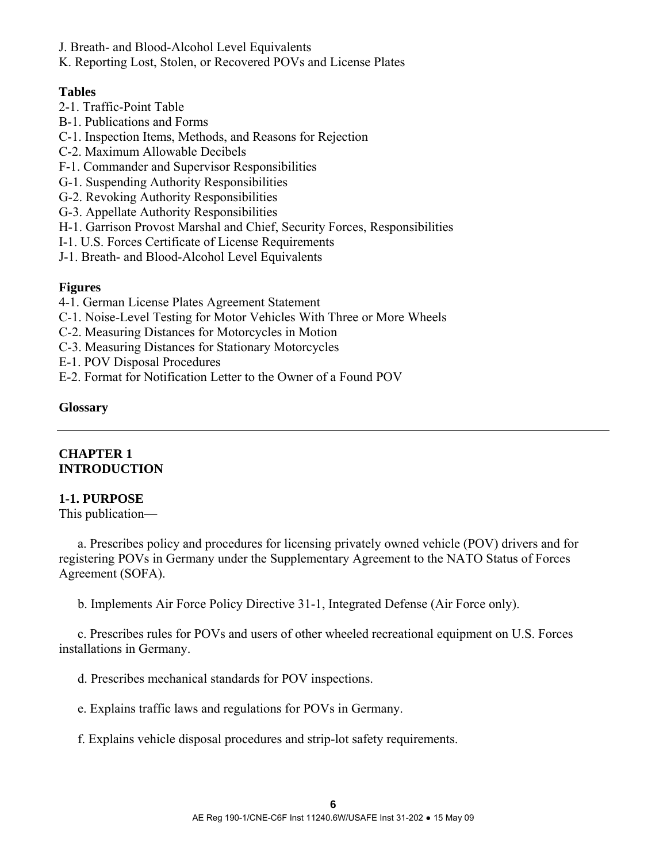- J. Breath- and Blood-Alcohol Level Equivalents
- K. Reporting Lost, Stolen, or Recovered POVs and License Plates

#### **Tables**

- 2-1. Traffic-Point Table
- B-1. Publications and Forms
- C-1. Inspection Items, Methods, and Reasons for Rejection
- C-2. Maximum Allowable Decibels
- F-1. Commander and Supervisor Responsibilities
- G-1. Suspending Authority Responsibilities
- G-2. Revoking Authority Responsibilities
- G-3. Appellate Authority Responsibilities
- H-1. Garrison Provost Marshal and Chief, Security Forces, Responsibilities
- I-1. U.S. Forces Certificate of License Requirements
- J-1. Breath- and Blood-Alcohol Level Equivalents

#### **Figures**

- 4-1. German License Plates Agreement Statement
- C-1. Noise-Level Testing for Motor Vehicles With Three or More Wheels
- C-2. Measuring Distances for Motorcycles in Motion
- C-3. Measuring Distances for Stationary Motorcycles
- E-1. POV Disposal Procedures
- E-2. Format for Notification Letter to the Owner of a Found POV

#### **Glossary**

#### **CHAPTER 1 INTRODUCTION**

#### **1-1. PURPOSE**

This publication—

 a. Prescribes policy and procedures for licensing privately owned vehicle (POV) drivers and for registering POVs in Germany under the Supplementary Agreement to the NATO Status of Forces Agreement (SOFA).

b. Implements Air Force Policy Directive 31-1, Integrated Defense (Air Force only).

 c. Prescribes rules for POVs and users of other wheeled recreational equipment on U.S. Forces installations in Germany.

- d. Prescribes mechanical standards for POV inspections.
- e. Explains traffic laws and regulations for POVs in Germany.
- f. Explains vehicle disposal procedures and strip-lot safety requirements.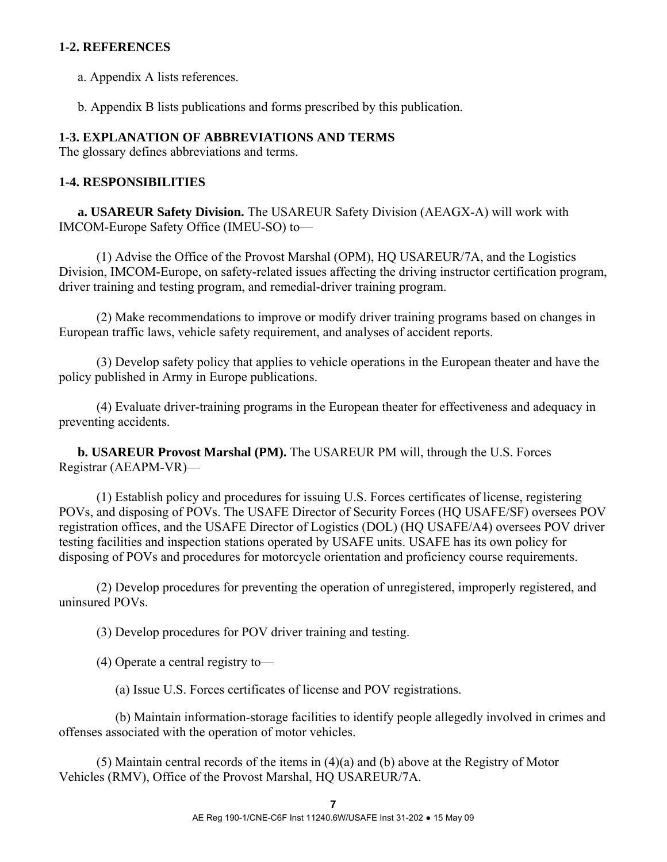### **1-2. REFERENCES**

a. Appendix A lists references.

b. Appendix B lists publications and forms prescribed by this publication.

#### **1-3. EXPLANATION OF ABBREVIATIONS AND TERMS**

The glossary defines abbreviations and terms.

#### **1-4. RESPONSIBILITIES**

 **a. USAREUR Safety Division.** The USAREUR Safety Division (AEAGX-A) will work with IMCOM-Europe Safety Office (IMEU-SO) to—

 (1) Advise the Office of the Provost Marshal (OPM), HQ USAREUR/7A, and the Logistics Division, IMCOM-Europe, on safety-related issues affecting the driving instructor certification program, driver training and testing program, and remedial-driver training program.

 (2) Make recommendations to improve or modify driver training programs based on changes in European traffic laws, vehicle safety requirement, and analyses of accident reports.

 (3) Develop safety policy that applies to vehicle operations in the European theater and have the policy published in Army in Europe publications.

 (4) Evaluate driver-training programs in the European theater for effectiveness and adequacy in preventing accidents.

 **b. USAREUR Provost Marshal (PM).** The USAREUR PM will, through the U.S. Forces Registrar (AEAPM-VR)—

 (1) Establish policy and procedures for issuing U.S. Forces certificates of license, registering POVs, and disposing of POVs. The USAFE Director of Security Forces (HQ USAFE/SF) oversees POV registration offices, and the USAFE Director of Logistics (DOL) (HQ USAFE/A4) oversees POV driver testing facilities and inspection stations operated by USAFE units. USAFE has its own policy for disposing of POVs and procedures for motorcycle orientation and proficiency course requirements.

 (2) Develop procedures for preventing the operation of unregistered, improperly registered, and uninsured POVs.

(3) Develop procedures for POV driver training and testing.

(4) Operate a central registry to—

(a) Issue U.S. Forces certificates of license and POV registrations.

 (b) Maintain information-storage facilities to identify people allegedly involved in crimes and offenses associated with the operation of motor vehicles.

 (5) Maintain central records of the items in (4)(a) and (b) above at the Registry of Motor Vehicles (RMV), Office of the Provost Marshal, HQ USAREUR/7A.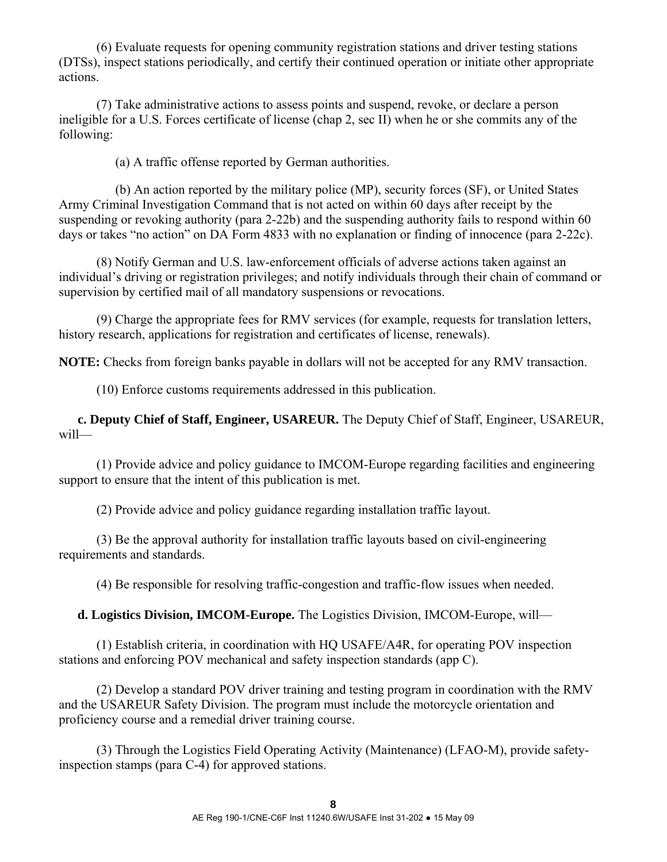(6) Evaluate requests for opening community registration stations and driver testing stations (DTSs), inspect stations periodically, and certify their continued operation or initiate other appropriate actions.

 (7) Take administrative actions to assess points and suspend, revoke, or declare a person ineligible for a U.S. Forces certificate of license (chap 2, sec II) when he or she commits any of the following:

(a) A traffic offense reported by German authorities.

 (b) An action reported by the military police (MP), security forces (SF), or United States Army Criminal Investigation Command that is not acted on within 60 days after receipt by the suspending or revoking authority (para 2-22b) and the suspending authority fails to respond within 60 days or takes "no action" on DA Form 4833 with no explanation or finding of innocence (para 2-22c).

 (8) Notify German and U.S. law-enforcement officials of adverse actions taken against an individual's driving or registration privileges; and notify individuals through their chain of command or supervision by certified mail of all mandatory suspensions or revocations.

 (9) Charge the appropriate fees for RMV services (for example, requests for translation letters, history research, applications for registration and certificates of license, renewals).

**NOTE:** Checks from foreign banks payable in dollars will not be accepted for any RMV transaction.

(10) Enforce customs requirements addressed in this publication.

**c. Deputy Chief of Staff, Engineer, USAREUR.** The Deputy Chief of Staff, Engineer, USAREUR, will—

 (1) Provide advice and policy guidance to IMCOM-Europe regarding facilities and engineering support to ensure that the intent of this publication is met.

(2) Provide advice and policy guidance regarding installation traffic layout.

 (3) Be the approval authority for installation traffic layouts based on civil-engineering requirements and standards.

(4) Be responsible for resolving traffic-congestion and traffic-flow issues when needed.

 **d. Logistics Division, IMCOM-Europe.** The Logistics Division, IMCOM-Europe, will—

 (1) Establish criteria, in coordination with HQ USAFE/A4R, for operating POV inspection stations and enforcing POV mechanical and safety inspection standards (app C).

 (2) Develop a standard POV driver training and testing program in coordination with the RMV and the USAREUR Safety Division. The program must include the motorcycle orientation and proficiency course and a remedial driver training course.

 (3) Through the Logistics Field Operating Activity (Maintenance) (LFAO-M), provide safetyinspection stamps (para C-4) for approved stations.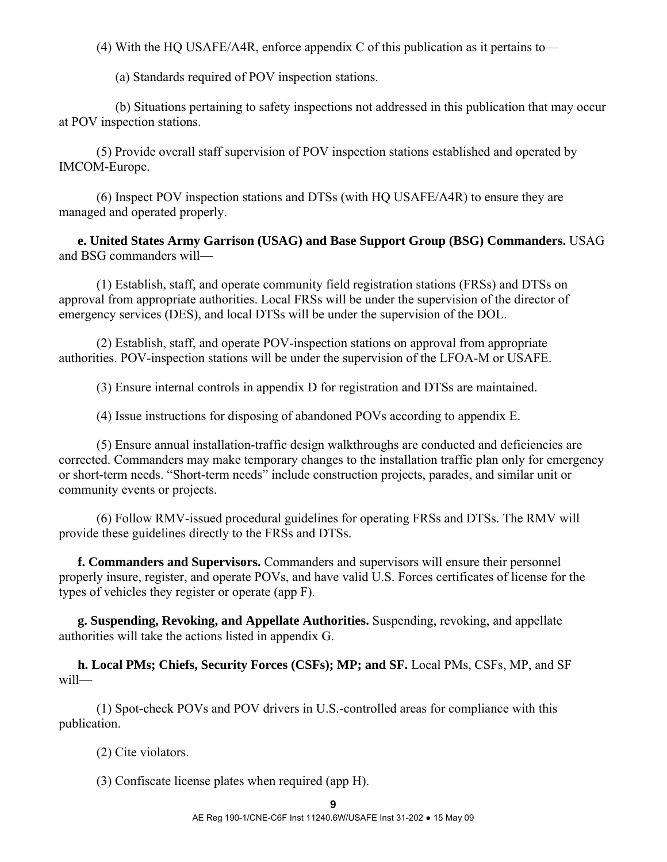(4) With the HQ USAFE/A4R, enforce appendix C of this publication as it pertains to—

(a) Standards required of POV inspection stations.

 (b) Situations pertaining to safety inspections not addressed in this publication that may occur at POV inspection stations.

 (5) Provide overall staff supervision of POV inspection stations established and operated by IMCOM-Europe.

 (6) Inspect POV inspection stations and DTSs (with HQ USAFE/A4R) to ensure they are managed and operated properly.

**e. United States Army Garrison (USAG) and Base Support Group (BSG) Commanders.** USAG and BSG commanders will—

 (1) Establish, staff, and operate community field registration stations (FRSs) and DTSs on approval from appropriate authorities. Local FRSs will be under the supervision of the director of emergency services (DES), and local DTSs will be under the supervision of the DOL.

 (2) Establish, staff, and operate POV-inspection stations on approval from appropriate authorities. POV-inspection stations will be under the supervision of the LFOA-M or USAFE.

(3) Ensure internal controls in appendix D for registration and DTSs are maintained.

(4) Issue instructions for disposing of abandoned POVs according to appendix E.

 (5) Ensure annual installation-traffic design walkthroughs are conducted and deficiencies are corrected. Commanders may make temporary changes to the installation traffic plan only for emergency or short-term needs. "Short-term needs" include construction projects, parades, and similar unit or community events or projects.

 (6) Follow RMV-issued procedural guidelines for operating FRSs and DTSs. The RMV will provide these guidelines directly to the FRSs and DTSs.

 **f. Commanders and Supervisors.** Commanders and supervisors will ensure their personnel properly insure, register, and operate POVs, and have valid U.S. Forces certificates of license for the types of vehicles they register or operate (app F).

**g. Suspending, Revoking, and Appellate Authorities.** Suspending, revoking, and appellate authorities will take the actions listed in appendix G.

**h. Local PMs; Chiefs, Security Forces (CSFs); MP; and SF.** Local PMs, CSFs, MP, and SF will—

 (1) Spot-check POVs and POV drivers in U.S.-controlled areas for compliance with this publication.

(2) Cite violators.

(3) Confiscate license plates when required (app H).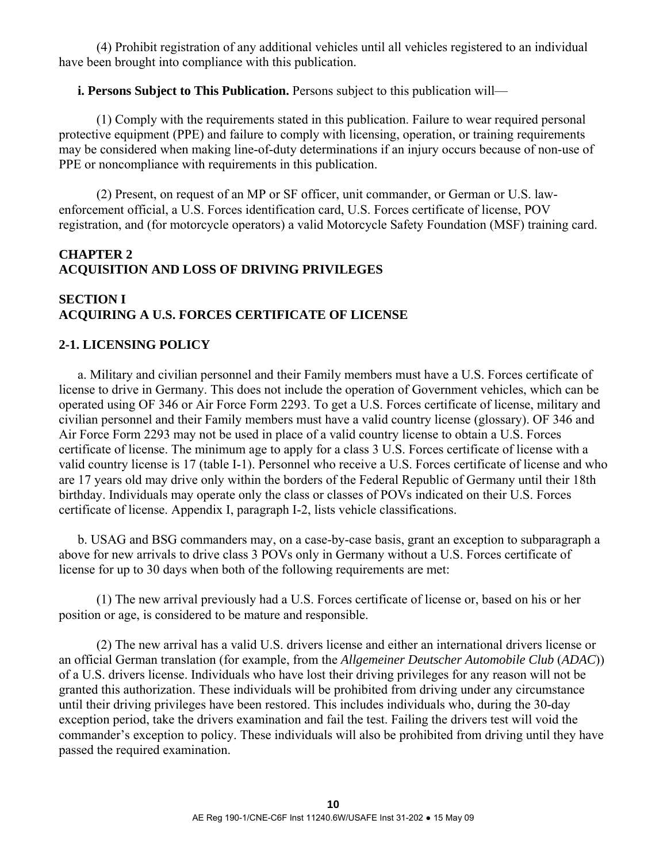(4) Prohibit registration of any additional vehicles until all vehicles registered to an individual have been brought into compliance with this publication.

#### **i. Persons Subject to This Publication.** Persons subject to this publication will—

 (1) Comply with the requirements stated in this publication. Failure to wear required personal protective equipment (PPE) and failure to comply with licensing, operation, or training requirements may be considered when making line-of-duty determinations if an injury occurs because of non-use of PPE or noncompliance with requirements in this publication.

 (2) Present, on request of an MP or SF officer, unit commander, or German or U.S. lawenforcement official, a U.S. Forces identification card, U.S. Forces certificate of license, POV registration, and (for motorcycle operators) a valid Motorcycle Safety Foundation (MSF) training card.

### **CHAPTER 2 ACQUISITION AND LOSS OF DRIVING PRIVILEGES**

## **SECTION I ACQUIRING A U.S. FORCES CERTIFICATE OF LICENSE**

#### **2-1. LICENSING POLICY**

 a. Military and civilian personnel and their Family members must have a U.S. Forces certificate of license to drive in Germany. This does not include the operation of Government vehicles, which can be operated using OF 346 or Air Force Form 2293. To get a U.S. Forces certificate of license, military and civilian personnel and their Family members must have a valid country license (glossary). OF 346 and Air Force Form 2293 may not be used in place of a valid country license to obtain a U.S. Forces certificate of license. The minimum age to apply for a class 3 U.S. Forces certificate of license with a valid country license is 17 (table I-1). Personnel who receive a U.S. Forces certificate of license and who are 17 years old may drive only within the borders of the Federal Republic of Germany until their 18th birthday. Individuals may operate only the class or classes of POVs indicated on their U.S. Forces certificate of license. Appendix I, paragraph I-2, lists vehicle classifications.

 b. USAG and BSG commanders may, on a case-by-case basis, grant an exception to subparagraph a above for new arrivals to drive class 3 POVs only in Germany without a U.S. Forces certificate of license for up to 30 days when both of the following requirements are met:

 (1) The new arrival previously had a U.S. Forces certificate of license or, based on his or her position or age, is considered to be mature and responsible.

 (2) The new arrival has a valid U.S. drivers license and either an international drivers license or an official German translation (for example, from the *Allgemeiner Deutscher Automobile Club* (*ADAC*)) of a U.S. drivers license. Individuals who have lost their driving privileges for any reason will not be granted this authorization. These individuals will be prohibited from driving under any circumstance until their driving privileges have been restored. This includes individuals who, during the 30-day exception period, take the drivers examination and fail the test. Failing the drivers test will void the commander's exception to policy. These individuals will also be prohibited from driving until they have passed the required examination.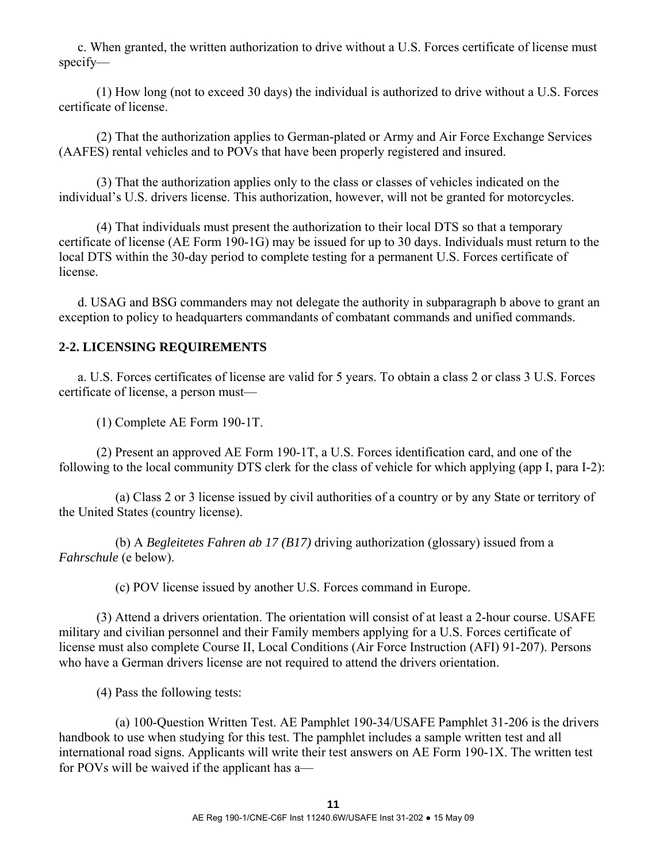c. When granted, the written authorization to drive without a U.S. Forces certificate of license must specify—

 (1) How long (not to exceed 30 days) the individual is authorized to drive without a U.S. Forces certificate of license.

 (2) That the authorization applies to German-plated or Army and Air Force Exchange Services (AAFES) rental vehicles and to POVs that have been properly registered and insured.

 (3) That the authorization applies only to the class or classes of vehicles indicated on the individual's U.S. drivers license. This authorization, however, will not be granted for motorcycles.

 (4) That individuals must present the authorization to their local DTS so that a temporary certificate of license (AE Form 190-1G) may be issued for up to 30 days. Individuals must return to the local DTS within the 30-day period to complete testing for a permanent U.S. Forces certificate of license.

 d. USAG and BSG commanders may not delegate the authority in subparagraph b above to grant an exception to policy to headquarters commandants of combatant commands and unified commands.

# **2-2. LICENSING REQUIREMENTS**

 a. U.S. Forces certificates of license are valid for 5 years. To obtain a class 2 or class 3 U.S. Forces certificate of license, a person must—

(1) Complete AE Form 190-1T.

 (2) Present an approved AE Form 190-1T, a U.S. Forces identification card, and one of the following to the local community DTS clerk for the class of vehicle for which applying (app I, para I-2):

 (a) Class 2 or 3 license issued by civil authorities of a country or by any State or territory of the United States (country license).

 (b) A *Begleitetes Fahren ab 17 (B17)* driving authorization (glossary) issued from a *Fahrschule* (e below).

(c) POV license issued by another U.S. Forces command in Europe.

 (3) Attend a drivers orientation. The orientation will consist of at least a 2-hour course. USAFE military and civilian personnel and their Family members applying for a U.S. Forces certificate of license must also complete Course II, Local Conditions (Air Force Instruction (AFI) 91-207). Persons who have a German drivers license are not required to attend the drivers orientation.

(4) Pass the following tests:

 (a) 100-Question Written Test. AE Pamphlet 190-34/USAFE Pamphlet 31-206 is the drivers handbook to use when studying for this test. The pamphlet includes a sample written test and all international road signs. Applicants will write their test answers on AE Form 190-1X. The written test for POVs will be waived if the applicant has a—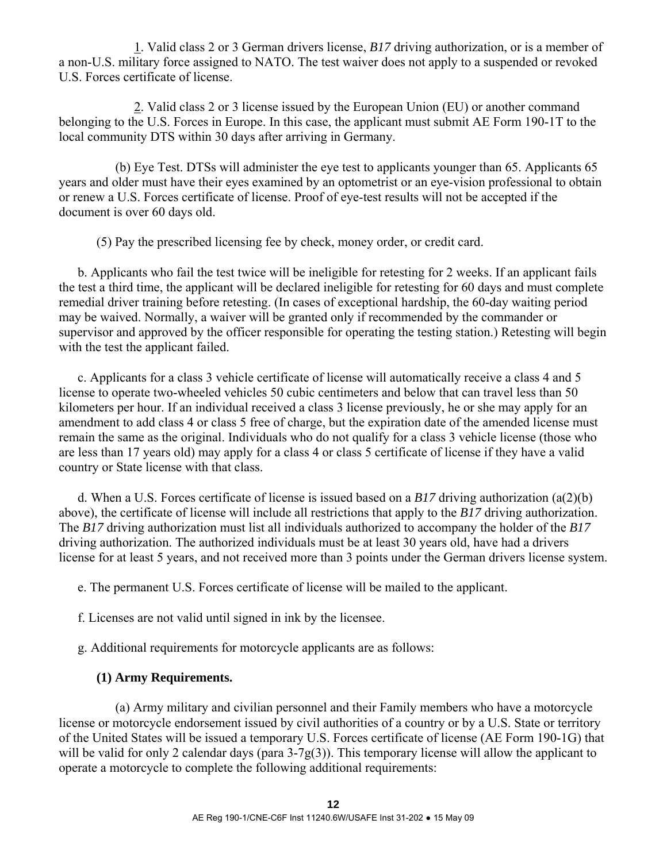1. Valid class 2 or 3 German drivers license, *B17* driving authorization, or is a member of a non-U.S. military force assigned to NATO. The test waiver does not apply to a suspended or revoked U.S. Forces certificate of license.

 2. Valid class 2 or 3 license issued by the European Union (EU) or another command belonging to the U.S. Forces in Europe. In this case, the applicant must submit AE Form 190-1T to the local community DTS within 30 days after arriving in Germany.

 (b) Eye Test. DTSs will administer the eye test to applicants younger than 65. Applicants 65 years and older must have their eyes examined by an optometrist or an eye-vision professional to obtain or renew a U.S. Forces certificate of license. Proof of eye-test results will not be accepted if the document is over 60 days old.

(5) Pay the prescribed licensing fee by check, money order, or credit card.

 b. Applicants who fail the test twice will be ineligible for retesting for 2 weeks. If an applicant fails the test a third time, the applicant will be declared ineligible for retesting for 60 days and must complete remedial driver training before retesting. (In cases of exceptional hardship, the 60-day waiting period may be waived. Normally, a waiver will be granted only if recommended by the commander or supervisor and approved by the officer responsible for operating the testing station.) Retesting will begin with the test the applicant failed.

 c. Applicants for a class 3 vehicle certificate of license will automatically receive a class 4 and 5 license to operate two-wheeled vehicles 50 cubic centimeters and below that can travel less than 50 kilometers per hour. If an individual received a class 3 license previously, he or she may apply for an amendment to add class 4 or class 5 free of charge, but the expiration date of the amended license must remain the same as the original. Individuals who do not qualify for a class 3 vehicle license (those who are less than 17 years old) may apply for a class 4 or class 5 certificate of license if they have a valid country or State license with that class.

 d. When a U.S. Forces certificate of license is issued based on a *B17* driving authorization (a(2)(b) above), the certificate of license will include all restrictions that apply to the *B17* driving authorization. The *B17* driving authorization must list all individuals authorized to accompany the holder of the *B17* driving authorization. The authorized individuals must be at least 30 years old, have had a drivers license for at least 5 years, and not received more than 3 points under the German drivers license system.

e. The permanent U.S. Forces certificate of license will be mailed to the applicant.

f. Licenses are not valid until signed in ink by the licensee.

g. Additional requirements for motorcycle applicants are as follows:

## **(1) Army Requirements.**

 (a) Army military and civilian personnel and their Family members who have a motorcycle license or motorcycle endorsement issued by civil authorities of a country or by a U.S. State or territory of the United States will be issued a temporary U.S. Forces certificate of license (AE Form 190-1G) that will be valid for only 2 calendar days (para 3-7g(3)). This temporary license will allow the applicant to operate a motorcycle to complete the following additional requirements: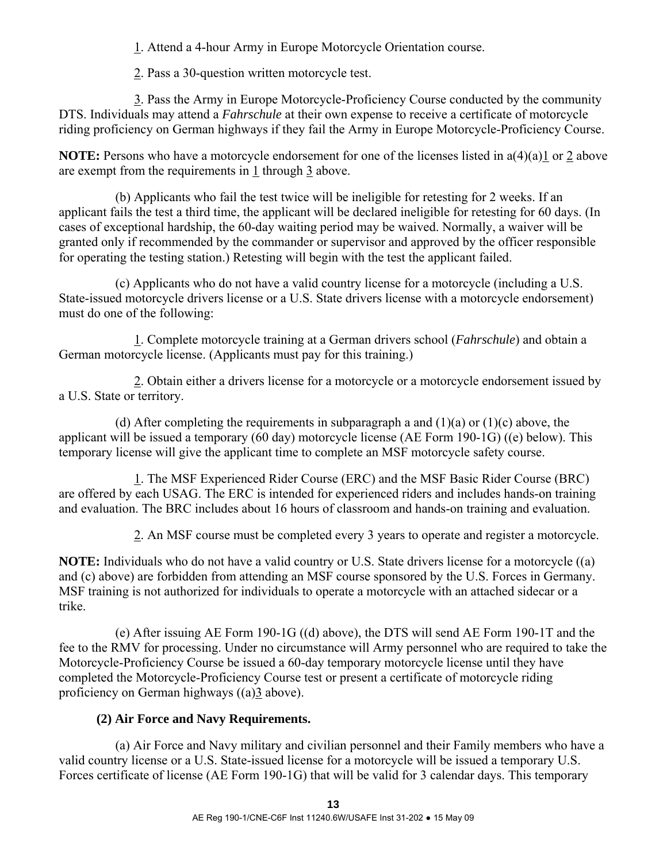1. Attend a 4-hour Army in Europe Motorcycle Orientation course.

2. Pass a 30-question written motorcycle test.

 3. Pass the Army in Europe Motorcycle-Proficiency Course conducted by the community DTS. Individuals may attend a *Fahrschule* at their own expense to receive a certificate of motorcycle riding proficiency on German highways if they fail the Army in Europe Motorcycle-Proficiency Course.

**NOTE:** Persons who have a motorcycle endorsement for one of the licenses listed in  $a(4)(a)1$  or 2 above are exempt from the requirements in 1 through 3 above.

 (b) Applicants who fail the test twice will be ineligible for retesting for 2 weeks. If an applicant fails the test a third time, the applicant will be declared ineligible for retesting for 60 days. (In cases of exceptional hardship, the 60-day waiting period may be waived. Normally, a waiver will be granted only if recommended by the commander or supervisor and approved by the officer responsible for operating the testing station.) Retesting will begin with the test the applicant failed.

 (c) Applicants who do not have a valid country license for a motorcycle (including a U.S. State-issued motorcycle drivers license or a U.S. State drivers license with a motorcycle endorsement) must do one of the following:

 1. Complete motorcycle training at a German drivers school (*Fahrschule*) and obtain a German motorcycle license. (Applicants must pay for this training.)

 2. Obtain either a drivers license for a motorcycle or a motorcycle endorsement issued by a U.S. State or territory.

(d) After completing the requirements in subparagraph a and  $(1)(a)$  or  $(1)(c)$  above, the applicant will be issued a temporary (60 day) motorcycle license (AE Form 190-1G) ((e) below). This temporary license will give the applicant time to complete an MSF motorcycle safety course.

 1. The MSF Experienced Rider Course (ERC) and the MSF Basic Rider Course (BRC) are offered by each USAG. The ERC is intended for experienced riders and includes hands-on training and evaluation. The BRC includes about 16 hours of classroom and hands-on training and evaluation.

2. An MSF course must be completed every 3 years to operate and register a motorcycle.

**NOTE:** Individuals who do not have a valid country or U.S. State drivers license for a motorcycle ((a) and (c) above) are forbidden from attending an MSF course sponsored by the U.S. Forces in Germany. MSF training is not authorized for individuals to operate a motorcycle with an attached sidecar or a trike.

 (e) After issuing AE Form 190-1G ((d) above), the DTS will send AE Form 190-1T and the fee to the RMV for processing. Under no circumstance will Army personnel who are required to take the Motorcycle-Proficiency Course be issued a 60-day temporary motorcycle license until they have completed the Motorcycle-Proficiency Course test or present a certificate of motorcycle riding proficiency on German highways ((a)3 above).

# **(2) Air Force and Navy Requirements.**

 (a) Air Force and Navy military and civilian personnel and their Family members who have a valid country license or a U.S. State-issued license for a motorcycle will be issued a temporary U.S. Forces certificate of license (AE Form 190-1G) that will be valid for 3 calendar days. This temporary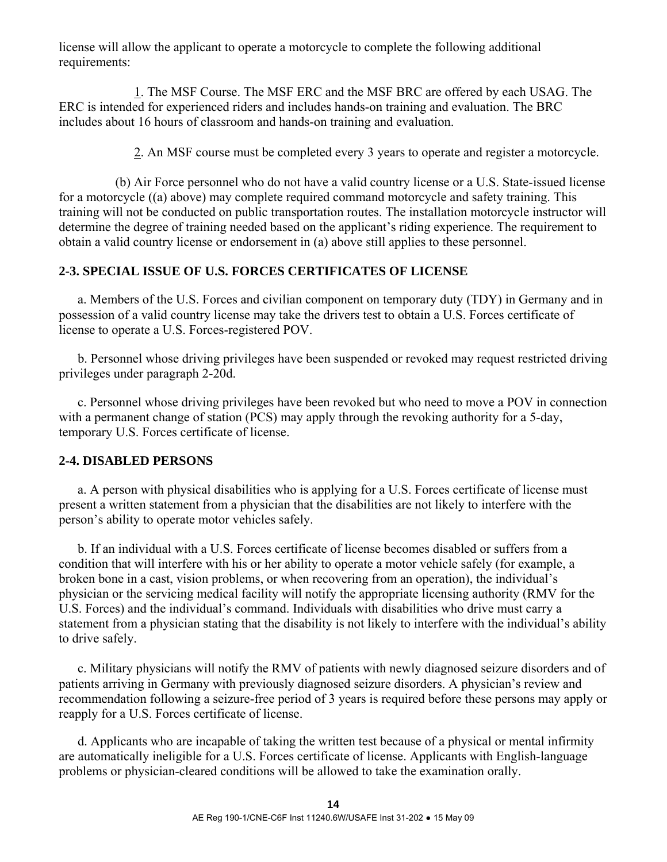license will allow the applicant to operate a motorcycle to complete the following additional requirements:

 1. The MSF Course. The MSF ERC and the MSF BRC are offered by each USAG. The ERC is intended for experienced riders and includes hands-on training and evaluation. The BRC includes about 16 hours of classroom and hands-on training and evaluation.

2. An MSF course must be completed every 3 years to operate and register a motorcycle.

 (b) Air Force personnel who do not have a valid country license or a U.S. State-issued license for a motorcycle ((a) above) may complete required command motorcycle and safety training. This training will not be conducted on public transportation routes. The installation motorcycle instructor will determine the degree of training needed based on the applicant's riding experience. The requirement to obtain a valid country license or endorsement in (a) above still applies to these personnel.

## **2-3. SPECIAL ISSUE OF U.S. FORCES CERTIFICATES OF LICENSE**

 a. Members of the U.S. Forces and civilian component on temporary duty (TDY) in Germany and in possession of a valid country license may take the drivers test to obtain a U.S. Forces certificate of license to operate a U.S. Forces-registered POV.

 b. Personnel whose driving privileges have been suspended or revoked may request restricted driving privileges under paragraph 2-20d.

 c. Personnel whose driving privileges have been revoked but who need to move a POV in connection with a permanent change of station (PCS) may apply through the revoking authority for a 5-day, temporary U.S. Forces certificate of license.

## **2-4. DISABLED PERSONS**

 a. A person with physical disabilities who is applying for a U.S. Forces certificate of license must present a written statement from a physician that the disabilities are not likely to interfere with the person's ability to operate motor vehicles safely.

 b. If an individual with a U.S. Forces certificate of license becomes disabled or suffers from a condition that will interfere with his or her ability to operate a motor vehicle safely (for example, a broken bone in a cast, vision problems, or when recovering from an operation), the individual's physician or the servicing medical facility will notify the appropriate licensing authority (RMV for the U.S. Forces) and the individual's command. Individuals with disabilities who drive must carry a statement from a physician stating that the disability is not likely to interfere with the individual's ability to drive safely.

 c. Military physicians will notify the RMV of patients with newly diagnosed seizure disorders and of patients arriving in Germany with previously diagnosed seizure disorders. A physician's review and recommendation following a seizure-free period of 3 years is required before these persons may apply or reapply for a U.S. Forces certificate of license.

 d. Applicants who are incapable of taking the written test because of a physical or mental infirmity are automatically ineligible for a U.S. Forces certificate of license. Applicants with English-language problems or physician-cleared conditions will be allowed to take the examination orally.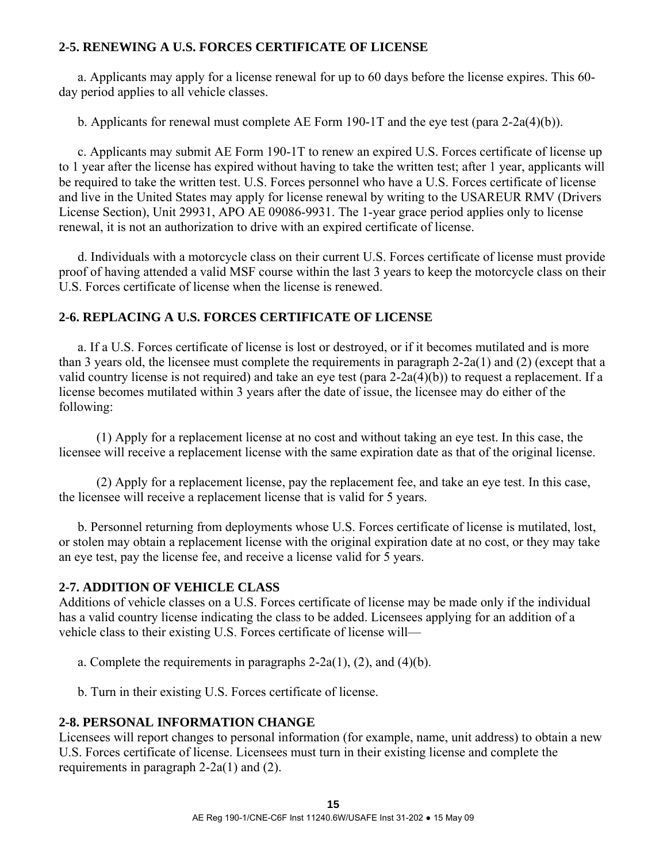## **2-5. RENEWING A U.S. FORCES CERTIFICATE OF LICENSE**

 a. Applicants may apply for a license renewal for up to 60 days before the license expires. This 60 day period applies to all vehicle classes.

b. Applicants for renewal must complete AE Form 190-1T and the eye test (para 2-2a(4)(b)).

 c. Applicants may submit AE Form 190-1T to renew an expired U.S. Forces certificate of license up to 1 year after the license has expired without having to take the written test; after 1 year, applicants will be required to take the written test. U.S. Forces personnel who have a U.S. Forces certificate of license and live in the United States may apply for license renewal by writing to the USAREUR RMV (Drivers License Section), Unit 29931, APO AE 09086-9931. The 1-year grace period applies only to license renewal, it is not an authorization to drive with an expired certificate of license.

 d. Individuals with a motorcycle class on their current U.S. Forces certificate of license must provide proof of having attended a valid MSF course within the last 3 years to keep the motorcycle class on their U.S. Forces certificate of license when the license is renewed.

## **2-6. REPLACING A U.S. FORCES CERTIFICATE OF LICENSE**

 a. If a U.S. Forces certificate of license is lost or destroyed, or if it becomes mutilated and is more than 3 years old, the licensee must complete the requirements in paragraph 2-2a(1) and (2) (except that a valid country license is not required) and take an eye test (para 2-2a(4)(b)) to request a replacement. If a license becomes mutilated within 3 years after the date of issue, the licensee may do either of the following:

 (1) Apply for a replacement license at no cost and without taking an eye test. In this case, the licensee will receive a replacement license with the same expiration date as that of the original license.

 (2) Apply for a replacement license, pay the replacement fee, and take an eye test. In this case, the licensee will receive a replacement license that is valid for 5 years.

 b. Personnel returning from deployments whose U.S. Forces certificate of license is mutilated, lost, or stolen may obtain a replacement license with the original expiration date at no cost, or they may take an eye test, pay the license fee, and receive a license valid for 5 years.

## **2-7. ADDITION OF VEHICLE CLASS**

Additions of vehicle classes on a U.S. Forces certificate of license may be made only if the individual has a valid country license indicating the class to be added. Licensees applying for an addition of a vehicle class to their existing U.S. Forces certificate of license will—

- a. Complete the requirements in paragraphs  $2-2a(1)$ ,  $(2)$ , and  $(4)(b)$ .
- b. Turn in their existing U.S. Forces certificate of license.

## **2-8. PERSONAL INFORMATION CHANGE**

Licensees will report changes to personal information (for example, name, unit address) to obtain a new U.S. Forces certificate of license. Licensees must turn in their existing license and complete the requirements in paragraph 2-2a(1) and (2).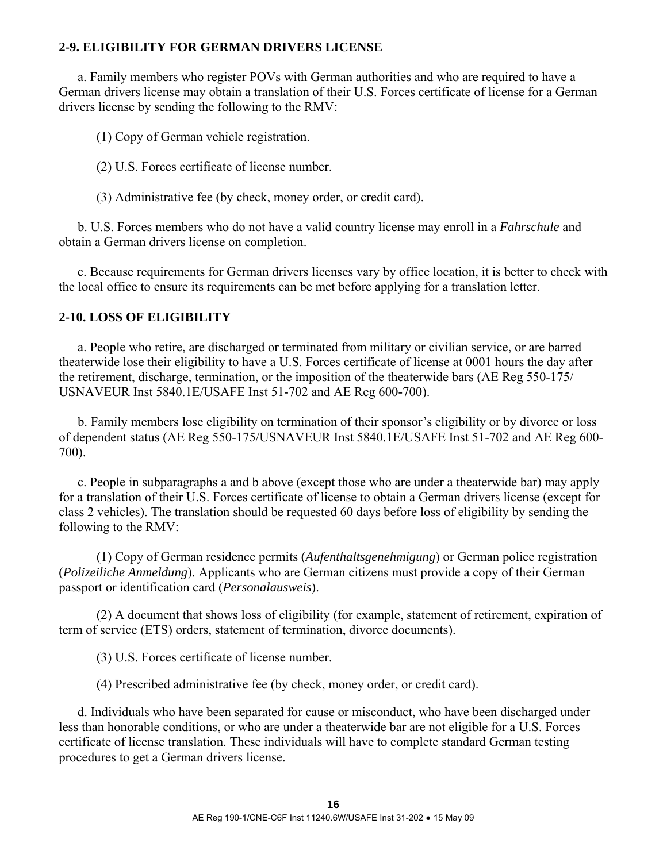### **2-9. ELIGIBILITY FOR GERMAN DRIVERS LICENSE**

 a. Family members who register POVs with German authorities and who are required to have a German drivers license may obtain a translation of their U.S. Forces certificate of license for a German drivers license by sending the following to the RMV:

(1) Copy of German vehicle registration.

(2) U.S. Forces certificate of license number.

(3) Administrative fee (by check, money order, or credit card).

 b. U.S. Forces members who do not have a valid country license may enroll in a *Fahrschule* and obtain a German drivers license on completion.

 c. Because requirements for German drivers licenses vary by office location, it is better to check with the local office to ensure its requirements can be met before applying for a translation letter.

#### **2-10. LOSS OF ELIGIBILITY**

 a. People who retire, are discharged or terminated from military or civilian service, or are barred theaterwide lose their eligibility to have a U.S. Forces certificate of license at 0001 hours the day after the retirement, discharge, termination, or the imposition of the theaterwide bars (AE Reg 550-175/ USNAVEUR Inst 5840.1E/USAFE Inst 51-702 and AE Reg 600-700).

 b. Family members lose eligibility on termination of their sponsor's eligibility or by divorce or loss of dependent status (AE Reg 550-175/USNAVEUR Inst 5840.1E/USAFE Inst 51-702 and AE Reg 600- 700).

 c. People in subparagraphs a and b above (except those who are under a theaterwide bar) may apply for a translation of their U.S. Forces certificate of license to obtain a German drivers license (except for class 2 vehicles). The translation should be requested 60 days before loss of eligibility by sending the following to the RMV:

 (1) Copy of German residence permits (*Aufenthaltsgenehmigung*) or German police registration (*Polizeiliche Anmeldung*). Applicants who are German citizens must provide a copy of their German passport or identification card (*Personalausweis*).

 (2) A document that shows loss of eligibility (for example, statement of retirement, expiration of term of service (ETS) orders, statement of termination, divorce documents).

(3) U.S. Forces certificate of license number.

(4) Prescribed administrative fee (by check, money order, or credit card).

 d. Individuals who have been separated for cause or misconduct, who have been discharged under less than honorable conditions, or who are under a theaterwide bar are not eligible for a U.S. Forces certificate of license translation. These individuals will have to complete standard German testing procedures to get a German drivers license.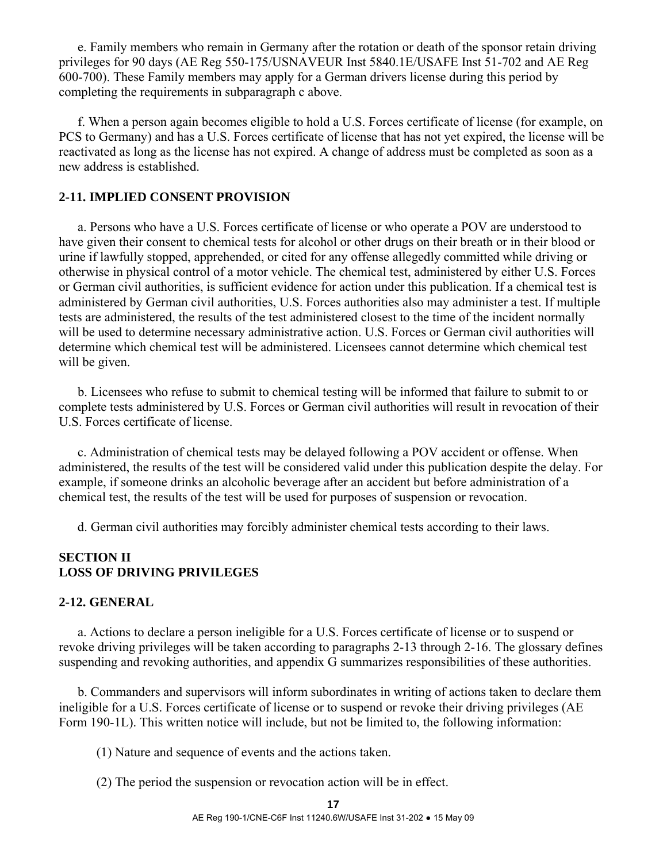e. Family members who remain in Germany after the rotation or death of the sponsor retain driving privileges for 90 days (AE Reg 550-175/USNAVEUR Inst 5840.1E/USAFE Inst 51-702 and AE Reg 600-700). These Family members may apply for a German drivers license during this period by completing the requirements in subparagraph c above.

 f. When a person again becomes eligible to hold a U.S. Forces certificate of license (for example, on PCS to Germany) and has a U.S. Forces certificate of license that has not yet expired, the license will be reactivated as long as the license has not expired. A change of address must be completed as soon as a new address is established.

### **2-11. IMPLIED CONSENT PROVISION**

 a. Persons who have a U.S. Forces certificate of license or who operate a POV are understood to have given their consent to chemical tests for alcohol or other drugs on their breath or in their blood or urine if lawfully stopped, apprehended, or cited for any offense allegedly committed while driving or otherwise in physical control of a motor vehicle. The chemical test, administered by either U.S. Forces or German civil authorities, is sufficient evidence for action under this publication. If a chemical test is administered by German civil authorities, U.S. Forces authorities also may administer a test. If multiple tests are administered, the results of the test administered closest to the time of the incident normally will be used to determine necessary administrative action. U.S. Forces or German civil authorities will determine which chemical test will be administered. Licensees cannot determine which chemical test will be given.

 b. Licensees who refuse to submit to chemical testing will be informed that failure to submit to or complete tests administered by U.S. Forces or German civil authorities will result in revocation of their U.S. Forces certificate of license.

 c. Administration of chemical tests may be delayed following a POV accident or offense. When administered, the results of the test will be considered valid under this publication despite the delay. For example, if someone drinks an alcoholic beverage after an accident but before administration of a chemical test, the results of the test will be used for purposes of suspension or revocation.

d. German civil authorities may forcibly administer chemical tests according to their laws.

#### **SECTION II LOSS OF DRIVING PRIVILEGES**

#### **2-12. GENERAL**

 a. Actions to declare a person ineligible for a U.S. Forces certificate of license or to suspend or revoke driving privileges will be taken according to paragraphs 2-13 through 2-16. The glossary defines suspending and revoking authorities, and appendix G summarizes responsibilities of these authorities.

 b. Commanders and supervisors will inform subordinates in writing of actions taken to declare them ineligible for a U.S. Forces certificate of license or to suspend or revoke their driving privileges (AE Form 190-1L). This written notice will include, but not be limited to, the following information:

(1) Nature and sequence of events and the actions taken.

(2) The period the suspension or revocation action will be in effect.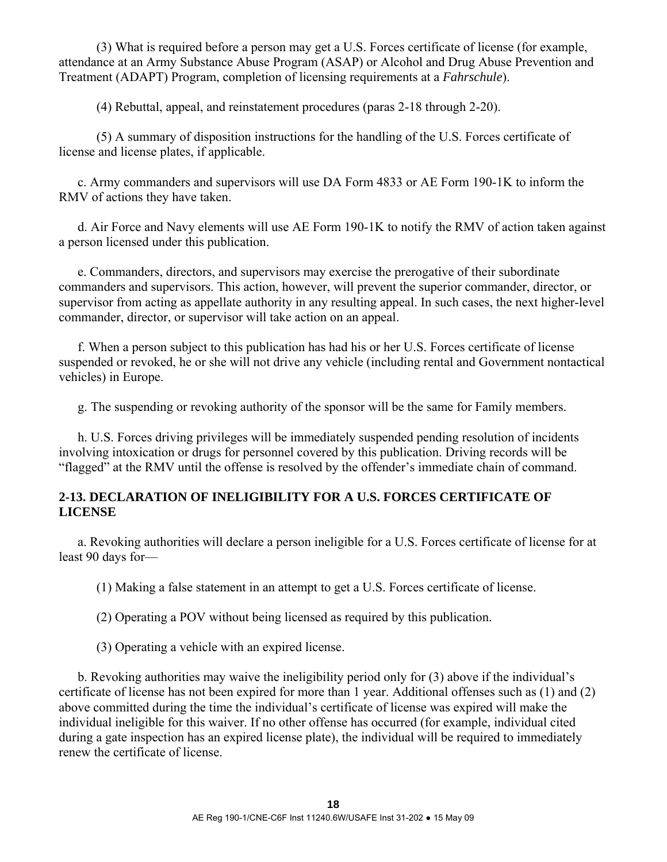(3) What is required before a person may get a U.S. Forces certificate of license (for example, attendance at an Army Substance Abuse Program (ASAP) or Alcohol and Drug Abuse Prevention and Treatment (ADAPT) Program, completion of licensing requirements at a *Fahrschule*).

(4) Rebuttal, appeal, and reinstatement procedures (paras 2-18 through 2-20).

 (5) A summary of disposition instructions for the handling of the U.S. Forces certificate of license and license plates, if applicable.

 c. Army commanders and supervisors will use DA Form 4833 or AE Form 190-1K to inform the RMV of actions they have taken.

 d. Air Force and Navy elements will use AE Form 190-1K to notify the RMV of action taken against a person licensed under this publication.

 e. Commanders, directors, and supervisors may exercise the prerogative of their subordinate commanders and supervisors. This action, however, will prevent the superior commander, director, or supervisor from acting as appellate authority in any resulting appeal. In such cases, the next higher-level commander, director, or supervisor will take action on an appeal.

 f. When a person subject to this publication has had his or her U.S. Forces certificate of license suspended or revoked, he or she will not drive any vehicle (including rental and Government nontactical vehicles) in Europe.

g. The suspending or revoking authority of the sponsor will be the same for Family members.

 h. U.S. Forces driving privileges will be immediately suspended pending resolution of incidents involving intoxication or drugs for personnel covered by this publication. Driving records will be "flagged" at the RMV until the offense is resolved by the offender's immediate chain of command.

## **2-13. DECLARATION OF INELIGIBILITY FOR A U.S. FORCES CERTIFICATE OF LICENSE**

 a. Revoking authorities will declare a person ineligible for a U.S. Forces certificate of license for at least 90 days for—

(1) Making a false statement in an attempt to get a U.S. Forces certificate of license.

(2) Operating a POV without being licensed as required by this publication.

(3) Operating a vehicle with an expired license.

 b. Revoking authorities may waive the ineligibility period only for (3) above if the individual's certificate of license has not been expired for more than 1 year. Additional offenses such as (1) and (2) above committed during the time the individual's certificate of license was expired will make the individual ineligible for this waiver. If no other offense has occurred (for example, individual cited during a gate inspection has an expired license plate), the individual will be required to immediately renew the certificate of license.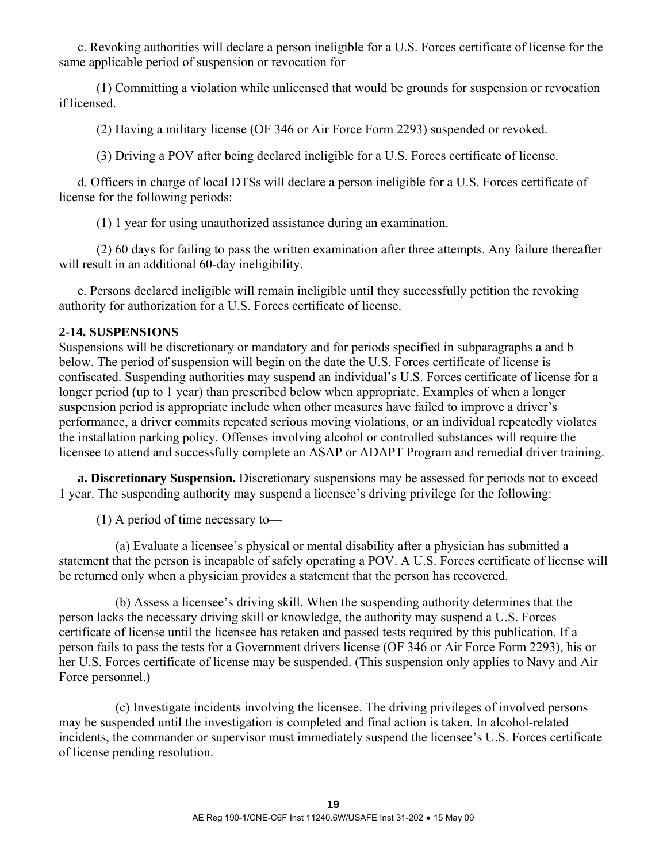c. Revoking authorities will declare a person ineligible for a U.S. Forces certificate of license for the same applicable period of suspension or revocation for—

 (1) Committing a violation while unlicensed that would be grounds for suspension or revocation if licensed.

(2) Having a military license (OF 346 or Air Force Form 2293) suspended or revoked.

(3) Driving a POV after being declared ineligible for a U.S. Forces certificate of license.

 d. Officers in charge of local DTSs will declare a person ineligible for a U.S. Forces certificate of license for the following periods:

(1) 1 year for using unauthorized assistance during an examination.

 (2) 60 days for failing to pass the written examination after three attempts. Any failure thereafter will result in an additional 60-day ineligibility.

 e. Persons declared ineligible will remain ineligible until they successfully petition the revoking authority for authorization for a U.S. Forces certificate of license.

### **2-14. SUSPENSIONS**

Suspensions will be discretionary or mandatory and for periods specified in subparagraphs a and b below. The period of suspension will begin on the date the U.S. Forces certificate of license is confiscated. Suspending authorities may suspend an individual's U.S. Forces certificate of license for a longer period (up to 1 year) than prescribed below when appropriate. Examples of when a longer suspension period is appropriate include when other measures have failed to improve a driver's performance, a driver commits repeated serious moving violations, or an individual repeatedly violates the installation parking policy. Offenses involving alcohol or controlled substances will require the licensee to attend and successfully complete an ASAP or ADAPT Program and remedial driver training.

**a. Discretionary Suspension.** Discretionary suspensions may be assessed for periods not to exceed 1 year. The suspending authority may suspend a licensee's driving privilege for the following:

(1) A period of time necessary to—

 (a) Evaluate a licensee's physical or mental disability after a physician has submitted a statement that the person is incapable of safely operating a POV. A U.S. Forces certificate of license will be returned only when a physician provides a statement that the person has recovered.

 (b) Assess a licensee's driving skill. When the suspending authority determines that the person lacks the necessary driving skill or knowledge, the authority may suspend a U.S. Forces certificate of license until the licensee has retaken and passed tests required by this publication. If a person fails to pass the tests for a Government drivers license (OF 346 or Air Force Form 2293), his or her U.S. Forces certificate of license may be suspended. (This suspension only applies to Navy and Air Force personnel.)

 (c) Investigate incidents involving the licensee. The driving privileges of involved persons may be suspended until the investigation is completed and final action is taken. In alcohol-related incidents, the commander or supervisor must immediately suspend the licensee's U.S. Forces certificate of license pending resolution.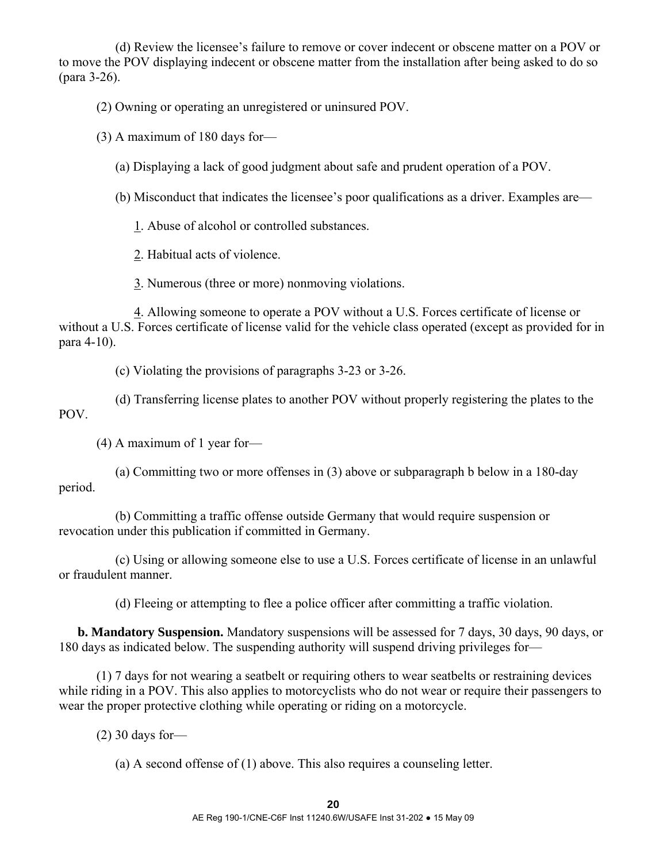(d) Review the licensee's failure to remove or cover indecent or obscene matter on a POV or to move the POV displaying indecent or obscene matter from the installation after being asked to do so (para 3-26).

(2) Owning or operating an unregistered or uninsured POV.

(3) A maximum of 180 days for—

(a) Displaying a lack of good judgment about safe and prudent operation of a POV.

(b) Misconduct that indicates the licensee's poor qualifications as a driver. Examples are—

1. Abuse of alcohol or controlled substances.

2. Habitual acts of violence.

3. Numerous (three or more) nonmoving violations.

 4. Allowing someone to operate a POV without a U.S. Forces certificate of license or without a U.S. Forces certificate of license valid for the vehicle class operated (except as provided for in para 4-10).

(c) Violating the provisions of paragraphs 3-23 or 3-26.

 (d) Transferring license plates to another POV without properly registering the plates to the POV.

(4) A maximum of 1 year for—

 (a) Committing two or more offenses in (3) above or subparagraph b below in a 180-day period.

 (b) Committing a traffic offense outside Germany that would require suspension or revocation under this publication if committed in Germany.

 (c) Using or allowing someone else to use a U.S. Forces certificate of license in an unlawful or fraudulent manner.

(d) Fleeing or attempting to flee a police officer after committing a traffic violation.

**b. Mandatory Suspension.** Mandatory suspensions will be assessed for 7 days, 30 days, 90 days, or 180 days as indicated below. The suspending authority will suspend driving privileges for—

 (1) 7 days for not wearing a seatbelt or requiring others to wear seatbelts or restraining devices while riding in a POV. This also applies to motorcyclists who do not wear or require their passengers to wear the proper protective clothing while operating or riding on a motorcycle.

(2) 30 days for—

(a) A second offense of (1) above. This also requires a counseling letter.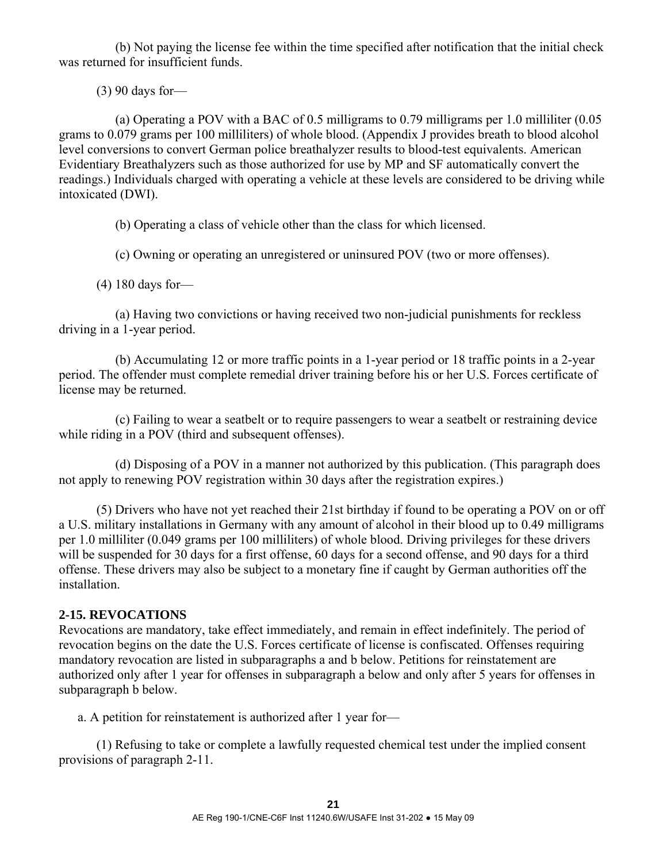(b) Not paying the license fee within the time specified after notification that the initial check was returned for insufficient funds.

(3) 90 days for—

 (a) Operating a POV with a BAC of 0.5 milligrams to 0.79 milligrams per 1.0 milliliter (0.05 grams to 0.079 grams per 100 milliliters) of whole blood. (Appendix J provides breath to blood alcohol level conversions to convert German police breathalyzer results to blood-test equivalents. American Evidentiary Breathalyzers such as those authorized for use by MP and SF automatically convert the readings.) Individuals charged with operating a vehicle at these levels are considered to be driving while intoxicated (DWI).

(b) Operating a class of vehicle other than the class for which licensed.

(c) Owning or operating an unregistered or uninsured POV (two or more offenses).

(4) 180 days for—

 (a) Having two convictions or having received two non-judicial punishments for reckless driving in a 1-year period.

 (b) Accumulating 12 or more traffic points in a 1-year period or 18 traffic points in a 2-year period. The offender must complete remedial driver training before his or her U.S. Forces certificate of license may be returned.

 (c) Failing to wear a seatbelt or to require passengers to wear a seatbelt or restraining device while riding in a POV (third and subsequent offenses).

 (d) Disposing of a POV in a manner not authorized by this publication. (This paragraph does not apply to renewing POV registration within 30 days after the registration expires.)

 (5) Drivers who have not yet reached their 21st birthday if found to be operating a POV on or off a U.S. military installations in Germany with any amount of alcohol in their blood up to 0.49 milligrams per 1.0 milliliter (0.049 grams per 100 milliliters) of whole blood. Driving privileges for these drivers will be suspended for 30 days for a first offense, 60 days for a second offense, and 90 days for a third offense. These drivers may also be subject to a monetary fine if caught by German authorities off the installation.

#### **2-15. REVOCATIONS**

Revocations are mandatory, take effect immediately, and remain in effect indefinitely. The period of revocation begins on the date the U.S. Forces certificate of license is confiscated. Offenses requiring mandatory revocation are listed in subparagraphs a and b below. Petitions for reinstatement are authorized only after 1 year for offenses in subparagraph a below and only after 5 years for offenses in subparagraph b below.

a. A petition for reinstatement is authorized after 1 year for—

 (1) Refusing to take or complete a lawfully requested chemical test under the implied consent provisions of paragraph 2-11.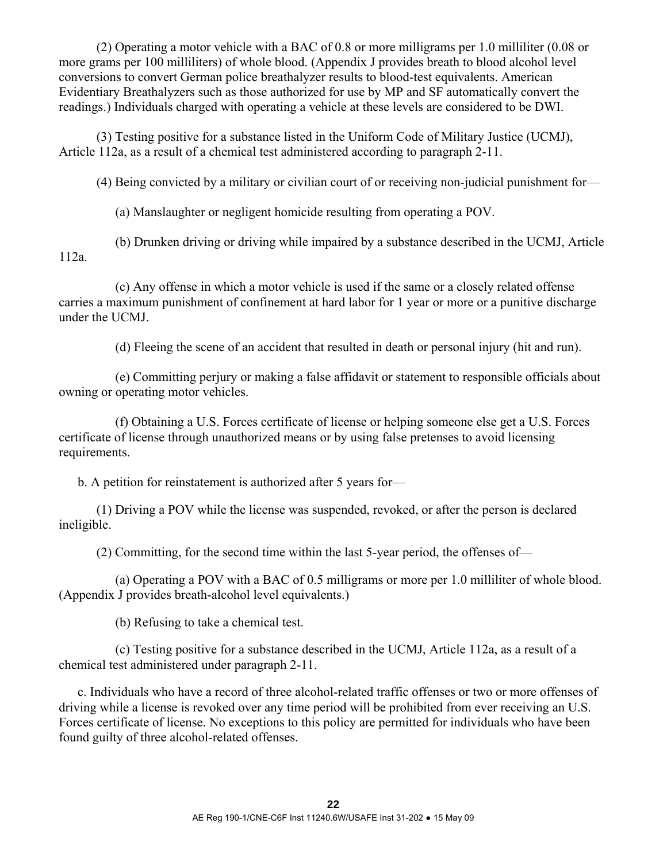(2) Operating a motor vehicle with a BAC of 0.8 or more milligrams per 1.0 milliliter (0.08 or more grams per 100 milliliters) of whole blood. (Appendix J provides breath to blood alcohol level conversions to convert German police breathalyzer results to blood-test equivalents. American Evidentiary Breathalyzers such as those authorized for use by MP and SF automatically convert the readings.) Individuals charged with operating a vehicle at these levels are considered to be DWI.

 (3) Testing positive for a substance listed in the Uniform Code of Military Justice (UCMJ), Article 112a, as a result of a chemical test administered according to paragraph 2-11.

(4) Being convicted by a military or civilian court of or receiving non-judicial punishment for—

(a) Manslaughter or negligent homicide resulting from operating a POV.

 (b) Drunken driving or driving while impaired by a substance described in the UCMJ, Article 112a.

 (c) Any offense in which a motor vehicle is used if the same or a closely related offense carries a maximum punishment of confinement at hard labor for 1 year or more or a punitive discharge under the UCMJ.

(d) Fleeing the scene of an accident that resulted in death or personal injury (hit and run).

 (e) Committing perjury or making a false affidavit or statement to responsible officials about owning or operating motor vehicles.

 (f) Obtaining a U.S. Forces certificate of license or helping someone else get a U.S. Forces certificate of license through unauthorized means or by using false pretenses to avoid licensing requirements.

b. A petition for reinstatement is authorized after 5 years for—

 (1) Driving a POV while the license was suspended, revoked, or after the person is declared ineligible.

(2) Committing, for the second time within the last 5-year period, the offenses of—

 (a) Operating a POV with a BAC of 0.5 milligrams or more per 1.0 milliliter of whole blood. (Appendix J provides breath-alcohol level equivalents.)

(b) Refusing to take a chemical test.

 (c) Testing positive for a substance described in the UCMJ, Article 112a, as a result of a chemical test administered under paragraph 2-11.

 c. Individuals who have a record of three alcohol-related traffic offenses or two or more offenses of driving while a license is revoked over any time period will be prohibited from ever receiving an U.S. Forces certificate of license. No exceptions to this policy are permitted for individuals who have been found guilty of three alcohol-related offenses.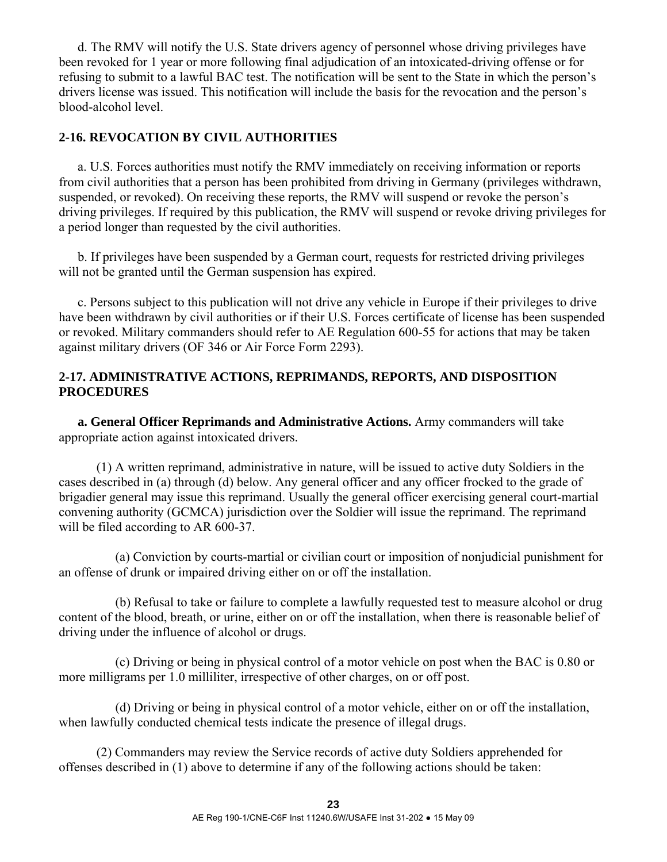d. The RMV will notify the U.S. State drivers agency of personnel whose driving privileges have been revoked for 1 year or more following final adjudication of an intoxicated-driving offense or for refusing to submit to a lawful BAC test. The notification will be sent to the State in which the person's drivers license was issued. This notification will include the basis for the revocation and the person's blood-alcohol level.

#### **2-16. REVOCATION BY CIVIL AUTHORITIES**

 a. U.S. Forces authorities must notify the RMV immediately on receiving information or reports from civil authorities that a person has been prohibited from driving in Germany (privileges withdrawn, suspended, or revoked). On receiving these reports, the RMV will suspend or revoke the person's driving privileges. If required by this publication, the RMV will suspend or revoke driving privileges for a period longer than requested by the civil authorities.

 b. If privileges have been suspended by a German court, requests for restricted driving privileges will not be granted until the German suspension has expired.

 c. Persons subject to this publication will not drive any vehicle in Europe if their privileges to drive have been withdrawn by civil authorities or if their U.S. Forces certificate of license has been suspended or revoked. Military commanders should refer to AE Regulation 600-55 for actions that may be taken against military drivers (OF 346 or Air Force Form 2293).

### **2-17. ADMINISTRATIVE ACTIONS, REPRIMANDS, REPORTS, AND DISPOSITION PROCEDURES**

**a. General Officer Reprimands and Administrative Actions.** Army commanders will take appropriate action against intoxicated drivers.

 (1) A written reprimand, administrative in nature, will be issued to active duty Soldiers in the cases described in (a) through (d) below. Any general officer and any officer frocked to the grade of brigadier general may issue this reprimand. Usually the general officer exercising general court-martial convening authority (GCMCA) jurisdiction over the Soldier will issue the reprimand. The reprimand will be filed according to AR 600-37.

 (a) Conviction by courts-martial or civilian court or imposition of nonjudicial punishment for an offense of drunk or impaired driving either on or off the installation.

 (b) Refusal to take or failure to complete a lawfully requested test to measure alcohol or drug content of the blood, breath, or urine, either on or off the installation, when there is reasonable belief of driving under the influence of alcohol or drugs.

 (c) Driving or being in physical control of a motor vehicle on post when the BAC is 0.80 or more milligrams per 1.0 milliliter, irrespective of other charges, on or off post.

 (d) Driving or being in physical control of a motor vehicle, either on or off the installation, when lawfully conducted chemical tests indicate the presence of illegal drugs.

 (2) Commanders may review the Service records of active duty Soldiers apprehended for offenses described in (1) above to determine if any of the following actions should be taken: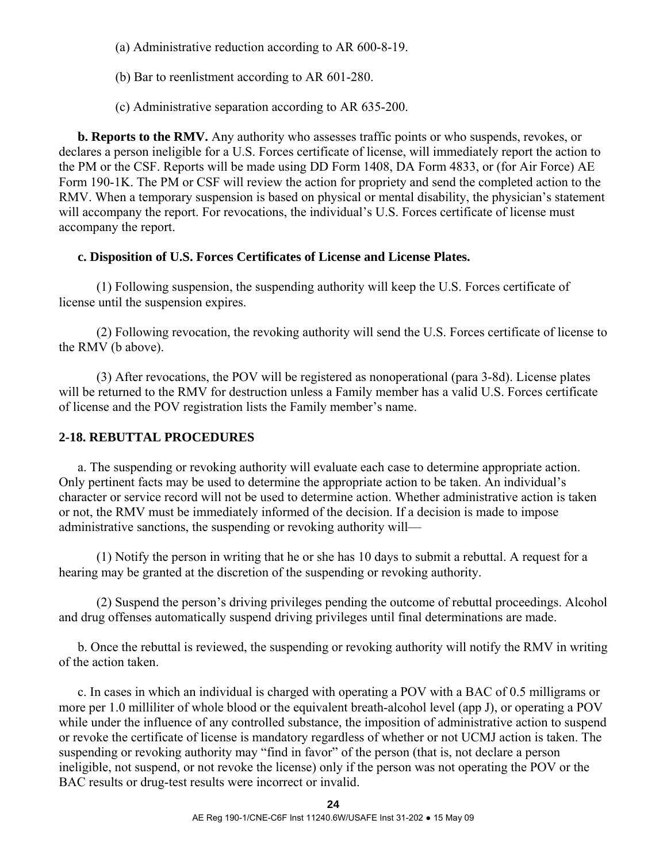(a) Administrative reduction according to AR 600-8-19.

(b) Bar to reenlistment according to AR 601-280.

(c) Administrative separation according to AR 635-200.

**b. Reports to the RMV.** Any authority who assesses traffic points or who suspends, revokes, or declares a person ineligible for a U.S. Forces certificate of license, will immediately report the action to the PM or the CSF. Reports will be made using DD Form 1408, DA Form 4833, or (for Air Force) AE Form 190-1K. The PM or CSF will review the action for propriety and send the completed action to the RMV. When a temporary suspension is based on physical or mental disability, the physician's statement will accompany the report. For revocations, the individual's U.S. Forces certificate of license must accompany the report.

### **c. Disposition of U.S. Forces Certificates of License and License Plates.**

 (1) Following suspension, the suspending authority will keep the U.S. Forces certificate of license until the suspension expires.

 (2) Following revocation, the revoking authority will send the U.S. Forces certificate of license to the RMV (b above).

 (3) After revocations, the POV will be registered as nonoperational (para 3-8d). License plates will be returned to the RMV for destruction unless a Family member has a valid U.S. Forces certificate of license and the POV registration lists the Family member's name.

## **2-18. REBUTTAL PROCEDURES**

 a. The suspending or revoking authority will evaluate each case to determine appropriate action. Only pertinent facts may be used to determine the appropriate action to be taken. An individual's character or service record will not be used to determine action. Whether administrative action is taken or not, the RMV must be immediately informed of the decision. If a decision is made to impose administrative sanctions, the suspending or revoking authority will—

 (1) Notify the person in writing that he or she has 10 days to submit a rebuttal. A request for a hearing may be granted at the discretion of the suspending or revoking authority.

 (2) Suspend the person's driving privileges pending the outcome of rebuttal proceedings. Alcohol and drug offenses automatically suspend driving privileges until final determinations are made.

 b. Once the rebuttal is reviewed, the suspending or revoking authority will notify the RMV in writing of the action taken.

 c. In cases in which an individual is charged with operating a POV with a BAC of 0.5 milligrams or more per 1.0 milliliter of whole blood or the equivalent breath-alcohol level (app J), or operating a POV while under the influence of any controlled substance, the imposition of administrative action to suspend or revoke the certificate of license is mandatory regardless of whether or not UCMJ action is taken. The suspending or revoking authority may "find in favor" of the person (that is, not declare a person ineligible, not suspend, or not revoke the license) only if the person was not operating the POV or the BAC results or drug-test results were incorrect or invalid.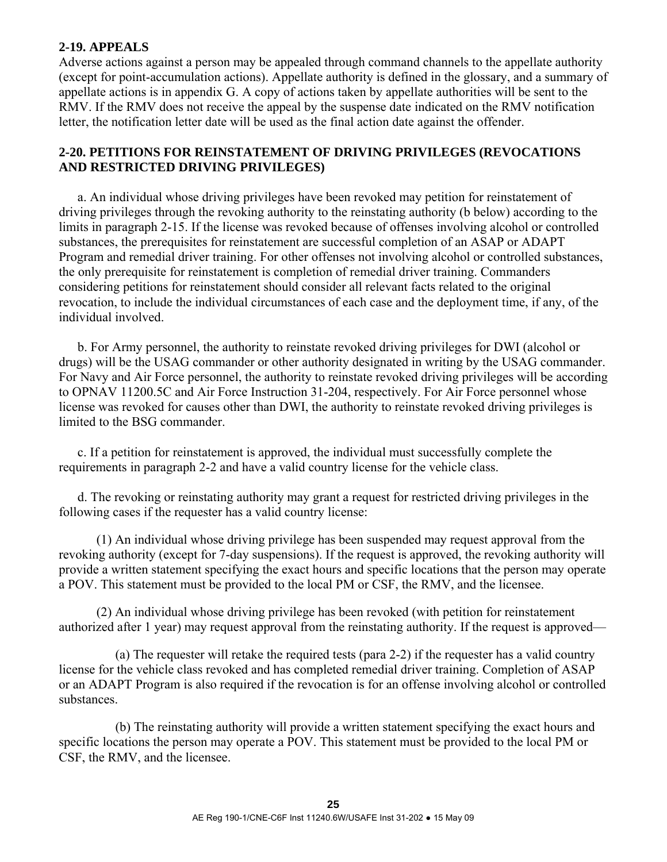### **2-19. APPEALS**

Adverse actions against a person may be appealed through command channels to the appellate authority (except for point-accumulation actions). Appellate authority is defined in the glossary, and a summary of appellate actions is in appendix G. A copy of actions taken by appellate authorities will be sent to the RMV. If the RMV does not receive the appeal by the suspense date indicated on the RMV notification letter, the notification letter date will be used as the final action date against the offender.

### **2-20. PETITIONS FOR REINSTATEMENT OF DRIVING PRIVILEGES (REVOCATIONS AND RESTRICTED DRIVING PRIVILEGES)**

 a. An individual whose driving privileges have been revoked may petition for reinstatement of driving privileges through the revoking authority to the reinstating authority (b below) according to the limits in paragraph 2-15. If the license was revoked because of offenses involving alcohol or controlled substances, the prerequisites for reinstatement are successful completion of an ASAP or ADAPT Program and remedial driver training. For other offenses not involving alcohol or controlled substances, the only prerequisite for reinstatement is completion of remedial driver training. Commanders considering petitions for reinstatement should consider all relevant facts related to the original revocation, to include the individual circumstances of each case and the deployment time, if any, of the individual involved.

 b. For Army personnel, the authority to reinstate revoked driving privileges for DWI (alcohol or drugs) will be the USAG commander or other authority designated in writing by the USAG commander. For Navy and Air Force personnel, the authority to reinstate revoked driving privileges will be according to OPNAV 11200.5C and Air Force Instruction 31-204, respectively. For Air Force personnel whose license was revoked for causes other than DWI, the authority to reinstate revoked driving privileges is limited to the BSG commander.

 c. If a petition for reinstatement is approved, the individual must successfully complete the requirements in paragraph 2-2 and have a valid country license for the vehicle class.

 d. The revoking or reinstating authority may grant a request for restricted driving privileges in the following cases if the requester has a valid country license:

 (1) An individual whose driving privilege has been suspended may request approval from the revoking authority (except for 7-day suspensions). If the request is approved, the revoking authority will provide a written statement specifying the exact hours and specific locations that the person may operate a POV. This statement must be provided to the local PM or CSF, the RMV, and the licensee.

 (2) An individual whose driving privilege has been revoked (with petition for reinstatement authorized after 1 year) may request approval from the reinstating authority. If the request is approved—

 (a) The requester will retake the required tests (para 2-2) if the requester has a valid country license for the vehicle class revoked and has completed remedial driver training. Completion of ASAP or an ADAPT Program is also required if the revocation is for an offense involving alcohol or controlled substances.

 (b) The reinstating authority will provide a written statement specifying the exact hours and specific locations the person may operate a POV. This statement must be provided to the local PM or CSF, the RMV, and the licensee.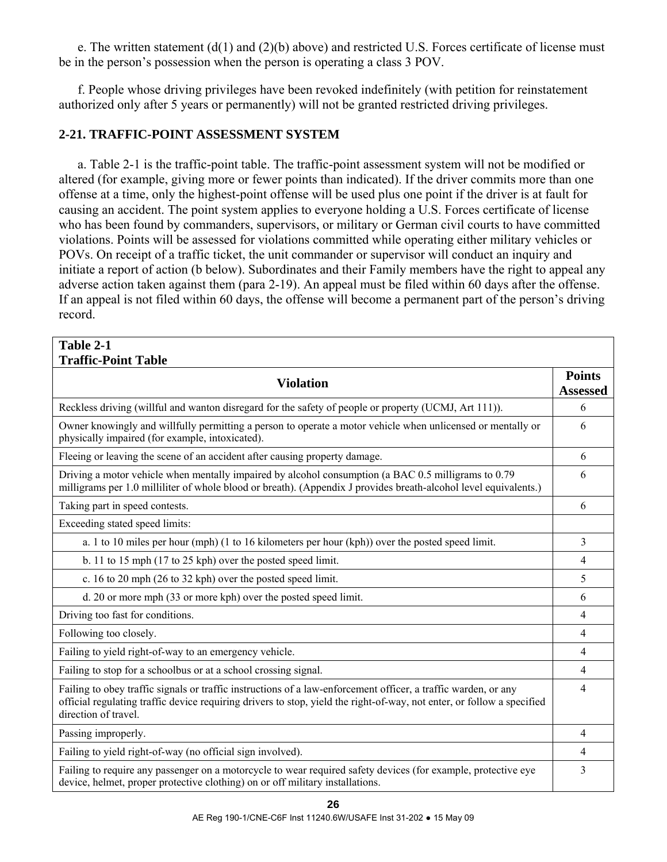e. The written statement  $(d(1)$  and  $(2)(b)$  above) and restricted U.S. Forces certificate of license must be in the person's possession when the person is operating a class 3 POV.

 f. People whose driving privileges have been revoked indefinitely (with petition for reinstatement authorized only after 5 years or permanently) will not be granted restricted driving privileges.

## **2-21. TRAFFIC-POINT ASSESSMENT SYSTEM**

 a. Table 2-1 is the traffic-point table. The traffic-point assessment system will not be modified or altered (for example, giving more or fewer points than indicated). If the driver commits more than one offense at a time, only the highest-point offense will be used plus one point if the driver is at fault for causing an accident. The point system applies to everyone holding a U.S. Forces certificate of license who has been found by commanders, supervisors, or military or German civil courts to have committed violations. Points will be assessed for violations committed while operating either military vehicles or POVs. On receipt of a traffic ticket, the unit commander or supervisor will conduct an inquiry and initiate a report of action (b below). Subordinates and their Family members have the right to appeal any adverse action taken against them (para 2-19). An appeal must be filed within 60 days after the offense. If an appeal is not filed within 60 days, the offense will become a permanent part of the person's driving record.

| Table 2-1                                                                                                                                                                                                                                                        |                                  |
|------------------------------------------------------------------------------------------------------------------------------------------------------------------------------------------------------------------------------------------------------------------|----------------------------------|
| <b>Traffic-Point Table</b>                                                                                                                                                                                                                                       |                                  |
| <b>Violation</b>                                                                                                                                                                                                                                                 | <b>Points</b><br><b>Assessed</b> |
| Reckless driving (willful and wanton disregard for the safety of people or property (UCMJ, Art 111)).                                                                                                                                                            | 6                                |
| Owner knowingly and willfully permitting a person to operate a motor vehicle when unlicensed or mentally or<br>physically impaired (for example, intoxicated).                                                                                                   | 6                                |
| Fleeing or leaving the scene of an accident after causing property damage.                                                                                                                                                                                       | 6                                |
| Driving a motor vehicle when mentally impaired by alcohol consumption (a BAC 0.5 milligrams to 0.79<br>milligrams per 1.0 milliliter of whole blood or breath). (Appendix J provides breath-alcohol level equivalents.)                                          | 6                                |
| Taking part in speed contests.                                                                                                                                                                                                                                   | 6                                |
| Exceeding stated speed limits:                                                                                                                                                                                                                                   |                                  |
| a. 1 to 10 miles per hour (mph) (1 to 16 kilometers per hour (kph)) over the posted speed limit.                                                                                                                                                                 | 3                                |
| b. 11 to 15 mph (17 to 25 kph) over the posted speed limit.                                                                                                                                                                                                      | 4                                |
| c. 16 to 20 mph (26 to 32 kph) over the posted speed limit.                                                                                                                                                                                                      | 5                                |
| d. 20 or more mph (33 or more kph) over the posted speed limit.                                                                                                                                                                                                  | 6                                |
| Driving too fast for conditions.                                                                                                                                                                                                                                 | $\overline{4}$                   |
| Following too closely.                                                                                                                                                                                                                                           | 4                                |
| Failing to yield right-of-way to an emergency vehicle.                                                                                                                                                                                                           | 4                                |
| Failing to stop for a schoolbus or at a school crossing signal.                                                                                                                                                                                                  | 4                                |
| Failing to obey traffic signals or traffic instructions of a law-enforcement officer, a traffic warden, or any<br>official regulating traffic device requiring drivers to stop, yield the right-of-way, not enter, or follow a specified<br>direction of travel. | 4                                |
| Passing improperly.                                                                                                                                                                                                                                              | 4                                |
| Failing to yield right-of-way (no official sign involved).                                                                                                                                                                                                       | 4                                |
| Failing to require any passenger on a motorcycle to wear required safety devices (for example, protective eye<br>device, helmet, proper protective clothing) on or off military installations.                                                                   | 3                                |

**26**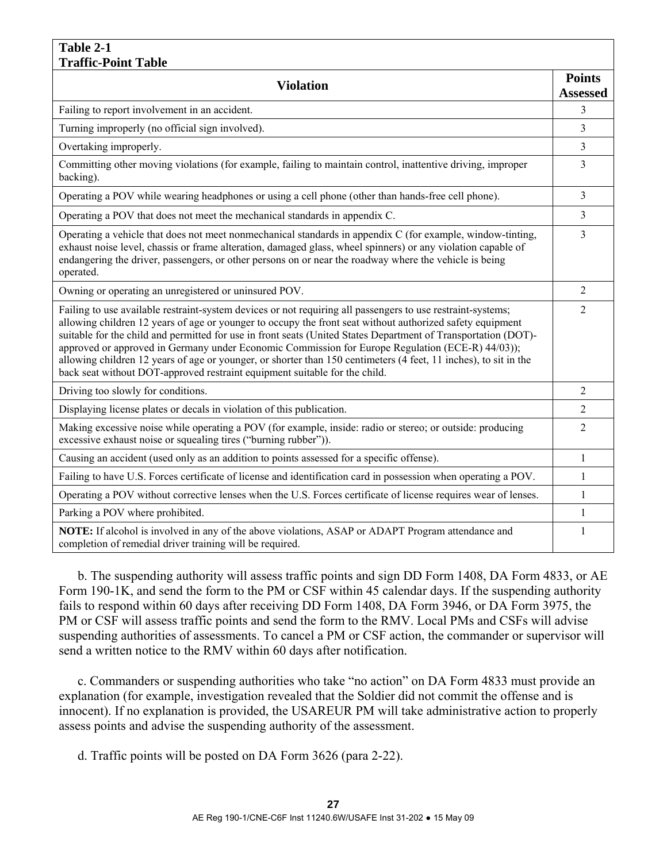#### **Table 2-1 Traffic-Point Table**

| Traffic-Point Table                                                                                                                                                                                                                                                                                                                                                                                                                                                                                                                                                                                                                              |                                  |
|--------------------------------------------------------------------------------------------------------------------------------------------------------------------------------------------------------------------------------------------------------------------------------------------------------------------------------------------------------------------------------------------------------------------------------------------------------------------------------------------------------------------------------------------------------------------------------------------------------------------------------------------------|----------------------------------|
| <b>Violation</b>                                                                                                                                                                                                                                                                                                                                                                                                                                                                                                                                                                                                                                 | <b>Points</b><br><b>Assessed</b> |
|                                                                                                                                                                                                                                                                                                                                                                                                                                                                                                                                                                                                                                                  |                                  |
| Failing to report involvement in an accident.                                                                                                                                                                                                                                                                                                                                                                                                                                                                                                                                                                                                    | 3                                |
| Turning improperly (no official sign involved).                                                                                                                                                                                                                                                                                                                                                                                                                                                                                                                                                                                                  | 3                                |
| Overtaking improperly.                                                                                                                                                                                                                                                                                                                                                                                                                                                                                                                                                                                                                           | 3                                |
| Committing other moving violations (for example, failing to maintain control, inattentive driving, improper<br>backing).                                                                                                                                                                                                                                                                                                                                                                                                                                                                                                                         | 3                                |
| Operating a POV while wearing headphones or using a cell phone (other than hands-free cell phone).                                                                                                                                                                                                                                                                                                                                                                                                                                                                                                                                               | 3                                |
| Operating a POV that does not meet the mechanical standards in appendix C.                                                                                                                                                                                                                                                                                                                                                                                                                                                                                                                                                                       | 3                                |
| Operating a vehicle that does not meet nonmechanical standards in appendix C (for example, window-tinting,<br>exhaust noise level, chassis or frame alteration, damaged glass, wheel spinners) or any violation capable of<br>endangering the driver, passengers, or other persons on or near the roadway where the vehicle is being<br>operated.                                                                                                                                                                                                                                                                                                | 3                                |
| Owning or operating an unregistered or uninsured POV.                                                                                                                                                                                                                                                                                                                                                                                                                                                                                                                                                                                            | $\overline{c}$                   |
| Failing to use available restraint-system devices or not requiring all passengers to use restraint-systems;<br>allowing children 12 years of age or younger to occupy the front seat without authorized safety equipment<br>suitable for the child and permitted for use in front seats (United States Department of Transportation (DOT)-<br>approved or approved in Germany under Economic Commission for Europe Regulation (ECE-R) 44/03));<br>allowing children 12 years of age or younger, or shorter than 150 centimeters (4 feet, 11 inches), to sit in the<br>back seat without DOT-approved restraint equipment suitable for the child. | $\overline{2}$                   |
| Driving too slowly for conditions.                                                                                                                                                                                                                                                                                                                                                                                                                                                                                                                                                                                                               | $\overline{2}$                   |
| Displaying license plates or decals in violation of this publication.                                                                                                                                                                                                                                                                                                                                                                                                                                                                                                                                                                            | 2                                |
| Making excessive noise while operating a POV (for example, inside: radio or stereo; or outside: producing<br>excessive exhaust noise or squealing tires ("burning rubber")).                                                                                                                                                                                                                                                                                                                                                                                                                                                                     | 2                                |
| Causing an accident (used only as an addition to points assessed for a specific offense).                                                                                                                                                                                                                                                                                                                                                                                                                                                                                                                                                        | 1                                |
| Failing to have U.S. Forces certificate of license and identification card in possession when operating a POV.                                                                                                                                                                                                                                                                                                                                                                                                                                                                                                                                   | 1                                |
| Operating a POV without corrective lenses when the U.S. Forces certificate of license requires wear of lenses.                                                                                                                                                                                                                                                                                                                                                                                                                                                                                                                                   | 1                                |
| Parking a POV where prohibited.                                                                                                                                                                                                                                                                                                                                                                                                                                                                                                                                                                                                                  | 1                                |
| NOTE: If alcohol is involved in any of the above violations, ASAP or ADAPT Program attendance and<br>completion of remedial driver training will be required.                                                                                                                                                                                                                                                                                                                                                                                                                                                                                    | 1                                |

 b. The suspending authority will assess traffic points and sign DD Form 1408, DA Form 4833, or AE Form 190-1K, and send the form to the PM or CSF within 45 calendar days. If the suspending authority fails to respond within 60 days after receiving DD Form 1408, DA Form 3946, or DA Form 3975, the PM or CSF will assess traffic points and send the form to the RMV. Local PMs and CSFs will advise suspending authorities of assessments. To cancel a PM or CSF action, the commander or supervisor will send a written notice to the RMV within 60 days after notification.

 c. Commanders or suspending authorities who take "no action" on DA Form 4833 must provide an explanation (for example, investigation revealed that the Soldier did not commit the offense and is innocent). If no explanation is provided, the USAREUR PM will take administrative action to properly assess points and advise the suspending authority of the assessment.

d. Traffic points will be posted on DA Form 3626 (para 2-22).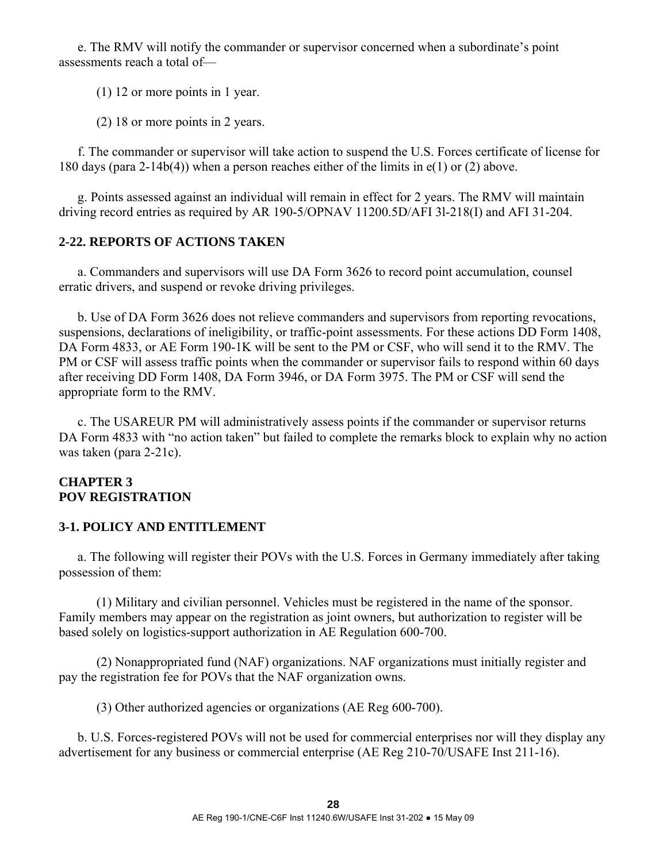e. The RMV will notify the commander or supervisor concerned when a subordinate's point assessments reach a total of—

(1) 12 or more points in 1 year.

(2) 18 or more points in 2 years.

 f. The commander or supervisor will take action to suspend the U.S. Forces certificate of license for 180 days (para 2-14b(4)) when a person reaches either of the limits in  $e(1)$  or (2) above.

 g. Points assessed against an individual will remain in effect for 2 years. The RMV will maintain driving record entries as required by AR 190-5/OPNAV 11200.5D/AFI 3l-218(I) and AFI 31-204.

## **2-22. REPORTS OF ACTIONS TAKEN**

 a. Commanders and supervisors will use DA Form 3626 to record point accumulation, counsel erratic drivers, and suspend or revoke driving privileges.

 b. Use of DA Form 3626 does not relieve commanders and supervisors from reporting revocations, suspensions, declarations of ineligibility, or traffic-point assessments. For these actions DD Form 1408, DA Form 4833, or AE Form 190-1K will be sent to the PM or CSF, who will send it to the RMV. The PM or CSF will assess traffic points when the commander or supervisor fails to respond within 60 days after receiving DD Form 1408, DA Form 3946, or DA Form 3975. The PM or CSF will send the appropriate form to the RMV.

 c. The USAREUR PM will administratively assess points if the commander or supervisor returns DA Form 4833 with "no action taken" but failed to complete the remarks block to explain why no action was taken (para 2-21c).

## **CHAPTER 3 POV REGISTRATION**

## **3-1. POLICY AND ENTITLEMENT**

 a. The following will register their POVs with the U.S. Forces in Germany immediately after taking possession of them:

 (1) Military and civilian personnel. Vehicles must be registered in the name of the sponsor. Family members may appear on the registration as joint owners, but authorization to register will be based solely on logistics-support authorization in AE Regulation 600-700.

 (2) Nonappropriated fund (NAF) organizations. NAF organizations must initially register and pay the registration fee for POVs that the NAF organization owns.

(3) Other authorized agencies or organizations (AE Reg 600-700).

 b. U.S. Forces-registered POVs will not be used for commercial enterprises nor will they display any advertisement for any business or commercial enterprise (AE Reg 210-70/USAFE Inst 211-16).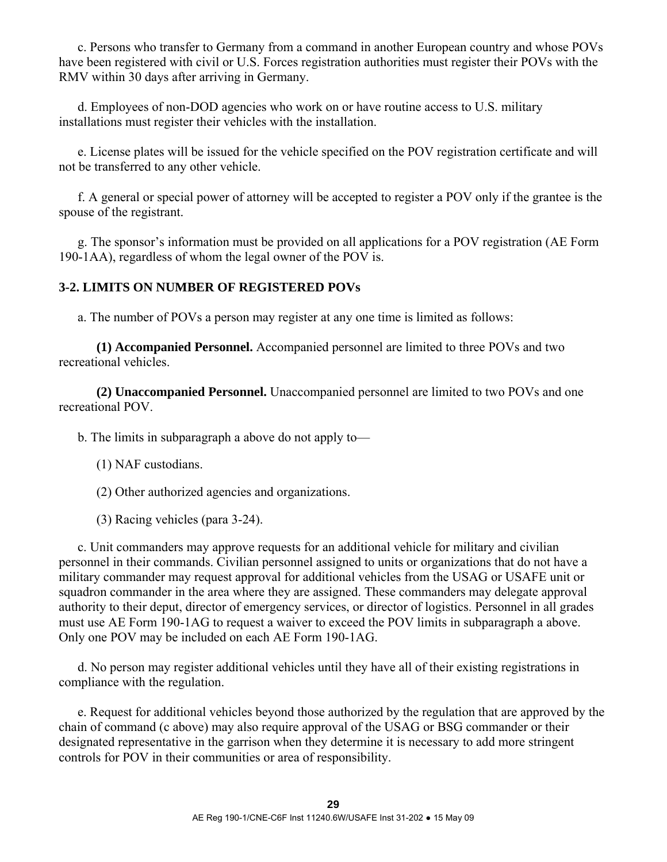c. Persons who transfer to Germany from a command in another European country and whose POVs have been registered with civil or U.S. Forces registration authorities must register their POVs with the RMV within 30 days after arriving in Germany.

 d. Employees of non-DOD agencies who work on or have routine access to U.S. military installations must register their vehicles with the installation.

 e. License plates will be issued for the vehicle specified on the POV registration certificate and will not be transferred to any other vehicle.

 f. A general or special power of attorney will be accepted to register a POV only if the grantee is the spouse of the registrant.

 g. The sponsor's information must be provided on all applications for a POV registration (AE Form 190-1AA), regardless of whom the legal owner of the POV is.

## **3-2. LIMITS ON NUMBER OF REGISTERED POVs**

a. The number of POVs a person may register at any one time is limited as follows:

 **(1) Accompanied Personnel.** Accompanied personnel are limited to three POVs and two recreational vehicles.

 **(2) Unaccompanied Personnel.** Unaccompanied personnel are limited to two POVs and one recreational POV.

b. The limits in subparagraph a above do not apply to—

- (1) NAF custodians.
- (2) Other authorized agencies and organizations.
- (3) Racing vehicles (para 3-24).

 c. Unit commanders may approve requests for an additional vehicle for military and civilian personnel in their commands. Civilian personnel assigned to units or organizations that do not have a military commander may request approval for additional vehicles from the USAG or USAFE unit or squadron commander in the area where they are assigned. These commanders may delegate approval authority to their deput, director of emergency services, or director of logistics. Personnel in all grades must use AE Form 190-1AG to request a waiver to exceed the POV limits in subparagraph a above. Only one POV may be included on each AE Form 190-1AG.

 d. No person may register additional vehicles until they have all of their existing registrations in compliance with the regulation.

 e. Request for additional vehicles beyond those authorized by the regulation that are approved by the chain of command (c above) may also require approval of the USAG or BSG commander or their designated representative in the garrison when they determine it is necessary to add more stringent controls for POV in their communities or area of responsibility.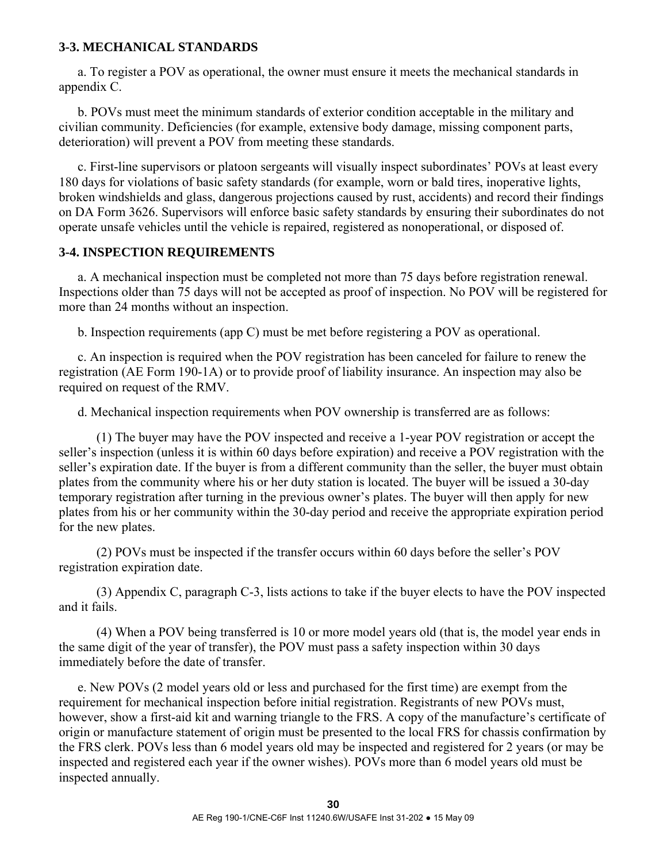#### **3-3. MECHANICAL STANDARDS**

 a. To register a POV as operational, the owner must ensure it meets the mechanical standards in appendix C.

 b. POVs must meet the minimum standards of exterior condition acceptable in the military and civilian community. Deficiencies (for example, extensive body damage, missing component parts, deterioration) will prevent a POV from meeting these standards.

 c. First-line supervisors or platoon sergeants will visually inspect subordinates' POVs at least every 180 days for violations of basic safety standards (for example, worn or bald tires, inoperative lights, broken windshields and glass, dangerous projections caused by rust, accidents) and record their findings on DA Form 3626. Supervisors will enforce basic safety standards by ensuring their subordinates do not operate unsafe vehicles until the vehicle is repaired, registered as nonoperational, or disposed of.

#### **3-4. INSPECTION REQUIREMENTS**

 a. A mechanical inspection must be completed not more than 75 days before registration renewal. Inspections older than 75 days will not be accepted as proof of inspection. No POV will be registered for more than 24 months without an inspection.

b. Inspection requirements (app C) must be met before registering a POV as operational.

 c. An inspection is required when the POV registration has been canceled for failure to renew the registration (AE Form 190-1A) or to provide proof of liability insurance. An inspection may also be required on request of the RMV.

d. Mechanical inspection requirements when POV ownership is transferred are as follows:

 (1) The buyer may have the POV inspected and receive a 1-year POV registration or accept the seller's inspection (unless it is within 60 days before expiration) and receive a POV registration with the seller's expiration date. If the buyer is from a different community than the seller, the buyer must obtain plates from the community where his or her duty station is located. The buyer will be issued a 30-day temporary registration after turning in the previous owner's plates. The buyer will then apply for new plates from his or her community within the 30-day period and receive the appropriate expiration period for the new plates.

 (2) POVs must be inspected if the transfer occurs within 60 days before the seller's POV registration expiration date.

 (3) Appendix C, paragraph C-3, lists actions to take if the buyer elects to have the POV inspected and it fails.

 (4) When a POV being transferred is 10 or more model years old (that is, the model year ends in the same digit of the year of transfer), the POV must pass a safety inspection within 30 days immediately before the date of transfer.

 e. New POVs (2 model years old or less and purchased for the first time) are exempt from the requirement for mechanical inspection before initial registration. Registrants of new POVs must, however, show a first-aid kit and warning triangle to the FRS. A copy of the manufacture's certificate of origin or manufacture statement of origin must be presented to the local FRS for chassis confirmation by the FRS clerk. POVs less than 6 model years old may be inspected and registered for 2 years (or may be inspected and registered each year if the owner wishes). POVs more than 6 model years old must be inspected annually.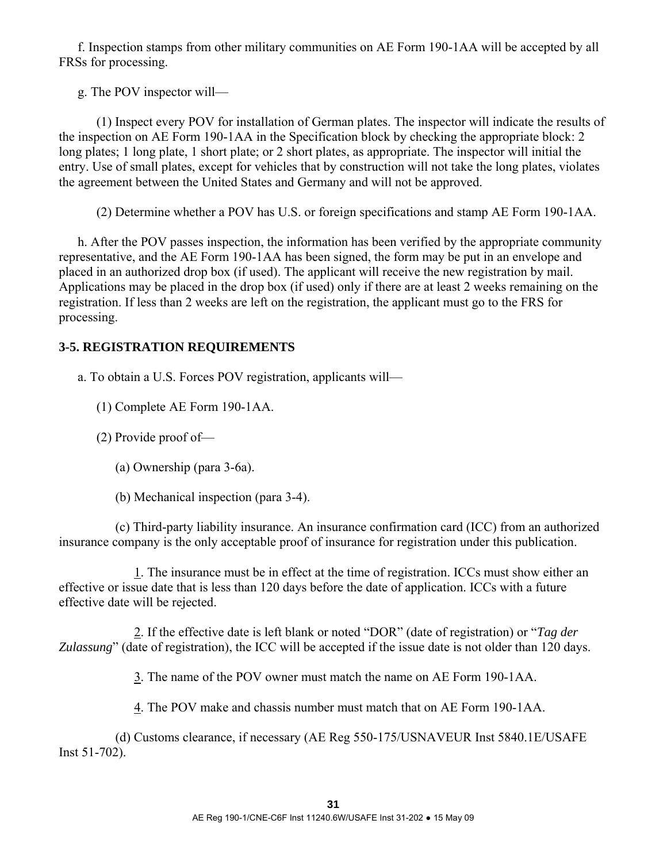f. Inspection stamps from other military communities on AE Form 190-1AA will be accepted by all FRSs for processing.

g. The POV inspector will—

 (1) Inspect every POV for installation of German plates. The inspector will indicate the results of the inspection on AE Form 190-1AA in the Specification block by checking the appropriate block: 2 long plates; 1 long plate, 1 short plate; or 2 short plates, as appropriate. The inspector will initial the entry. Use of small plates, except for vehicles that by construction will not take the long plates, violates the agreement between the United States and Germany and will not be approved.

(2) Determine whether a POV has U.S. or foreign specifications and stamp AE Form 190-1AA.

 h. After the POV passes inspection, the information has been verified by the appropriate community representative, and the AE Form 190-1AA has been signed, the form may be put in an envelope and placed in an authorized drop box (if used). The applicant will receive the new registration by mail. Applications may be placed in the drop box (if used) only if there are at least 2 weeks remaining on the registration. If less than 2 weeks are left on the registration, the applicant must go to the FRS for processing.

## **3-5. REGISTRATION REQUIREMENTS**

a. To obtain a U.S. Forces POV registration, applicants will—

(1) Complete AE Form 190-1AA.

(2) Provide proof of—

(a) Ownership (para 3-6a).

(b) Mechanical inspection (para 3-4).

 (c) Third-party liability insurance. An insurance confirmation card (ICC) from an authorized insurance company is the only acceptable proof of insurance for registration under this publication.

 1. The insurance must be in effect at the time of registration. ICCs must show either an effective or issue date that is less than 120 days before the date of application. ICCs with a future effective date will be rejected.

 2. If the effective date is left blank or noted "DOR" (date of registration) or "*Tag der Zulassung*" (date of registration), the ICC will be accepted if the issue date is not older than 120 days.

3. The name of the POV owner must match the name on AE Form 190-1AA.

4. The POV make and chassis number must match that on AE Form 190-1AA.

 (d) Customs clearance, if necessary (AE Reg 550-175/USNAVEUR Inst 5840.1E/USAFE Inst 51-702).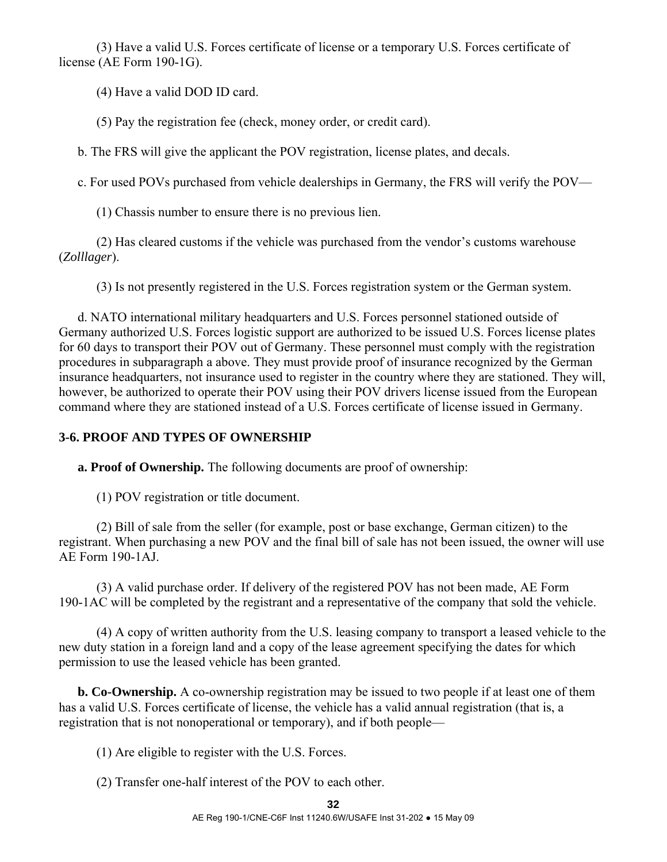(3) Have a valid U.S. Forces certificate of license or a temporary U.S. Forces certificate of license (AE Form 190-1G).

(4) Have a valid DOD ID card.

(5) Pay the registration fee (check, money order, or credit card).

b. The FRS will give the applicant the POV registration, license plates, and decals.

c. For used POVs purchased from vehicle dealerships in Germany, the FRS will verify the POV—

(1) Chassis number to ensure there is no previous lien.

 (2) Has cleared customs if the vehicle was purchased from the vendor's customs warehouse (*Zolllager*).

(3) Is not presently registered in the U.S. Forces registration system or the German system.

 d. NATO international military headquarters and U.S. Forces personnel stationed outside of Germany authorized U.S. Forces logistic support are authorized to be issued U.S. Forces license plates for 60 days to transport their POV out of Germany. These personnel must comply with the registration procedures in subparagraph a above. They must provide proof of insurance recognized by the German insurance headquarters, not insurance used to register in the country where they are stationed. They will, however, be authorized to operate their POV using their POV drivers license issued from the European command where they are stationed instead of a U.S. Forces certificate of license issued in Germany.

# **3-6. PROOF AND TYPES OF OWNERSHIP**

**a. Proof of Ownership.** The following documents are proof of ownership:

(1) POV registration or title document.

 (2) Bill of sale from the seller (for example, post or base exchange, German citizen) to the registrant. When purchasing a new POV and the final bill of sale has not been issued, the owner will use AE Form 190-1AJ.

 (3) A valid purchase order. If delivery of the registered POV has not been made, AE Form 190-1AC will be completed by the registrant and a representative of the company that sold the vehicle.

 (4) A copy of written authority from the U.S. leasing company to transport a leased vehicle to the new duty station in a foreign land and a copy of the lease agreement specifying the dates for which permission to use the leased vehicle has been granted.

**b. Co-Ownership.** A co-ownership registration may be issued to two people if at least one of them has a valid U.S. Forces certificate of license, the vehicle has a valid annual registration (that is, a registration that is not nonoperational or temporary), and if both people—

(1) Are eligible to register with the U.S. Forces.

(2) Transfer one-half interest of the POV to each other.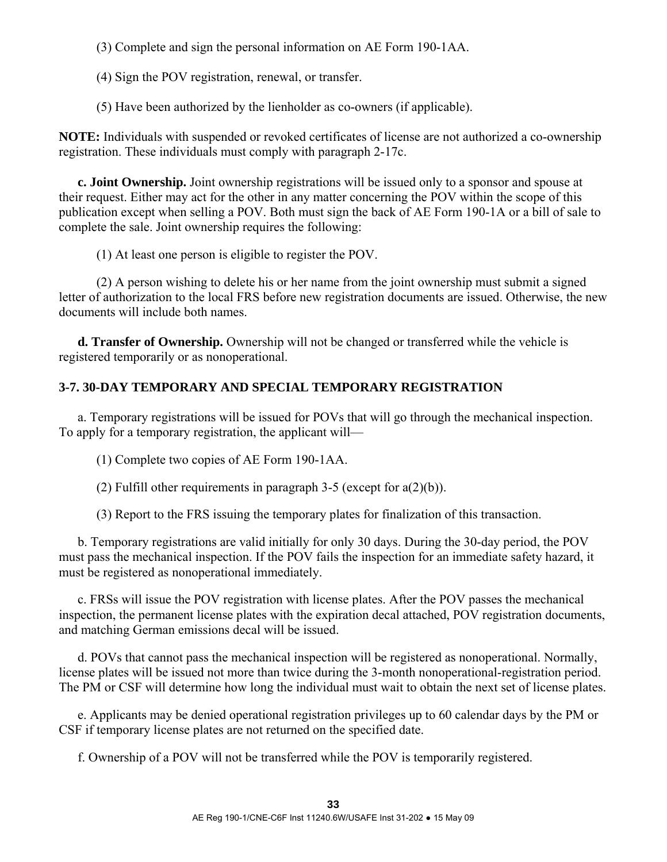(3) Complete and sign the personal information on AE Form 190-1AA.

(4) Sign the POV registration, renewal, or transfer.

(5) Have been authorized by the lienholder as co-owners (if applicable).

**NOTE:** Individuals with suspended or revoked certificates of license are not authorized a co-ownership registration. These individuals must comply with paragraph 2-17c.

**c. Joint Ownership.** Joint ownership registrations will be issued only to a sponsor and spouse at their request. Either may act for the other in any matter concerning the POV within the scope of this publication except when selling a POV. Both must sign the back of AE Form 190-1A or a bill of sale to complete the sale. Joint ownership requires the following:

(1) At least one person is eligible to register the POV.

 (2) A person wishing to delete his or her name from the joint ownership must submit a signed letter of authorization to the local FRS before new registration documents are issued. Otherwise, the new documents will include both names.

**d. Transfer of Ownership.** Ownership will not be changed or transferred while the vehicle is registered temporarily or as nonoperational.

# **3-7. 30-DAY TEMPORARY AND SPECIAL TEMPORARY REGISTRATION**

 a. Temporary registrations will be issued for POVs that will go through the mechanical inspection. To apply for a temporary registration, the applicant will—

(1) Complete two copies of AE Form 190-1AA.

(2) Fulfill other requirements in paragraph 3-5 (except for  $a(2)(b)$ ).

(3) Report to the FRS issuing the temporary plates for finalization of this transaction.

 b. Temporary registrations are valid initially for only 30 days. During the 30-day period, the POV must pass the mechanical inspection. If the POV fails the inspection for an immediate safety hazard, it must be registered as nonoperational immediately.

 c. FRSs will issue the POV registration with license plates. After the POV passes the mechanical inspection, the permanent license plates with the expiration decal attached, POV registration documents, and matching German emissions decal will be issued.

 d. POVs that cannot pass the mechanical inspection will be registered as nonoperational. Normally, license plates will be issued not more than twice during the 3-month nonoperational-registration period. The PM or CSF will determine how long the individual must wait to obtain the next set of license plates.

 e. Applicants may be denied operational registration privileges up to 60 calendar days by the PM or CSF if temporary license plates are not returned on the specified date.

f. Ownership of a POV will not be transferred while the POV is temporarily registered.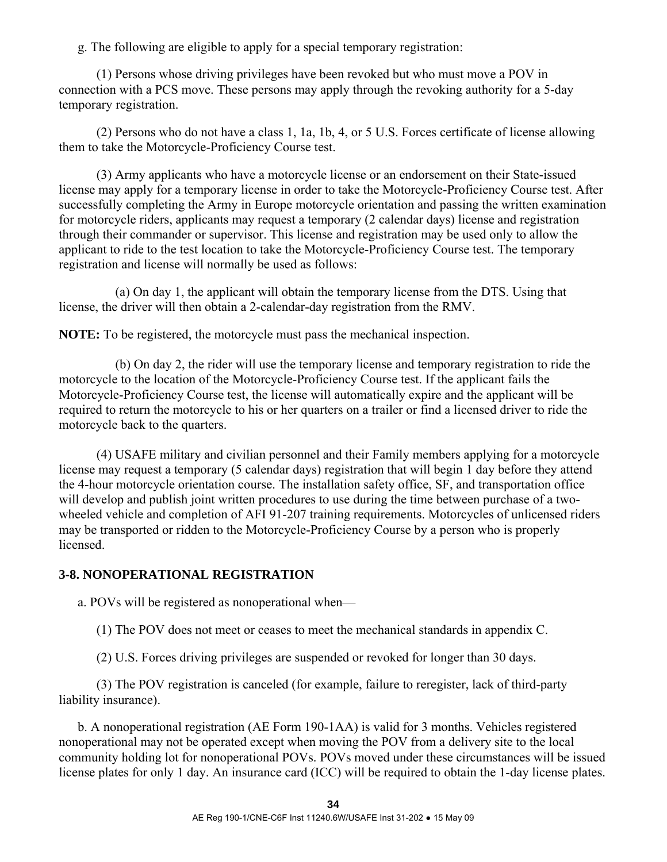g. The following are eligible to apply for a special temporary registration:

 (1) Persons whose driving privileges have been revoked but who must move a POV in connection with a PCS move. These persons may apply through the revoking authority for a 5-day temporary registration.

 (2) Persons who do not have a class 1, 1a, 1b, 4, or 5 U.S. Forces certificate of license allowing them to take the Motorcycle-Proficiency Course test.

 (3) Army applicants who have a motorcycle license or an endorsement on their State-issued license may apply for a temporary license in order to take the Motorcycle-Proficiency Course test. After successfully completing the Army in Europe motorcycle orientation and passing the written examination for motorcycle riders, applicants may request a temporary (2 calendar days) license and registration through their commander or supervisor. This license and registration may be used only to allow the applicant to ride to the test location to take the Motorcycle-Proficiency Course test. The temporary registration and license will normally be used as follows:

 (a) On day 1, the applicant will obtain the temporary license from the DTS. Using that license, the driver will then obtain a 2-calendar-day registration from the RMV.

**NOTE:** To be registered, the motorcycle must pass the mechanical inspection.

 (b) On day 2, the rider will use the temporary license and temporary registration to ride the motorcycle to the location of the Motorcycle-Proficiency Course test. If the applicant fails the Motorcycle-Proficiency Course test, the license will automatically expire and the applicant will be required to return the motorcycle to his or her quarters on a trailer or find a licensed driver to ride the motorcycle back to the quarters.

 (4) USAFE military and civilian personnel and their Family members applying for a motorcycle license may request a temporary (5 calendar days) registration that will begin 1 day before they attend the 4-hour motorcycle orientation course. The installation safety office, SF, and transportation office will develop and publish joint written procedures to use during the time between purchase of a twowheeled vehicle and completion of AFI 91-207 training requirements. Motorcycles of unlicensed riders may be transported or ridden to the Motorcycle-Proficiency Course by a person who is properly licensed.

### **3-8. NONOPERATIONAL REGISTRATION**

a. POVs will be registered as nonoperational when—

(1) The POV does not meet or ceases to meet the mechanical standards in appendix C.

(2) U.S. Forces driving privileges are suspended or revoked for longer than 30 days.

 (3) The POV registration is canceled (for example, failure to reregister, lack of third-party liability insurance).

 b. A nonoperational registration (AE Form 190-1AA) is valid for 3 months. Vehicles registered nonoperational may not be operated except when moving the POV from a delivery site to the local community holding lot for nonoperational POVs. POVs moved under these circumstances will be issued license plates for only 1 day. An insurance card (ICC) will be required to obtain the 1-day license plates.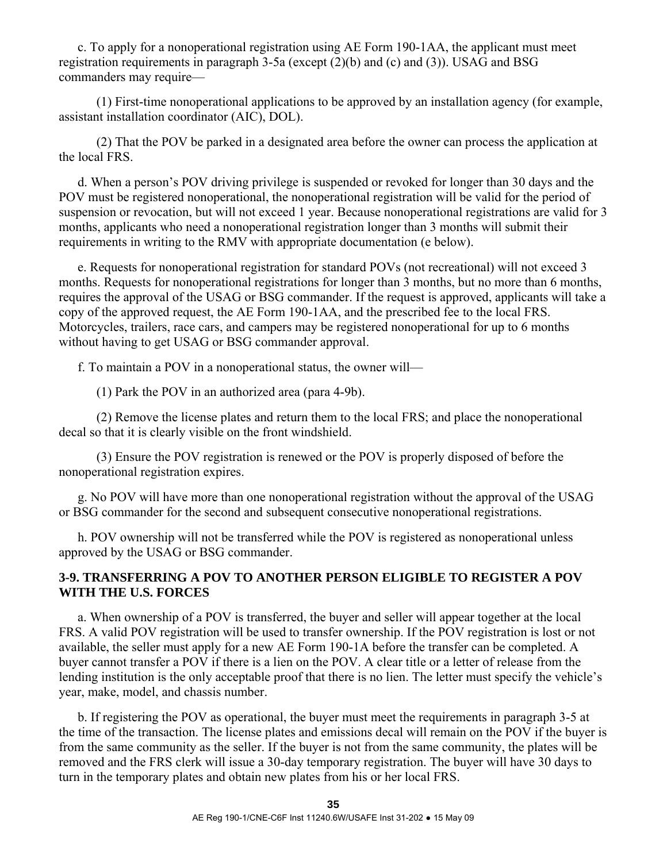c. To apply for a nonoperational registration using AE Form 190-1AA, the applicant must meet registration requirements in paragraph 3-5a (except (2)(b) and (c) and (3)). USAG and BSG commanders may require—

 (1) First-time nonoperational applications to be approved by an installation agency (for example, assistant installation coordinator (AIC), DOL).

 (2) That the POV be parked in a designated area before the owner can process the application at the local FRS.

 d. When a person's POV driving privilege is suspended or revoked for longer than 30 days and the POV must be registered nonoperational, the nonoperational registration will be valid for the period of suspension or revocation, but will not exceed 1 year. Because nonoperational registrations are valid for 3 months, applicants who need a nonoperational registration longer than 3 months will submit their requirements in writing to the RMV with appropriate documentation (e below).

 e. Requests for nonoperational registration for standard POVs (not recreational) will not exceed 3 months. Requests for nonoperational registrations for longer than 3 months, but no more than 6 months, requires the approval of the USAG or BSG commander. If the request is approved, applicants will take a copy of the approved request, the AE Form 190-1AA, and the prescribed fee to the local FRS. Motorcycles, trailers, race cars, and campers may be registered nonoperational for up to 6 months without having to get USAG or BSG commander approval.

f. To maintain a POV in a nonoperational status, the owner will—

(1) Park the POV in an authorized area (para 4-9b).

 (2) Remove the license plates and return them to the local FRS; and place the nonoperational decal so that it is clearly visible on the front windshield.

 (3) Ensure the POV registration is renewed or the POV is properly disposed of before the nonoperational registration expires.

 g. No POV will have more than one nonoperational registration without the approval of the USAG or BSG commander for the second and subsequent consecutive nonoperational registrations.

 h. POV ownership will not be transferred while the POV is registered as nonoperational unless approved by the USAG or BSG commander.

### **3-9. TRANSFERRING A POV TO ANOTHER PERSON ELIGIBLE TO REGISTER A POV WITH THE U.S. FORCES**

 a. When ownership of a POV is transferred, the buyer and seller will appear together at the local FRS. A valid POV registration will be used to transfer ownership. If the POV registration is lost or not available, the seller must apply for a new AE Form 190-1A before the transfer can be completed. A buyer cannot transfer a POV if there is a lien on the POV. A clear title or a letter of release from the lending institution is the only acceptable proof that there is no lien. The letter must specify the vehicle's year, make, model, and chassis number.

 b. If registering the POV as operational, the buyer must meet the requirements in paragraph 3-5 at the time of the transaction. The license plates and emissions decal will remain on the POV if the buyer is from the same community as the seller. If the buyer is not from the same community, the plates will be removed and the FRS clerk will issue a 30-day temporary registration. The buyer will have 30 days to turn in the temporary plates and obtain new plates from his or her local FRS.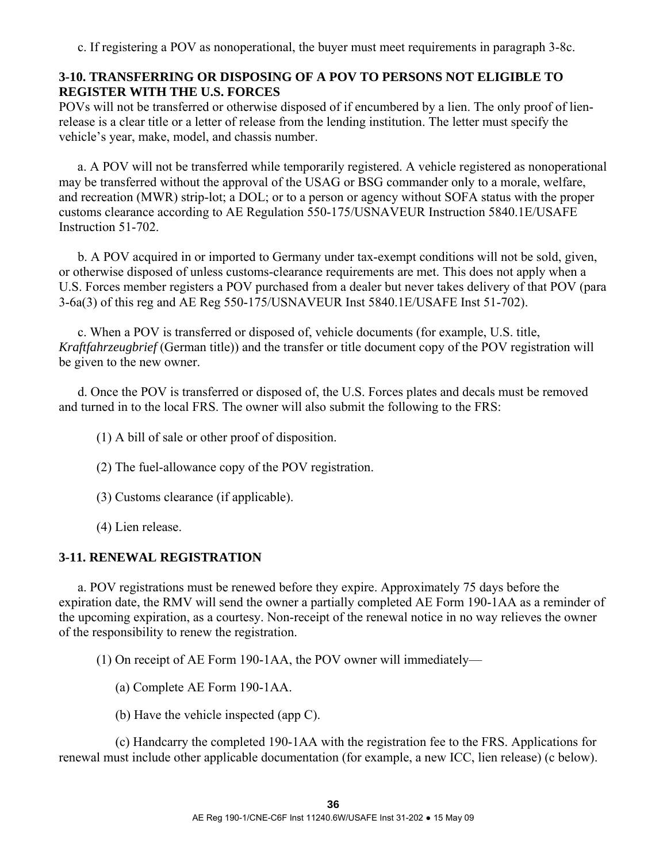c. If registering a POV as nonoperational, the buyer must meet requirements in paragraph 3-8c.

## **3-10. TRANSFERRING OR DISPOSING OF A POV TO PERSONS NOT ELIGIBLE TO REGISTER WITH THE U.S. FORCES**

POVs will not be transferred or otherwise disposed of if encumbered by a lien. The only proof of lienrelease is a clear title or a letter of release from the lending institution. The letter must specify the vehicle's year, make, model, and chassis number.

 a. A POV will not be transferred while temporarily registered. A vehicle registered as nonoperational may be transferred without the approval of the USAG or BSG commander only to a morale, welfare, and recreation (MWR) strip-lot; a DOL; or to a person or agency without SOFA status with the proper customs clearance according to AE Regulation 550-175/USNAVEUR Instruction 5840.1E/USAFE Instruction 51-702.

 b. A POV acquired in or imported to Germany under tax-exempt conditions will not be sold, given, or otherwise disposed of unless customs-clearance requirements are met. This does not apply when a U.S. Forces member registers a POV purchased from a dealer but never takes delivery of that POV (para 3-6a(3) of this reg and AE Reg 550-175/USNAVEUR Inst 5840.1E/USAFE Inst 51-702).

 c. When a POV is transferred or disposed of, vehicle documents (for example, U.S. title, *Kraftfahrzeugbrief* (German title)) and the transfer or title document copy of the POV registration will be given to the new owner.

 d. Once the POV is transferred or disposed of, the U.S. Forces plates and decals must be removed and turned in to the local FRS. The owner will also submit the following to the FRS:

(1) A bill of sale or other proof of disposition.

- (2) The fuel-allowance copy of the POV registration.
- (3) Customs clearance (if applicable).
- (4) Lien release.

## **3-11. RENEWAL REGISTRATION**

 a. POV registrations must be renewed before they expire. Approximately 75 days before the expiration date, the RMV will send the owner a partially completed AE Form 190-1AA as a reminder of the upcoming expiration, as a courtesy. Non-receipt of the renewal notice in no way relieves the owner of the responsibility to renew the registration.

(1) On receipt of AE Form 190-1AA, the POV owner will immediately—

- (a) Complete AE Form 190-1AA.
- (b) Have the vehicle inspected (app C).

 (c) Handcarry the completed 190-1AA with the registration fee to the FRS. Applications for renewal must include other applicable documentation (for example, a new ICC, lien release) (c below).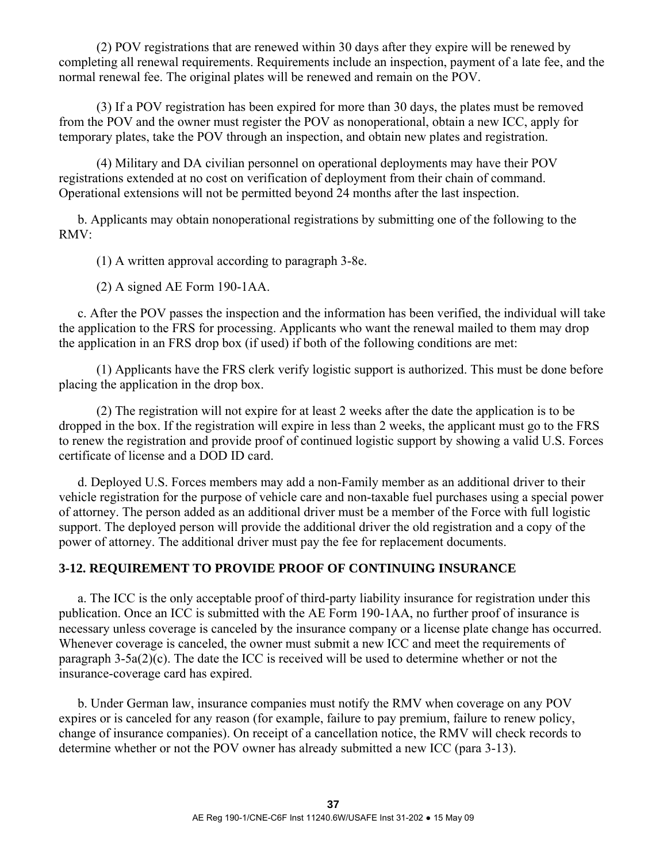(2) POV registrations that are renewed within 30 days after they expire will be renewed by completing all renewal requirements. Requirements include an inspection, payment of a late fee, and the normal renewal fee. The original plates will be renewed and remain on the POV.

 (3) If a POV registration has been expired for more than 30 days, the plates must be removed from the POV and the owner must register the POV as nonoperational, obtain a new ICC, apply for temporary plates, take the POV through an inspection, and obtain new plates and registration.

 (4) Military and DA civilian personnel on operational deployments may have their POV registrations extended at no cost on verification of deployment from their chain of command. Operational extensions will not be permitted beyond 24 months after the last inspection.

 b. Applicants may obtain nonoperational registrations by submitting one of the following to the RMV:

(1) A written approval according to paragraph 3-8e.

(2) A signed AE Form 190-1AA.

 c. After the POV passes the inspection and the information has been verified, the individual will take the application to the FRS for processing. Applicants who want the renewal mailed to them may drop the application in an FRS drop box (if used) if both of the following conditions are met:

 (1) Applicants have the FRS clerk verify logistic support is authorized. This must be done before placing the application in the drop box.

 (2) The registration will not expire for at least 2 weeks after the date the application is to be dropped in the box. If the registration will expire in less than 2 weeks, the applicant must go to the FRS to renew the registration and provide proof of continued logistic support by showing a valid U.S. Forces certificate of license and a DOD ID card.

 d. Deployed U.S. Forces members may add a non-Family member as an additional driver to their vehicle registration for the purpose of vehicle care and non-taxable fuel purchases using a special power of attorney. The person added as an additional driver must be a member of the Force with full logistic support. The deployed person will provide the additional driver the old registration and a copy of the power of attorney. The additional driver must pay the fee for replacement documents.

# **3-12. REQUIREMENT TO PROVIDE PROOF OF CONTINUING INSURANCE**

 a. The ICC is the only acceptable proof of third-party liability insurance for registration under this publication. Once an ICC is submitted with the AE Form 190-1AA, no further proof of insurance is necessary unless coverage is canceled by the insurance company or a license plate change has occurred. Whenever coverage is canceled, the owner must submit a new ICC and meet the requirements of paragraph 3-5a(2)(c). The date the ICC is received will be used to determine whether or not the insurance-coverage card has expired.

 b. Under German law, insurance companies must notify the RMV when coverage on any POV expires or is canceled for any reason (for example, failure to pay premium, failure to renew policy, change of insurance companies). On receipt of a cancellation notice, the RMV will check records to determine whether or not the POV owner has already submitted a new ICC (para 3-13).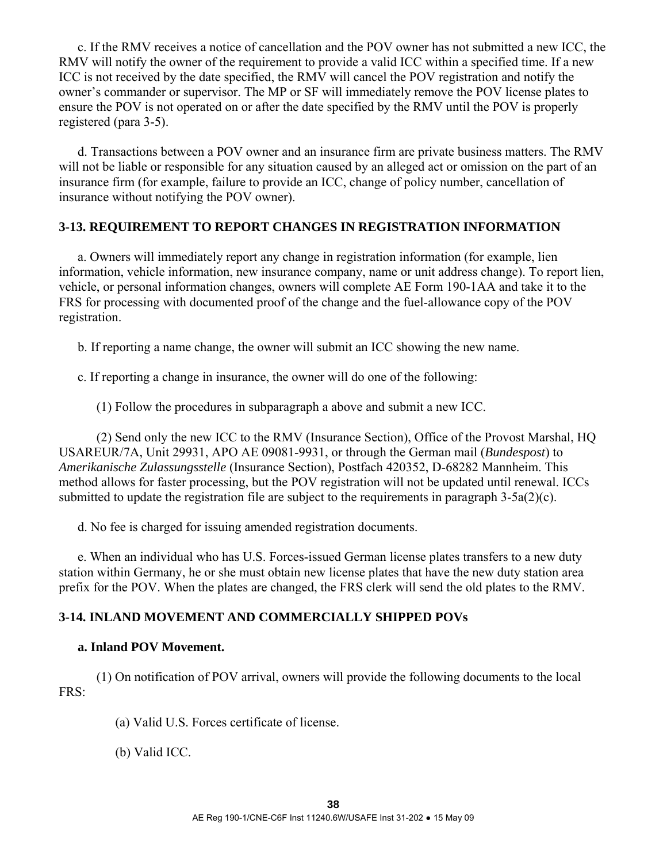c. If the RMV receives a notice of cancellation and the POV owner has not submitted a new ICC, the RMV will notify the owner of the requirement to provide a valid ICC within a specified time. If a new ICC is not received by the date specified, the RMV will cancel the POV registration and notify the owner's commander or supervisor. The MP or SF will immediately remove the POV license plates to ensure the POV is not operated on or after the date specified by the RMV until the POV is properly registered (para 3-5).

 d. Transactions between a POV owner and an insurance firm are private business matters. The RMV will not be liable or responsible for any situation caused by an alleged act or omission on the part of an insurance firm (for example, failure to provide an ICC, change of policy number, cancellation of insurance without notifying the POV owner).

## **3-13. REQUIREMENT TO REPORT CHANGES IN REGISTRATION INFORMATION**

 a. Owners will immediately report any change in registration information (for example, lien information, vehicle information, new insurance company, name or unit address change). To report lien, vehicle, or personal information changes, owners will complete AE Form 190-1AA and take it to the FRS for processing with documented proof of the change and the fuel-allowance copy of the POV registration.

b. If reporting a name change, the owner will submit an ICC showing the new name.

c. If reporting a change in insurance, the owner will do one of the following:

(1) Follow the procedures in subparagraph a above and submit a new ICC.

 (2) Send only the new ICC to the RMV (Insurance Section), Office of the Provost Marshal, HQ USAREUR/7A, Unit 29931, APO AE 09081-9931, or through the German mail (*Bundespost*) to *Amerikanische Zulassungsstelle* (Insurance Section), Postfach 420352, D-68282 Mannheim. This method allows for faster processing, but the POV registration will not be updated until renewal. ICCs submitted to update the registration file are subject to the requirements in paragraph 3-5a(2)(c).

d. No fee is charged for issuing amended registration documents.

 e. When an individual who has U.S. Forces-issued German license plates transfers to a new duty station within Germany, he or she must obtain new license plates that have the new duty station area prefix for the POV. When the plates are changed, the FRS clerk will send the old plates to the RMV.

### **3-14. INLAND MOVEMENT AND COMMERCIALLY SHIPPED POVs**

#### **a. Inland POV Movement.**

 (1) On notification of POV arrival, owners will provide the following documents to the local FRS:

(a) Valid U.S. Forces certificate of license.

(b) Valid ICC.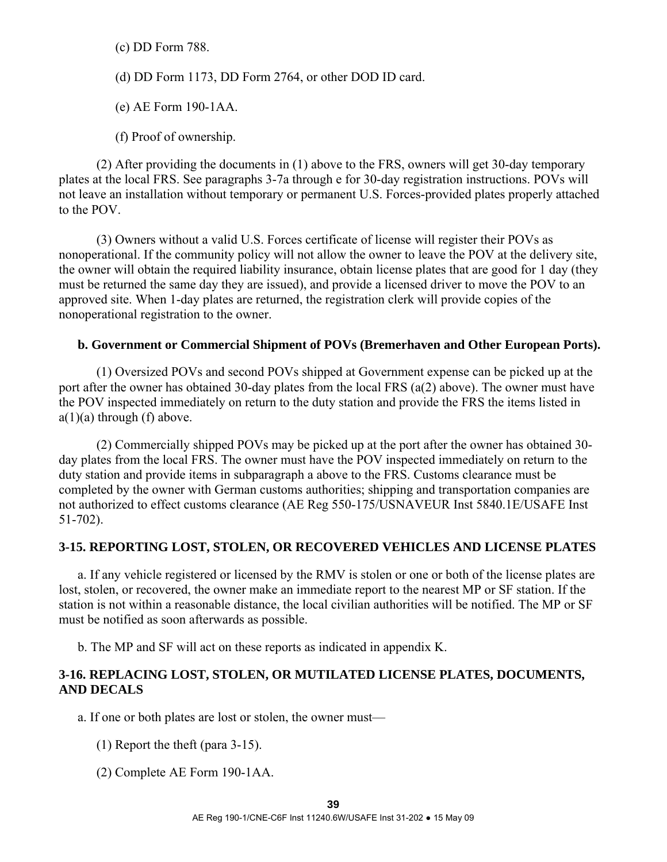(c) DD Form 788.

(d) DD Form 1173, DD Form 2764, or other DOD ID card.

(e) AE Form 190-1AA.

(f) Proof of ownership.

 (2) After providing the documents in (1) above to the FRS, owners will get 30-day temporary plates at the local FRS. See paragraphs 3-7a through e for 30-day registration instructions. POVs will not leave an installation without temporary or permanent U.S. Forces-provided plates properly attached to the POV.

 (3) Owners without a valid U.S. Forces certificate of license will register their POVs as nonoperational. If the community policy will not allow the owner to leave the POV at the delivery site, the owner will obtain the required liability insurance, obtain license plates that are good for 1 day (they must be returned the same day they are issued), and provide a licensed driver to move the POV to an approved site. When 1-day plates are returned, the registration clerk will provide copies of the nonoperational registration to the owner.

## **b. Government or Commercial Shipment of POVs (Bremerhaven and Other European Ports).**

 (1) Oversized POVs and second POVs shipped at Government expense can be picked up at the port after the owner has obtained 30-day plates from the local FRS (a(2) above). The owner must have the POV inspected immediately on return to the duty station and provide the FRS the items listed in  $a(1)(a)$  through (f) above.

 (2) Commercially shipped POVs may be picked up at the port after the owner has obtained 30 day plates from the local FRS. The owner must have the POV inspected immediately on return to the duty station and provide items in subparagraph a above to the FRS. Customs clearance must be completed by the owner with German customs authorities; shipping and transportation companies are not authorized to effect customs clearance (AE Reg 550-175/USNAVEUR Inst 5840.1E/USAFE Inst 51-702).

# **3-15. REPORTING LOST, STOLEN, OR RECOVERED VEHICLES AND LICENSE PLATES**

 a. If any vehicle registered or licensed by the RMV is stolen or one or both of the license plates are lost, stolen, or recovered, the owner make an immediate report to the nearest MP or SF station. If the station is not within a reasonable distance, the local civilian authorities will be notified. The MP or SF must be notified as soon afterwards as possible.

b. The MP and SF will act on these reports as indicated in appendix K.

## **3-16. REPLACING LOST, STOLEN, OR MUTILATED LICENSE PLATES, DOCUMENTS, AND DECALS**

a. If one or both plates are lost or stolen, the owner must—

- (1) Report the theft (para 3-15).
- (2) Complete AE Form 190-1AA.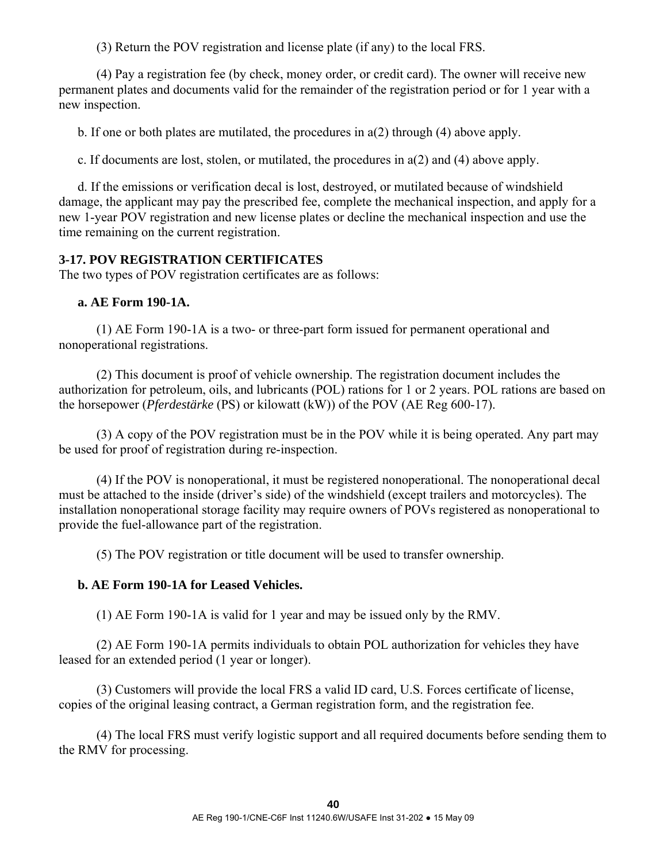(3) Return the POV registration and license plate (if any) to the local FRS.

 (4) Pay a registration fee (by check, money order, or credit card). The owner will receive new permanent plates and documents valid for the remainder of the registration period or for 1 year with a new inspection.

b. If one or both plates are mutilated, the procedures in a(2) through (4) above apply.

c. If documents are lost, stolen, or mutilated, the procedures in a(2) and (4) above apply.

 d. If the emissions or verification decal is lost, destroyed, or mutilated because of windshield damage, the applicant may pay the prescribed fee, complete the mechanical inspection, and apply for a new 1-year POV registration and new license plates or decline the mechanical inspection and use the time remaining on the current registration.

## **3-17. POV REGISTRATION CERTIFICATES**

The two types of POV registration certificates are as follows:

## **a. AE Form 190-1A.**

 (1) AE Form 190-1A is a two- or three-part form issued for permanent operational and nonoperational registrations.

 (2) This document is proof of vehicle ownership. The registration document includes the authorization for petroleum, oils, and lubricants (POL) rations for 1 or 2 years. POL rations are based on the horsepower (*Pferdestärke* (PS) or kilowatt (kW)) of the POV (AE Reg 600-17).

 (3) A copy of the POV registration must be in the POV while it is being operated. Any part may be used for proof of registration during re-inspection.

 (4) If the POV is nonoperational, it must be registered nonoperational. The nonoperational decal must be attached to the inside (driver's side) of the windshield (except trailers and motorcycles). The installation nonoperational storage facility may require owners of POVs registered as nonoperational to provide the fuel-allowance part of the registration.

(5) The POV registration or title document will be used to transfer ownership.

# **b. AE Form 190-1A for Leased Vehicles.**

(1) AE Form 190-1A is valid for 1 year and may be issued only by the RMV.

 (2) AE Form 190-1A permits individuals to obtain POL authorization for vehicles they have leased for an extended period (1 year or longer).

 (3) Customers will provide the local FRS a valid ID card, U.S. Forces certificate of license, copies of the original leasing contract, a German registration form, and the registration fee.

 (4) The local FRS must verify logistic support and all required documents before sending them to the RMV for processing.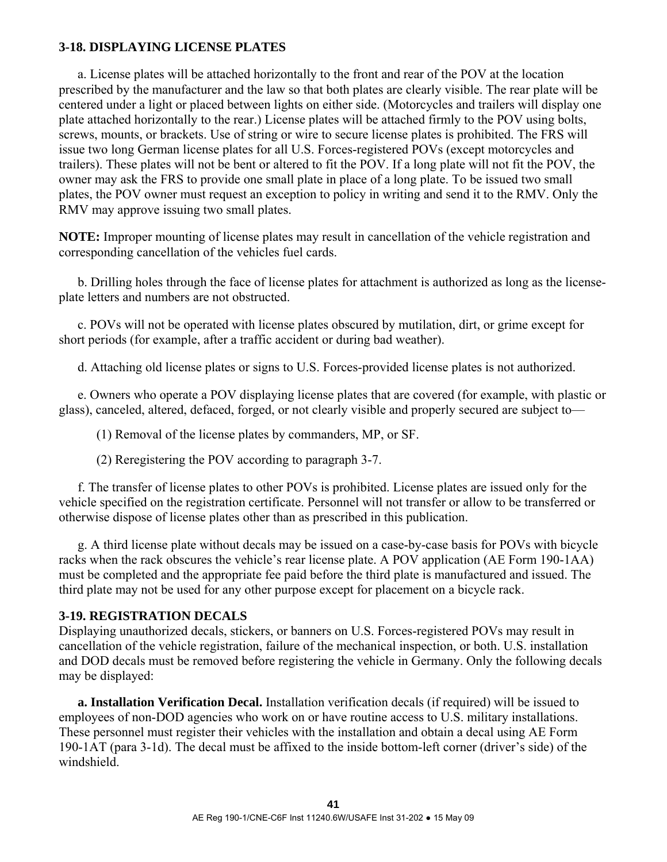# **3-18. DISPLAYING LICENSE PLATES**

 a. License plates will be attached horizontally to the front and rear of the POV at the location prescribed by the manufacturer and the law so that both plates are clearly visible. The rear plate will be centered under a light or placed between lights on either side. (Motorcycles and trailers will display one plate attached horizontally to the rear.) License plates will be attached firmly to the POV using bolts, screws, mounts, or brackets. Use of string or wire to secure license plates is prohibited. The FRS will issue two long German license plates for all U.S. Forces-registered POVs (except motorcycles and trailers). These plates will not be bent or altered to fit the POV. If a long plate will not fit the POV, the owner may ask the FRS to provide one small plate in place of a long plate. To be issued two small plates, the POV owner must request an exception to policy in writing and send it to the RMV. Only the RMV may approve issuing two small plates.

**NOTE:** Improper mounting of license plates may result in cancellation of the vehicle registration and corresponding cancellation of the vehicles fuel cards.

 b. Drilling holes through the face of license plates for attachment is authorized as long as the licenseplate letters and numbers are not obstructed.

 c. POVs will not be operated with license plates obscured by mutilation, dirt, or grime except for short periods (for example, after a traffic accident or during bad weather).

d. Attaching old license plates or signs to U.S. Forces-provided license plates is not authorized.

 e. Owners who operate a POV displaying license plates that are covered (for example, with plastic or glass), canceled, altered, defaced, forged, or not clearly visible and properly secured are subject to—

(1) Removal of the license plates by commanders, MP, or SF.

(2) Reregistering the POV according to paragraph 3-7.

 f. The transfer of license plates to other POVs is prohibited. License plates are issued only for the vehicle specified on the registration certificate. Personnel will not transfer or allow to be transferred or otherwise dispose of license plates other than as prescribed in this publication.

 g. A third license plate without decals may be issued on a case-by-case basis for POVs with bicycle racks when the rack obscures the vehicle's rear license plate. A POV application (AE Form 190-1AA) must be completed and the appropriate fee paid before the third plate is manufactured and issued. The third plate may not be used for any other purpose except for placement on a bicycle rack.

#### **3-19. REGISTRATION DECALS**

Displaying unauthorized decals, stickers, or banners on U.S. Forces-registered POVs may result in cancellation of the vehicle registration, failure of the mechanical inspection, or both. U.S. installation and DOD decals must be removed before registering the vehicle in Germany. Only the following decals may be displayed:

**a. Installation Verification Decal.** Installation verification decals (if required) will be issued to employees of non-DOD agencies who work on or have routine access to U.S. military installations. These personnel must register their vehicles with the installation and obtain a decal using AE Form 190-1AT (para 3-1d). The decal must be affixed to the inside bottom-left corner (driver's side) of the windshield.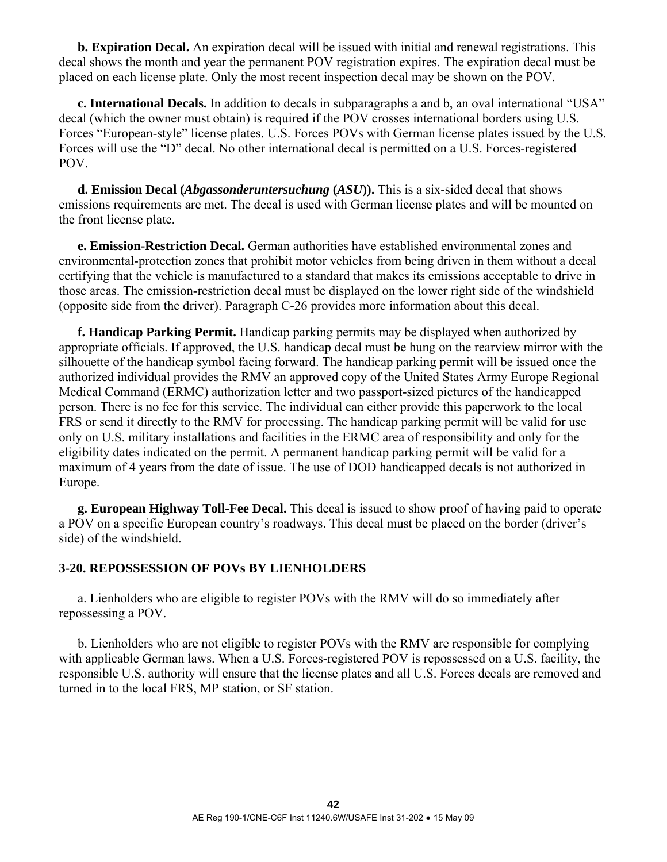**b. Expiration Decal.** An expiration decal will be issued with initial and renewal registrations. This decal shows the month and year the permanent POV registration expires. The expiration decal must be placed on each license plate. Only the most recent inspection decal may be shown on the POV.

 **c. International Decals.** In addition to decals in subparagraphs a and b, an oval international "USA" decal (which the owner must obtain) is required if the POV crosses international borders using U.S. Forces "European-style" license plates. U.S. Forces POVs with German license plates issued by the U.S. Forces will use the "D" decal. No other international decal is permitted on a U.S. Forces-registered POV.

**d. Emission Decal (***Abgassonderuntersuchung* **(***ASU***)).** This is a six-sided decal that shows emissions requirements are met. The decal is used with German license plates and will be mounted on the front license plate.

 **e. Emission-Restriction Decal.** German authorities have established environmental zones and environmental-protection zones that prohibit motor vehicles from being driven in them without a decal certifying that the vehicle is manufactured to a standard that makes its emissions acceptable to drive in those areas. The emission-restriction decal must be displayed on the lower right side of the windshield (opposite side from the driver). Paragraph C-26 provides more information about this decal.

 **f. Handicap Parking Permit.** Handicap parking permits may be displayed when authorized by appropriate officials. If approved, the U.S. handicap decal must be hung on the rearview mirror with the silhouette of the handicap symbol facing forward. The handicap parking permit will be issued once the authorized individual provides the RMV an approved copy of the United States Army Europe Regional Medical Command (ERMC) authorization letter and two passport-sized pictures of the handicapped person. There is no fee for this service. The individual can either provide this paperwork to the local FRS or send it directly to the RMV for processing. The handicap parking permit will be valid for use only on U.S. military installations and facilities in the ERMC area of responsibility and only for the eligibility dates indicated on the permit. A permanent handicap parking permit will be valid for a maximum of 4 years from the date of issue. The use of DOD handicapped decals is not authorized in Europe.

**g. European Highway Toll-Fee Decal.** This decal is issued to show proof of having paid to operate a POV on a specific European country's roadways. This decal must be placed on the border (driver's side) of the windshield.

### **3-20. REPOSSESSION OF POVs BY LIENHOLDERS**

 a. Lienholders who are eligible to register POVs with the RMV will do so immediately after repossessing a POV.

 b. Lienholders who are not eligible to register POVs with the RMV are responsible for complying with applicable German laws. When a U.S. Forces-registered POV is repossessed on a U.S. facility, the responsible U.S. authority will ensure that the license plates and all U.S. Forces decals are removed and turned in to the local FRS, MP station, or SF station.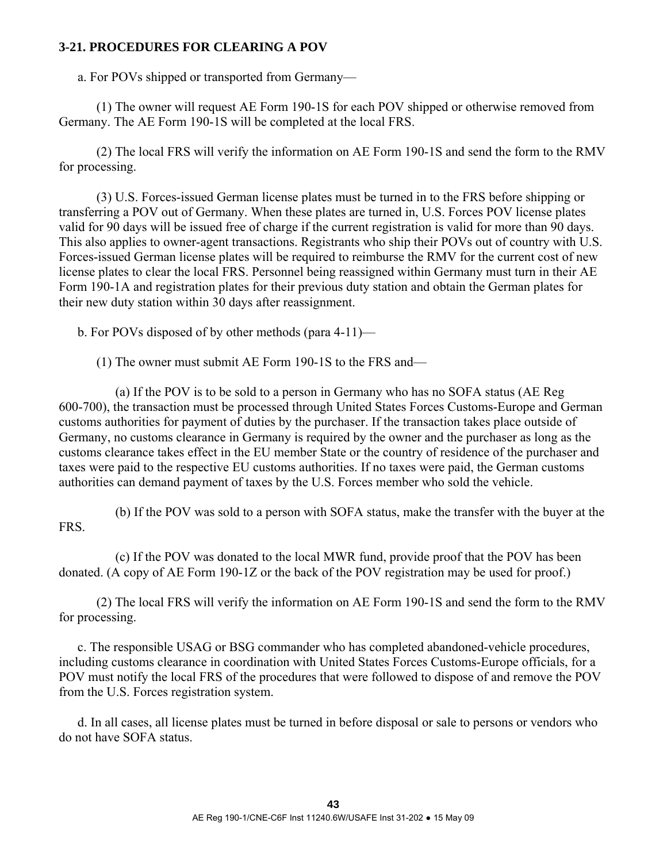# **3-21. PROCEDURES FOR CLEARING A POV**

a. For POVs shipped or transported from Germany—

 (1) The owner will request AE Form 190-1S for each POV shipped or otherwise removed from Germany. The AE Form 190-1S will be completed at the local FRS.

 (2) The local FRS will verify the information on AE Form 190-1S and send the form to the RMV for processing.

 (3) U.S. Forces-issued German license plates must be turned in to the FRS before shipping or transferring a POV out of Germany. When these plates are turned in, U.S. Forces POV license plates valid for 90 days will be issued free of charge if the current registration is valid for more than 90 days. This also applies to owner-agent transactions. Registrants who ship their POVs out of country with U.S. Forces-issued German license plates will be required to reimburse the RMV for the current cost of new license plates to clear the local FRS. Personnel being reassigned within Germany must turn in their AE Form 190-1A and registration plates for their previous duty station and obtain the German plates for their new duty station within 30 days after reassignment.

b. For POVs disposed of by other methods (para 4-11)—

(1) The owner must submit AE Form 190-1S to the FRS and—

 (a) If the POV is to be sold to a person in Germany who has no SOFA status (AE Reg 600-700), the transaction must be processed through United States Forces Customs-Europe and German customs authorities for payment of duties by the purchaser. If the transaction takes place outside of Germany, no customs clearance in Germany is required by the owner and the purchaser as long as the customs clearance takes effect in the EU member State or the country of residence of the purchaser and taxes were paid to the respective EU customs authorities. If no taxes were paid, the German customs authorities can demand payment of taxes by the U.S. Forces member who sold the vehicle.

 (b) If the POV was sold to a person with SOFA status, make the transfer with the buyer at the FRS.

 (c) If the POV was donated to the local MWR fund, provide proof that the POV has been donated. (A copy of AE Form 190-1Z or the back of the POV registration may be used for proof.)

 (2) The local FRS will verify the information on AE Form 190-1S and send the form to the RMV for processing.

 c. The responsible USAG or BSG commander who has completed abandoned-vehicle procedures, including customs clearance in coordination with United States Forces Customs-Europe officials, for a POV must notify the local FRS of the procedures that were followed to dispose of and remove the POV from the U.S. Forces registration system.

 d. In all cases, all license plates must be turned in before disposal or sale to persons or vendors who do not have SOFA status.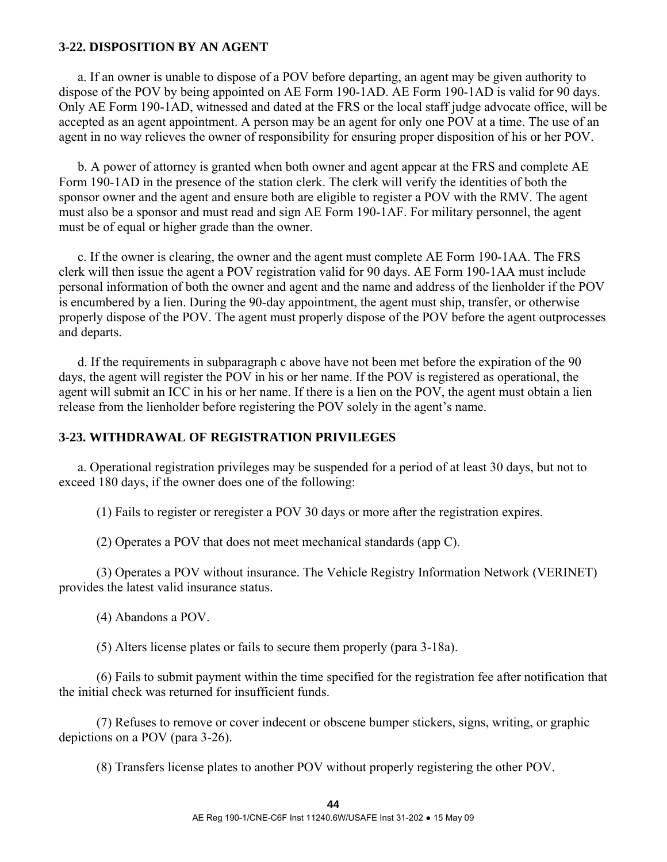#### **3-22. DISPOSITION BY AN AGENT**

 a. If an owner is unable to dispose of a POV before departing, an agent may be given authority to dispose of the POV by being appointed on AE Form 190-1AD. AE Form 190-1AD is valid for 90 days. Only AE Form 190-1AD, witnessed and dated at the FRS or the local staff judge advocate office, will be accepted as an agent appointment. A person may be an agent for only one POV at a time. The use of an agent in no way relieves the owner of responsibility for ensuring proper disposition of his or her POV.

 b. A power of attorney is granted when both owner and agent appear at the FRS and complete AE Form 190-1AD in the presence of the station clerk. The clerk will verify the identities of both the sponsor owner and the agent and ensure both are eligible to register a POV with the RMV. The agent must also be a sponsor and must read and sign AE Form 190-1AF. For military personnel, the agent must be of equal or higher grade than the owner.

 c. If the owner is clearing, the owner and the agent must complete AE Form 190-1AA. The FRS clerk will then issue the agent a POV registration valid for 90 days. AE Form 190-1AA must include personal information of both the owner and agent and the name and address of the lienholder if the POV is encumbered by a lien. During the 90-day appointment, the agent must ship, transfer, or otherwise properly dispose of the POV. The agent must properly dispose of the POV before the agent outprocesses and departs.

 d. If the requirements in subparagraph c above have not been met before the expiration of the 90 days, the agent will register the POV in his or her name. If the POV is registered as operational, the agent will submit an ICC in his or her name. If there is a lien on the POV, the agent must obtain a lien release from the lienholder before registering the POV solely in the agent's name.

#### **3-23. WITHDRAWAL OF REGISTRATION PRIVILEGES**

 a. Operational registration privileges may be suspended for a period of at least 30 days, but not to exceed 180 days, if the owner does one of the following:

(1) Fails to register or reregister a POV 30 days or more after the registration expires.

(2) Operates a POV that does not meet mechanical standards (app C).

 (3) Operates a POV without insurance. The Vehicle Registry Information Network (VERINET) provides the latest valid insurance status.

(4) Abandons a POV.

(5) Alters license plates or fails to secure them properly (para 3-18a).

 (6) Fails to submit payment within the time specified for the registration fee after notification that the initial check was returned for insufficient funds.

 (7) Refuses to remove or cover indecent or obscene bumper stickers, signs, writing, or graphic depictions on a POV (para 3-26).

(8) Transfers license plates to another POV without properly registering the other POV.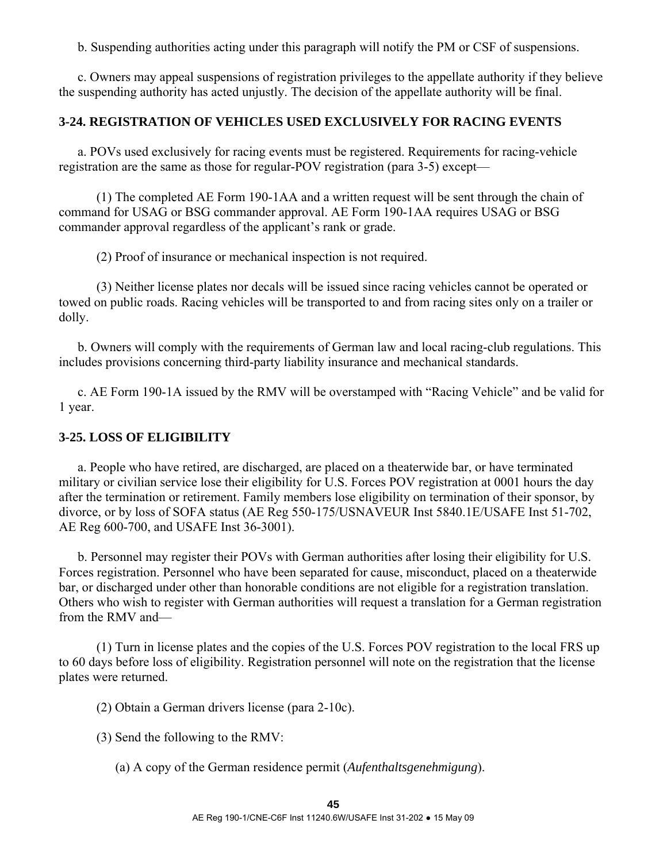b. Suspending authorities acting under this paragraph will notify the PM or CSF of suspensions.

 c. Owners may appeal suspensions of registration privileges to the appellate authority if they believe the suspending authority has acted unjustly. The decision of the appellate authority will be final.

### **3-24. REGISTRATION OF VEHICLES USED EXCLUSIVELY FOR RACING EVENTS**

 a. POVs used exclusively for racing events must be registered. Requirements for racing-vehicle registration are the same as those for regular-POV registration (para 3-5) except—

 (1) The completed AE Form 190-1AA and a written request will be sent through the chain of command for USAG or BSG commander approval. AE Form 190-1AA requires USAG or BSG commander approval regardless of the applicant's rank or grade.

(2) Proof of insurance or mechanical inspection is not required.

 (3) Neither license plates nor decals will be issued since racing vehicles cannot be operated or towed on public roads. Racing vehicles will be transported to and from racing sites only on a trailer or dolly.

 b. Owners will comply with the requirements of German law and local racing-club regulations. This includes provisions concerning third-party liability insurance and mechanical standards.

 c. AE Form 190-1A issued by the RMV will be overstamped with "Racing Vehicle" and be valid for 1 year.

### **3-25. LOSS OF ELIGIBILITY**

 a. People who have retired, are discharged, are placed on a theaterwide bar, or have terminated military or civilian service lose their eligibility for U.S. Forces POV registration at 0001 hours the day after the termination or retirement. Family members lose eligibility on termination of their sponsor, by divorce, or by loss of SOFA status (AE Reg 550-175/USNAVEUR Inst 5840.1E/USAFE Inst 51-702, AE Reg 600-700, and USAFE Inst 36-3001).

 b. Personnel may register their POVs with German authorities after losing their eligibility for U.S. Forces registration. Personnel who have been separated for cause, misconduct, placed on a theaterwide bar, or discharged under other than honorable conditions are not eligible for a registration translation. Others who wish to register with German authorities will request a translation for a German registration from the RMV and—

 (1) Turn in license plates and the copies of the U.S. Forces POV registration to the local FRS up to 60 days before loss of eligibility. Registration personnel will note on the registration that the license plates were returned.

(2) Obtain a German drivers license (para 2-10c).

(3) Send the following to the RMV:

(a) A copy of the German residence permit (*Aufenthaltsgenehmigung*).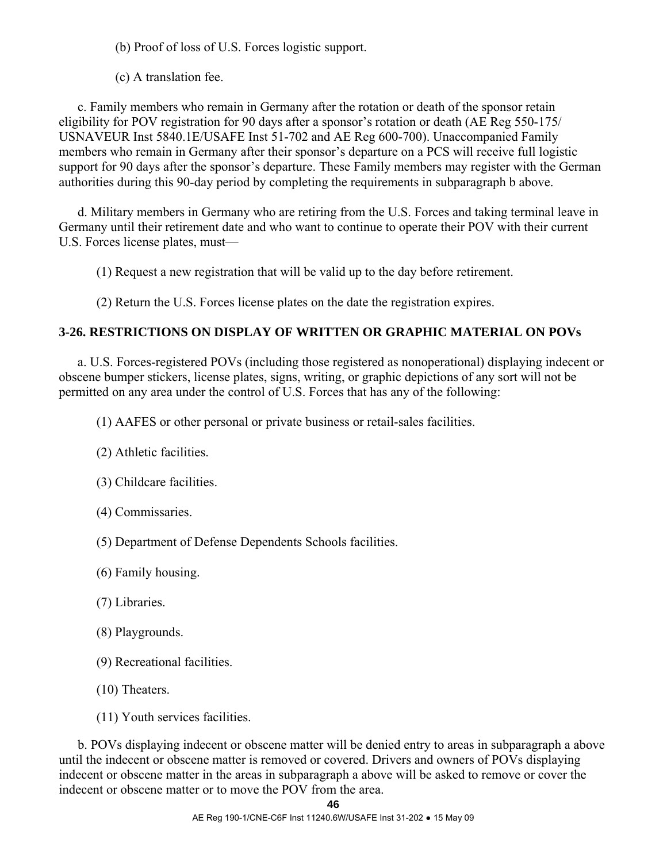(b) Proof of loss of U.S. Forces logistic support.

(c) A translation fee.

 c. Family members who remain in Germany after the rotation or death of the sponsor retain eligibility for POV registration for 90 days after a sponsor's rotation or death (AE Reg 550-175/ USNAVEUR Inst 5840.1E/USAFE Inst 51-702 and AE Reg 600-700). Unaccompanied Family members who remain in Germany after their sponsor's departure on a PCS will receive full logistic support for 90 days after the sponsor's departure. These Family members may register with the German authorities during this 90-day period by completing the requirements in subparagraph b above.

 d. Military members in Germany who are retiring from the U.S. Forces and taking terminal leave in Germany until their retirement date and who want to continue to operate their POV with their current U.S. Forces license plates, must—

(1) Request a new registration that will be valid up to the day before retirement.

(2) Return the U.S. Forces license plates on the date the registration expires.

# **3-26. RESTRICTIONS ON DISPLAY OF WRITTEN OR GRAPHIC MATERIAL ON POVs**

 a. U.S. Forces-registered POVs (including those registered as nonoperational) displaying indecent or obscene bumper stickers, license plates, signs, writing, or graphic depictions of any sort will not be permitted on any area under the control of U.S. Forces that has any of the following:

(1) AAFES or other personal or private business or retail-sales facilities.

- (2) Athletic facilities.
- (3) Childcare facilities.
- (4) Commissaries.
- (5) Department of Defense Dependents Schools facilities.
- (6) Family housing.
- (7) Libraries.
- (8) Playgrounds.
- (9) Recreational facilities.
- (10) Theaters.
- (11) Youth services facilities.

 b. POVs displaying indecent or obscene matter will be denied entry to areas in subparagraph a above until the indecent or obscene matter is removed or covered. Drivers and owners of POVs displaying indecent or obscene matter in the areas in subparagraph a above will be asked to remove or cover the indecent or obscene matter or to move the POV from the area.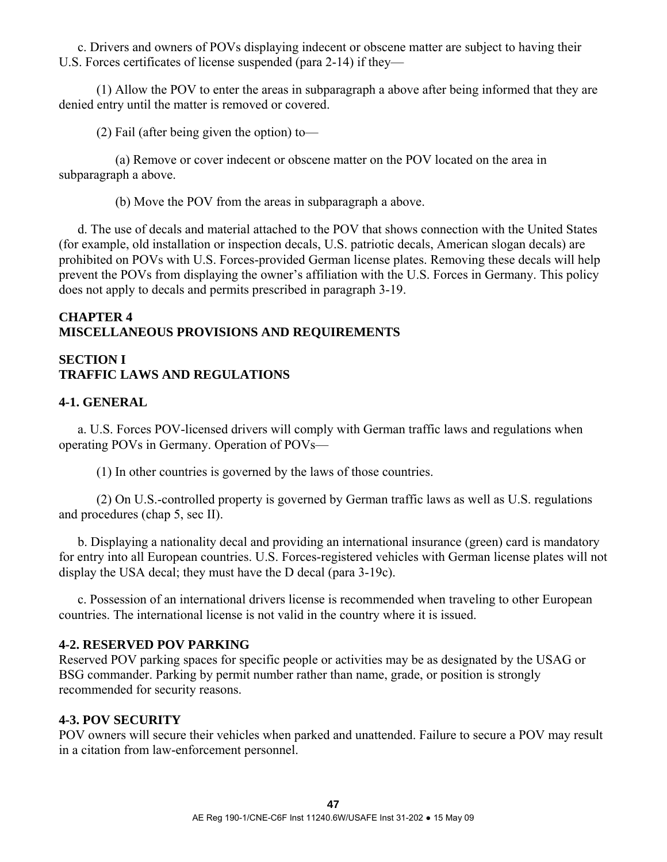c. Drivers and owners of POVs displaying indecent or obscene matter are subject to having their U.S. Forces certificates of license suspended (para 2-14) if they—

 (1) Allow the POV to enter the areas in subparagraph a above after being informed that they are denied entry until the matter is removed or covered.

(2) Fail (after being given the option) to—

 (a) Remove or cover indecent or obscene matter on the POV located on the area in subparagraph a above.

(b) Move the POV from the areas in subparagraph a above.

 d. The use of decals and material attached to the POV that shows connection with the United States (for example, old installation or inspection decals, U.S. patriotic decals, American slogan decals) are prohibited on POVs with U.S. Forces-provided German license plates. Removing these decals will help prevent the POVs from displaying the owner's affiliation with the U.S. Forces in Germany. This policy does not apply to decals and permits prescribed in paragraph 3-19.

# **CHAPTER 4 MISCELLANEOUS PROVISIONS AND REQUIREMENTS**

# **SECTION I TRAFFIC LAWS AND REGULATIONS**

## **4-1. GENERAL**

 a. U.S. Forces POV-licensed drivers will comply with German traffic laws and regulations when operating POVs in Germany. Operation of POVs—

(1) In other countries is governed by the laws of those countries.

 (2) On U.S.-controlled property is governed by German traffic laws as well as U.S. regulations and procedures (chap 5, sec II).

 b. Displaying a nationality decal and providing an international insurance (green) card is mandatory for entry into all European countries. U.S. Forces-registered vehicles with German license plates will not display the USA decal; they must have the D decal (para 3-19c).

 c. Possession of an international drivers license is recommended when traveling to other European countries. The international license is not valid in the country where it is issued.

### **4-2. RESERVED POV PARKING**

Reserved POV parking spaces for specific people or activities may be as designated by the USAG or BSG commander. Parking by permit number rather than name, grade, or position is strongly recommended for security reasons.

# **4-3. POV SECURITY**

POV owners will secure their vehicles when parked and unattended. Failure to secure a POV may result in a citation from law-enforcement personnel.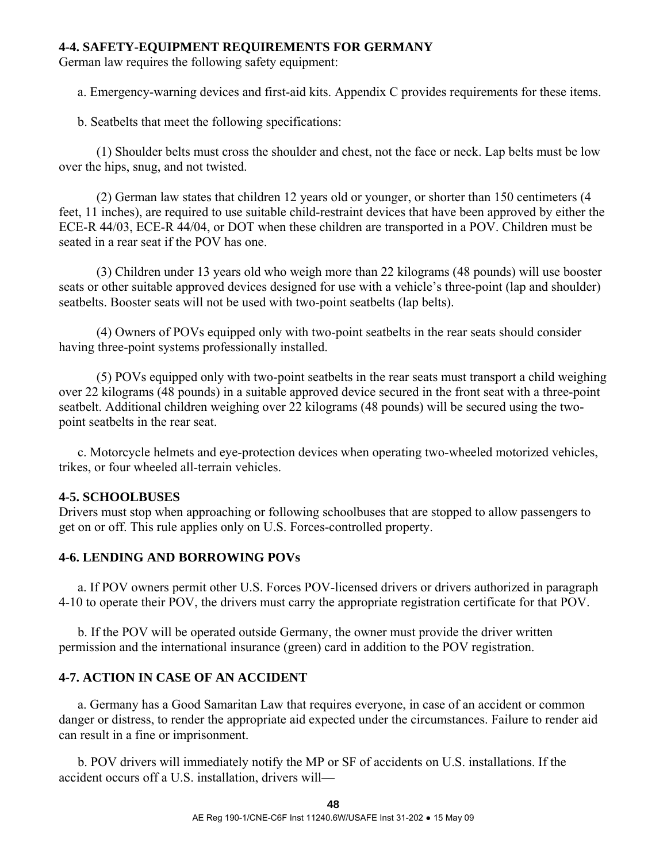#### **4-4. SAFETY-EQUIPMENT REQUIREMENTS FOR GERMANY**

German law requires the following safety equipment:

a. Emergency-warning devices and first-aid kits. Appendix C provides requirements for these items.

b. Seatbelts that meet the following specifications:

 (1) Shoulder belts must cross the shoulder and chest, not the face or neck. Lap belts must be low over the hips, snug, and not twisted.

 (2) German law states that children 12 years old or younger, or shorter than 150 centimeters (4 feet, 11 inches), are required to use suitable child-restraint devices that have been approved by either the ECE-R 44/03, ECE-R 44/04, or DOT when these children are transported in a POV. Children must be seated in a rear seat if the POV has one.

 (3) Children under 13 years old who weigh more than 22 kilograms (48 pounds) will use booster seats or other suitable approved devices designed for use with a vehicle's three-point (lap and shoulder) seatbelts. Booster seats will not be used with two-point seatbelts (lap belts).

 (4) Owners of POVs equipped only with two-point seatbelts in the rear seats should consider having three-point systems professionally installed.

 (5) POVs equipped only with two-point seatbelts in the rear seats must transport a child weighing over 22 kilograms (48 pounds) in a suitable approved device secured in the front seat with a three-point seatbelt. Additional children weighing over 22 kilograms (48 pounds) will be secured using the twopoint seatbelts in the rear seat.

 c. Motorcycle helmets and eye-protection devices when operating two-wheeled motorized vehicles, trikes, or four wheeled all-terrain vehicles.

### **4-5. SCHOOLBUSES**

Drivers must stop when approaching or following schoolbuses that are stopped to allow passengers to get on or off. This rule applies only on U.S. Forces-controlled property.

### **4-6. LENDING AND BORROWING POVs**

 a. If POV owners permit other U.S. Forces POV-licensed drivers or drivers authorized in paragraph 4-10 to operate their POV, the drivers must carry the appropriate registration certificate for that POV.

 b. If the POV will be operated outside Germany, the owner must provide the driver written permission and the international insurance (green) card in addition to the POV registration.

### **4-7. ACTION IN CASE OF AN ACCIDENT**

 a. Germany has a Good Samaritan Law that requires everyone, in case of an accident or common danger or distress, to render the appropriate aid expected under the circumstances. Failure to render aid can result in a fine or imprisonment.

 b. POV drivers will immediately notify the MP or SF of accidents on U.S. installations. If the accident occurs off a U.S. installation, drivers will—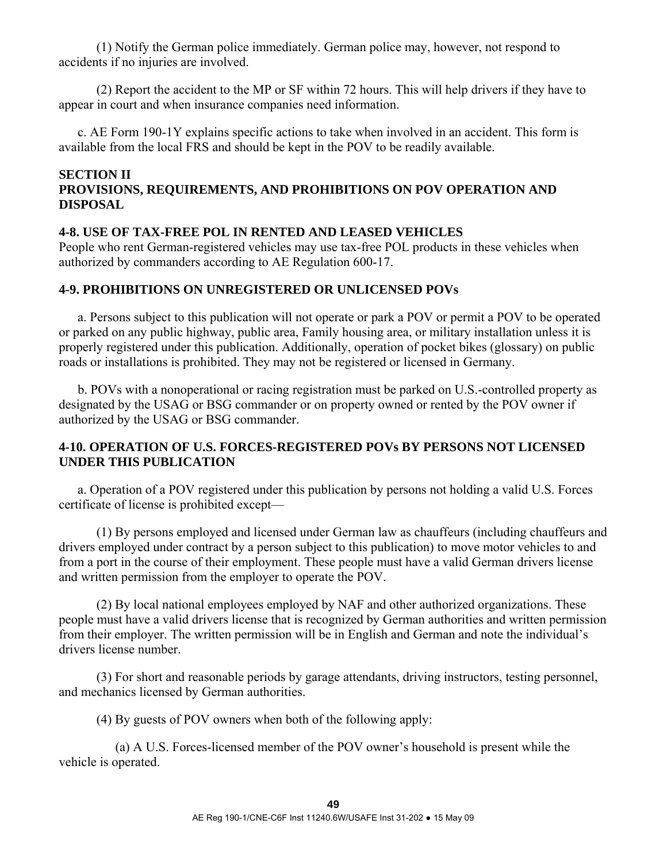(1) Notify the German police immediately. German police may, however, not respond to accidents if no injuries are involved.

 (2) Report the accident to the MP or SF within 72 hours. This will help drivers if they have to appear in court and when insurance companies need information.

 c. AE Form 190-1Y explains specific actions to take when involved in an accident. This form is available from the local FRS and should be kept in the POV to be readily available.

# **SECTION II PROVISIONS, REQUIREMENTS, AND PROHIBITIONS ON POV OPERATION AND DISPOSAL**

### **4-8. USE OF TAX-FREE POL IN RENTED AND LEASED VEHICLES**

People who rent German-registered vehicles may use tax-free POL products in these vehicles when authorized by commanders according to AE Regulation 600-17.

## **4-9. PROHIBITIONS ON UNREGISTERED OR UNLICENSED POVs**

 a. Persons subject to this publication will not operate or park a POV or permit a POV to be operated or parked on any public highway, public area, Family housing area, or military installation unless it is properly registered under this publication. Additionally, operation of pocket bikes (glossary) on public roads or installations is prohibited. They may not be registered or licensed in Germany.

 b. POVs with a nonoperational or racing registration must be parked on U.S.-controlled property as designated by the USAG or BSG commander or on property owned or rented by the POV owner if authorized by the USAG or BSG commander.

# **4-10. OPERATION OF U.S. FORCES-REGISTERED POVs BY PERSONS NOT LICENSED UNDER THIS PUBLICATION**

 a. Operation of a POV registered under this publication by persons not holding a valid U.S. Forces certificate of license is prohibited except—

 (1) By persons employed and licensed under German law as chauffeurs (including chauffeurs and drivers employed under contract by a person subject to this publication) to move motor vehicles to and from a port in the course of their employment. These people must have a valid German drivers license and written permission from the employer to operate the POV.

 (2) By local national employees employed by NAF and other authorized organizations. These people must have a valid drivers license that is recognized by German authorities and written permission from their employer. The written permission will be in English and German and note the individual's drivers license number.

 (3) For short and reasonable periods by garage attendants, driving instructors, testing personnel, and mechanics licensed by German authorities.

(4) By guests of POV owners when both of the following apply:

 (a) A U.S. Forces-licensed member of the POV owner's household is present while the vehicle is operated.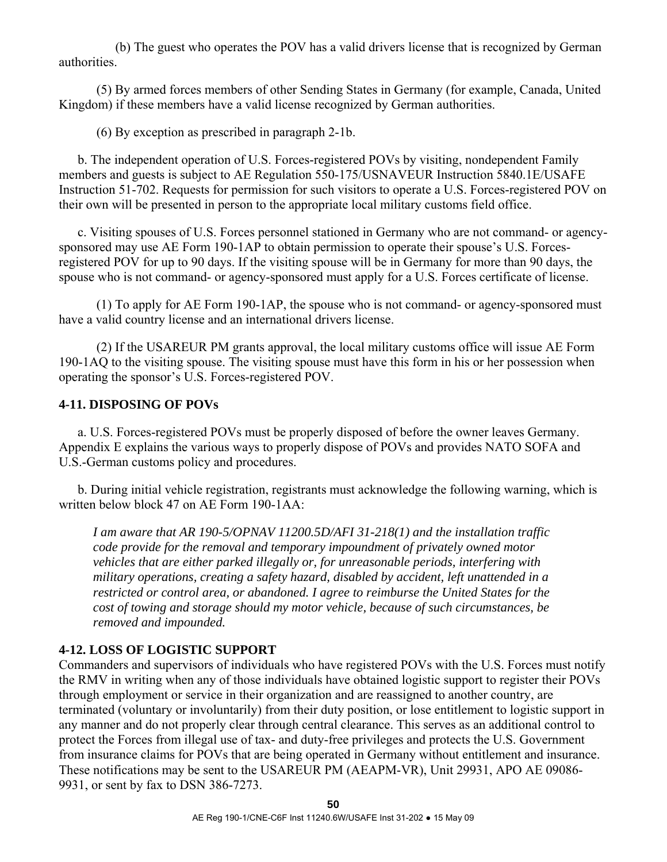(b) The guest who operates the POV has a valid drivers license that is recognized by German authorities.

 (5) By armed forces members of other Sending States in Germany (for example, Canada, United Kingdom) if these members have a valid license recognized by German authorities.

(6) By exception as prescribed in paragraph 2-1b.

 b. The independent operation of U.S. Forces-registered POVs by visiting, nondependent Family members and guests is subject to AE Regulation 550-175/USNAVEUR Instruction 5840.1E/USAFE Instruction 51-702. Requests for permission for such visitors to operate a U.S. Forces-registered POV on their own will be presented in person to the appropriate local military customs field office.

 c. Visiting spouses of U.S. Forces personnel stationed in Germany who are not command- or agencysponsored may use AE Form 190-1AP to obtain permission to operate their spouse's U.S. Forcesregistered POV for up to 90 days. If the visiting spouse will be in Germany for more than 90 days, the spouse who is not command- or agency-sponsored must apply for a U.S. Forces certificate of license.

 (1) To apply for AE Form 190-1AP, the spouse who is not command- or agency-sponsored must have a valid country license and an international drivers license.

 (2) If the USAREUR PM grants approval, the local military customs office will issue AE Form 190-1AQ to the visiting spouse. The visiting spouse must have this form in his or her possession when operating the sponsor's U.S. Forces-registered POV.

### **4-11. DISPOSING OF POVs**

 a. U.S. Forces-registered POVs must be properly disposed of before the owner leaves Germany. Appendix E explains the various ways to properly dispose of POVs and provides NATO SOFA and U.S.-German customs policy and procedures.

 b. During initial vehicle registration, registrants must acknowledge the following warning, which is written below block 47 on AE Form 190-1AA:

*I am aware that AR 190-5/OPNAV 11200.5D/AFI 31-218(1) and the installation traffic code provide for the removal and temporary impoundment of privately owned motor vehicles that are either parked illegally or, for unreasonable periods, interfering with military operations, creating a safety hazard, disabled by accident, left unattended in a restricted or control area, or abandoned. I agree to reimburse the United States for the cost of towing and storage should my motor vehicle, because of such circumstances, be removed and impounded.* 

### **4-12. LOSS OF LOGISTIC SUPPORT**

Commanders and supervisors of individuals who have registered POVs with the U.S. Forces must notify the RMV in writing when any of those individuals have obtained logistic support to register their POVs through employment or service in their organization and are reassigned to another country, are terminated (voluntary or involuntarily) from their duty position, or lose entitlement to logistic support in any manner and do not properly clear through central clearance. This serves as an additional control to protect the Forces from illegal use of tax- and duty-free privileges and protects the U.S. Government from insurance claims for POVs that are being operated in Germany without entitlement and insurance. These notifications may be sent to the USAREUR PM (AEAPM-VR), Unit 29931, APO AE 09086- 9931, or sent by fax to DSN 386-7273.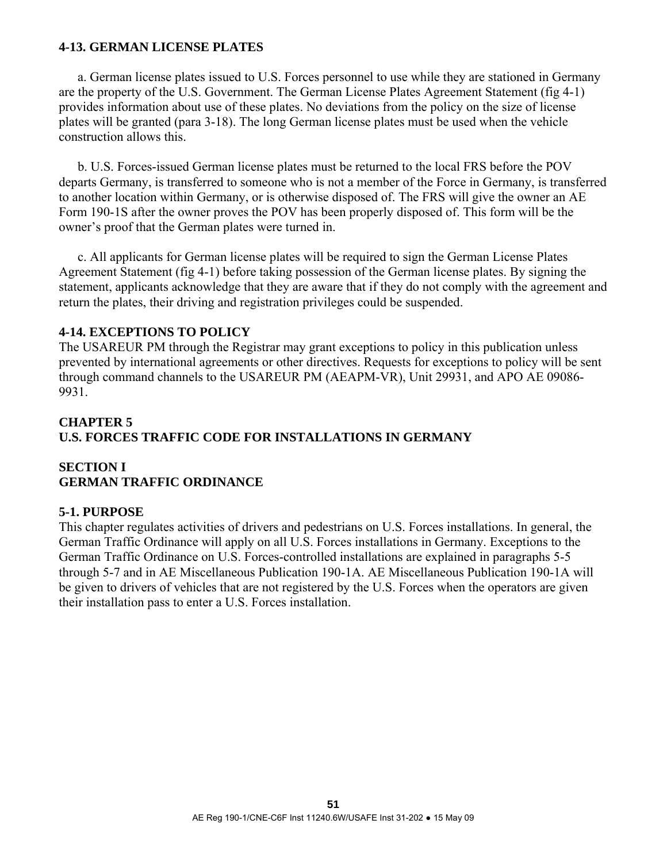### **4-13. GERMAN LICENSE PLATES**

 a. German license plates issued to U.S. Forces personnel to use while they are stationed in Germany are the property of the U.S. Government. The German License Plates Agreement Statement (fig 4-1) provides information about use of these plates. No deviations from the policy on the size of license plates will be granted (para 3-18). The long German license plates must be used when the vehicle construction allows this.

 b. U.S. Forces-issued German license plates must be returned to the local FRS before the POV departs Germany, is transferred to someone who is not a member of the Force in Germany, is transferred to another location within Germany, or is otherwise disposed of. The FRS will give the owner an AE Form 190-1S after the owner proves the POV has been properly disposed of. This form will be the owner's proof that the German plates were turned in.

 c. All applicants for German license plates will be required to sign the German License Plates Agreement Statement (fig 4-1) before taking possession of the German license plates. By signing the statement, applicants acknowledge that they are aware that if they do not comply with the agreement and return the plates, their driving and registration privileges could be suspended.

## **4-14. EXCEPTIONS TO POLICY**

The USAREUR PM through the Registrar may grant exceptions to policy in this publication unless prevented by international agreements or other directives. Requests for exceptions to policy will be sent through command channels to the USAREUR PM (AEAPM-VR), Unit 29931, and APO AE 09086- 9931.

# **CHAPTER 5 U.S. FORCES TRAFFIC CODE FOR INSTALLATIONS IN GERMANY**

## **SECTION I GERMAN TRAFFIC ORDINANCE**

### **5-1. PURPOSE**

This chapter regulates activities of drivers and pedestrians on U.S. Forces installations. In general, the German Traffic Ordinance will apply on all U.S. Forces installations in Germany. Exceptions to the German Traffic Ordinance on U.S. Forces-controlled installations are explained in paragraphs 5-5 through 5-7 and in AE Miscellaneous Publication 190-1A. AE Miscellaneous Publication 190-1A will be given to drivers of vehicles that are not registered by the U.S. Forces when the operators are given their installation pass to enter a U.S. Forces installation.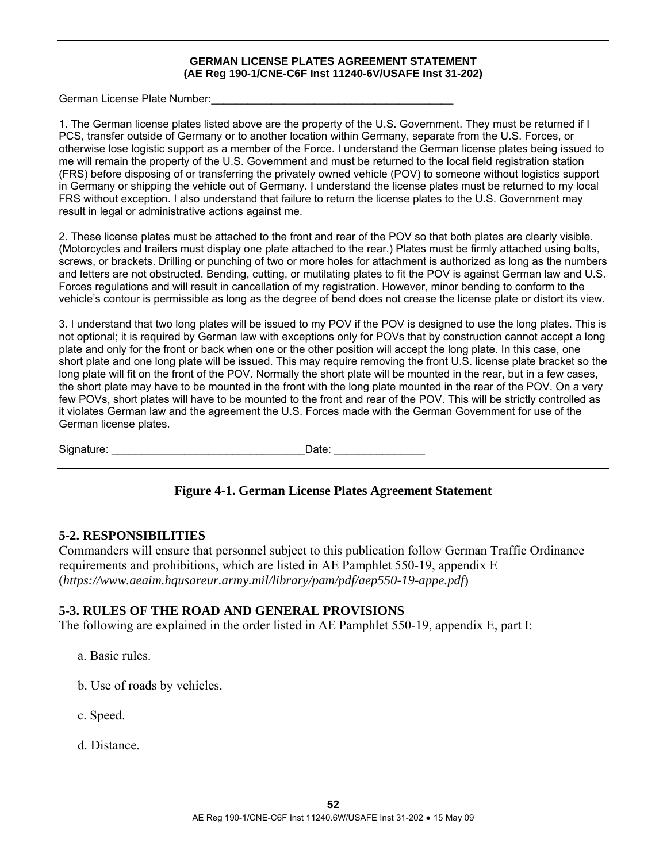#### **GERMAN LICENSE PLATES AGREEMENT STATEMENT (AE Reg 190-1/CNE-C6F Inst 11240-6V/USAFE Inst 31-202)**

German License Plate Number:

1. The German license plates listed above are the property of the U.S. Government. They must be returned if I PCS, transfer outside of Germany or to another location within Germany, separate from the U.S. Forces, or otherwise lose logistic support as a member of the Force. I understand the German license plates being issued to me will remain the property of the U.S. Government and must be returned to the local field registration station (FRS) before disposing of or transferring the privately owned vehicle (POV) to someone without logistics support in Germany or shipping the vehicle out of Germany. I understand the license plates must be returned to my local FRS without exception. I also understand that failure to return the license plates to the U.S. Government may result in legal or administrative actions against me.

2. These license plates must be attached to the front and rear of the POV so that both plates are clearly visible. (Motorcycles and trailers must display one plate attached to the rear.) Plates must be firmly attached using bolts, screws, or brackets. Drilling or punching of two or more holes for attachment is authorized as long as the numbers and letters are not obstructed. Bending, cutting, or mutilating plates to fit the POV is against German law and U.S. Forces regulations and will result in cancellation of my registration. However, minor bending to conform to the vehicle's contour is permissible as long as the degree of bend does not crease the license plate or distort its view.

3. I understand that two long plates will be issued to my POV if the POV is designed to use the long plates. This is not optional; it is required by German law with exceptions only for POVs that by construction cannot accept a long plate and only for the front or back when one or the other position will accept the long plate. In this case, one short plate and one long plate will be issued. This may require removing the front U.S. license plate bracket so the long plate will fit on the front of the POV. Normally the short plate will be mounted in the rear, but in a few cases, the short plate may have to be mounted in the front with the long plate mounted in the rear of the POV. On a very few POVs, short plates will have to be mounted to the front and rear of the POV. This will be strictly controlled as it violates German law and the agreement the U.S. Forces made with the German Government for use of the German license plates.

Signature: \_\_\_\_\_\_\_\_\_\_\_\_\_\_\_\_\_\_\_\_\_\_\_\_\_\_\_\_\_\_\_\_Date: \_\_\_\_\_\_\_\_\_\_\_\_\_\_\_

# **Figure 4-1. German License Plates Agreement Statement**

### **5-2. RESPONSIBILITIES**

Commanders will ensure that personnel subject to this publication follow German Traffic Ordinance requirements and prohibitions, which are listed in AE Pamphlet 550-19, appendix E (*https://www.aeaim.hqusareur.army.mil/library/pam/pdf/aep550-19-appe.pdf*)

### **5-3. RULES OF THE ROAD AND GENERAL PROVISIONS**

The following are explained in the order listed in AE Pamphlet 550-19, appendix E, part I:

- a. Basic rules.
- b. Use of roads by vehicles.
- c. Speed.
- d. Distance.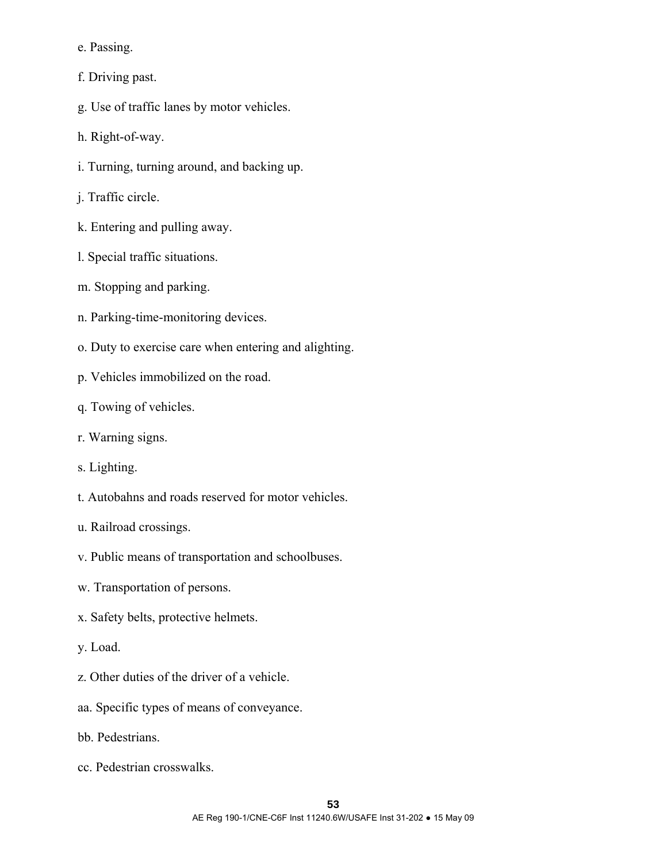e. Passing.

f. Driving past.

- g. Use of traffic lanes by motor vehicles.
- h. Right-of-way.
- i. Turning, turning around, and backing up.
- j. Traffic circle.
- k. Entering and pulling away.
- l. Special traffic situations.
- m. Stopping and parking.
- n. Parking-time-monitoring devices.
- o. Duty to exercise care when entering and alighting.
- p. Vehicles immobilized on the road.
- q. Towing of vehicles.
- r. Warning signs.
- s. Lighting.
- t. Autobahns and roads reserved for motor vehicles.
- u. Railroad crossings.
- v. Public means of transportation and schoolbuses.
- w. Transportation of persons.
- x. Safety belts, protective helmets.
- y. Load.
- z. Other duties of the driver of a vehicle.
- aa. Specific types of means of conveyance.
- bb. Pedestrians.
- cc. Pedestrian crosswalks.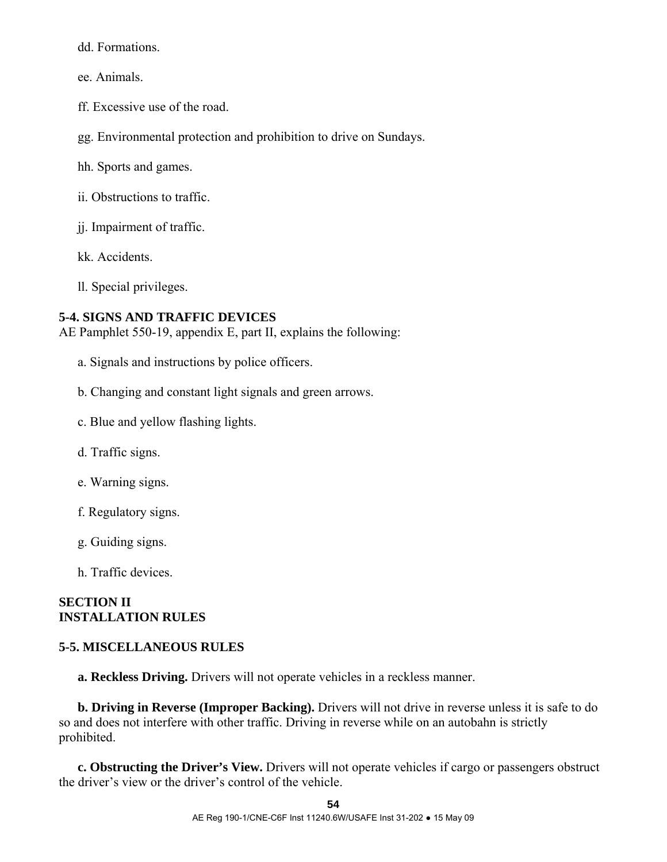dd. Formations.

ee. Animals.

ff. Excessive use of the road.

gg. Environmental protection and prohibition to drive on Sundays.

hh. Sports and games.

ii. Obstructions to traffic.

jj. Impairment of traffic.

kk. Accidents.

ll. Special privileges.

## **5-4. SIGNS AND TRAFFIC DEVICES**

AE Pamphlet 550-19, appendix E, part II, explains the following:

- a. Signals and instructions by police officers.
- b. Changing and constant light signals and green arrows.
- c. Blue and yellow flashing lights.
- d. Traffic signs.
- e. Warning signs.
- f. Regulatory signs.
- g. Guiding signs.
- h. Traffic devices.

# **SECTION II INSTALLATION RULES**

# **5-5. MISCELLANEOUS RULES**

 **a. Reckless Driving.** Drivers will not operate vehicles in a reckless manner.

 **b. Driving in Reverse (Improper Backing).** Drivers will not drive in reverse unless it is safe to do so and does not interfere with other traffic. Driving in reverse while on an autobahn is strictly prohibited.

 **c. Obstructing the Driver's View.** Drivers will not operate vehicles if cargo or passengers obstruct the driver's view or the driver's control of the vehicle.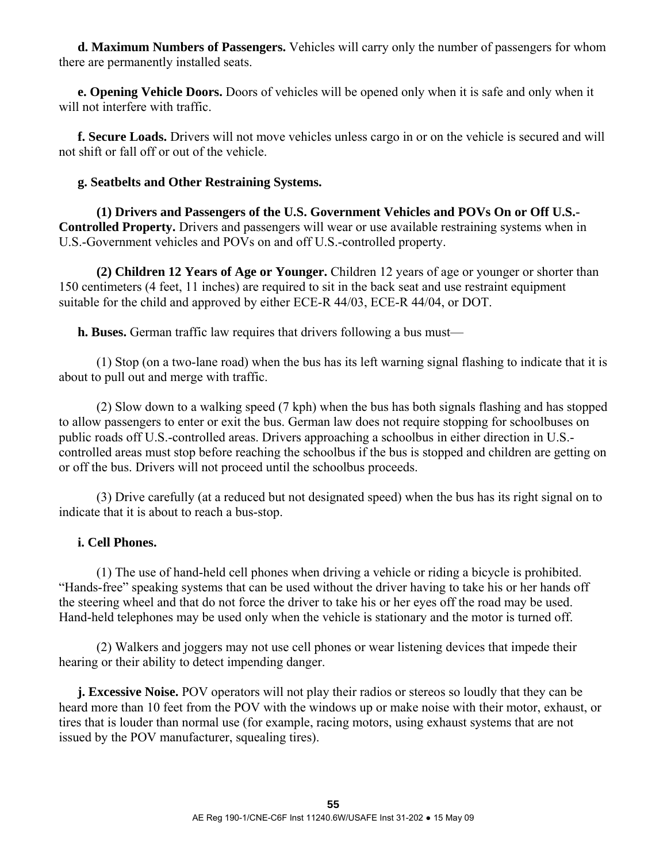**d. Maximum Numbers of Passengers.** Vehicles will carry only the number of passengers for whom there are permanently installed seats.

 **e. Opening Vehicle Doors.** Doors of vehicles will be opened only when it is safe and only when it will not interfere with traffic.

 **f. Secure Loads.** Drivers will not move vehicles unless cargo in or on the vehicle is secured and will not shift or fall off or out of the vehicle.

## **g. Seatbelts and Other Restraining Systems.**

 **(1) Drivers and Passengers of the U.S. Government Vehicles and POVs On or Off U.S.- Controlled Property.** Drivers and passengers will wear or use available restraining systems when in U.S.-Government vehicles and POVs on and off U.S.-controlled property.

 **(2) Children 12 Years of Age or Younger.** Children 12 years of age or younger or shorter than 150 centimeters (4 feet, 11 inches) are required to sit in the back seat and use restraint equipment suitable for the child and approved by either ECE-R 44/03, ECE-R 44/04, or DOT.

**h. Buses.** German traffic law requires that drivers following a bus must—

 (1) Stop (on a two-lane road) when the bus has its left warning signal flashing to indicate that it is about to pull out and merge with traffic.

 (2) Slow down to a walking speed (7 kph) when the bus has both signals flashing and has stopped to allow passengers to enter or exit the bus. German law does not require stopping for schoolbuses on public roads off U.S.-controlled areas. Drivers approaching a schoolbus in either direction in U.S. controlled areas must stop before reaching the schoolbus if the bus is stopped and children are getting on or off the bus. Drivers will not proceed until the schoolbus proceeds.

 (3) Drive carefully (at a reduced but not designated speed) when the bus has its right signal on to indicate that it is about to reach a bus-stop.

### **i. Cell Phones.**

 (1) The use of hand-held cell phones when driving a vehicle or riding a bicycle is prohibited. "Hands-free" speaking systems that can be used without the driver having to take his or her hands off the steering wheel and that do not force the driver to take his or her eyes off the road may be used. Hand-held telephones may be used only when the vehicle is stationary and the motor is turned off.

 (2) Walkers and joggers may not use cell phones or wear listening devices that impede their hearing or their ability to detect impending danger.

*j.* Excessive Noise. POV operators will not play their radios or stereos so loudly that they can be heard more than 10 feet from the POV with the windows up or make noise with their motor, exhaust, or tires that is louder than normal use (for example, racing motors, using exhaust systems that are not issued by the POV manufacturer, squealing tires).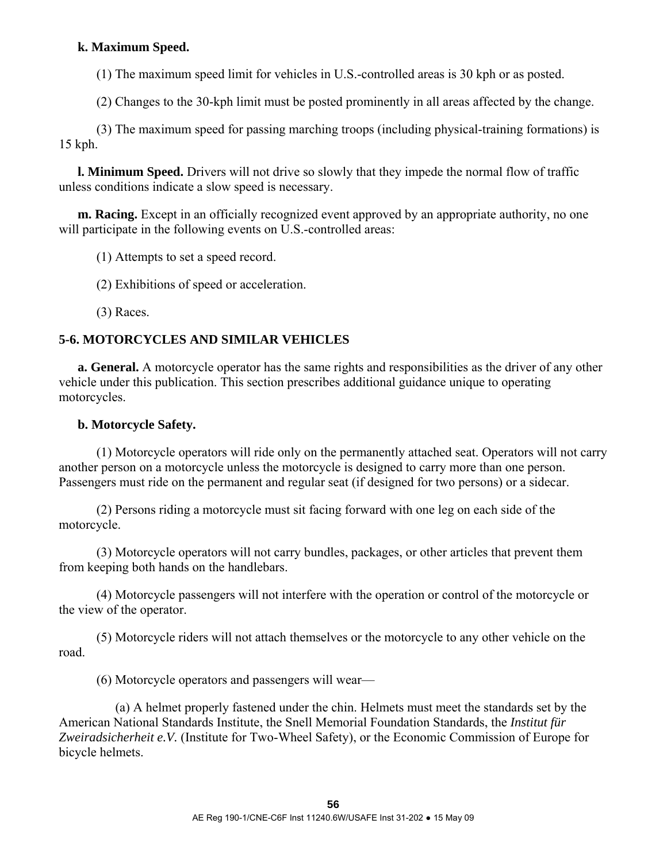# **k. Maximum Speed.**

(1) The maximum speed limit for vehicles in U.S.-controlled areas is 30 kph or as posted.

(2) Changes to the 30-kph limit must be posted prominently in all areas affected by the change.

 (3) The maximum speed for passing marching troops (including physical-training formations) is 15 kph.

 **l. Minimum Speed.** Drivers will not drive so slowly that they impede the normal flow of traffic unless conditions indicate a slow speed is necessary.

**m. Racing.** Except in an officially recognized event approved by an appropriate authority, no one will participate in the following events on U.S.-controlled areas:

(1) Attempts to set a speed record.

(2) Exhibitions of speed or acceleration.

(3) Races.

# **5-6. MOTORCYCLES AND SIMILAR VEHICLES**

 **a. General.** A motorcycle operator has the same rights and responsibilities as the driver of any other vehicle under this publication. This section prescribes additional guidance unique to operating motorcycles.

# **b. Motorcycle Safety.**

 (1) Motorcycle operators will ride only on the permanently attached seat. Operators will not carry another person on a motorcycle unless the motorcycle is designed to carry more than one person. Passengers must ride on the permanent and regular seat (if designed for two persons) or a sidecar.

 (2) Persons riding a motorcycle must sit facing forward with one leg on each side of the motorcycle.

 (3) Motorcycle operators will not carry bundles, packages, or other articles that prevent them from keeping both hands on the handlebars.

 (4) Motorcycle passengers will not interfere with the operation or control of the motorcycle or the view of the operator.

 (5) Motorcycle riders will not attach themselves or the motorcycle to any other vehicle on the road.

(6) Motorcycle operators and passengers will wear—

 (a) A helmet properly fastened under the chin. Helmets must meet the standards set by the American National Standards Institute, the Snell Memorial Foundation Standards, the *Institut für Zweiradsicherheit e.V.* (Institute for Two-Wheel Safety), or the Economic Commission of Europe for bicycle helmets.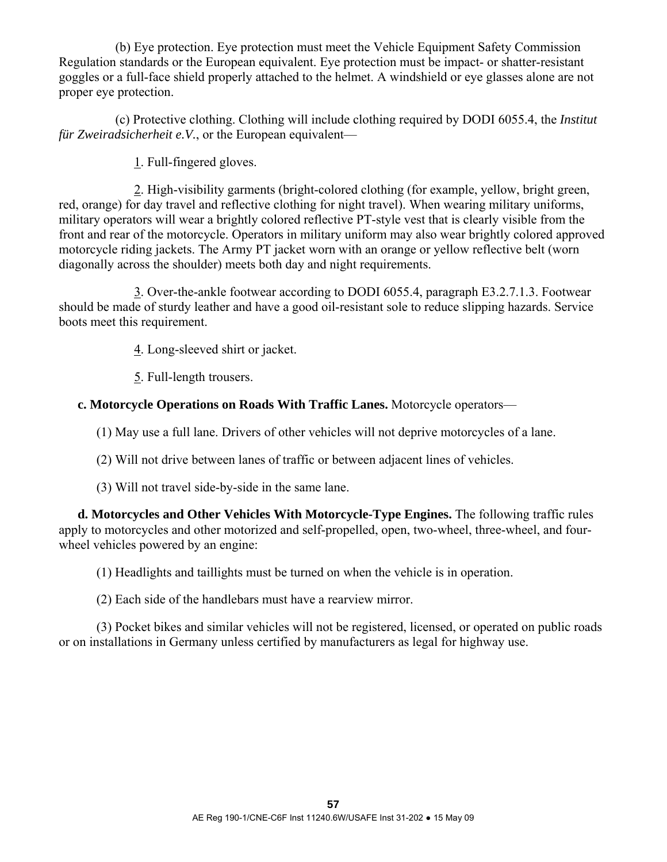(b) Eye protection. Eye protection must meet the Vehicle Equipment Safety Commission Regulation standards or the European equivalent. Eye protection must be impact- or shatter-resistant goggles or a full-face shield properly attached to the helmet. A windshield or eye glasses alone are not proper eye protection.

 (c) Protective clothing. Clothing will include clothing required by DODI 6055.4, the *Institut für Zweiradsicherheit e.V.*, or the European equivalent—

1. Full-fingered gloves.

 2. High-visibility garments (bright-colored clothing (for example, yellow, bright green, red, orange) for day travel and reflective clothing for night travel). When wearing military uniforms, military operators will wear a brightly colored reflective PT-style vest that is clearly visible from the front and rear of the motorcycle. Operators in military uniform may also wear brightly colored approved motorcycle riding jackets. The Army PT jacket worn with an orange or yellow reflective belt (worn diagonally across the shoulder) meets both day and night requirements.

 3. Over-the-ankle footwear according to DODI 6055.4, paragraph E3.2.7.1.3. Footwear should be made of sturdy leather and have a good oil-resistant sole to reduce slipping hazards. Service boots meet this requirement.

4. Long-sleeved shirt or jacket.

5. Full-length trousers.

 **c. Motorcycle Operations on Roads With Traffic Lanes.** Motorcycle operators—

(1) May use a full lane. Drivers of other vehicles will not deprive motorcycles of a lane.

(2) Will not drive between lanes of traffic or between adjacent lines of vehicles.

(3) Will not travel side-by-side in the same lane.

 **d. Motorcycles and Other Vehicles With Motorcycle-Type Engines.** The following traffic rules apply to motorcycles and other motorized and self-propelled, open, two-wheel, three-wheel, and fourwheel vehicles powered by an engine:

(1) Headlights and taillights must be turned on when the vehicle is in operation.

(2) Each side of the handlebars must have a rearview mirror.

 (3) Pocket bikes and similar vehicles will not be registered, licensed, or operated on public roads or on installations in Germany unless certified by manufacturers as legal for highway use.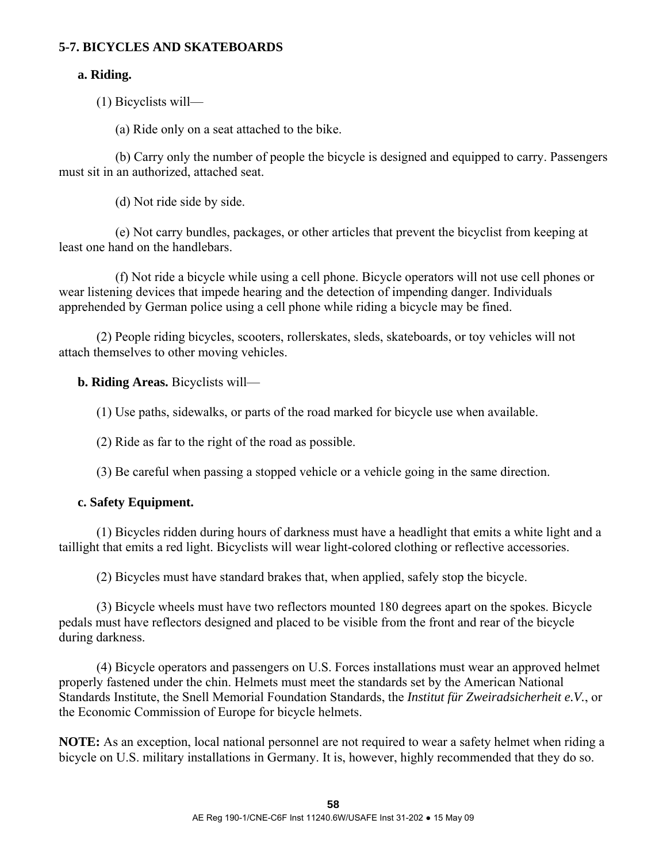### **5-7. BICYCLES AND SKATEBOARDS**

#### **a. Riding.**

(1) Bicyclists will—

(a) Ride only on a seat attached to the bike.

 (b) Carry only the number of people the bicycle is designed and equipped to carry. Passengers must sit in an authorized, attached seat.

(d) Not ride side by side.

 (e) Not carry bundles, packages, or other articles that prevent the bicyclist from keeping at least one hand on the handlebars.

 (f) Not ride a bicycle while using a cell phone. Bicycle operators will not use cell phones or wear listening devices that impede hearing and the detection of impending danger. Individuals apprehended by German police using a cell phone while riding a bicycle may be fined.

 (2) People riding bicycles, scooters, rollerskates, sleds, skateboards, or toy vehicles will not attach themselves to other moving vehicles.

 **b. Riding Areas.** Bicyclists will—

(1) Use paths, sidewalks, or parts of the road marked for bicycle use when available.

(2) Ride as far to the right of the road as possible.

(3) Be careful when passing a stopped vehicle or a vehicle going in the same direction.

#### **c. Safety Equipment.**

 (1) Bicycles ridden during hours of darkness must have a headlight that emits a white light and a taillight that emits a red light. Bicyclists will wear light-colored clothing or reflective accessories.

(2) Bicycles must have standard brakes that, when applied, safely stop the bicycle.

 (3) Bicycle wheels must have two reflectors mounted 180 degrees apart on the spokes. Bicycle pedals must have reflectors designed and placed to be visible from the front and rear of the bicycle during darkness.

 (4) Bicycle operators and passengers on U.S. Forces installations must wear an approved helmet properly fastened under the chin. Helmets must meet the standards set by the American National Standards Institute, the Snell Memorial Foundation Standards, the *Institut für Zweiradsicherheit e.V.*, or the Economic Commission of Europe for bicycle helmets.

**NOTE:** As an exception, local national personnel are not required to wear a safety helmet when riding a bicycle on U.S. military installations in Germany. It is, however, highly recommended that they do so.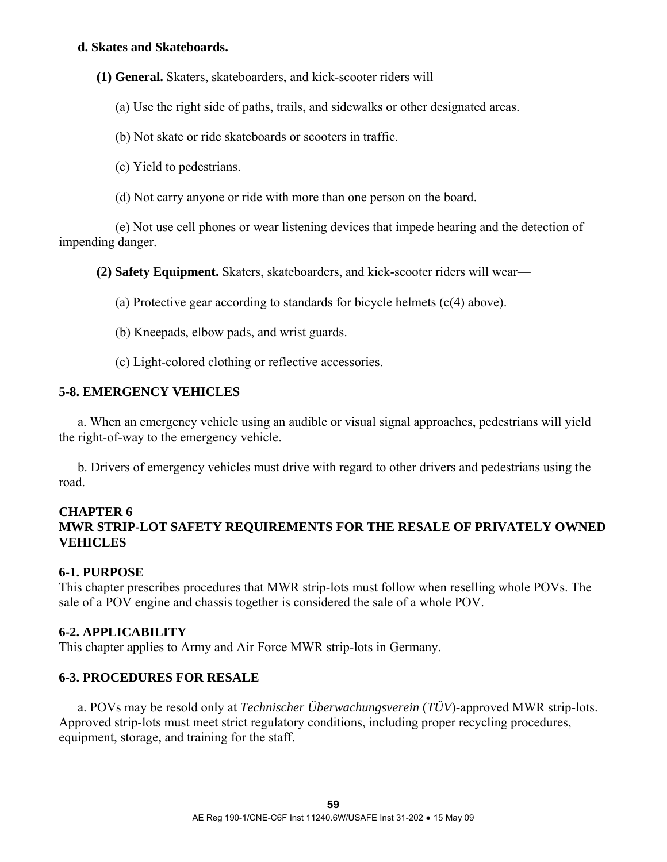#### **d. Skates and Skateboards.**

**(1) General.** Skaters, skateboarders, and kick-scooter riders will—

(a) Use the right side of paths, trails, and sidewalks or other designated areas.

(b) Not skate or ride skateboards or scooters in traffic.

(c) Yield to pedestrians.

(d) Not carry anyone or ride with more than one person on the board.

 (e) Not use cell phones or wear listening devices that impede hearing and the detection of impending danger.

**(2) Safety Equipment.** Skaters, skateboarders, and kick-scooter riders will wear—

(a) Protective gear according to standards for bicycle helmets (c(4) above).

(b) Kneepads, elbow pads, and wrist guards.

(c) Light-colored clothing or reflective accessories.

#### **5-8. EMERGENCY VEHICLES**

 a. When an emergency vehicle using an audible or visual signal approaches, pedestrians will yield the right-of-way to the emergency vehicle.

 b. Drivers of emergency vehicles must drive with regard to other drivers and pedestrians using the road.

# **CHAPTER 6 MWR STRIP-LOT SAFETY REQUIREMENTS FOR THE RESALE OF PRIVATELY OWNED VEHICLES**

### **6-1. PURPOSE**

This chapter prescribes procedures that MWR strip-lots must follow when reselling whole POVs. The sale of a POV engine and chassis together is considered the sale of a whole POV.

#### **6-2. APPLICABILITY**

This chapter applies to Army and Air Force MWR strip-lots in Germany.

### **6-3. PROCEDURES FOR RESALE**

 a. POVs may be resold only at *Technischer Überwachungsverein* (*TÜV*)-approved MWR strip-lots. Approved strip-lots must meet strict regulatory conditions, including proper recycling procedures, equipment, storage, and training for the staff.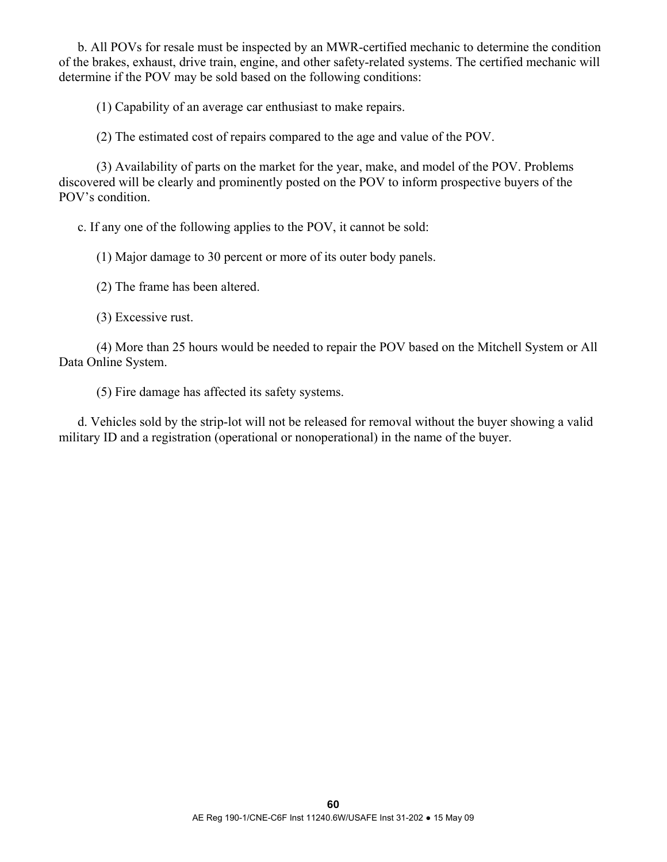b. All POVs for resale must be inspected by an MWR-certified mechanic to determine the condition of the brakes, exhaust, drive train, engine, and other safety-related systems. The certified mechanic will determine if the POV may be sold based on the following conditions:

(1) Capability of an average car enthusiast to make repairs.

(2) The estimated cost of repairs compared to the age and value of the POV.

 (3) Availability of parts on the market for the year, make, and model of the POV. Problems discovered will be clearly and prominently posted on the POV to inform prospective buyers of the POV's condition.

c. If any one of the following applies to the POV, it cannot be sold:

(1) Major damage to 30 percent or more of its outer body panels.

(2) The frame has been altered.

(3) Excessive rust.

 (4) More than 25 hours would be needed to repair the POV based on the Mitchell System or All Data Online System.

(5) Fire damage has affected its safety systems.

 d. Vehicles sold by the strip-lot will not be released for removal without the buyer showing a valid military ID and a registration (operational or nonoperational) in the name of the buyer.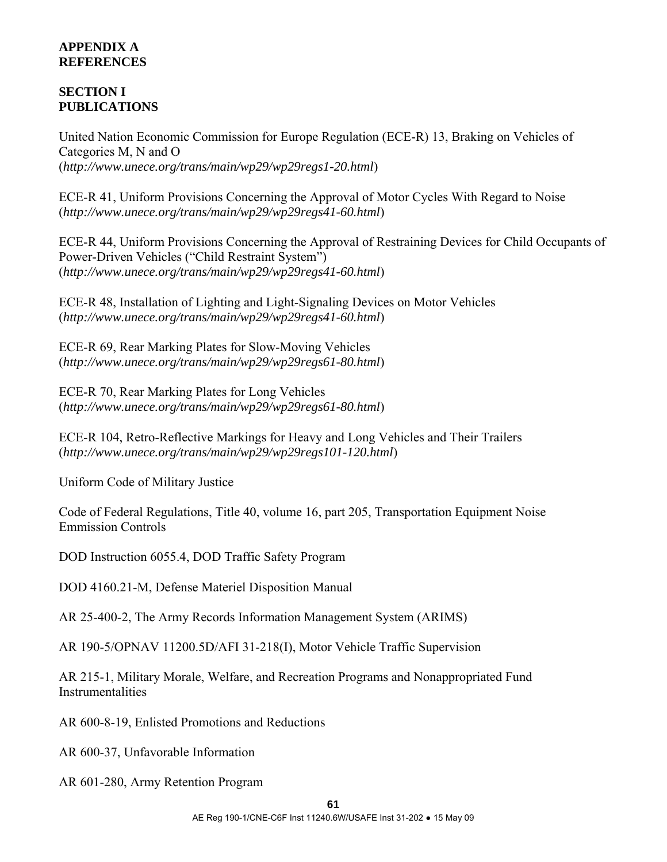# **APPENDIX A REFERENCES**

# **SECTION I PUBLICATIONS**

United Nation Economic Commission for Europe Regulation (ECE-R) 13, Braking on Vehicles of Categories M, N and O (*http://www.unece.org/trans/main/wp29/wp29regs1-20.html*)

ECE-R 41, Uniform Provisions Concerning the Approval of Motor Cycles With Regard to Noise (*http://www.unece.org/trans/main/wp29/wp29regs41-60.html*)

ECE-R 44, Uniform Provisions Concerning the Approval of Restraining Devices for Child Occupants of Power-Driven Vehicles ("Child Restraint System") (*http://www.unece.org/trans/main/wp29/wp29regs41-60.html*)

ECE-R 48, Installation of Lighting and Light-Signaling Devices on Motor Vehicles (*http://www.unece.org/trans/main/wp29/wp29regs41-60.html*)

ECE-R 69, Rear Marking Plates for Slow-Moving Vehicles (*http://www.unece.org/trans/main/wp29/wp29regs61-80.html*)

ECE-R 70, Rear Marking Plates for Long Vehicles (*http://www.unece.org/trans/main/wp29/wp29regs61-80.html*)

ECE-R 104, Retro-Reflective Markings for Heavy and Long Vehicles and Their Trailers (*http://www.unece.org/trans/main/wp29/wp29regs101-120.html*)

Uniform Code of Military Justice

Code of Federal Regulations, Title 40, volume 16, part 205, Transportation Equipment Noise Emmission Controls

DOD Instruction 6055.4, DOD Traffic Safety Program

DOD 4160.21-M, Defense Materiel Disposition Manual

AR 25-400-2, The Army Records Information Management System (ARIMS)

AR 190-5/OPNAV 11200.5D/AFI 31-218(I), Motor Vehicle Traffic Supervision

AR 215-1, Military Morale, Welfare, and Recreation Programs and Nonappropriated Fund Instrumentalities

AR 600-8-19, Enlisted Promotions and Reductions

AR 600-37, Unfavorable Information

AR 601-280, Army Retention Program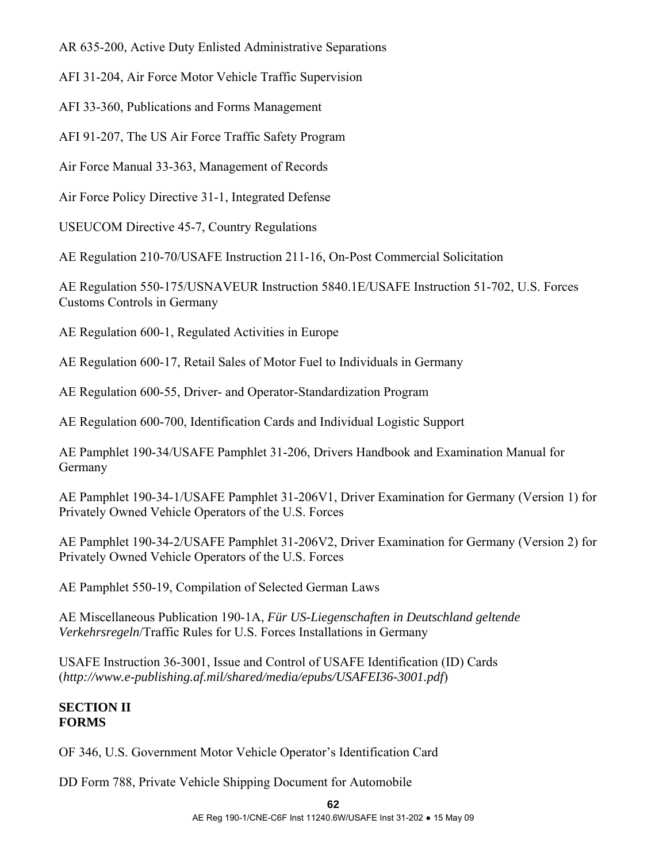AR 635-200, Active Duty Enlisted Administrative Separations

AFI 31-204, Air Force Motor Vehicle Traffic Supervision

AFI 33-360, Publications and Forms Management

AFI 91-207, The US Air Force Traffic Safety Program

Air Force Manual 33-363, Management of Records

Air Force Policy Directive 31-1, Integrated Defense

USEUCOM Directive 45-7, Country Regulations

AE Regulation 210-70/USAFE Instruction 211-16, On-Post Commercial Solicitation

AE Regulation 550-175/USNAVEUR Instruction 5840.1E/USAFE Instruction 51-702, U.S. Forces Customs Controls in Germany

AE Regulation 600-1, Regulated Activities in Europe

AE Regulation 600-17, Retail Sales of Motor Fuel to Individuals in Germany

AE Regulation 600-55, Driver- and Operator-Standardization Program

AE Regulation 600-700, Identification Cards and Individual Logistic Support

AE Pamphlet 190-34/USAFE Pamphlet 31-206, Drivers Handbook and Examination Manual for Germany

AE Pamphlet 190-34-1/USAFE Pamphlet 31-206V1, Driver Examination for Germany (Version 1) for Privately Owned Vehicle Operators of the U.S. Forces

AE Pamphlet 190-34-2/USAFE Pamphlet 31-206V2, Driver Examination for Germany (Version 2) for Privately Owned Vehicle Operators of the U.S. Forces

AE Pamphlet 550-19, Compilation of Selected German Laws

AE Miscellaneous Publication 190-1A, *Für US-Liegenschaften in Deutschland geltende Verkehrsregeln*/Traffic Rules for U.S. Forces Installations in Germany

USAFE Instruction 36-3001, Issue and Control of USAFE Identification (ID) Cards (*http://www.e-publishing.af.mil/shared/media/epubs/USAFEI36-3001.pdf*)

# **SECTION II FORMS**

OF 346, U.S. Government Motor Vehicle Operator's Identification Card

DD Form 788, Private Vehicle Shipping Document for Automobile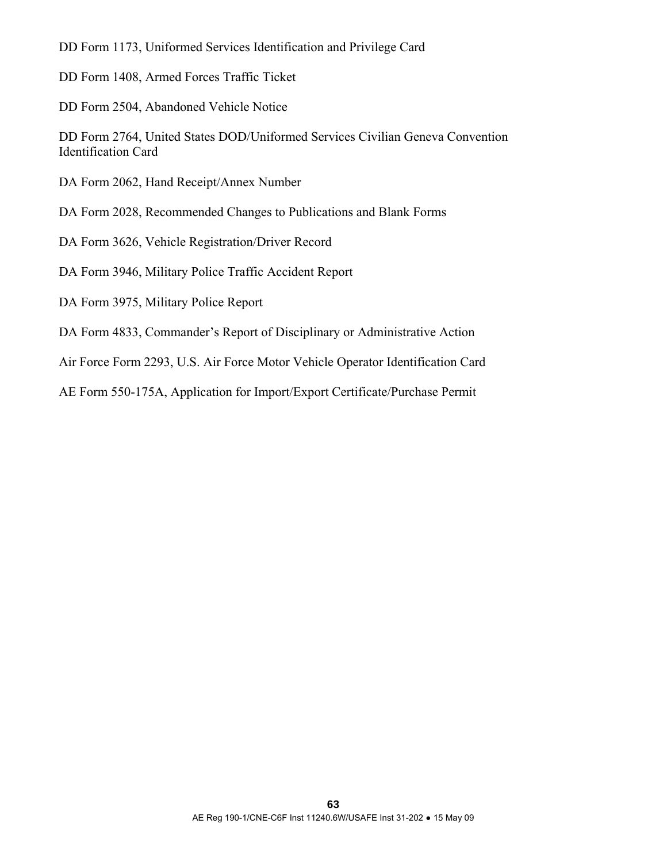DD Form 1173, Uniformed Services Identification and Privilege Card

DD Form 1408, Armed Forces Traffic Ticket

DD Form 2504, Abandoned Vehicle Notice

DD Form 2764, United States DOD/Uniformed Services Civilian Geneva Convention Identification Card

DA Form 2062, Hand Receipt/Annex Number

DA Form 2028, Recommended Changes to Publications and Blank Forms

- DA Form 3626, Vehicle Registration/Driver Record
- DA Form 3946, Military Police Traffic Accident Report
- DA Form 3975, Military Police Report
- DA Form 4833, Commander's Report of Disciplinary or Administrative Action
- Air Force Form 2293, U.S. Air Force Motor Vehicle Operator Identification Card

AE Form 550-175A, Application for Import/Export Certificate/Purchase Permit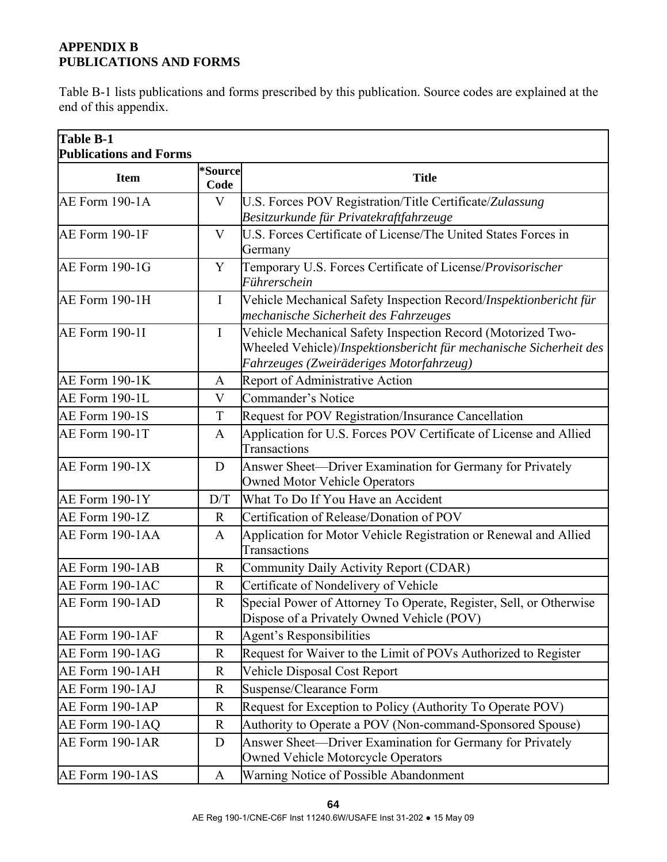# **APPENDIX B PUBLICATIONS AND FORMS**

Table B-1 lists publications and forms prescribed by this publication. Source codes are explained at the end of this appendix.

| <b>Table B-1</b><br><b>Publications and Forms</b> |                 |                                                                                                                                                                               |  |
|---------------------------------------------------|-----------------|-------------------------------------------------------------------------------------------------------------------------------------------------------------------------------|--|
| <b>Item</b>                                       | *Source<br>Code | <b>Title</b>                                                                                                                                                                  |  |
| AE Form 190-1A                                    | V               | U.S. Forces POV Registration/Title Certificate/Zulassung<br>Besitzurkunde für Privatekraftfahrzeuge                                                                           |  |
| AE Form 190-1F                                    | $\mathbf{V}$    | U.S. Forces Certificate of License/The United States Forces in<br>Germany                                                                                                     |  |
| <b>AE Form 190-1G</b>                             | Y               | Temporary U.S. Forces Certificate of License/Provisorischer<br>Führerschein                                                                                                   |  |
| AE Form 190-1H                                    | $\bf{I}$        | Vehicle Mechanical Safety Inspection Record/Inspektionbericht für<br>mechanische Sicherheit des Fahrzeuges                                                                    |  |
| <b>AE Form 190-1I</b>                             | $\bf{I}$        | Vehicle Mechanical Safety Inspection Record (Motorized Two-<br>Wheeled Vehicle)/Inspektionsbericht für mechanische Sicherheit des<br>Fahrzeuges (Zweiräderiges Motorfahrzeug) |  |
| AE Form 190-1K                                    | A               | Report of Administrative Action                                                                                                                                               |  |
| AE Form 190-1L                                    | $\mathbf V$     | Commander's Notice                                                                                                                                                            |  |
| <b>AE Form 190-1S</b>                             | $\mathbf T$     | Request for POV Registration/Insurance Cancellation                                                                                                                           |  |
| AE Form 190-1T                                    | A               | Application for U.S. Forces POV Certificate of License and Allied<br>Transactions                                                                                             |  |
| AE Form 190-1X                                    | D               | Answer Sheet—Driver Examination for Germany for Privately<br><b>Owned Motor Vehicle Operators</b>                                                                             |  |
| AE Form 190-1Y                                    | D/T             | What To Do If You Have an Accident                                                                                                                                            |  |
| AE Form 190-1Z                                    | $\mathbf R$     | Certification of Release/Donation of POV                                                                                                                                      |  |
| AE Form 190-1AA                                   | A               | Application for Motor Vehicle Registration or Renewal and Allied<br>Transactions                                                                                              |  |
| AE Form 190-1AB                                   | $\mathbf R$     | Community Daily Activity Report (CDAR)                                                                                                                                        |  |
| AE Form 190-1AC                                   | $\mathbf R$     | Certificate of Nondelivery of Vehicle                                                                                                                                         |  |
| AE Form 190-1AD                                   | $\mathbf R$     | Special Power of Attorney To Operate, Register, Sell, or Otherwise<br>Dispose of a Privately Owned Vehicle (POV)                                                              |  |
| AE Form 190-1AF                                   | $\mathbf R$     | <b>Agent's Responsibilities</b>                                                                                                                                               |  |
| AE Form 190-1AG                                   | $\mathbf R$     | Request for Waiver to the Limit of POVs Authorized to Register                                                                                                                |  |
| AE Form 190-1AH                                   | R               | Vehicle Disposal Cost Report                                                                                                                                                  |  |
| AE Form 190-1AJ                                   | $\mathbf R$     | Suspense/Clearance Form                                                                                                                                                       |  |
| AE Form 190-1AP                                   | $\mathbf R$     | Request for Exception to Policy (Authority To Operate POV)                                                                                                                    |  |
| AE Form 190-1AQ                                   | $\mathbf R$     | Authority to Operate a POV (Non-command-Sponsored Spouse)                                                                                                                     |  |
| AE Form 190-1AR                                   | D               | Answer Sheet-Driver Examination for Germany for Privately<br>Owned Vehicle Motorcycle Operators                                                                               |  |
| AE Form 190-1AS                                   | A               | Warning Notice of Possible Abandonment                                                                                                                                        |  |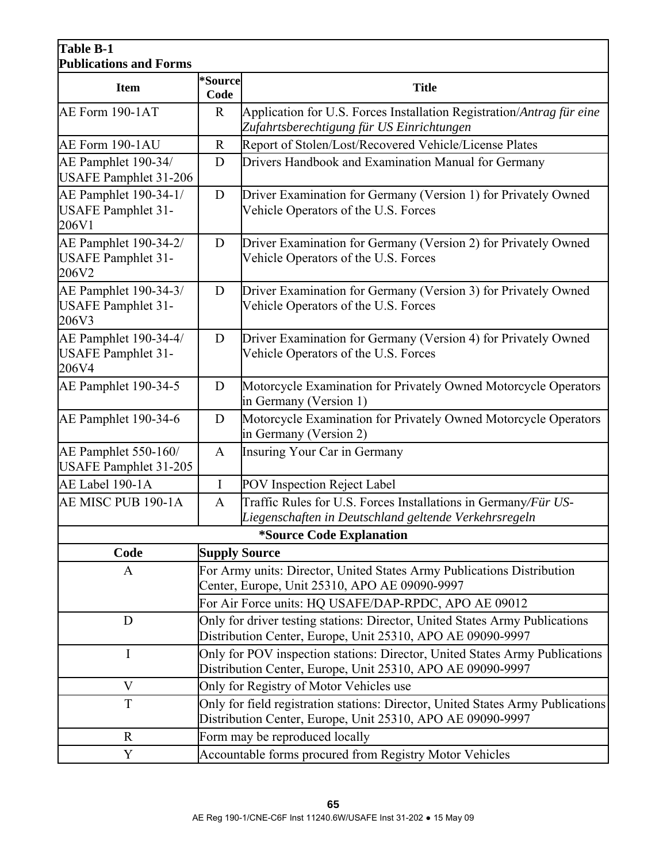# **Table B-1 Publications and Forms**

| Publications and Forms                                      |                                                                                                                                               |                                                                                                                         |  |  |
|-------------------------------------------------------------|-----------------------------------------------------------------------------------------------------------------------------------------------|-------------------------------------------------------------------------------------------------------------------------|--|--|
| <b>Item</b>                                                 | *Source<br>Code                                                                                                                               | <b>Title</b>                                                                                                            |  |  |
| AE Form 190-1AT                                             | $\mathbf R$                                                                                                                                   | Application for U.S. Forces Installation Registration/Antrag für eine<br>Zufahrtsberechtigung für US Einrichtungen      |  |  |
| AE Form 190-1AU                                             | $\mathbf R$                                                                                                                                   | Report of Stolen/Lost/Recovered Vehicle/License Plates                                                                  |  |  |
| AE Pamphlet 190-34/<br><b>USAFE Pamphlet 31-206</b>         | D                                                                                                                                             | Drivers Handbook and Examination Manual for Germany                                                                     |  |  |
| AE Pamphlet 190-34-1/<br><b>USAFE Pamphlet 31-</b><br>206V1 | D                                                                                                                                             | Driver Examination for Germany (Version 1) for Privately Owned<br>Vehicle Operators of the U.S. Forces                  |  |  |
| AE Pamphlet 190-34-2/<br><b>USAFE Pamphlet 31-</b><br>206V2 | D                                                                                                                                             | Driver Examination for Germany (Version 2) for Privately Owned<br>Vehicle Operators of the U.S. Forces                  |  |  |
| AE Pamphlet 190-34-3/<br><b>USAFE Pamphlet 31-</b><br>206V3 | D                                                                                                                                             | Driver Examination for Germany (Version 3) for Privately Owned<br>Vehicle Operators of the U.S. Forces                  |  |  |
| AE Pamphlet 190-34-4/<br><b>USAFE Pamphlet 31-</b><br>206V4 | D                                                                                                                                             | Driver Examination for Germany (Version 4) for Privately Owned<br>Vehicle Operators of the U.S. Forces                  |  |  |
| AE Pamphlet 190-34-5                                        | D                                                                                                                                             | Motorcycle Examination for Privately Owned Motorcycle Operators<br>in Germany (Version 1)                               |  |  |
| AE Pamphlet 190-34-6                                        | D                                                                                                                                             | Motorcycle Examination for Privately Owned Motorcycle Operators<br>in Germany (Version 2)                               |  |  |
| AE Pamphlet 550-160/<br><b>USAFE Pamphlet 31-205</b>        | $\mathbf{A}$                                                                                                                                  | Insuring Your Car in Germany                                                                                            |  |  |
| AE Label 190-1A                                             | $\mathbf I$                                                                                                                                   | POV Inspection Reject Label                                                                                             |  |  |
| AE MISC PUB 190-1A                                          | $\mathbf{A}$                                                                                                                                  | Traffic Rules for U.S. Forces Installations in Germany/Für US-<br>Liegenschaften in Deutschland geltende Verkehrsregeln |  |  |
| *Source Code Explanation                                    |                                                                                                                                               |                                                                                                                         |  |  |
| Code                                                        | <b>Supply Source</b>                                                                                                                          |                                                                                                                         |  |  |
| A                                                           | For Army units: Director, United States Army Publications Distribution<br>Center, Europe, Unit 25310, APO AE 09090-9997                       |                                                                                                                         |  |  |
|                                                             |                                                                                                                                               | For Air Force units: HQ USAFE/DAP-RPDC, APO AE 09012                                                                    |  |  |
| D                                                           | Only for driver testing stations: Director, United States Army Publications<br>Distribution Center, Europe, Unit 25310, APO AE 09090-9997     |                                                                                                                         |  |  |
| $\mathbf I$                                                 | Only for POV inspection stations: Director, United States Army Publications<br>Distribution Center, Europe, Unit 25310, APO AE 09090-9997     |                                                                                                                         |  |  |
| V                                                           | Only for Registry of Motor Vehicles use                                                                                                       |                                                                                                                         |  |  |
| $\mathbf T$                                                 | Only for field registration stations: Director, United States Army Publications<br>Distribution Center, Europe, Unit 25310, APO AE 09090-9997 |                                                                                                                         |  |  |
| $\mathbf R$                                                 | Form may be reproduced locally                                                                                                                |                                                                                                                         |  |  |
| Y                                                           | Accountable forms procured from Registry Motor Vehicles                                                                                       |                                                                                                                         |  |  |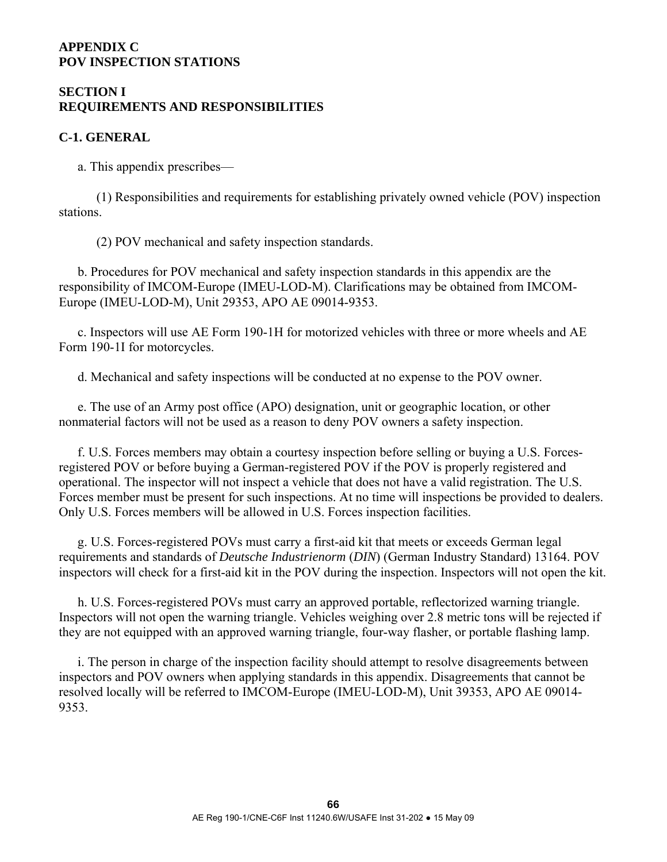### **APPENDIX C POV INSPECTION STATIONS**

# **SECTION I REQUIREMENTS AND RESPONSIBILITIES**

### **C-1. GENERAL**

a. This appendix prescribes—

 (1) Responsibilities and requirements for establishing privately owned vehicle (POV) inspection stations.

(2) POV mechanical and safety inspection standards.

 b. Procedures for POV mechanical and safety inspection standards in this appendix are the responsibility of IMCOM-Europe (IMEU-LOD-M). Clarifications may be obtained from IMCOM-Europe (IMEU-LOD-M), Unit 29353, APO AE 09014-9353.

 c. Inspectors will use AE Form 190-1H for motorized vehicles with three or more wheels and AE Form 190-1I for motorcycles.

d. Mechanical and safety inspections will be conducted at no expense to the POV owner.

 e. The use of an Army post office (APO) designation, unit or geographic location, or other nonmaterial factors will not be used as a reason to deny POV owners a safety inspection.

 f. U.S. Forces members may obtain a courtesy inspection before selling or buying a U.S. Forcesregistered POV or before buying a German-registered POV if the POV is properly registered and operational. The inspector will not inspect a vehicle that does not have a valid registration. The U.S. Forces member must be present for such inspections. At no time will inspections be provided to dealers. Only U.S. Forces members will be allowed in U.S. Forces inspection facilities.

 g. U.S. Forces-registered POVs must carry a first-aid kit that meets or exceeds German legal requirements and standards of *Deutsche Industrienorm* (*DIN*) (German Industry Standard) 13164. POV inspectors will check for a first-aid kit in the POV during the inspection. Inspectors will not open the kit.

 h. U.S. Forces-registered POVs must carry an approved portable, reflectorized warning triangle. Inspectors will not open the warning triangle. Vehicles weighing over 2.8 metric tons will be rejected if they are not equipped with an approved warning triangle, four-way flasher, or portable flashing lamp.

 i. The person in charge of the inspection facility should attempt to resolve disagreements between inspectors and POV owners when applying standards in this appendix. Disagreements that cannot be resolved locally will be referred to IMCOM-Europe (IMEU-LOD-M), Unit 39353, APO AE 09014- 9353.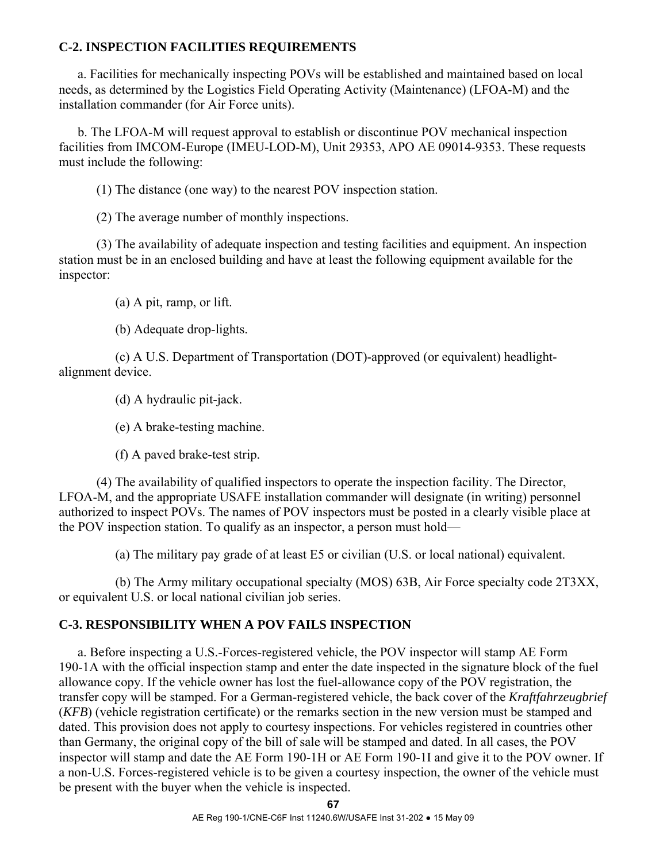# **C-2. INSPECTION FACILITIES REQUIREMENTS**

 a. Facilities for mechanically inspecting POVs will be established and maintained based on local needs, as determined by the Logistics Field Operating Activity (Maintenance) (LFOA-M) and the installation commander (for Air Force units).

 b. The LFOA-M will request approval to establish or discontinue POV mechanical inspection facilities from IMCOM-Europe (IMEU-LOD-M), Unit 29353, APO AE 09014-9353. These requests must include the following:

(1) The distance (one way) to the nearest POV inspection station.

(2) The average number of monthly inspections.

 (3) The availability of adequate inspection and testing facilities and equipment. An inspection station must be in an enclosed building and have at least the following equipment available for the inspector:

(a) A pit, ramp, or lift.

(b) Adequate drop-lights.

 (c) A U.S. Department of Transportation (DOT)-approved (or equivalent) headlightalignment device.

(d) A hydraulic pit-jack.

(e) A brake-testing machine.

(f) A paved brake-test strip.

 (4) The availability of qualified inspectors to operate the inspection facility. The Director, LFOA-M, and the appropriate USAFE installation commander will designate (in writing) personnel authorized to inspect POVs. The names of POV inspectors must be posted in a clearly visible place at the POV inspection station. To qualify as an inspector, a person must hold—

(a) The military pay grade of at least E5 or civilian (U.S. or local national) equivalent.

 (b) The Army military occupational specialty (MOS) 63B, Air Force specialty code 2T3XX, or equivalent U.S. or local national civilian job series.

# **C-3. RESPONSIBILITY WHEN A POV FAILS INSPECTION**

 a. Before inspecting a U.S.-Forces-registered vehicle, the POV inspector will stamp AE Form 190-1A with the official inspection stamp and enter the date inspected in the signature block of the fuel allowance copy. If the vehicle owner has lost the fuel-allowance copy of the POV registration, the transfer copy will be stamped. For a German-registered vehicle, the back cover of the *Kraftfahrzeugbrief* (*KFB*) (vehicle registration certificate) or the remarks section in the new version must be stamped and dated. This provision does not apply to courtesy inspections. For vehicles registered in countries other than Germany, the original copy of the bill of sale will be stamped and dated. In all cases, the POV inspector will stamp and date the AE Form 190-1H or AE Form 190-1I and give it to the POV owner. If a non-U.S. Forces-registered vehicle is to be given a courtesy inspection, the owner of the vehicle must be present with the buyer when the vehicle is inspected.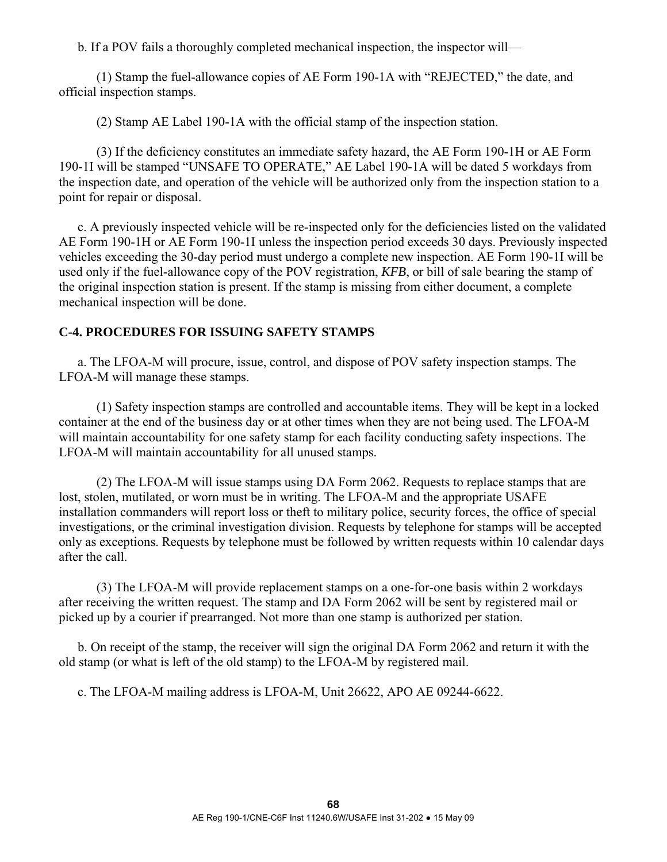b. If a POV fails a thoroughly completed mechanical inspection, the inspector will—

 (1) Stamp the fuel-allowance copies of AE Form 190-1A with "REJECTED," the date, and official inspection stamps.

(2) Stamp AE Label 190-1A with the official stamp of the inspection station.

 (3) If the deficiency constitutes an immediate safety hazard, the AE Form 190-1H or AE Form 190-1I will be stamped "UNSAFE TO OPERATE," AE Label 190-1A will be dated 5 workdays from the inspection date, and operation of the vehicle will be authorized only from the inspection station to a point for repair or disposal.

 c. A previously inspected vehicle will be re-inspected only for the deficiencies listed on the validated AE Form 190-1H or AE Form 190-1I unless the inspection period exceeds 30 days. Previously inspected vehicles exceeding the 30-day period must undergo a complete new inspection. AE Form 190-1I will be used only if the fuel-allowance copy of the POV registration, *KFB*, or bill of sale bearing the stamp of the original inspection station is present. If the stamp is missing from either document, a complete mechanical inspection will be done.

# **C-4. PROCEDURES FOR ISSUING SAFETY STAMPS**

 a. The LFOA-M will procure, issue, control, and dispose of POV safety inspection stamps. The LFOA-M will manage these stamps.

 (1) Safety inspection stamps are controlled and accountable items. They will be kept in a locked container at the end of the business day or at other times when they are not being used. The LFOA-M will maintain accountability for one safety stamp for each facility conducting safety inspections. The LFOA-M will maintain accountability for all unused stamps.

 (2) The LFOA-M will issue stamps using DA Form 2062. Requests to replace stamps that are lost, stolen, mutilated, or worn must be in writing. The LFOA-M and the appropriate USAFE installation commanders will report loss or theft to military police, security forces, the office of special investigations, or the criminal investigation division. Requests by telephone for stamps will be accepted only as exceptions. Requests by telephone must be followed by written requests within 10 calendar days after the call.

 (3) The LFOA-M will provide replacement stamps on a one-for-one basis within 2 workdays after receiving the written request. The stamp and DA Form 2062 will be sent by registered mail or picked up by a courier if prearranged. Not more than one stamp is authorized per station.

 b. On receipt of the stamp, the receiver will sign the original DA Form 2062 and return it with the old stamp (or what is left of the old stamp) to the LFOA-M by registered mail.

c. The LFOA-M mailing address is LFOA-M, Unit 26622, APO AE 09244-6622.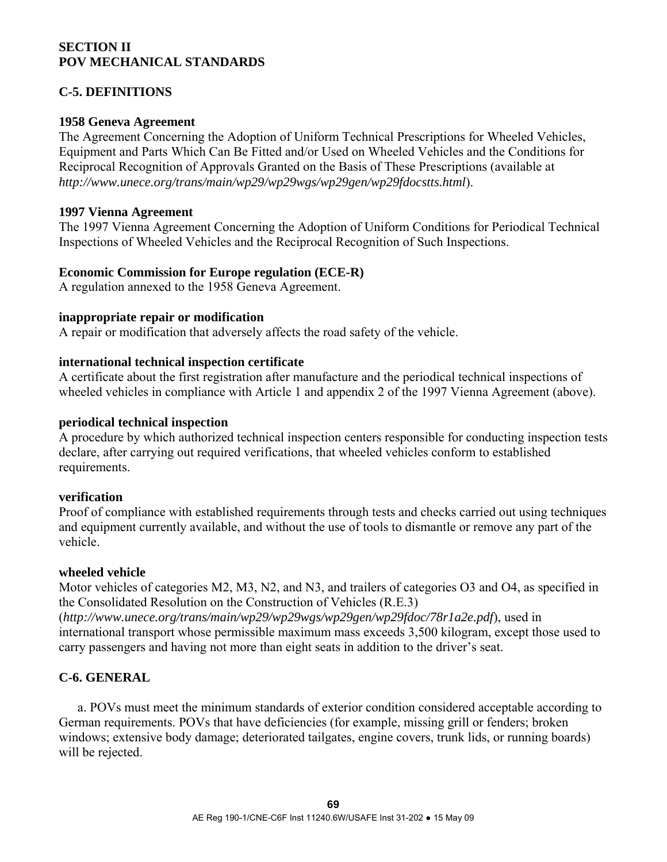### **SECTION II POV MECHANICAL STANDARDS**

# **C-5. DEFINITIONS**

### **1958 Geneva Agreement**

The Agreement Concerning the Adoption of Uniform Technical Prescriptions for Wheeled Vehicles, Equipment and Parts Which Can Be Fitted and/or Used on Wheeled Vehicles and the Conditions for Reciprocal Recognition of Approvals Granted on the Basis of These Prescriptions (available at *http://www.unece.org/trans/main/wp29/wp29wgs/wp29gen/wp29fdocstts.html*).

#### **1997 Vienna Agreement**

The 1997 Vienna Agreement Concerning the Adoption of Uniform Conditions for Periodical Technical Inspections of Wheeled Vehicles and the Reciprocal Recognition of Such Inspections.

### **Economic Commission for Europe regulation (ECE-R)**

A regulation annexed to the 1958 Geneva Agreement.

#### **inappropriate repair or modification**

A repair or modification that adversely affects the road safety of the vehicle.

#### **international technical inspection certificate**

A certificate about the first registration after manufacture and the periodical technical inspections of wheeled vehicles in compliance with Article 1 and appendix 2 of the 1997 Vienna Agreement (above).

#### **periodical technical inspection**

A procedure by which authorized technical inspection centers responsible for conducting inspection tests declare, after carrying out required verifications, that wheeled vehicles conform to established requirements.

### **verification**

Proof of compliance with established requirements through tests and checks carried out using techniques and equipment currently available, and without the use of tools to dismantle or remove any part of the vehicle.

#### **wheeled vehicle**

Motor vehicles of categories M2, M3, N2, and N3, and trailers of categories O3 and O4, as specified in the Consolidated Resolution on the Construction of Vehicles (R.E.3) (*http://www.unece.org/trans/main/wp29/wp29wgs/wp29gen/wp29fdoc/78r1a2e.pdf*), used in international transport whose permissible maximum mass exceeds 3,500 kilogram, except those used to carry passengers and having not more than eight seats in addition to the driver's seat.

# **C-6. GENERAL**

 a. POVs must meet the minimum standards of exterior condition considered acceptable according to German requirements. POVs that have deficiencies (for example, missing grill or fenders; broken windows; extensive body damage; deteriorated tailgates, engine covers, trunk lids, or running boards) will be rejected.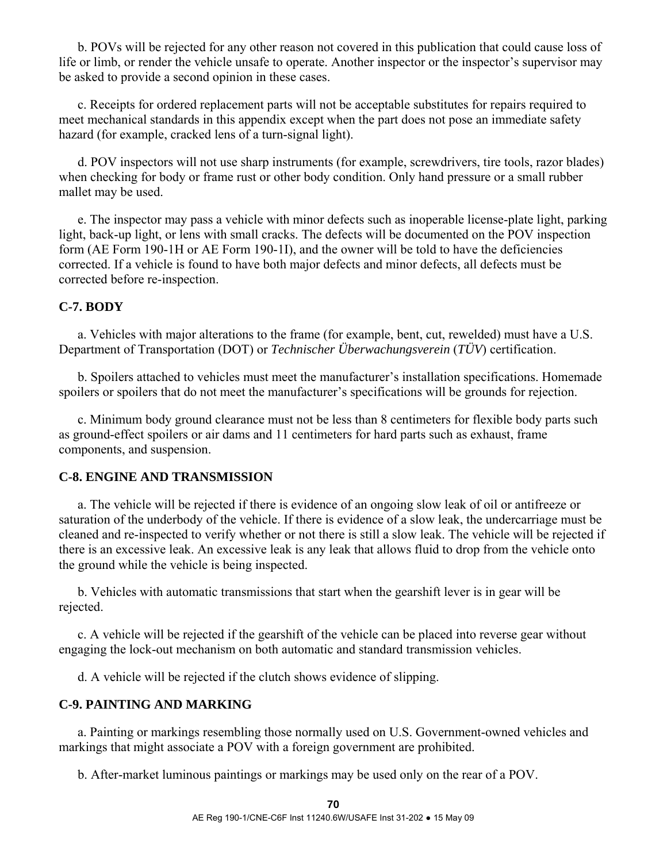b. POVs will be rejected for any other reason not covered in this publication that could cause loss of life or limb, or render the vehicle unsafe to operate. Another inspector or the inspector's supervisor may be asked to provide a second opinion in these cases.

 c. Receipts for ordered replacement parts will not be acceptable substitutes for repairs required to meet mechanical standards in this appendix except when the part does not pose an immediate safety hazard (for example, cracked lens of a turn-signal light).

 d. POV inspectors will not use sharp instruments (for example, screwdrivers, tire tools, razor blades) when checking for body or frame rust or other body condition. Only hand pressure or a small rubber mallet may be used.

 e. The inspector may pass a vehicle with minor defects such as inoperable license-plate light, parking light, back-up light, or lens with small cracks. The defects will be documented on the POV inspection form (AE Form 190-1H or AE Form 190-1I), and the owner will be told to have the deficiencies corrected. If a vehicle is found to have both major defects and minor defects, all defects must be corrected before re-inspection.

## **C-7. BODY**

 a. Vehicles with major alterations to the frame (for example, bent, cut, rewelded) must have a U.S. Department of Transportation (DOT) or *Technischer Überwachungsverein* (*TÜV*) certification.

 b. Spoilers attached to vehicles must meet the manufacturer's installation specifications. Homemade spoilers or spoilers that do not meet the manufacturer's specifications will be grounds for rejection.

 c. Minimum body ground clearance must not be less than 8 centimeters for flexible body parts such as ground-effect spoilers or air dams and 11 centimeters for hard parts such as exhaust, frame components, and suspension.

### **C-8. ENGINE AND TRANSMISSION**

 a. The vehicle will be rejected if there is evidence of an ongoing slow leak of oil or antifreeze or saturation of the underbody of the vehicle. If there is evidence of a slow leak, the undercarriage must be cleaned and re-inspected to verify whether or not there is still a slow leak. The vehicle will be rejected if there is an excessive leak. An excessive leak is any leak that allows fluid to drop from the vehicle onto the ground while the vehicle is being inspected.

 b. Vehicles with automatic transmissions that start when the gearshift lever is in gear will be rejected.

 c. A vehicle will be rejected if the gearshift of the vehicle can be placed into reverse gear without engaging the lock-out mechanism on both automatic and standard transmission vehicles.

d. A vehicle will be rejected if the clutch shows evidence of slipping.

# **C-9. PAINTING AND MARKING**

 a. Painting or markings resembling those normally used on U.S. Government-owned vehicles and markings that might associate a POV with a foreign government are prohibited.

b. After-market luminous paintings or markings may be used only on the rear of a POV.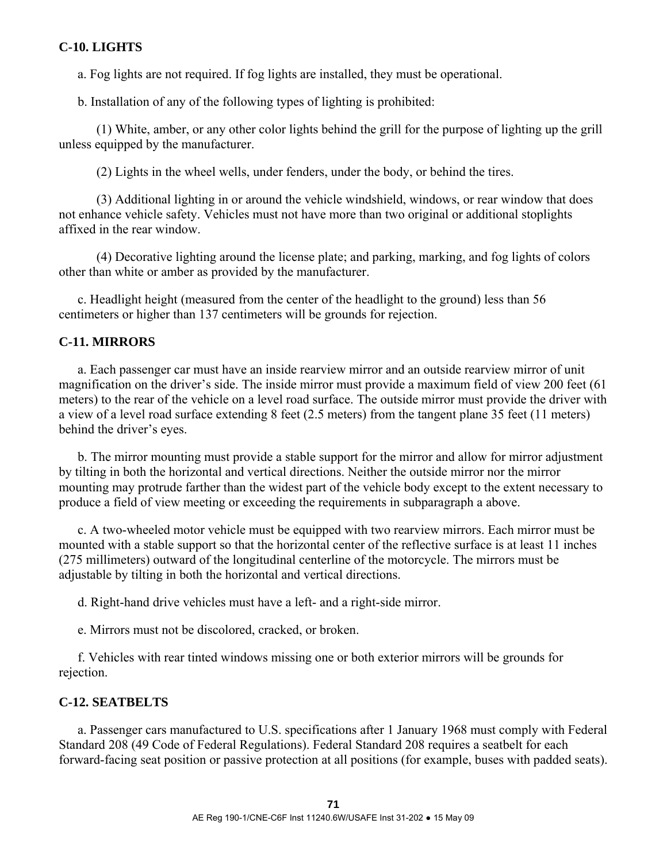# **C-10. LIGHTS**

a. Fog lights are not required. If fog lights are installed, they must be operational.

b. Installation of any of the following types of lighting is prohibited:

 (1) White, amber, or any other color lights behind the grill for the purpose of lighting up the grill unless equipped by the manufacturer.

(2) Lights in the wheel wells, under fenders, under the body, or behind the tires.

 (3) Additional lighting in or around the vehicle windshield, windows, or rear window that does not enhance vehicle safety. Vehicles must not have more than two original or additional stoplights affixed in the rear window.

 (4) Decorative lighting around the license plate; and parking, marking, and fog lights of colors other than white or amber as provided by the manufacturer.

 c. Headlight height (measured from the center of the headlight to the ground) less than 56 centimeters or higher than 137 centimeters will be grounds for rejection.

### **C-11. MIRRORS**

 a. Each passenger car must have an inside rearview mirror and an outside rearview mirror of unit magnification on the driver's side. The inside mirror must provide a maximum field of view 200 feet (61 meters) to the rear of the vehicle on a level road surface. The outside mirror must provide the driver with a view of a level road surface extending 8 feet (2.5 meters) from the tangent plane 35 feet (11 meters) behind the driver's eyes.

 b. The mirror mounting must provide a stable support for the mirror and allow for mirror adjustment by tilting in both the horizontal and vertical directions. Neither the outside mirror nor the mirror mounting may protrude farther than the widest part of the vehicle body except to the extent necessary to produce a field of view meeting or exceeding the requirements in subparagraph a above.

 c. A two-wheeled motor vehicle must be equipped with two rearview mirrors. Each mirror must be mounted with a stable support so that the horizontal center of the reflective surface is at least 11 inches (275 millimeters) outward of the longitudinal centerline of the motorcycle. The mirrors must be adjustable by tilting in both the horizontal and vertical directions.

d. Right-hand drive vehicles must have a left- and a right-side mirror.

e. Mirrors must not be discolored, cracked, or broken.

 f. Vehicles with rear tinted windows missing one or both exterior mirrors will be grounds for rejection.

#### **C-12. SEATBELTS**

 a. Passenger cars manufactured to U.S. specifications after 1 January 1968 must comply with Federal Standard 208 (49 Code of Federal Regulations). Federal Standard 208 requires a seatbelt for each forward-facing seat position or passive protection at all positions (for example, buses with padded seats).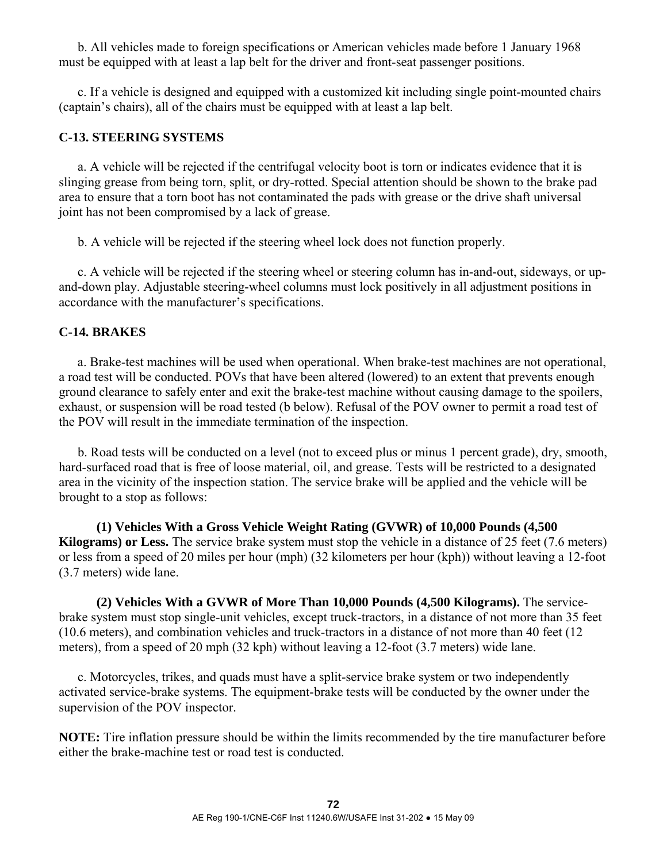b. All vehicles made to foreign specifications or American vehicles made before 1 January 1968 must be equipped with at least a lap belt for the driver and front-seat passenger positions.

 c. If a vehicle is designed and equipped with a customized kit including single point-mounted chairs (captain's chairs), all of the chairs must be equipped with at least a lap belt.

# **C-13. STEERING SYSTEMS**

 a. A vehicle will be rejected if the centrifugal velocity boot is torn or indicates evidence that it is slinging grease from being torn, split, or dry-rotted. Special attention should be shown to the brake pad area to ensure that a torn boot has not contaminated the pads with grease or the drive shaft universal joint has not been compromised by a lack of grease.

b. A vehicle will be rejected if the steering wheel lock does not function properly.

 c. A vehicle will be rejected if the steering wheel or steering column has in-and-out, sideways, or upand-down play. Adjustable steering-wheel columns must lock positively in all adjustment positions in accordance with the manufacturer's specifications.

### **C-14. BRAKES**

 a. Brake-test machines will be used when operational. When brake-test machines are not operational, a road test will be conducted. POVs that have been altered (lowered) to an extent that prevents enough ground clearance to safely enter and exit the brake-test machine without causing damage to the spoilers, exhaust, or suspension will be road tested (b below). Refusal of the POV owner to permit a road test of the POV will result in the immediate termination of the inspection.

 b. Road tests will be conducted on a level (not to exceed plus or minus 1 percent grade), dry, smooth, hard-surfaced road that is free of loose material, oil, and grease. Tests will be restricted to a designated area in the vicinity of the inspection station. The service brake will be applied and the vehicle will be brought to a stop as follows:

 **(1) Vehicles With a Gross Vehicle Weight Rating (GVWR) of 10,000 Pounds (4,500 Kilograms) or Less.** The service brake system must stop the vehicle in a distance of 25 feet (7.6 meters) or less from a speed of 20 miles per hour (mph) (32 kilometers per hour (kph)) without leaving a 12-foot (3.7 meters) wide lane.

 **(2) Vehicles With a GVWR of More Than 10,000 Pounds (4,500 Kilograms).** The servicebrake system must stop single-unit vehicles, except truck-tractors, in a distance of not more than 35 feet (10.6 meters), and combination vehicles and truck-tractors in a distance of not more than 40 feet (12 meters), from a speed of 20 mph (32 kph) without leaving a 12-foot (3.7 meters) wide lane.

 c. Motorcycles, trikes, and quads must have a split-service brake system or two independently activated service-brake systems. The equipment-brake tests will be conducted by the owner under the supervision of the POV inspector.

**NOTE:** Tire inflation pressure should be within the limits recommended by the tire manufacturer before either the brake-machine test or road test is conducted.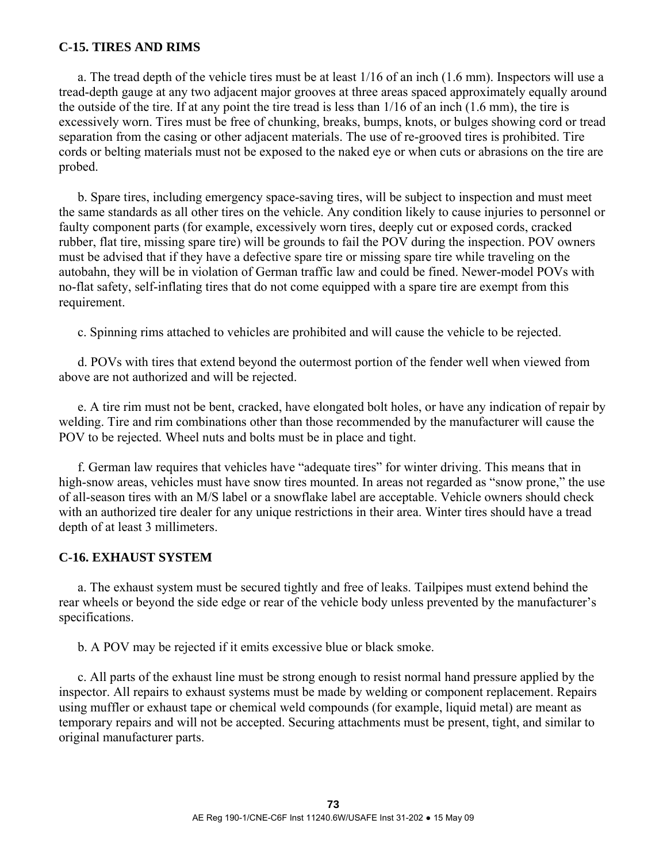### **C-15. TIRES AND RIMS**

 a. The tread depth of the vehicle tires must be at least 1/16 of an inch (1.6 mm). Inspectors will use a tread-depth gauge at any two adjacent major grooves at three areas spaced approximately equally around the outside of the tire. If at any point the tire tread is less than 1/16 of an inch (1.6 mm), the tire is excessively worn. Tires must be free of chunking, breaks, bumps, knots, or bulges showing cord or tread separation from the casing or other adjacent materials. The use of re-grooved tires is prohibited. Tire cords or belting materials must not be exposed to the naked eye or when cuts or abrasions on the tire are probed.

 b. Spare tires, including emergency space-saving tires, will be subject to inspection and must meet the same standards as all other tires on the vehicle. Any condition likely to cause injuries to personnel or faulty component parts (for example, excessively worn tires, deeply cut or exposed cords, cracked rubber, flat tire, missing spare tire) will be grounds to fail the POV during the inspection. POV owners must be advised that if they have a defective spare tire or missing spare tire while traveling on the autobahn, they will be in violation of German traffic law and could be fined. Newer-model POVs with no-flat safety, self-inflating tires that do not come equipped with a spare tire are exempt from this requirement.

c. Spinning rims attached to vehicles are prohibited and will cause the vehicle to be rejected.

 d. POVs with tires that extend beyond the outermost portion of the fender well when viewed from above are not authorized and will be rejected.

 e. A tire rim must not be bent, cracked, have elongated bolt holes, or have any indication of repair by welding. Tire and rim combinations other than those recommended by the manufacturer will cause the POV to be rejected. Wheel nuts and bolts must be in place and tight.

 f. German law requires that vehicles have "adequate tires" for winter driving. This means that in high-snow areas, vehicles must have snow tires mounted. In areas not regarded as "snow prone," the use of all-season tires with an M/S label or a snowflake label are acceptable. Vehicle owners should check with an authorized tire dealer for any unique restrictions in their area. Winter tires should have a tread depth of at least 3 millimeters.

### **C-16. EXHAUST SYSTEM**

 a. The exhaust system must be secured tightly and free of leaks. Tailpipes must extend behind the rear wheels or beyond the side edge or rear of the vehicle body unless prevented by the manufacturer's specifications.

b. A POV may be rejected if it emits excessive blue or black smoke.

 c. All parts of the exhaust line must be strong enough to resist normal hand pressure applied by the inspector. All repairs to exhaust systems must be made by welding or component replacement. Repairs using muffler or exhaust tape or chemical weld compounds (for example, liquid metal) are meant as temporary repairs and will not be accepted. Securing attachments must be present, tight, and similar to original manufacturer parts.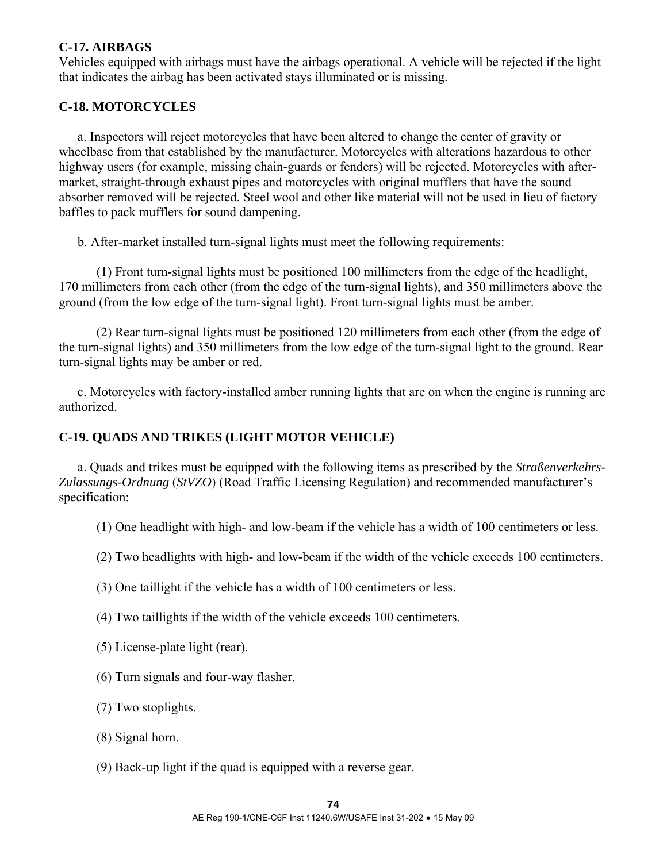# **C-17. AIRBAGS**

Vehicles equipped with airbags must have the airbags operational. A vehicle will be rejected if the light that indicates the airbag has been activated stays illuminated or is missing.

### **C-18. MOTORCYCLES**

 a. Inspectors will reject motorcycles that have been altered to change the center of gravity or wheelbase from that established by the manufacturer. Motorcycles with alterations hazardous to other highway users (for example, missing chain-guards or fenders) will be rejected. Motorcycles with aftermarket, straight-through exhaust pipes and motorcycles with original mufflers that have the sound absorber removed will be rejected. Steel wool and other like material will not be used in lieu of factory baffles to pack mufflers for sound dampening.

b. After-market installed turn-signal lights must meet the following requirements:

 (1) Front turn-signal lights must be positioned 100 millimeters from the edge of the headlight, 170 millimeters from each other (from the edge of the turn-signal lights), and 350 millimeters above the ground (from the low edge of the turn-signal light). Front turn-signal lights must be amber.

 (2) Rear turn-signal lights must be positioned 120 millimeters from each other (from the edge of the turn-signal lights) and 350 millimeters from the low edge of the turn-signal light to the ground. Rear turn-signal lights may be amber or red.

 c. Motorcycles with factory-installed amber running lights that are on when the engine is running are authorized.

### **C-19. QUADS AND TRIKES (LIGHT MOTOR VEHICLE)**

 a. Quads and trikes must be equipped with the following items as prescribed by the *Straßenverkehrs-Zulassungs-Ordnung* (*StVZO*) (Road Traffic Licensing Regulation) and recommended manufacturer's specification:

(1) One headlight with high- and low-beam if the vehicle has a width of 100 centimeters or less.

(2) Two headlights with high- and low-beam if the width of the vehicle exceeds 100 centimeters.

(3) One taillight if the vehicle has a width of 100 centimeters or less.

(4) Two taillights if the width of the vehicle exceeds 100 centimeters.

(5) License-plate light (rear).

(6) Turn signals and four-way flasher.

(7) Two stoplights.

(8) Signal horn.

(9) Back-up light if the quad is equipped with a reverse gear.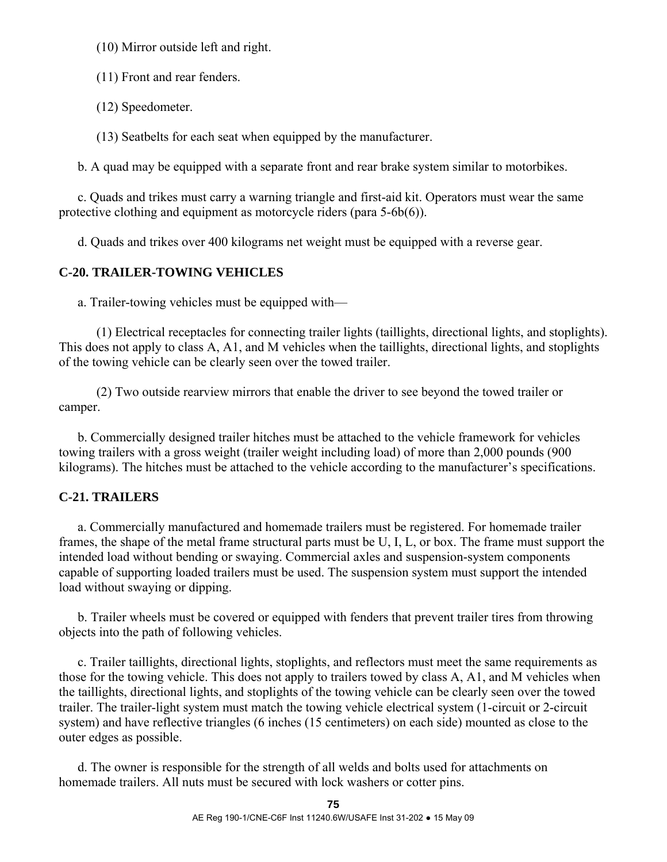(10) Mirror outside left and right.

(11) Front and rear fenders.

(12) Speedometer.

(13) Seatbelts for each seat when equipped by the manufacturer.

b. A quad may be equipped with a separate front and rear brake system similar to motorbikes.

 c. Quads and trikes must carry a warning triangle and first-aid kit. Operators must wear the same protective clothing and equipment as motorcycle riders (para 5-6b(6)).

d. Quads and trikes over 400 kilograms net weight must be equipped with a reverse gear.

# **C-20. TRAILER-TOWING VEHICLES**

a. Trailer-towing vehicles must be equipped with—

 (1) Electrical receptacles for connecting trailer lights (taillights, directional lights, and stoplights). This does not apply to class A, A1, and M vehicles when the taillights, directional lights, and stoplights of the towing vehicle can be clearly seen over the towed trailer.

 (2) Two outside rearview mirrors that enable the driver to see beyond the towed trailer or camper.

 b. Commercially designed trailer hitches must be attached to the vehicle framework for vehicles towing trailers with a gross weight (trailer weight including load) of more than 2,000 pounds (900 kilograms). The hitches must be attached to the vehicle according to the manufacturer's specifications.

# **C-21. TRAILERS**

 a. Commercially manufactured and homemade trailers must be registered. For homemade trailer frames, the shape of the metal frame structural parts must be U, I, L, or box. The frame must support the intended load without bending or swaying. Commercial axles and suspension-system components capable of supporting loaded trailers must be used. The suspension system must support the intended load without swaying or dipping.

 b. Trailer wheels must be covered or equipped with fenders that prevent trailer tires from throwing objects into the path of following vehicles.

 c. Trailer taillights, directional lights, stoplights, and reflectors must meet the same requirements as those for the towing vehicle. This does not apply to trailers towed by class A, A1, and M vehicles when the taillights, directional lights, and stoplights of the towing vehicle can be clearly seen over the towed trailer. The trailer-light system must match the towing vehicle electrical system (1-circuit or 2-circuit system) and have reflective triangles (6 inches (15 centimeters) on each side) mounted as close to the outer edges as possible.

 d. The owner is responsible for the strength of all welds and bolts used for attachments on homemade trailers. All nuts must be secured with lock washers or cotter pins.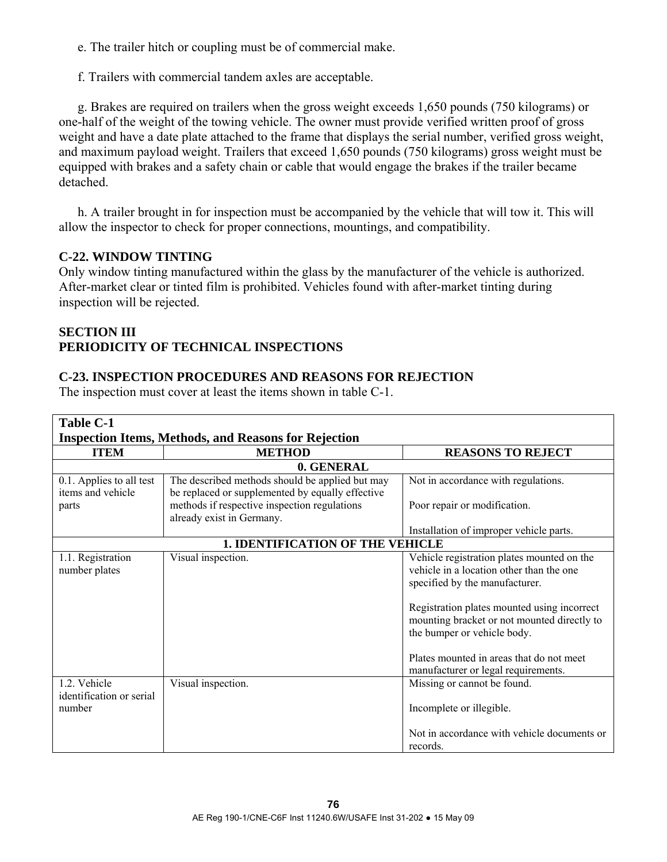e. The trailer hitch or coupling must be of commercial make.

f. Trailers with commercial tandem axles are acceptable.

 g. Brakes are required on trailers when the gross weight exceeds 1,650 pounds (750 kilograms) or one-half of the weight of the towing vehicle. The owner must provide verified written proof of gross weight and have a date plate attached to the frame that displays the serial number, verified gross weight, and maximum payload weight. Trailers that exceed 1,650 pounds (750 kilograms) gross weight must be equipped with brakes and a safety chain or cable that would engage the brakes if the trailer became detached.

 h. A trailer brought in for inspection must be accompanied by the vehicle that will tow it. This will allow the inspector to check for proper connections, mountings, and compatibility.

# **C-22. WINDOW TINTING**

Only window tinting manufactured within the glass by the manufacturer of the vehicle is authorized. After-market clear or tinted film is prohibited. Vehicles found with after-market tinting during inspection will be rejected.

# **SECTION III PERIODICITY OF TECHNICAL INSPECTIONS**

# **C-23. INSPECTION PROCEDURES AND REASONS FOR REJECTION**

The inspection must cover at least the items shown in table C-1.

| <b>Table C-1</b>                                            |                                                                                                     |                                                                                                                                                                                                                                                                                                                                          |
|-------------------------------------------------------------|-----------------------------------------------------------------------------------------------------|------------------------------------------------------------------------------------------------------------------------------------------------------------------------------------------------------------------------------------------------------------------------------------------------------------------------------------------|
| <b>Inspection Items, Methods, and Reasons for Rejection</b> |                                                                                                     |                                                                                                                                                                                                                                                                                                                                          |
| <b>ITEM</b>                                                 | <b>METHOD</b>                                                                                       | <b>REASONS TO REJECT</b>                                                                                                                                                                                                                                                                                                                 |
|                                                             | 0. GENERAL                                                                                          |                                                                                                                                                                                                                                                                                                                                          |
| 0.1. Applies to all test<br>items and vehicle               | The described methods should be applied but may<br>be replaced or supplemented by equally effective | Not in accordance with regulations.                                                                                                                                                                                                                                                                                                      |
| parts                                                       | methods if respective inspection regulations<br>already exist in Germany.                           | Poor repair or modification.                                                                                                                                                                                                                                                                                                             |
|                                                             |                                                                                                     | Installation of improper vehicle parts.                                                                                                                                                                                                                                                                                                  |
| <b>1. IDENTIFICATION OF THE VEHICLE</b>                     |                                                                                                     |                                                                                                                                                                                                                                                                                                                                          |
| 1.1. Registration<br>number plates                          | Visual inspection.                                                                                  | Vehicle registration plates mounted on the<br>vehicle in a location other than the one<br>specified by the manufacturer.<br>Registration plates mounted using incorrect<br>mounting bracket or not mounted directly to<br>the bumper or vehicle body.<br>Plates mounted in areas that do not meet<br>manufacturer or legal requirements. |
| 1.2. Vehicle<br>identification or serial<br>number          | Visual inspection.                                                                                  | Missing or cannot be found.<br>Incomplete or illegible.<br>Not in accordance with vehicle documents or<br>records.                                                                                                                                                                                                                       |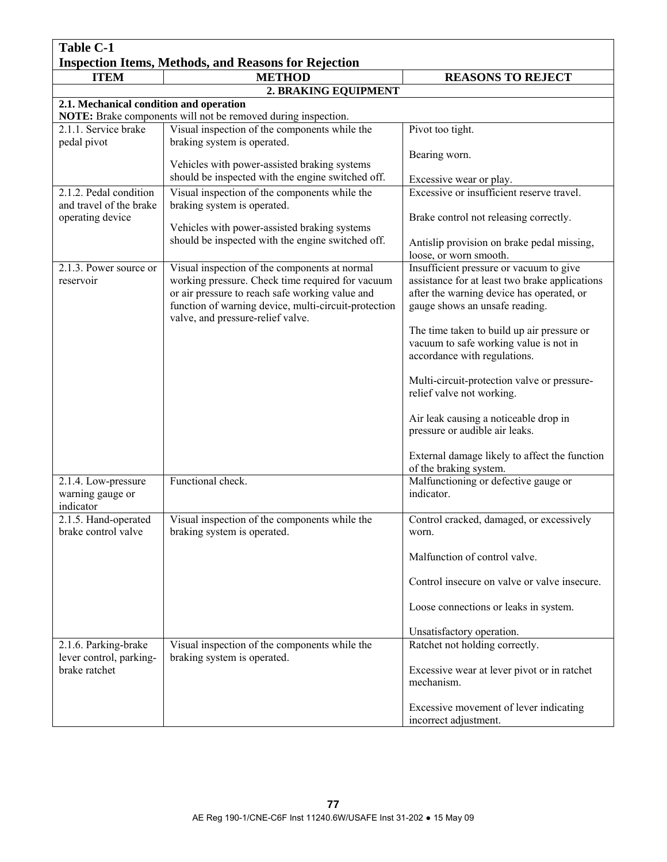| <b>Table C-1</b>                                            |                                                                                                                                                                                                              |                                                                                                                                                                          |  |
|-------------------------------------------------------------|--------------------------------------------------------------------------------------------------------------------------------------------------------------------------------------------------------------|--------------------------------------------------------------------------------------------------------------------------------------------------------------------------|--|
| <b>Inspection Items, Methods, and Reasons for Rejection</b> |                                                                                                                                                                                                              |                                                                                                                                                                          |  |
| <b>ITEM</b>                                                 | <b>METHOD</b>                                                                                                                                                                                                | <b>REASONS TO REJECT</b>                                                                                                                                                 |  |
|                                                             | 2. BRAKING EQUIPMENT                                                                                                                                                                                         |                                                                                                                                                                          |  |
| 2.1. Mechanical condition and operation                     | NOTE: Brake components will not be removed during inspection.                                                                                                                                                |                                                                                                                                                                          |  |
| 2.1.1. Service brake<br>pedal pivot                         | Visual inspection of the components while the<br>braking system is operated.                                                                                                                                 | Pivot too tight.                                                                                                                                                         |  |
|                                                             | Vehicles with power-assisted braking systems                                                                                                                                                                 | Bearing worn.                                                                                                                                                            |  |
|                                                             | should be inspected with the engine switched off.                                                                                                                                                            | Excessive wear or play.                                                                                                                                                  |  |
| 2.1.2. Pedal condition<br>and travel of the brake           | Visual inspection of the components while the<br>braking system is operated.                                                                                                                                 | Excessive or insufficient reserve travel.                                                                                                                                |  |
| operating device                                            | Vehicles with power-assisted braking systems                                                                                                                                                                 | Brake control not releasing correctly.                                                                                                                                   |  |
|                                                             | should be inspected with the engine switched off.                                                                                                                                                            | Antislip provision on brake pedal missing,<br>loose, or worn smooth.                                                                                                     |  |
| 2.1.3. Power source or<br>reservoir                         | Visual inspection of the components at normal<br>working pressure. Check time required for vacuum<br>or air pressure to reach safe working value and<br>function of warning device, multi-circuit-protection | Insufficient pressure or vacuum to give<br>assistance for at least two brake applications<br>after the warning device has operated, or<br>gauge shows an unsafe reading. |  |
|                                                             | valve, and pressure-relief valve.                                                                                                                                                                            | The time taken to build up air pressure or<br>vacuum to safe working value is not in<br>accordance with regulations.                                                     |  |
|                                                             |                                                                                                                                                                                                              | Multi-circuit-protection valve or pressure-<br>relief valve not working.                                                                                                 |  |
|                                                             |                                                                                                                                                                                                              | Air leak causing a noticeable drop in<br>pressure or audible air leaks.                                                                                                  |  |
|                                                             |                                                                                                                                                                                                              | External damage likely to affect the function<br>of the braking system.                                                                                                  |  |
| 2.1.4. Low-pressure<br>warning gauge or<br>indicator        | Functional check.                                                                                                                                                                                            | Malfunctioning or defective gauge or<br>indicator.                                                                                                                       |  |
| 2.1.5. Hand-operated<br>brake control valve                 | Visual inspection of the components while the<br>braking system is operated.                                                                                                                                 | Control cracked, damaged, or excessively<br>worn.                                                                                                                        |  |
|                                                             |                                                                                                                                                                                                              | Malfunction of control valve.                                                                                                                                            |  |
|                                                             |                                                                                                                                                                                                              | Control insecure on valve or valve insecure.                                                                                                                             |  |
|                                                             |                                                                                                                                                                                                              | Loose connections or leaks in system.                                                                                                                                    |  |
|                                                             |                                                                                                                                                                                                              | Unsatisfactory operation.                                                                                                                                                |  |
| 2.1.6. Parking-brake                                        | Visual inspection of the components while the                                                                                                                                                                | Ratchet not holding correctly.                                                                                                                                           |  |
| lever control, parking-<br>brake ratchet                    | braking system is operated.                                                                                                                                                                                  | Excessive wear at lever pivot or in ratchet<br>mechanism.                                                                                                                |  |
|                                                             |                                                                                                                                                                                                              | Excessive movement of lever indicating<br>incorrect adjustment.                                                                                                          |  |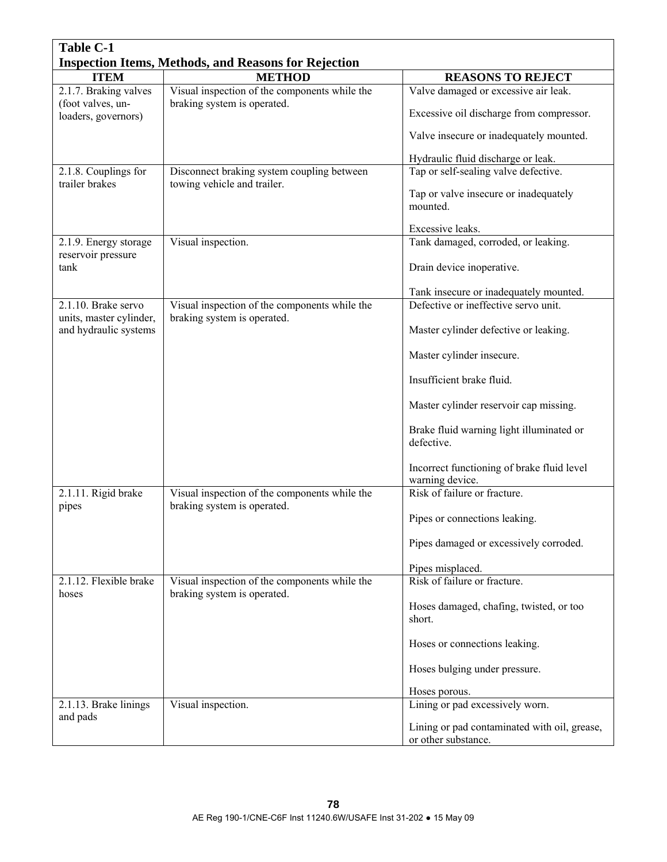| <b>Table C-1</b>                                            |                                                                              |                                                               |  |
|-------------------------------------------------------------|------------------------------------------------------------------------------|---------------------------------------------------------------|--|
| <b>Inspection Items, Methods, and Reasons for Rejection</b> |                                                                              |                                                               |  |
| <b>ITEM</b>                                                 | <b>METHOD</b>                                                                | <b>REASONS TO REJECT</b>                                      |  |
| $2.1.7$ . Braking valves                                    | Visual inspection of the components while the                                | Valve damaged or excessive air leak.                          |  |
| (foot valves, un-<br>loaders, governors)                    | braking system is operated.                                                  | Excessive oil discharge from compressor.                      |  |
|                                                             |                                                                              | Valve insecure or inadequately mounted.                       |  |
|                                                             |                                                                              | Hydraulic fluid discharge or leak.                            |  |
| 2.1.8. Couplings for                                        | Disconnect braking system coupling between                                   | Tap or self-sealing valve defective.                          |  |
| trailer brakes                                              | towing vehicle and trailer.                                                  | Tap or valve insecure or inadequately<br>mounted.             |  |
|                                                             |                                                                              | Excessive leaks.                                              |  |
| 2.1.9. Energy storage                                       | Visual inspection.                                                           | Tank damaged, corroded, or leaking.                           |  |
| reservoir pressure<br>tank                                  |                                                                              | Drain device inoperative.                                     |  |
|                                                             |                                                                              |                                                               |  |
|                                                             |                                                                              | Tank insecure or inadequately mounted.                        |  |
| $2.1.10$ . Brake servo<br>units, master cylinder,           | Visual inspection of the components while the<br>braking system is operated. | Defective or ineffective servo unit.                          |  |
| and hydraulic systems                                       |                                                                              | Master cylinder defective or leaking.                         |  |
|                                                             |                                                                              | Master cylinder insecure.                                     |  |
|                                                             |                                                                              | Insufficient brake fluid.                                     |  |
|                                                             |                                                                              | Master cylinder reservoir cap missing.                        |  |
|                                                             |                                                                              | Brake fluid warning light illuminated or<br>defective.        |  |
|                                                             |                                                                              | Incorrect functioning of brake fluid level<br>warning device. |  |
| 2.1.11. Rigid brake                                         | Visual inspection of the components while the                                | Risk of failure or fracture.                                  |  |
| pipes                                                       | braking system is operated.                                                  | Pipes or connections leaking.                                 |  |
|                                                             |                                                                              | Pipes damaged or excessively corroded.                        |  |
|                                                             |                                                                              | Pipes misplaced.                                              |  |
| 2.1.12. Flexible brake                                      | Visual inspection of the components while the                                | Risk of failure or fracture.                                  |  |
| hoses                                                       | braking system is operated.                                                  |                                                               |  |
|                                                             |                                                                              | Hoses damaged, chafing, twisted, or too<br>short.             |  |
|                                                             |                                                                              | Hoses or connections leaking.                                 |  |
|                                                             |                                                                              | Hoses bulging under pressure.                                 |  |
|                                                             |                                                                              | Hoses porous.                                                 |  |
| 2.1.13. Brake linings                                       | Visual inspection.                                                           | Lining or pad excessively worn.                               |  |
| and pads                                                    |                                                                              | Lining or pad contaminated with oil, grease,                  |  |
|                                                             |                                                                              | or other substance.                                           |  |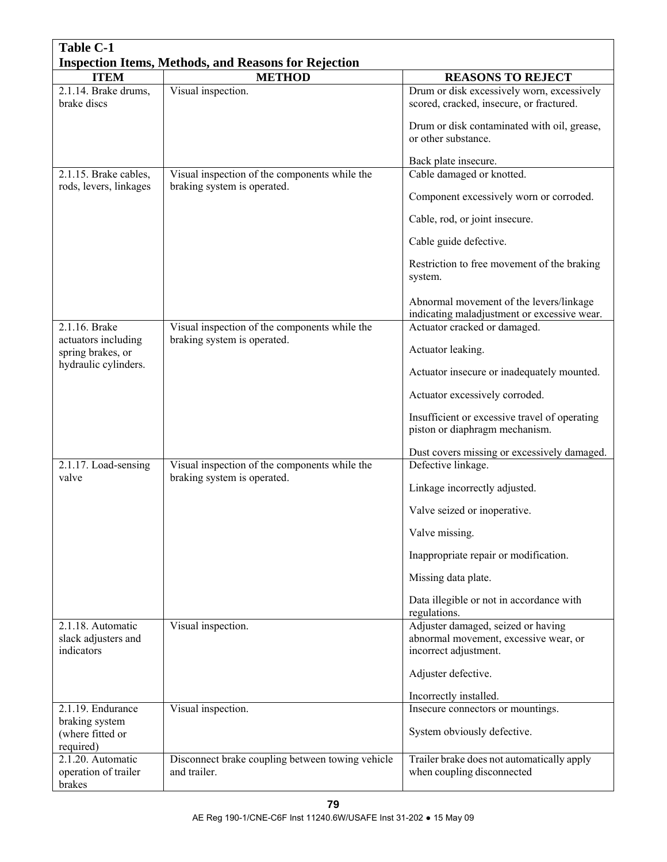| <b>Table C-1</b>                                       |                                                                              |                                                                                                      |
|--------------------------------------------------------|------------------------------------------------------------------------------|------------------------------------------------------------------------------------------------------|
|                                                        | <b>Inspection Items, Methods, and Reasons for Rejection</b>                  |                                                                                                      |
| <b>ITEM</b>                                            | <b>METHOD</b>                                                                | <b>REASONS TO REJECT</b>                                                                             |
| 2.1.14. Brake drums,<br>brake discs                    | Visual inspection.                                                           | Drum or disk excessively worn, excessively<br>scored, cracked, insecure, or fractured.               |
|                                                        |                                                                              | Drum or disk contaminated with oil, grease,<br>or other substance.                                   |
|                                                        |                                                                              | Back plate insecure.                                                                                 |
| 2.1.15. Brake cables,                                  | Visual inspection of the components while the                                | Cable damaged or knotted.                                                                            |
| rods, levers, linkages                                 | braking system is operated.                                                  | Component excessively worn or corroded.                                                              |
|                                                        |                                                                              | Cable, rod, or joint insecure.                                                                       |
|                                                        |                                                                              | Cable guide defective.                                                                               |
|                                                        |                                                                              | Restriction to free movement of the braking<br>system.                                               |
|                                                        |                                                                              | Abnormal movement of the levers/linkage<br>indicating maladjustment or excessive wear.               |
| 2.1.16. Brake                                          | Visual inspection of the components while the                                | Actuator cracked or damaged.                                                                         |
| actuators including<br>spring brakes, or               | braking system is operated.                                                  | Actuator leaking.                                                                                    |
| hydraulic cylinders.                                   |                                                                              | Actuator insecure or inadequately mounted.                                                           |
|                                                        |                                                                              | Actuator excessively corroded.                                                                       |
|                                                        |                                                                              | Insufficient or excessive travel of operating<br>piston or diaphragm mechanism.                      |
|                                                        |                                                                              | Dust covers missing or excessively damaged.                                                          |
| 2.1.17. Load-sensing<br>valve                          | Visual inspection of the components while the<br>braking system is operated. | Defective linkage.                                                                                   |
|                                                        |                                                                              | Linkage incorrectly adjusted.                                                                        |
|                                                        |                                                                              | Valve seized or inoperative.                                                                         |
|                                                        |                                                                              | Valve missing.                                                                                       |
|                                                        |                                                                              | Inappropriate repair or modification.                                                                |
|                                                        |                                                                              | Missing data plate.                                                                                  |
|                                                        |                                                                              | Data illegible or not in accordance with<br>regulations.                                             |
| 2.1.18. Automatic<br>slack adjusters and<br>indicators | Visual inspection.                                                           | Adjuster damaged, seized or having<br>abnormal movement, excessive wear, or<br>incorrect adjustment. |
|                                                        |                                                                              | Adjuster defective.                                                                                  |
|                                                        |                                                                              | Incorrectly installed.                                                                               |
| 2.1.19. Endurance                                      | Visual inspection.                                                           | Insecure connectors or mountings.                                                                    |
| braking system<br>(where fitted or                     |                                                                              | System obviously defective.                                                                          |
| required)<br>2.1.20. Automatic                         | Disconnect brake coupling between towing vehicle                             | Trailer brake does not automatically apply                                                           |
| operation of trailer                                   | and trailer.                                                                 | when coupling disconnected                                                                           |
| brakes                                                 |                                                                              |                                                                                                      |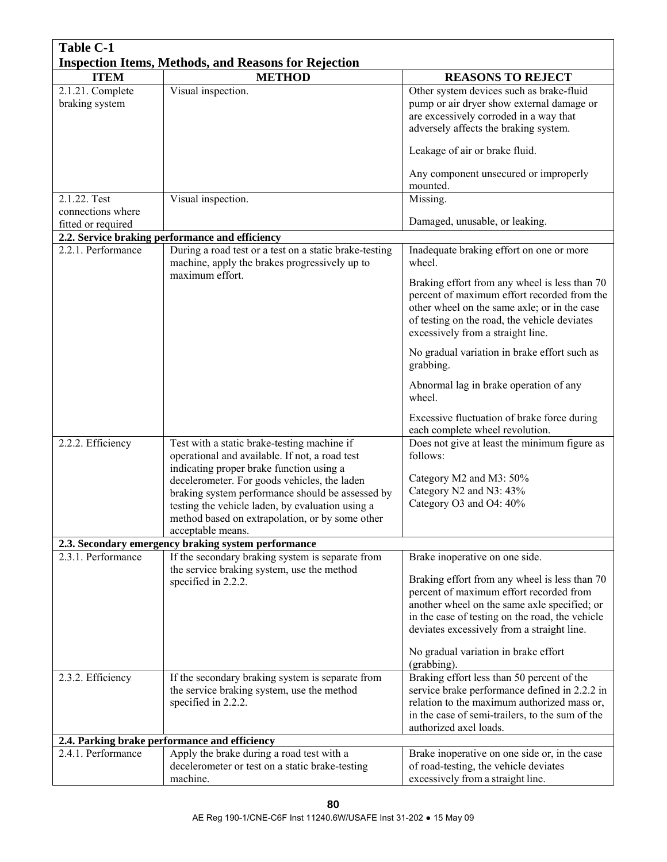| <b>Table C-1</b>                                            |                                                                                                                                                                                                                                                                                                                                                                           |                                                                                                                                                                                                                                                                                                  |  |
|-------------------------------------------------------------|---------------------------------------------------------------------------------------------------------------------------------------------------------------------------------------------------------------------------------------------------------------------------------------------------------------------------------------------------------------------------|--------------------------------------------------------------------------------------------------------------------------------------------------------------------------------------------------------------------------------------------------------------------------------------------------|--|
| <b>Inspection Items, Methods, and Reasons for Rejection</b> |                                                                                                                                                                                                                                                                                                                                                                           |                                                                                                                                                                                                                                                                                                  |  |
| <b>ITEM</b>                                                 | <b>METHOD</b>                                                                                                                                                                                                                                                                                                                                                             | <b>REASONS TO REJECT</b>                                                                                                                                                                                                                                                                         |  |
| 2.1.21. Complete<br>braking system                          | Visual inspection.                                                                                                                                                                                                                                                                                                                                                        | Other system devices such as brake-fluid<br>pump or air dryer show external damage or<br>are excessively corroded in a way that<br>adversely affects the braking system.                                                                                                                         |  |
|                                                             |                                                                                                                                                                                                                                                                                                                                                                           | Leakage of air or brake fluid.                                                                                                                                                                                                                                                                   |  |
|                                                             |                                                                                                                                                                                                                                                                                                                                                                           | Any component unsecured or improperly<br>mounted.                                                                                                                                                                                                                                                |  |
| 2.1.22. Test                                                | Visual inspection.                                                                                                                                                                                                                                                                                                                                                        | Missing.                                                                                                                                                                                                                                                                                         |  |
| connections where                                           |                                                                                                                                                                                                                                                                                                                                                                           |                                                                                                                                                                                                                                                                                                  |  |
| fitted or required                                          |                                                                                                                                                                                                                                                                                                                                                                           | Damaged, unusable, or leaking.                                                                                                                                                                                                                                                                   |  |
|                                                             | 2.2. Service braking performance and efficiency                                                                                                                                                                                                                                                                                                                           |                                                                                                                                                                                                                                                                                                  |  |
| 2.2.1. Performance                                          | During a road test or a test on a static brake-testing<br>machine, apply the brakes progressively up to                                                                                                                                                                                                                                                                   | Inadequate braking effort on one or more<br>wheel.                                                                                                                                                                                                                                               |  |
|                                                             | maximum effort.                                                                                                                                                                                                                                                                                                                                                           | Braking effort from any wheel is less than 70<br>percent of maximum effort recorded from the<br>other wheel on the same axle; or in the case<br>of testing on the road, the vehicle deviates<br>excessively from a straight line.                                                                |  |
|                                                             |                                                                                                                                                                                                                                                                                                                                                                           | No gradual variation in brake effort such as<br>grabbing.                                                                                                                                                                                                                                        |  |
|                                                             |                                                                                                                                                                                                                                                                                                                                                                           | Abnormal lag in brake operation of any<br>wheel.                                                                                                                                                                                                                                                 |  |
|                                                             |                                                                                                                                                                                                                                                                                                                                                                           | Excessive fluctuation of brake force during<br>each complete wheel revolution.                                                                                                                                                                                                                   |  |
| 2.2.2. Efficiency                                           | Test with a static brake-testing machine if<br>operational and available. If not, a road test<br>indicating proper brake function using a<br>decelerometer. For goods vehicles, the laden<br>braking system performance should be assessed by<br>testing the vehicle laden, by evaluation using a<br>method based on extrapolation, or by some other<br>acceptable means. | Does not give at least the minimum figure as<br>follows:<br>Category M2 and M3: 50%<br>Category N2 and N3: 43%<br>Category O3 and O4: 40%                                                                                                                                                        |  |
|                                                             | 2.3. Secondary emergency braking system performance                                                                                                                                                                                                                                                                                                                       |                                                                                                                                                                                                                                                                                                  |  |
| 2.3.1. Performance                                          | If the secondary braking system is separate from<br>the service braking system, use the method                                                                                                                                                                                                                                                                            | Brake inoperative on one side.                                                                                                                                                                                                                                                                   |  |
|                                                             | specified in 2.2.2.                                                                                                                                                                                                                                                                                                                                                       | Braking effort from any wheel is less than 70<br>percent of maximum effort recorded from<br>another wheel on the same axle specified; or<br>in the case of testing on the road, the vehicle<br>deviates excessively from a straight line.<br>No gradual variation in brake effort<br>(grabbing). |  |
| 2.3.2. Efficiency                                           | If the secondary braking system is separate from                                                                                                                                                                                                                                                                                                                          | Braking effort less than 50 percent of the                                                                                                                                                                                                                                                       |  |
|                                                             | the service braking system, use the method<br>specified in 2.2.2.                                                                                                                                                                                                                                                                                                         | service brake performance defined in 2.2.2 in<br>relation to the maximum authorized mass or,<br>in the case of semi-trailers, to the sum of the<br>authorized axel loads.                                                                                                                        |  |
|                                                             | 2.4. Parking brake performance and efficiency                                                                                                                                                                                                                                                                                                                             |                                                                                                                                                                                                                                                                                                  |  |
| 2.4.1. Performance                                          | Apply the brake during a road test with a                                                                                                                                                                                                                                                                                                                                 | Brake inoperative on one side or, in the case                                                                                                                                                                                                                                                    |  |
|                                                             | decelerometer or test on a static brake-testing                                                                                                                                                                                                                                                                                                                           | of road-testing, the vehicle deviates                                                                                                                                                                                                                                                            |  |
|                                                             | machine.                                                                                                                                                                                                                                                                                                                                                                  | excessively from a straight line.                                                                                                                                                                                                                                                                |  |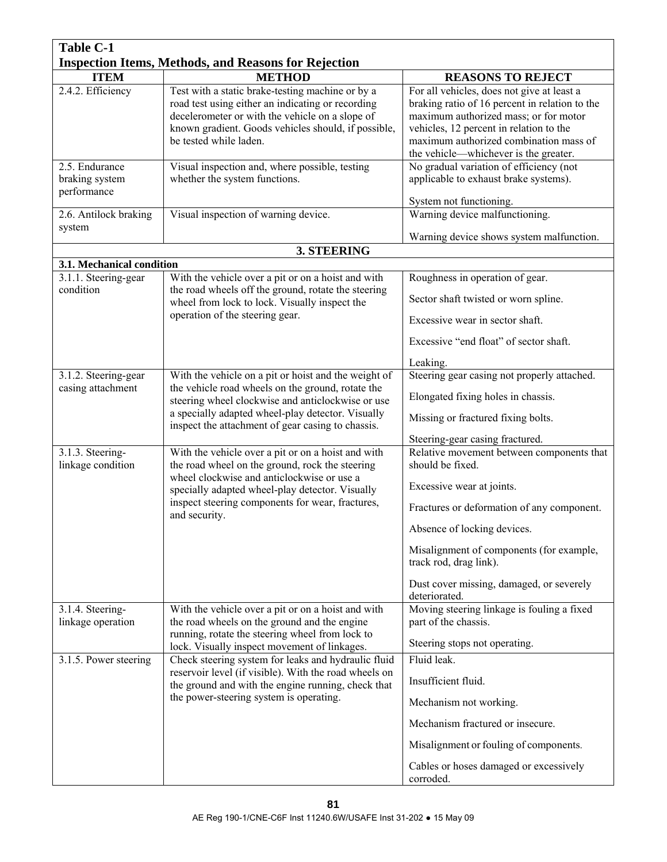| <b>Table C-1</b>                                            |                                                                                                                                                                                                                                           |                                                                                                                                                                                                                                                                     |  |
|-------------------------------------------------------------|-------------------------------------------------------------------------------------------------------------------------------------------------------------------------------------------------------------------------------------------|---------------------------------------------------------------------------------------------------------------------------------------------------------------------------------------------------------------------------------------------------------------------|--|
| <b>Inspection Items, Methods, and Reasons for Rejection</b> |                                                                                                                                                                                                                                           |                                                                                                                                                                                                                                                                     |  |
| <b>ITEM</b>                                                 | <b>METHOD</b>                                                                                                                                                                                                                             | <b>REASONS TO REJECT</b>                                                                                                                                                                                                                                            |  |
| 2.4.2. Efficiency                                           | Test with a static brake-testing machine or by a<br>road test using either an indicating or recording<br>decelerometer or with the vehicle on a slope of<br>known gradient. Goods vehicles should, if possible,<br>be tested while laden. | For all vehicles, does not give at least a<br>braking ratio of 16 percent in relation to the<br>maximum authorized mass; or for motor<br>vehicles, 12 percent in relation to the<br>maximum authorized combination mass of<br>the vehicle—whichever is the greater. |  |
| 2.5. Endurance<br>braking system<br>performance             | Visual inspection and, where possible, testing<br>whether the system functions.                                                                                                                                                           | No gradual variation of efficiency (not<br>applicable to exhaust brake systems).                                                                                                                                                                                    |  |
| 2.6. Antilock braking<br>system                             | Visual inspection of warning device.                                                                                                                                                                                                      | System not functioning.<br>Warning device malfunctioning.                                                                                                                                                                                                           |  |
|                                                             |                                                                                                                                                                                                                                           | Warning device shows system malfunction.                                                                                                                                                                                                                            |  |
| 3.1. Mechanical condition                                   | 3. STEERING                                                                                                                                                                                                                               |                                                                                                                                                                                                                                                                     |  |
| 3.1.1. Steering-gear<br>condition                           | With the vehicle over a pit or on a hoist and with<br>the road wheels off the ground, rotate the steering                                                                                                                                 | Roughness in operation of gear.<br>Sector shaft twisted or worn spline.                                                                                                                                                                                             |  |
|                                                             | wheel from lock to lock. Visually inspect the<br>operation of the steering gear.                                                                                                                                                          | Excessive wear in sector shaft.                                                                                                                                                                                                                                     |  |
|                                                             |                                                                                                                                                                                                                                           | Excessive "end float" of sector shaft.                                                                                                                                                                                                                              |  |
|                                                             |                                                                                                                                                                                                                                           | Leaking.<br>Steering gear casing not properly attached.                                                                                                                                                                                                             |  |
| 3.1.2. Steering-gear<br>casing attachment                   | With the vehicle on a pit or hoist and the weight of<br>the vehicle road wheels on the ground, rotate the<br>steering wheel clockwise and anticlockwise or use                                                                            | Elongated fixing holes in chassis.                                                                                                                                                                                                                                  |  |
|                                                             | a specially adapted wheel-play detector. Visually<br>inspect the attachment of gear casing to chassis.                                                                                                                                    | Missing or fractured fixing bolts.<br>Steering-gear casing fractured.                                                                                                                                                                                               |  |
| 3.1.3. Steering-<br>linkage condition                       | With the vehicle over a pit or on a hoist and with<br>the road wheel on the ground, rock the steering<br>wheel clockwise and anticlockwise or use a                                                                                       | Relative movement between components that<br>should be fixed.                                                                                                                                                                                                       |  |
|                                                             | specially adapted wheel-play detector. Visually<br>inspect steering components for wear, fractures,                                                                                                                                       | Excessive wear at joints.<br>Fractures or deformation of any component.                                                                                                                                                                                             |  |
|                                                             | and security.                                                                                                                                                                                                                             | Absence of locking devices.                                                                                                                                                                                                                                         |  |
|                                                             |                                                                                                                                                                                                                                           | Misalignment of components (for example,<br>track rod, drag link).                                                                                                                                                                                                  |  |
|                                                             |                                                                                                                                                                                                                                           | Dust cover missing, damaged, or severely<br>deteriorated.                                                                                                                                                                                                           |  |
| 3.1.4. Steering-<br>linkage operation                       | With the vehicle over a pit or on a hoist and with<br>the road wheels on the ground and the engine                                                                                                                                        | Moving steering linkage is fouling a fixed<br>part of the chassis.                                                                                                                                                                                                  |  |
|                                                             | running, rotate the steering wheel from lock to<br>lock. Visually inspect movement of linkages.                                                                                                                                           | Steering stops not operating.                                                                                                                                                                                                                                       |  |
| 3.1.5. Power steering                                       | Check steering system for leaks and hydraulic fluid<br>reservoir level (if visible). With the road wheels on                                                                                                                              | Fluid leak.<br>Insufficient fluid.                                                                                                                                                                                                                                  |  |
|                                                             | the ground and with the engine running, check that<br>the power-steering system is operating.                                                                                                                                             | Mechanism not working.                                                                                                                                                                                                                                              |  |
|                                                             |                                                                                                                                                                                                                                           | Mechanism fractured or insecure.                                                                                                                                                                                                                                    |  |
|                                                             |                                                                                                                                                                                                                                           | Misalignment or fouling of components.                                                                                                                                                                                                                              |  |
|                                                             |                                                                                                                                                                                                                                           | Cables or hoses damaged or excessively<br>corroded.                                                                                                                                                                                                                 |  |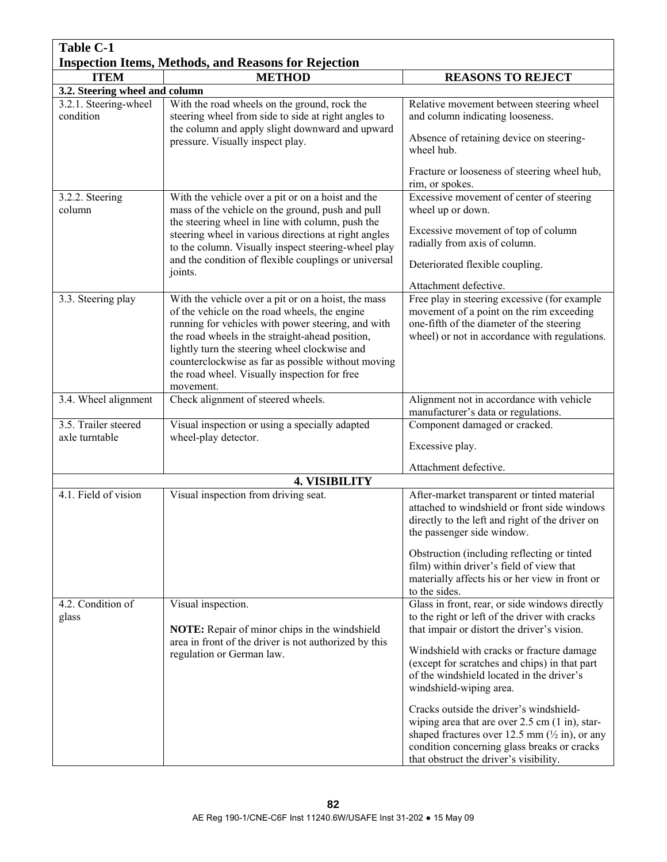| <b>Table C-1</b>                                            |                                                                                                                                                                                                                     |                                                                                                                                                                                                                   |
|-------------------------------------------------------------|---------------------------------------------------------------------------------------------------------------------------------------------------------------------------------------------------------------------|-------------------------------------------------------------------------------------------------------------------------------------------------------------------------------------------------------------------|
| <b>Inspection Items, Methods, and Reasons for Rejection</b> |                                                                                                                                                                                                                     |                                                                                                                                                                                                                   |
| <b>ITEM</b>                                                 | <b>METHOD</b>                                                                                                                                                                                                       | <b>REASONS TO REJECT</b>                                                                                                                                                                                          |
| 3.2. Steering wheel and column                              |                                                                                                                                                                                                                     |                                                                                                                                                                                                                   |
| 3.2.1. Steering-wheel<br>condition                          | With the road wheels on the ground, rock the<br>steering wheel from side to side at right angles to<br>the column and apply slight downward and upward                                                              | Relative movement between steering wheel<br>and column indicating looseness.                                                                                                                                      |
|                                                             | pressure. Visually inspect play.                                                                                                                                                                                    | Absence of retaining device on steering-<br>wheel hub.                                                                                                                                                            |
|                                                             |                                                                                                                                                                                                                     | Fracture or looseness of steering wheel hub,<br>rim, or spokes.                                                                                                                                                   |
| 3.2.2. Steering<br>column                                   | With the vehicle over a pit or on a hoist and the<br>mass of the vehicle on the ground, push and pull<br>the steering wheel in line with column, push the                                                           | Excessive movement of center of steering<br>wheel up or down.                                                                                                                                                     |
|                                                             | steering wheel in various directions at right angles<br>to the column. Visually inspect steering-wheel play                                                                                                         | Excessive movement of top of column<br>radially from axis of column.                                                                                                                                              |
|                                                             | and the condition of flexible couplings or universal<br>joints.                                                                                                                                                     | Deteriorated flexible coupling.                                                                                                                                                                                   |
| 3.3. Steering play                                          |                                                                                                                                                                                                                     | Attachment defective.                                                                                                                                                                                             |
|                                                             | With the vehicle over a pit or on a hoist, the mass<br>of the vehicle on the road wheels, the engine<br>running for vehicles with power steering, and with                                                          | Free play in steering excessive (for example<br>movement of a point on the rim exceeding<br>one-fifth of the diameter of the steering                                                                             |
|                                                             | the road wheels in the straight-ahead position,<br>lightly turn the steering wheel clockwise and<br>counterclockwise as far as possible without moving<br>the road wheel. Visually inspection for free<br>movement. | wheel) or not in accordance with regulations.                                                                                                                                                                     |
| 3.4. Wheel alignment                                        | Check alignment of steered wheels.                                                                                                                                                                                  | Alignment not in accordance with vehicle<br>manufacturer's data or regulations.                                                                                                                                   |
| 3.5. Trailer steered                                        | Visual inspection or using a specially adapted                                                                                                                                                                      | Component damaged or cracked.                                                                                                                                                                                     |
| axle turntable                                              | wheel-play detector.                                                                                                                                                                                                | Excessive play.                                                                                                                                                                                                   |
|                                                             |                                                                                                                                                                                                                     | Attachment defective.                                                                                                                                                                                             |
|                                                             | <b>4. VISIBILITY</b>                                                                                                                                                                                                |                                                                                                                                                                                                                   |
| 4.1. Field of vision                                        | Visual inspection from driving seat.                                                                                                                                                                                | After-market transparent or tinted material<br>attached to windshield or front side windows<br>directly to the left and right of the driver on<br>the passenger side window.                                      |
|                                                             |                                                                                                                                                                                                                     | Obstruction (including reflecting or tinted<br>film) within driver's field of view that<br>materially affects his or her view in front or<br>to the sides.                                                        |
| 4.2. Condition of<br>glass                                  | Visual inspection.                                                                                                                                                                                                  | Glass in front, rear, or side windows directly<br>to the right or left of the driver with cracks                                                                                                                  |
|                                                             | <b>NOTE:</b> Repair of minor chips in the windshield<br>area in front of the driver is not authorized by this                                                                                                       | that impair or distort the driver's vision.                                                                                                                                                                       |
|                                                             | regulation or German law.                                                                                                                                                                                           | Windshield with cracks or fracture damage<br>(except for scratches and chips) in that part                                                                                                                        |
|                                                             |                                                                                                                                                                                                                     | of the windshield located in the driver's                                                                                                                                                                         |
|                                                             |                                                                                                                                                                                                                     | windshield-wiping area.                                                                                                                                                                                           |
|                                                             |                                                                                                                                                                                                                     | Cracks outside the driver's windshield-<br>wiping area that are over $2.5$ cm $(1 \text{ in})$ , star-<br>shaped fractures over 12.5 mm $(\frac{1}{2}$ in), or any<br>condition concerning glass breaks or cracks |
|                                                             |                                                                                                                                                                                                                     | that obstruct the driver's visibility.                                                                                                                                                                            |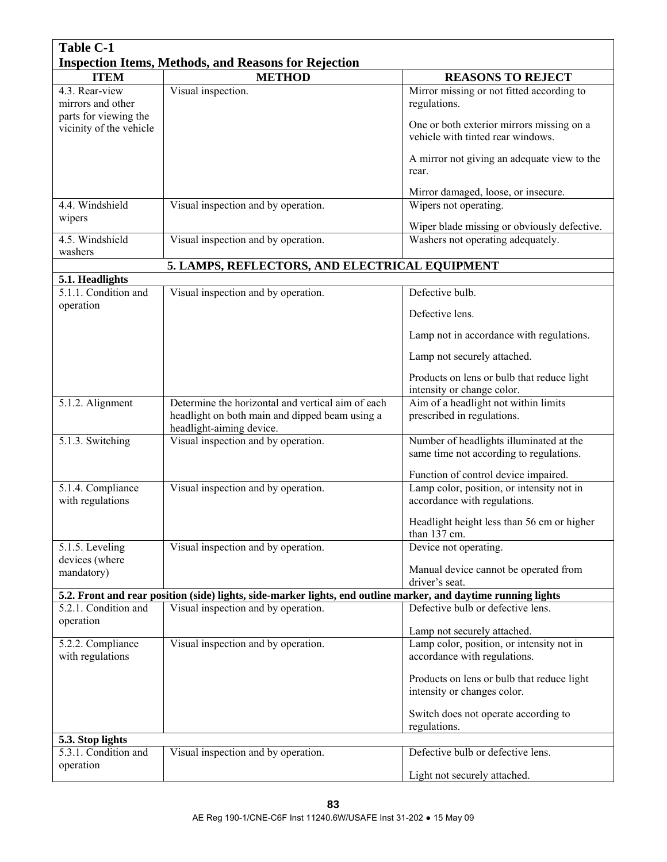| <b>Table C-1</b>                                            |                                                                                                                                 |                                                                                    |  |
|-------------------------------------------------------------|---------------------------------------------------------------------------------------------------------------------------------|------------------------------------------------------------------------------------|--|
| <b>Inspection Items, Methods, and Reasons for Rejection</b> |                                                                                                                                 |                                                                                    |  |
| <b>ITEM</b>                                                 | <b>METHOD</b>                                                                                                                   | <b>REASONS TO REJECT</b>                                                           |  |
| 4.3. Rear-view<br>mirrors and other                         | Visual inspection.                                                                                                              | Mirror missing or not fitted according to<br>regulations.                          |  |
| parts for viewing the                                       |                                                                                                                                 |                                                                                    |  |
| vicinity of the vehicle                                     |                                                                                                                                 | One or both exterior mirrors missing on a<br>vehicle with tinted rear windows.     |  |
|                                                             |                                                                                                                                 | A mirror not giving an adequate view to the<br>rear.                               |  |
|                                                             |                                                                                                                                 | Mirror damaged, loose, or insecure.                                                |  |
| 4.4. Windshield                                             | Visual inspection and by operation.                                                                                             | Wipers not operating.                                                              |  |
| wipers                                                      |                                                                                                                                 | Wiper blade missing or obviously defective.                                        |  |
| 4.5. Windshield                                             | Visual inspection and by operation.                                                                                             | Washers not operating adequately.                                                  |  |
| washers                                                     | 5. LAMPS, REFLECTORS, AND ELECTRICAL EQUIPMENT                                                                                  |                                                                                    |  |
| 5.1. Headlights                                             |                                                                                                                                 |                                                                                    |  |
| 5.1.1. Condition and                                        | Visual inspection and by operation.                                                                                             | Defective bulb.                                                                    |  |
| operation                                                   |                                                                                                                                 | Defective lens.                                                                    |  |
|                                                             |                                                                                                                                 | Lamp not in accordance with regulations.                                           |  |
|                                                             |                                                                                                                                 | Lamp not securely attached.                                                        |  |
|                                                             |                                                                                                                                 | Products on lens or bulb that reduce light                                         |  |
|                                                             |                                                                                                                                 | intensity or change color.                                                         |  |
| 5.1.2. Alignment                                            | Determine the horizontal and vertical aim of each<br>headlight on both main and dipped beam using a<br>headlight-aiming device. | Aim of a headlight not within limits<br>prescribed in regulations.                 |  |
| 5.1.3. Switching                                            | Visual inspection and by operation.                                                                                             | Number of headlights illuminated at the<br>same time not according to regulations. |  |
|                                                             |                                                                                                                                 | Function of control device impaired.                                               |  |
| 5.1.4. Compliance                                           | Visual inspection and by operation.                                                                                             | Lamp color, position, or intensity not in                                          |  |
| with regulations                                            |                                                                                                                                 | accordance with regulations.                                                       |  |
|                                                             |                                                                                                                                 | Headlight height less than 56 cm or higher<br>than 137 cm.                         |  |
| 5.1.5. Leveling                                             | Visual inspection and by operation.                                                                                             | Device not operating.                                                              |  |
| devices (where<br>mandatory)                                |                                                                                                                                 | Manual device cannot be operated from                                              |  |
|                                                             | 5.2. Front and rear position (side) lights, side-marker lights, end outline marker, and daytime running lights                  | driver's seat.                                                                     |  |
| 5.2.1. Condition and                                        | Visual inspection and by operation.                                                                                             | Defective bulb or defective lens.                                                  |  |
| operation                                                   |                                                                                                                                 | Lamp not securely attached.                                                        |  |
| 5.2.2. Compliance                                           | Visual inspection and by operation.                                                                                             | Lamp color, position, or intensity not in                                          |  |
| with regulations                                            |                                                                                                                                 | accordance with regulations.                                                       |  |
|                                                             |                                                                                                                                 | Products on lens or bulb that reduce light                                         |  |
|                                                             |                                                                                                                                 | intensity or changes color.                                                        |  |
|                                                             |                                                                                                                                 | Switch does not operate according to                                               |  |
|                                                             |                                                                                                                                 | regulations.                                                                       |  |
| 5.3. Stop lights<br>5.3.1. Condition and                    | Visual inspection and by operation.                                                                                             | Defective bulb or defective lens.                                                  |  |
| operation                                                   |                                                                                                                                 |                                                                                    |  |
|                                                             |                                                                                                                                 | Light not securely attached.                                                       |  |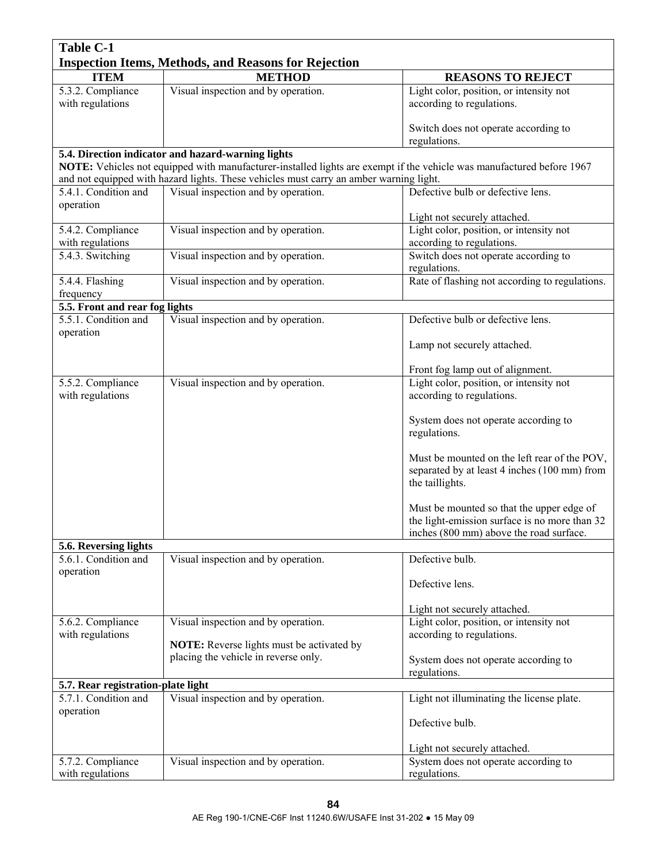| <b>Table C-1</b>                            |                                                                                                                               |                                                                                                                                       |
|---------------------------------------------|-------------------------------------------------------------------------------------------------------------------------------|---------------------------------------------------------------------------------------------------------------------------------------|
|                                             | <b>Inspection Items, Methods, and Reasons for Rejection</b>                                                                   |                                                                                                                                       |
| <b>ITEM</b>                                 | <b>METHOD</b>                                                                                                                 | <b>REASONS TO REJECT</b>                                                                                                              |
| 5.3.2. Compliance<br>with regulations       | Visual inspection and by operation.                                                                                           | Light color, position, or intensity not<br>according to regulations.                                                                  |
|                                             |                                                                                                                               | Switch does not operate according to<br>regulations.                                                                                  |
|                                             | 5.4. Direction indicator and hazard-warning lights                                                                            |                                                                                                                                       |
|                                             | NOTE: Vehicles not equipped with manufacturer-installed lights are exempt if the vehicle was manufactured before 1967         |                                                                                                                                       |
| 5.4.1. Condition and                        | and not equipped with hazard lights. These vehicles must carry an amber warning light.<br>Visual inspection and by operation. | Defective bulb or defective lens.                                                                                                     |
| operation                                   |                                                                                                                               |                                                                                                                                       |
|                                             |                                                                                                                               | Light not securely attached.                                                                                                          |
| 5.4.2. Compliance<br>with regulations       | Visual inspection and by operation.                                                                                           | Light color, position, or intensity not<br>according to regulations.                                                                  |
| 5.4.3. Switching                            | Visual inspection and by operation.                                                                                           | Switch does not operate according to<br>regulations.                                                                                  |
| 5.4.4. Flashing                             | Visual inspection and by operation.                                                                                           | Rate of flashing not according to regulations.                                                                                        |
| frequency<br>5.5. Front and rear fog lights |                                                                                                                               |                                                                                                                                       |
| 5.5.1. Condition and                        | Visual inspection and by operation.                                                                                           | Defective bulb or defective lens.                                                                                                     |
| operation                                   |                                                                                                                               |                                                                                                                                       |
|                                             |                                                                                                                               | Lamp not securely attached.                                                                                                           |
|                                             |                                                                                                                               | Front fog lamp out of alignment.                                                                                                      |
| 5.5.2. Compliance                           | Visual inspection and by operation.                                                                                           | Light color, position, or intensity not                                                                                               |
| with regulations                            |                                                                                                                               | according to regulations.                                                                                                             |
|                                             |                                                                                                                               | System does not operate according to<br>regulations.                                                                                  |
|                                             |                                                                                                                               | Must be mounted on the left rear of the POV,<br>separated by at least 4 inches (100 mm) from<br>the taillights.                       |
|                                             |                                                                                                                               | Must be mounted so that the upper edge of<br>the light-emission surface is no more than 32<br>inches (800 mm) above the road surface. |
| 5.6. Reversing lights                       |                                                                                                                               |                                                                                                                                       |
| 5.6.1. Condition and<br>operation           | Visual inspection and by operation.                                                                                           | Defective bulb.                                                                                                                       |
|                                             |                                                                                                                               | Defective lens.                                                                                                                       |
|                                             |                                                                                                                               | Light not securely attached.                                                                                                          |
| 5.6.2. Compliance                           | Visual inspection and by operation.                                                                                           | Light color, position, or intensity not                                                                                               |
| with regulations                            |                                                                                                                               | according to regulations.                                                                                                             |
|                                             | <b>NOTE:</b> Reverse lights must be activated by<br>placing the vehicle in reverse only.                                      |                                                                                                                                       |
|                                             |                                                                                                                               | System does not operate according to<br>regulations.                                                                                  |
| 5.7. Rear registration-plate light          |                                                                                                                               |                                                                                                                                       |
| 5.7.1. Condition and<br>operation           | Visual inspection and by operation.                                                                                           | Light not illuminating the license plate.                                                                                             |
|                                             |                                                                                                                               | Defective bulb.                                                                                                                       |
|                                             |                                                                                                                               | Light not securely attached.                                                                                                          |
| 5.7.2. Compliance                           | Visual inspection and by operation.                                                                                           | System does not operate according to                                                                                                  |
| with regulations                            |                                                                                                                               | regulations.                                                                                                                          |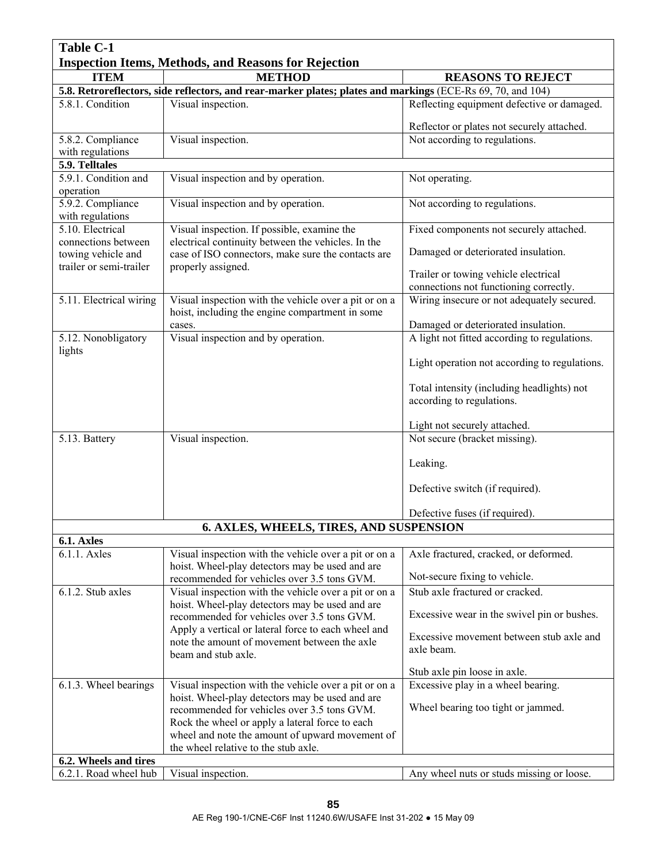| <b>Table C-1</b>                                            |                                                                                                             |                                                                    |
|-------------------------------------------------------------|-------------------------------------------------------------------------------------------------------------|--------------------------------------------------------------------|
| <b>Inspection Items, Methods, and Reasons for Rejection</b> |                                                                                                             |                                                                    |
| <b>ITEM</b>                                                 | <b>METHOD</b>                                                                                               | <b>REASONS TO REJECT</b>                                           |
|                                                             | 5.8. Retroreflectors, side reflectors, and rear-marker plates; plates and markings (ECE-Rs 69, 70, and 104) |                                                                    |
| 5.8.1. Condition                                            | Visual inspection.                                                                                          | Reflecting equipment defective or damaged.                         |
|                                                             |                                                                                                             | Reflector or plates not securely attached.                         |
| 5.8.2. Compliance                                           | Visual inspection.                                                                                          | Not according to regulations.                                      |
| with regulations<br>5.9. Telltales                          |                                                                                                             |                                                                    |
| 5.9.1. Condition and                                        | Visual inspection and by operation.                                                                         | Not operating.                                                     |
| operation                                                   |                                                                                                             |                                                                    |
| 5.9.2. Compliance<br>with regulations                       | Visual inspection and by operation.                                                                         | Not according to regulations.                                      |
| 5.10. Electrical                                            | Visual inspection. If possible, examine the                                                                 | Fixed components not securely attached.                            |
| connections between<br>towing vehicle and                   | electrical continuity between the vehicles. In the<br>case of ISO connectors, make sure the contacts are    | Damaged or deteriorated insulation.                                |
| trailer or semi-trailer                                     | properly assigned.                                                                                          | Trailer or towing vehicle electrical                               |
|                                                             |                                                                                                             | connections not functioning correctly.                             |
| 5.11. Electrical wiring                                     | Visual inspection with the vehicle over a pit or on a<br>hoist, including the engine compartment in some    | Wiring insecure or not adequately secured.                         |
|                                                             | cases.                                                                                                      | Damaged or deteriorated insulation.                                |
| 5.12. Nonobligatory<br>lights                               | Visual inspection and by operation.                                                                         | A light not fitted according to regulations.                       |
|                                                             |                                                                                                             | Light operation not according to regulations.                      |
|                                                             |                                                                                                             | Total intensity (including headlights) not                         |
|                                                             |                                                                                                             | according to regulations.                                          |
|                                                             |                                                                                                             | Light not securely attached.                                       |
| 5.13. Battery                                               | Visual inspection.                                                                                          | Not secure (bracket missing).                                      |
|                                                             |                                                                                                             | Leaking.                                                           |
|                                                             |                                                                                                             | Defective switch (if required).                                    |
|                                                             |                                                                                                             | Defective fuses (if required).                                     |
|                                                             | 6. AXLES, WHEELS, TIRES, AND SUSPENSION                                                                     |                                                                    |
| 6.1. Axles                                                  |                                                                                                             |                                                                    |
| 6.1.1. Axles                                                | Visual inspection with the vehicle over a pit or on a<br>hoist. Wheel-play detectors may be used and are    | Axle fractured, cracked, or deformed.                              |
|                                                             | recommended for vehicles over 3.5 tons GVM.                                                                 | Not-secure fixing to vehicle.<br>Stub axle fractured or cracked.   |
| 6.1.2. Stub axles                                           | Visual inspection with the vehicle over a pit or on a<br>hoist. Wheel-play detectors may be used and are    |                                                                    |
|                                                             | recommended for vehicles over 3.5 tons GVM.<br>Apply a vertical or lateral force to each wheel and          | Excessive wear in the swivel pin or bushes.                        |
|                                                             | note the amount of movement between the axle                                                                | Excessive movement between stub axle and<br>axle beam.             |
|                                                             | beam and stub axle.                                                                                         |                                                                    |
| 6.1.3. Wheel bearings                                       | Visual inspection with the vehicle over a pit or on a                                                       | Stub axle pin loose in axle.<br>Excessive play in a wheel bearing. |
|                                                             | hoist. Wheel-play detectors may be used and are                                                             |                                                                    |
|                                                             | recommended for vehicles over 3.5 tons GVM.                                                                 | Wheel bearing too tight or jammed.                                 |
|                                                             | Rock the wheel or apply a lateral force to each                                                             |                                                                    |
|                                                             | wheel and note the amount of upward movement of<br>the wheel relative to the stub axle.                     |                                                                    |
| 6.2. Wheels and tires                                       |                                                                                                             |                                                                    |
| 6.2.1. Road wheel hub                                       | Visual inspection.                                                                                          | Any wheel nuts or studs missing or loose.                          |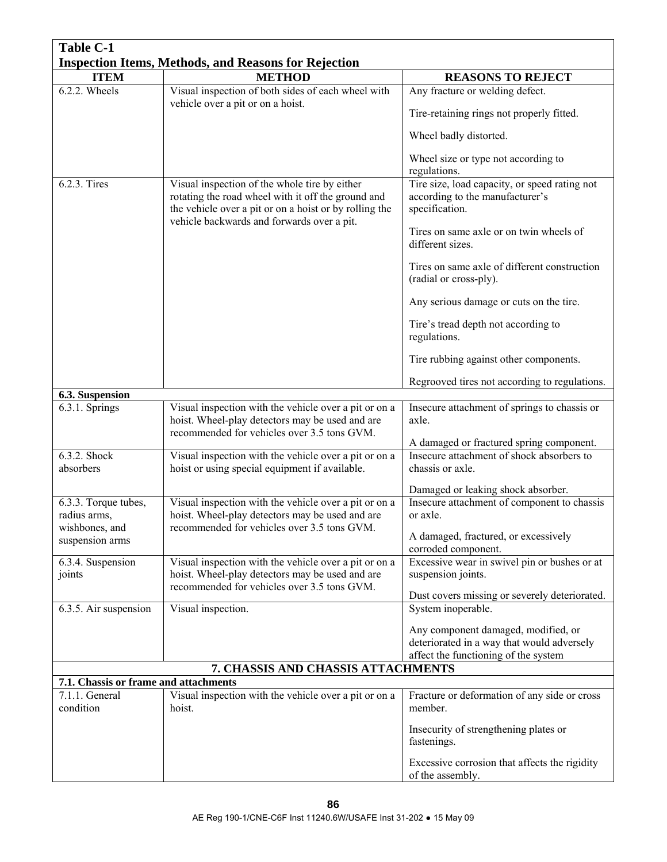| <b>Table C-1</b>                      |                                                                                                                                                               |                                                                                                                           |
|---------------------------------------|---------------------------------------------------------------------------------------------------------------------------------------------------------------|---------------------------------------------------------------------------------------------------------------------------|
|                                       | <b>Inspection Items, Methods, and Reasons for Rejection</b>                                                                                                   |                                                                                                                           |
| <b>ITEM</b>                           | <b>METHOD</b>                                                                                                                                                 | <b>REASONS TO REJECT</b>                                                                                                  |
| 6.2.2. Wheels                         | Visual inspection of both sides of each wheel with<br>vehicle over a pit or on a hoist.                                                                       | Any fracture or welding defect.                                                                                           |
|                                       |                                                                                                                                                               | Tire-retaining rings not properly fitted.                                                                                 |
|                                       |                                                                                                                                                               | Wheel badly distorted.                                                                                                    |
|                                       |                                                                                                                                                               | Wheel size or type not according to<br>regulations.                                                                       |
| 6.2.3. Tires                          | Visual inspection of the whole tire by either<br>rotating the road wheel with it off the ground and<br>the vehicle over a pit or on a hoist or by rolling the | Tire size, load capacity, or speed rating not<br>according to the manufacturer's<br>specification.                        |
|                                       | vehicle backwards and forwards over a pit.                                                                                                                    | Tires on same axle or on twin wheels of<br>different sizes.                                                               |
|                                       |                                                                                                                                                               | Tires on same axle of different construction<br>(radial or cross-ply).                                                    |
|                                       |                                                                                                                                                               | Any serious damage or cuts on the tire.                                                                                   |
|                                       |                                                                                                                                                               | Tire's tread depth not according to<br>regulations.                                                                       |
|                                       |                                                                                                                                                               | Tire rubbing against other components.                                                                                    |
| 6.3. Suspension                       |                                                                                                                                                               | Regrooved tires not according to regulations.                                                                             |
| 6.3.1. Springs                        | Visual inspection with the vehicle over a pit or on a                                                                                                         | Insecure attachment of springs to chassis or                                                                              |
|                                       | hoist. Wheel-play detectors may be used and are<br>recommended for vehicles over 3.5 tons GVM.                                                                | axle.                                                                                                                     |
| 6.3.2. Shock                          |                                                                                                                                                               | A damaged or fractured spring component.<br>Insecure attachment of shock absorbers to                                     |
| absorbers                             | Visual inspection with the vehicle over a pit or on a<br>hoist or using special equipment if available.                                                       | chassis or axle.                                                                                                          |
|                                       |                                                                                                                                                               | Damaged or leaking shock absorber.                                                                                        |
| 6.3.3. Torque tubes,                  | Visual inspection with the vehicle over a pit or on a                                                                                                         | Insecure attachment of component to chassis                                                                               |
| radius arms,                          | hoist. Wheel-play detectors may be used and are                                                                                                               | or axle.                                                                                                                  |
| wishbones, and<br>suspension arms     | recommended for vehicles over 3.5 tons GVM.                                                                                                                   | A damaged, fractured, or excessively<br>corroded component.                                                               |
| 6.3.4. Suspension                     | Visual inspection with the vehicle over a pit or on a                                                                                                         | Excessive wear in swivel pin or bushes or at                                                                              |
| joints                                | hoist. Wheel-play detectors may be used and are                                                                                                               | suspension joints.                                                                                                        |
|                                       | recommended for vehicles over 3.5 tons GVM.                                                                                                                   | Dust covers missing or severely deteriorated.                                                                             |
| 6.3.5. Air suspension                 | Visual inspection.                                                                                                                                            | System inoperable.                                                                                                        |
|                                       |                                                                                                                                                               | Any component damaged, modified, or<br>deteriorated in a way that would adversely<br>affect the functioning of the system |
|                                       | 7. CHASSIS AND CHASSIS ATTACHMENTS                                                                                                                            |                                                                                                                           |
| 7.1. Chassis or frame and attachments |                                                                                                                                                               |                                                                                                                           |
| 7.1.1. General<br>condition           | Visual inspection with the vehicle over a pit or on a<br>hoist.                                                                                               | Fracture or deformation of any side or cross<br>member.                                                                   |
|                                       |                                                                                                                                                               | Insecurity of strengthening plates or<br>fastenings.                                                                      |
|                                       |                                                                                                                                                               | Excessive corrosion that affects the rigidity<br>of the assembly.                                                         |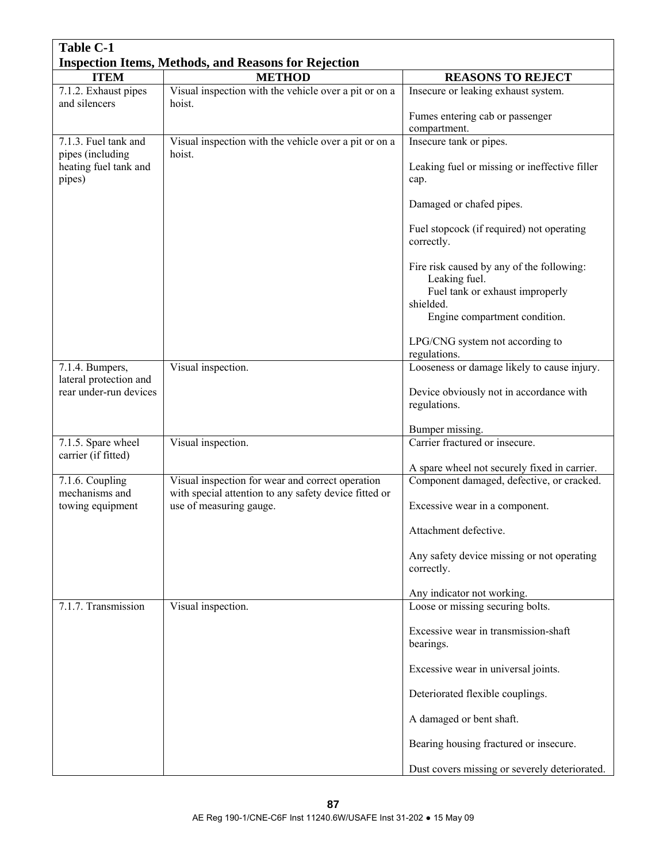| <b>Table C-1</b>                                            |                                                                                                           |                                                                                                                                             |  |
|-------------------------------------------------------------|-----------------------------------------------------------------------------------------------------------|---------------------------------------------------------------------------------------------------------------------------------------------|--|
| <b>Inspection Items, Methods, and Reasons for Rejection</b> |                                                                                                           |                                                                                                                                             |  |
| <b>ITEM</b>                                                 | <b>METHOD</b>                                                                                             | <b>REASONS TO REJECT</b>                                                                                                                    |  |
| 7.1.2. Exhaust pipes<br>and silencers                       | Visual inspection with the vehicle over a pit or on a<br>hoist.                                           | Insecure or leaking exhaust system.                                                                                                         |  |
|                                                             |                                                                                                           | Fumes entering cab or passenger<br>compartment.                                                                                             |  |
| 7.1.3. Fuel tank and                                        | Visual inspection with the vehicle over a pit or on a                                                     | Insecure tank or pipes.                                                                                                                     |  |
| pipes (including<br>heating fuel tank and<br>pipes)         | hoist.                                                                                                    | Leaking fuel or missing or ineffective filler<br>cap.                                                                                       |  |
|                                                             |                                                                                                           | Damaged or chafed pipes.                                                                                                                    |  |
|                                                             |                                                                                                           | Fuel stopcock (if required) not operating<br>correctly.                                                                                     |  |
|                                                             |                                                                                                           | Fire risk caused by any of the following:<br>Leaking fuel.<br>Fuel tank or exhaust improperly<br>shielded.<br>Engine compartment condition. |  |
|                                                             |                                                                                                           | LPG/CNG system not according to<br>regulations.                                                                                             |  |
| 7.1.4. Bumpers,                                             | Visual inspection.                                                                                        | Looseness or damage likely to cause injury.                                                                                                 |  |
| lateral protection and<br>rear under-run devices            |                                                                                                           | Device obviously not in accordance with<br>regulations.                                                                                     |  |
|                                                             |                                                                                                           | Bumper missing.                                                                                                                             |  |
| 7.1.5. Spare wheel                                          | Visual inspection.                                                                                        | Carrier fractured or insecure.                                                                                                              |  |
| carrier (if fitted)                                         |                                                                                                           | A spare wheel not securely fixed in carrier.                                                                                                |  |
| 7.1.6. Coupling<br>mechanisms and                           | Visual inspection for wear and correct operation<br>with special attention to any safety device fitted or | Component damaged, defective, or cracked.                                                                                                   |  |
| towing equipment                                            | use of measuring gauge.                                                                                   | Excessive wear in a component.                                                                                                              |  |
|                                                             |                                                                                                           | Attachment defective.                                                                                                                       |  |
|                                                             |                                                                                                           | Any safety device missing or not operating<br>correctly.                                                                                    |  |
|                                                             |                                                                                                           | Any indicator not working.                                                                                                                  |  |
| 7.1.7. Transmission                                         | Visual inspection.                                                                                        | Loose or missing securing bolts.                                                                                                            |  |
|                                                             |                                                                                                           | Excessive wear in transmission-shaft<br>bearings.                                                                                           |  |
|                                                             |                                                                                                           | Excessive wear in universal joints.                                                                                                         |  |
|                                                             |                                                                                                           | Deteriorated flexible couplings.                                                                                                            |  |
|                                                             |                                                                                                           | A damaged or bent shaft.                                                                                                                    |  |
|                                                             |                                                                                                           | Bearing housing fractured or insecure.                                                                                                      |  |
|                                                             |                                                                                                           | Dust covers missing or severely deteriorated.                                                                                               |  |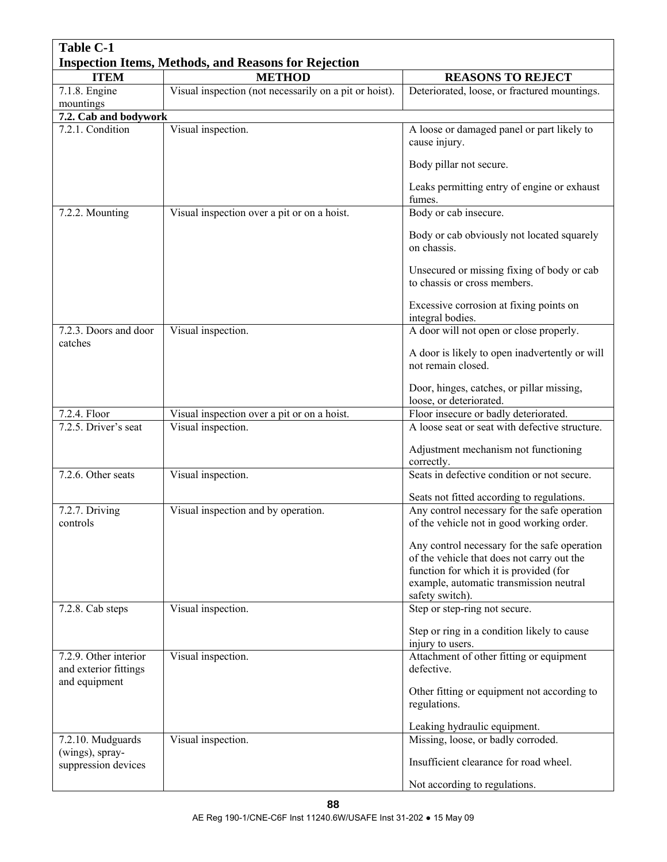| <b>Table C-1</b>                          |                                                             |                                                                            |  |  |  |
|-------------------------------------------|-------------------------------------------------------------|----------------------------------------------------------------------------|--|--|--|
|                                           | <b>Inspection Items, Methods, and Reasons for Rejection</b> |                                                                            |  |  |  |
| <b>ITEM</b>                               | <b>METHOD</b>                                               | <b>REASONS TO REJECT</b>                                                   |  |  |  |
| 7.1.8. Engine                             | Visual inspection (not necessarily on a pit or hoist).      | Deteriorated, loose, or fractured mountings.                               |  |  |  |
| mountings                                 |                                                             |                                                                            |  |  |  |
| 7.2. Cab and bodywork<br>7.2.1. Condition | Visual inspection.                                          | A loose or damaged panel or part likely to                                 |  |  |  |
|                                           |                                                             | cause injury.                                                              |  |  |  |
|                                           |                                                             | Body pillar not secure.                                                    |  |  |  |
|                                           |                                                             | Leaks permitting entry of engine or exhaust<br>fumes.                      |  |  |  |
| 7.2.2. Mounting                           | Visual inspection over a pit or on a hoist.                 | Body or cab insecure.                                                      |  |  |  |
|                                           |                                                             | Body or cab obviously not located squarely<br>on chassis.                  |  |  |  |
|                                           |                                                             | Unsecured or missing fixing of body or cab<br>to chassis or cross members. |  |  |  |
|                                           |                                                             | Excessive corrosion at fixing points on<br>integral bodies.                |  |  |  |
| 7.2.3. Doors and door                     | Visual inspection.                                          | A door will not open or close properly.                                    |  |  |  |
| catches                                   |                                                             | A door is likely to open inadvertently or will                             |  |  |  |
|                                           |                                                             | not remain closed.                                                         |  |  |  |
|                                           |                                                             | Door, hinges, catches, or pillar missing,<br>loose, or deteriorated.       |  |  |  |
| 7.2.4. Floor                              | Visual inspection over a pit or on a hoist.                 | Floor insecure or badly deteriorated.                                      |  |  |  |
| 7.2.5. Driver's seat                      | Visual inspection.                                          | A loose seat or seat with defective structure.                             |  |  |  |
|                                           |                                                             | Adjustment mechanism not functioning<br>correctly.                         |  |  |  |
| 7.2.6. Other seats                        | Visual inspection.                                          | Seats in defective condition or not secure.                                |  |  |  |
|                                           |                                                             | Seats not fitted according to regulations.                                 |  |  |  |
| 7.2.7. Driving                            | Visual inspection and by operation.                         | Any control necessary for the safe operation                               |  |  |  |
| controls                                  |                                                             | of the vehicle not in good working order.                                  |  |  |  |
|                                           |                                                             | Any control necessary for the safe operation                               |  |  |  |
|                                           |                                                             | of the vehicle that does not carry out the                                 |  |  |  |
|                                           |                                                             | function for which it is provided (for                                     |  |  |  |
|                                           |                                                             | example, automatic transmission neutral                                    |  |  |  |
|                                           |                                                             | safety switch).                                                            |  |  |  |
| 7.2.8. Cab steps                          | Visual inspection.                                          | Step or step-ring not secure.                                              |  |  |  |
|                                           |                                                             | Step or ring in a condition likely to cause<br>injury to users.            |  |  |  |
| 7.2.9. Other interior                     | Visual inspection.                                          | Attachment of other fitting or equipment                                   |  |  |  |
| and exterior fittings                     |                                                             | defective.                                                                 |  |  |  |
| and equipment                             |                                                             |                                                                            |  |  |  |
|                                           |                                                             | Other fitting or equipment not according to<br>regulations.                |  |  |  |
|                                           |                                                             | Leaking hydraulic equipment.                                               |  |  |  |
| 7.2.10. Mudguards                         | Visual inspection.                                          | Missing, loose, or badly corroded.                                         |  |  |  |
| (wings), spray-<br>suppression devices    |                                                             | Insufficient clearance for road wheel.                                     |  |  |  |
|                                           |                                                             | Not according to regulations.                                              |  |  |  |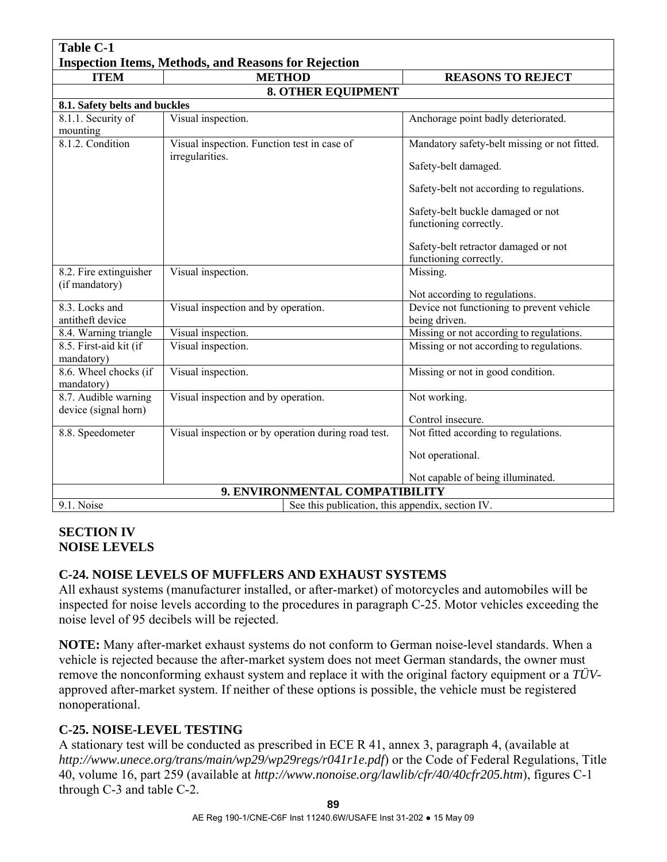| <b>Table C-1</b>                                               |                                                     |                                                                |  |  |  |
|----------------------------------------------------------------|-----------------------------------------------------|----------------------------------------------------------------|--|--|--|
| <b>Inspection Items, Methods, and Reasons for Rejection</b>    |                                                     |                                                                |  |  |  |
| <b>ITEM</b>                                                    | <b>METHOD</b>                                       | <b>REASONS TO REJECT</b>                                       |  |  |  |
|                                                                | <b>8. OTHER EQUIPMENT</b>                           |                                                                |  |  |  |
|                                                                | 8.1. Safety belts and buckles                       |                                                                |  |  |  |
| 8.1.1. Security of<br>mounting                                 | Visual inspection.                                  | Anchorage point badly deteriorated.                            |  |  |  |
| 8.1.2. Condition                                               | Visual inspection. Function test in case of         | Mandatory safety-belt missing or not fitted.                   |  |  |  |
|                                                                | irregularities.                                     | Safety-belt damaged.                                           |  |  |  |
|                                                                |                                                     | Safety-belt not according to regulations.                      |  |  |  |
|                                                                |                                                     | Safety-belt buckle damaged or not                              |  |  |  |
|                                                                |                                                     | functioning correctly.                                         |  |  |  |
|                                                                |                                                     | Safety-belt retractor damaged or not<br>functioning correctly. |  |  |  |
| 8.2. Fire extinguisher                                         | Visual inspection.                                  | Missing.                                                       |  |  |  |
| (if mandatory)                                                 |                                                     | Not according to regulations.                                  |  |  |  |
| 8.3. Locks and                                                 | Visual inspection and by operation.                 | Device not functioning to prevent vehicle                      |  |  |  |
| antitheft device                                               |                                                     | being driven.                                                  |  |  |  |
| 8.4. Warning triangle                                          | Visual inspection.                                  | Missing or not according to regulations.                       |  |  |  |
| 8.5. First-aid kit (if<br>mandatory)                           | Visual inspection.                                  | Missing or not according to regulations.                       |  |  |  |
| 8.6. Wheel chocks (if<br>mandatory)                            | Visual inspection.                                  | Missing or not in good condition.                              |  |  |  |
| 8.7. Audible warning<br>device (signal horn)                   | Visual inspection and by operation.                 | Not working.                                                   |  |  |  |
|                                                                |                                                     | Control insecure.                                              |  |  |  |
| 8.8. Speedometer                                               | Visual inspection or by operation during road test. | Not fitted according to regulations.                           |  |  |  |
|                                                                |                                                     | Not operational.                                               |  |  |  |
|                                                                |                                                     | Not capable of being illuminated.                              |  |  |  |
| 9. ENVIRONMENTAL COMPATIBILITY                                 |                                                     |                                                                |  |  |  |
| 9.1. Noise<br>See this publication, this appendix, section IV. |                                                     |                                                                |  |  |  |

### **SECTION IV NOISE LEVELS**

# **C-24. NOISE LEVELS OF MUFFLERS AND EXHAUST SYSTEMS**

All exhaust systems (manufacturer installed, or after-market) of motorcycles and automobiles will be inspected for noise levels according to the procedures in paragraph C-25. Motor vehicles exceeding the noise level of 95 decibels will be rejected.

**NOTE:** Many after-market exhaust systems do not conform to German noise-level standards. When a vehicle is rejected because the after-market system does not meet German standards, the owner must remove the nonconforming exhaust system and replace it with the original factory equipment or a *TÜV*approved after-market system. If neither of these options is possible, the vehicle must be registered nonoperational.

# **C-25. NOISE-LEVEL TESTING**

A stationary test will be conducted as prescribed in ECE R 41, annex 3, paragraph 4, (available at *http://www.unece.org/trans/main/wp29/wp29regs/r041r1e.pdf*) or the Code of Federal Regulations, Title 40, volume 16, part 259 (available at *http://www.nonoise.org/lawlib/cfr/40/40cfr205.htm*), figures C-1 through C-3 and table C-2.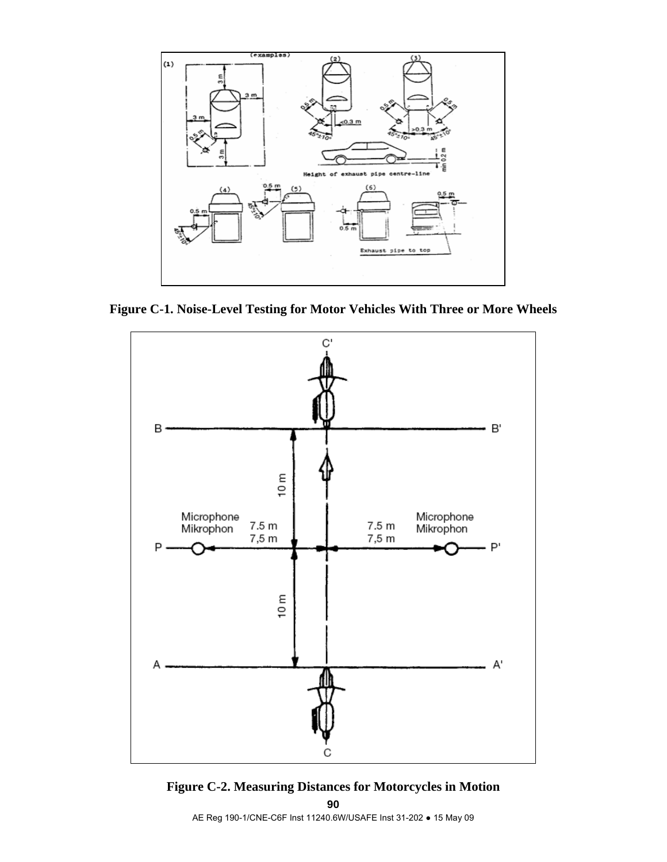

**Figure C-1. Noise-Level Testing for Motor Vehicles With Three or More Wheels**





AE Reg 190-1/CNE-C6F Inst 11240.6W/USAFE Inst 31-202 ● 15 May 09

**90**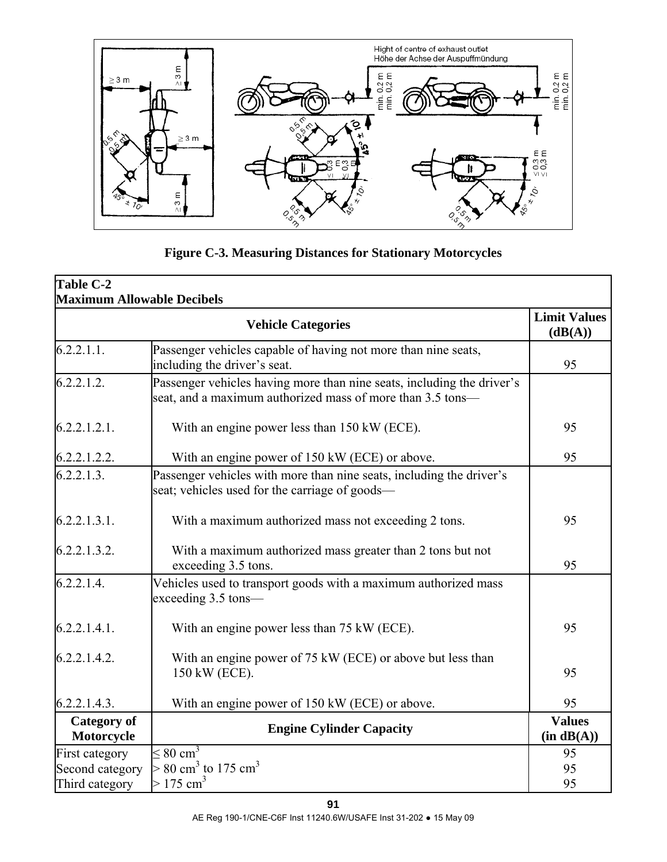

**Figure C-3. Measuring Distances for Stationary Motorcycles**

| Table C-2<br><b>Maximum Allowable Decibels</b>   |                                                                                                                                      |                             |
|--------------------------------------------------|--------------------------------------------------------------------------------------------------------------------------------------|-----------------------------|
| <b>Limit Values</b><br><b>Vehicle Categories</b> |                                                                                                                                      |                             |
| 6.2.2.1.1.                                       | Passenger vehicles capable of having not more than nine seats,<br>including the driver's seat.                                       | 95                          |
| 6.2.2.1.2.                                       | Passenger vehicles having more than nine seats, including the driver's<br>seat, and a maximum authorized mass of more than 3.5 tons— |                             |
| 6.2.2.1.2.1.                                     | With an engine power less than 150 kW (ECE).                                                                                         | 95                          |
| 6.2.2.1.2.2.                                     | With an engine power of 150 kW (ECE) or above.                                                                                       | 95                          |
| 6.2.2.1.3.                                       | Passenger vehicles with more than nine seats, including the driver's<br>seat; vehicles used for the carriage of goods-               |                             |
| 6.2.2.1.3.1.                                     | With a maximum authorized mass not exceeding 2 tons.                                                                                 | 95                          |
| 6.2.2.1.3.2.                                     | With a maximum authorized mass greater than 2 tons but not<br>exceeding 3.5 tons.                                                    | 95                          |
| 6.2.2.1.4                                        | Vehicles used to transport goods with a maximum authorized mass<br>exceeding 3.5 tons—                                               |                             |
| 6.2.2.1.4.1.                                     | With an engine power less than 75 kW (ECE).                                                                                          | 95                          |
| 6.2.2.1.4.2.                                     | With an engine power of 75 kW (ECE) or above but less than<br>150 kW (ECE).                                                          | 95                          |
| 6.2.2.1.4.3.                                     | With an engine power of 150 kW (ECE) or above.                                                                                       | 95                          |
| <b>Category</b> of<br>Motorcycle                 | <b>Engine Cylinder Capacity</b>                                                                                                      | <b>Values</b><br>(in dB(A)) |
| First category                                   | $\leq 80 \text{ cm}^3$                                                                                                               | 95                          |
| Second category                                  | $> 80 \text{ cm}^3$ to 175 cm <sup>3</sup>                                                                                           | 95                          |
| Third category                                   | $> 175 \text{ cm}^3$                                                                                                                 | 95                          |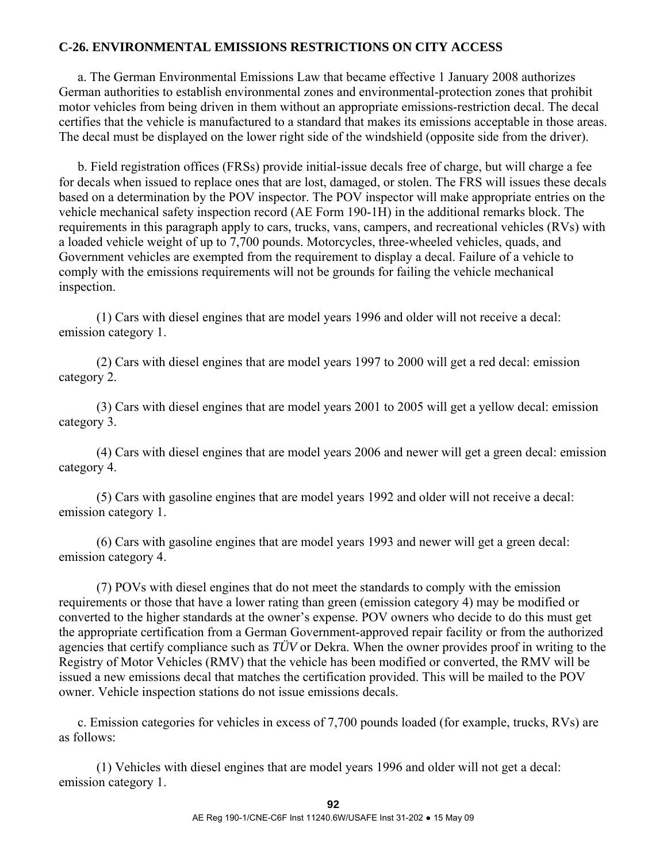## **C-26. ENVIRONMENTAL EMISSIONS RESTRICTIONS ON CITY ACCESS**

 a. The German Environmental Emissions Law that became effective 1 January 2008 authorizes German authorities to establish environmental zones and environmental-protection zones that prohibit motor vehicles from being driven in them without an appropriate emissions-restriction decal. The decal certifies that the vehicle is manufactured to a standard that makes its emissions acceptable in those areas. The decal must be displayed on the lower right side of the windshield (opposite side from the driver).

 b. Field registration offices (FRSs) provide initial-issue decals free of charge, but will charge a fee for decals when issued to replace ones that are lost, damaged, or stolen. The FRS will issues these decals based on a determination by the POV inspector. The POV inspector will make appropriate entries on the vehicle mechanical safety inspection record (AE Form 190-1H) in the additional remarks block. The requirements in this paragraph apply to cars, trucks, vans, campers, and recreational vehicles (RVs) with a loaded vehicle weight of up to 7,700 pounds. Motorcycles, three-wheeled vehicles, quads, and Government vehicles are exempted from the requirement to display a decal. Failure of a vehicle to comply with the emissions requirements will not be grounds for failing the vehicle mechanical inspection.

 (1) Cars with diesel engines that are model years 1996 and older will not receive a decal: emission category 1.

 (2) Cars with diesel engines that are model years 1997 to 2000 will get a red decal: emission category 2.

 (3) Cars with diesel engines that are model years 2001 to 2005 will get a yellow decal: emission category 3.

 (4) Cars with diesel engines that are model years 2006 and newer will get a green decal: emission category 4.

 (5) Cars with gasoline engines that are model years 1992 and older will not receive a decal: emission category 1.

 (6) Cars with gasoline engines that are model years 1993 and newer will get a green decal: emission category 4.

 (7) POVs with diesel engines that do not meet the standards to comply with the emission requirements or those that have a lower rating than green (emission category 4) may be modified or converted to the higher standards at the owner's expense. POV owners who decide to do this must get the appropriate certification from a German Government-approved repair facility or from the authorized agencies that certify compliance such as *TÜV* or Dekra. When the owner provides proof in writing to the Registry of Motor Vehicles (RMV) that the vehicle has been modified or converted, the RMV will be issued a new emissions decal that matches the certification provided. This will be mailed to the POV owner. Vehicle inspection stations do not issue emissions decals.

 c. Emission categories for vehicles in excess of 7,700 pounds loaded (for example, trucks, RVs) are as follows:

 (1) Vehicles with diesel engines that are model years 1996 and older will not get a decal: emission category 1.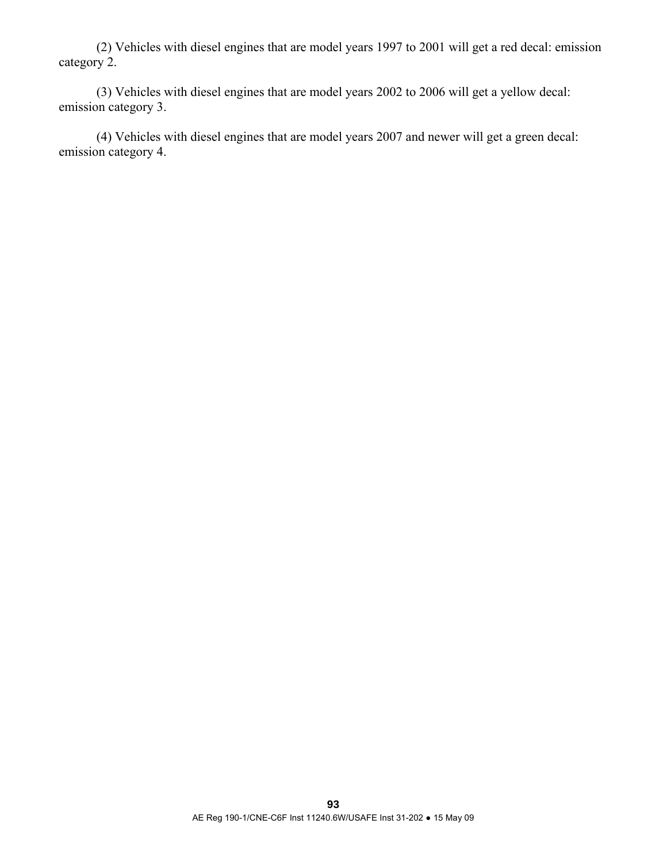(2) Vehicles with diesel engines that are model years 1997 to 2001 will get a red decal: emission category 2.

 (3) Vehicles with diesel engines that are model years 2002 to 2006 will get a yellow decal: emission category 3.

 (4) Vehicles with diesel engines that are model years 2007 and newer will get a green decal: emission category 4.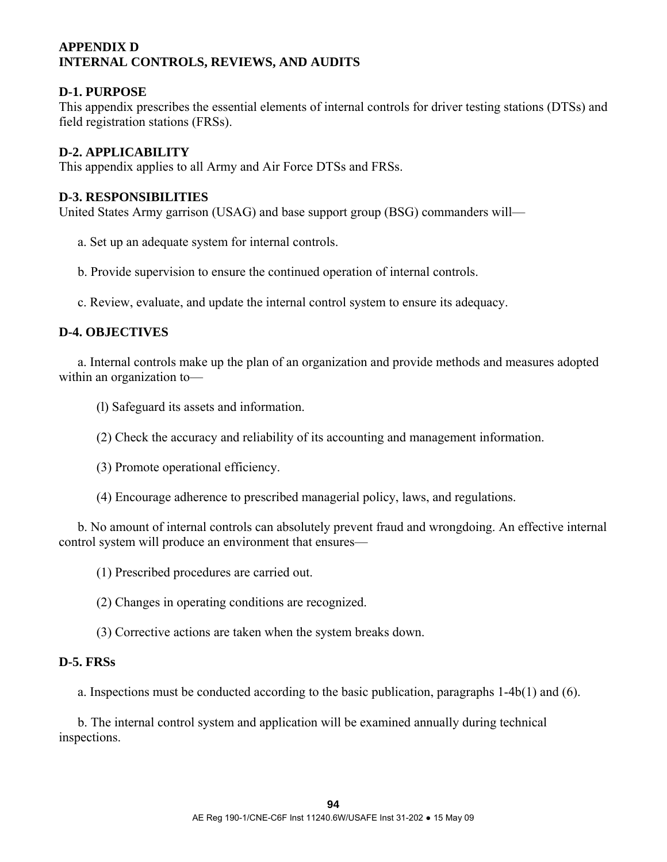# **APPENDIX D INTERNAL CONTROLS, REVIEWS, AND AUDITS**

### **D-1. PURPOSE**

This appendix prescribes the essential elements of internal controls for driver testing stations (DTSs) and field registration stations (FRSs).

### **D-2. APPLICABILITY**

This appendix applies to all Army and Air Force DTSs and FRSs.

### **D-3. RESPONSIBILITIES**

United States Army garrison (USAG) and base support group (BSG) commanders will—

- a. Set up an adequate system for internal controls.
- b. Provide supervision to ensure the continued operation of internal controls.
- c. Review, evaluate, and update the internal control system to ensure its adequacy.

# **D-4. OBJECTIVES**

 a. Internal controls make up the plan of an organization and provide methods and measures adopted within an organization to—

- (l) Safeguard its assets and information.
- (2) Check the accuracy and reliability of its accounting and management information.
- (3) Promote operational efficiency.
- (4) Encourage adherence to prescribed managerial policy, laws, and regulations.

 b. No amount of internal controls can absolutely prevent fraud and wrongdoing. An effective internal control system will produce an environment that ensures—

- (1) Prescribed procedures are carried out.
- (2) Changes in operating conditions are recognized.
- (3) Corrective actions are taken when the system breaks down.

### **D-5. FRSs**

a. Inspections must be conducted according to the basic publication, paragraphs 1-4b(1) and (6).

 b. The internal control system and application will be examined annually during technical inspections.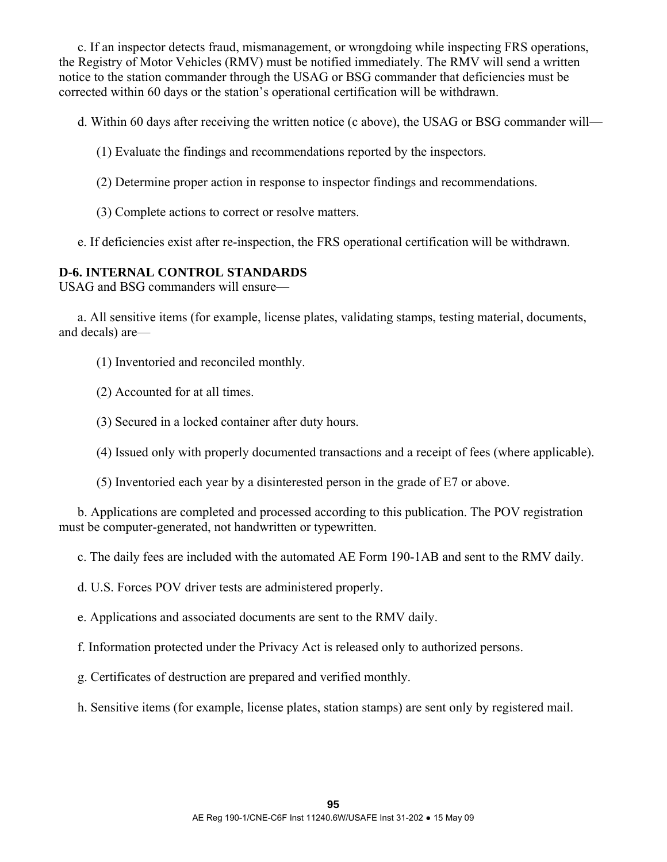c. If an inspector detects fraud, mismanagement, or wrongdoing while inspecting FRS operations, the Registry of Motor Vehicles (RMV) must be notified immediately. The RMV will send a written notice to the station commander through the USAG or BSG commander that deficiencies must be corrected within 60 days or the station's operational certification will be withdrawn.

d. Within 60 days after receiving the written notice (c above), the USAG or BSG commander will—

- (1) Evaluate the findings and recommendations reported by the inspectors.
- (2) Determine proper action in response to inspector findings and recommendations.
- (3) Complete actions to correct or resolve matters.

e. If deficiencies exist after re-inspection, the FRS operational certification will be withdrawn.

# **D-6. INTERNAL CONTROL STANDARDS**

USAG and BSG commanders will ensure—

 a. All sensitive items (for example, license plates, validating stamps, testing material, documents, and decals) are—

- (1) Inventoried and reconciled monthly.
- (2) Accounted for at all times.
- (3) Secured in a locked container after duty hours.
- (4) Issued only with properly documented transactions and a receipt of fees (where applicable).
- (5) Inventoried each year by a disinterested person in the grade of E7 or above.

 b. Applications are completed and processed according to this publication. The POV registration must be computer-generated, not handwritten or typewritten.

c. The daily fees are included with the automated AE Form 190-1AB and sent to the RMV daily.

d. U.S. Forces POV driver tests are administered properly.

e. Applications and associated documents are sent to the RMV daily.

f. Information protected under the Privacy Act is released only to authorized persons.

g. Certificates of destruction are prepared and verified monthly.

h. Sensitive items (for example, license plates, station stamps) are sent only by registered mail.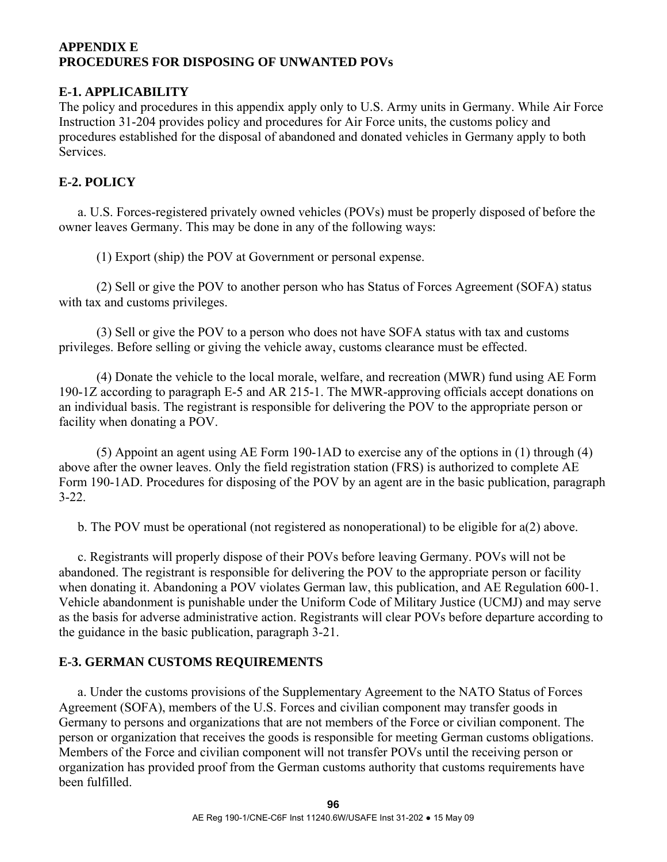# **APPENDIX E PROCEDURES FOR DISPOSING OF UNWANTED POVs**

# **E-1. APPLICABILITY**

The policy and procedures in this appendix apply only to U.S. Army units in Germany. While Air Force Instruction 31-204 provides policy and procedures for Air Force units, the customs policy and procedures established for the disposal of abandoned and donated vehicles in Germany apply to both **Services** 

# **E-2. POLICY**

 a. U.S. Forces-registered privately owned vehicles (POVs) must be properly disposed of before the owner leaves Germany. This may be done in any of the following ways:

(1) Export (ship) the POV at Government or personal expense.

 (2) Sell or give the POV to another person who has Status of Forces Agreement (SOFA) status with tax and customs privileges.

 (3) Sell or give the POV to a person who does not have SOFA status with tax and customs privileges. Before selling or giving the vehicle away, customs clearance must be effected.

 (4) Donate the vehicle to the local morale, welfare, and recreation (MWR) fund using AE Form 190-1Z according to paragraph E-5 and AR 215-1. The MWR-approving officials accept donations on an individual basis. The registrant is responsible for delivering the POV to the appropriate person or facility when donating a POV.

 (5) Appoint an agent using AE Form 190-1AD to exercise any of the options in (1) through (4) above after the owner leaves. Only the field registration station (FRS) is authorized to complete AE Form 190-1AD. Procedures for disposing of the POV by an agent are in the basic publication, paragraph 3-22.

b. The POV must be operational (not registered as nonoperational) to be eligible for a(2) above.

 c. Registrants will properly dispose of their POVs before leaving Germany. POVs will not be abandoned. The registrant is responsible for delivering the POV to the appropriate person or facility when donating it. Abandoning a POV violates German law, this publication, and AE Regulation 600-1. Vehicle abandonment is punishable under the Uniform Code of Military Justice (UCMJ) and may serve as the basis for adverse administrative action. Registrants will clear POVs before departure according to the guidance in the basic publication, paragraph 3-21.

# **E-3. GERMAN CUSTOMS REQUIREMENTS**

 a. Under the customs provisions of the Supplementary Agreement to the NATO Status of Forces Agreement (SOFA), members of the U.S. Forces and civilian component may transfer goods in Germany to persons and organizations that are not members of the Force or civilian component. The person or organization that receives the goods is responsible for meeting German customs obligations. Members of the Force and civilian component will not transfer POVs until the receiving person or organization has provided proof from the German customs authority that customs requirements have been fulfilled.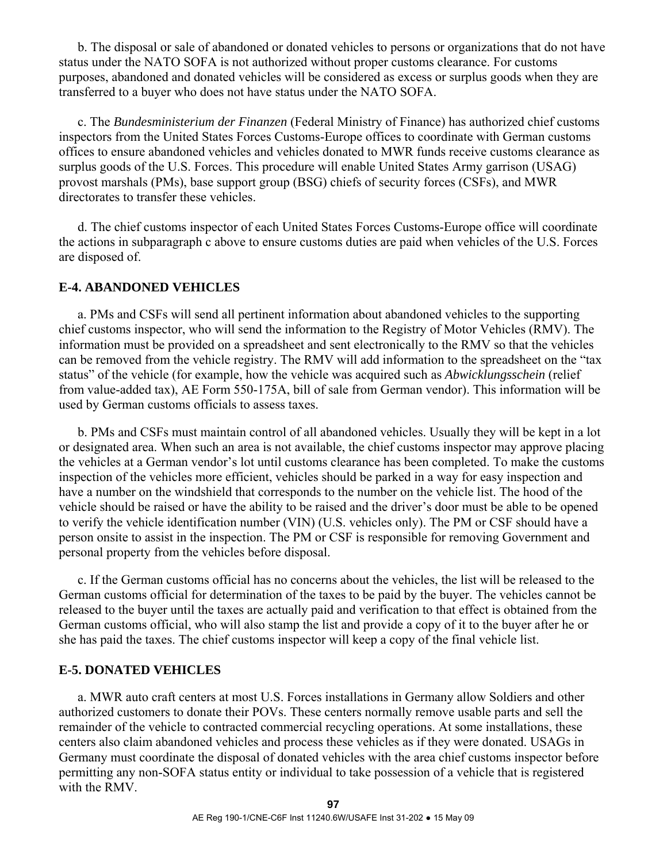b. The disposal or sale of abandoned or donated vehicles to persons or organizations that do not have status under the NATO SOFA is not authorized without proper customs clearance. For customs purposes, abandoned and donated vehicles will be considered as excess or surplus goods when they are transferred to a buyer who does not have status under the NATO SOFA.

 c. The *Bundesministerium der Finanzen* (Federal Ministry of Finance) has authorized chief customs inspectors from the United States Forces Customs-Europe offices to coordinate with German customs offices to ensure abandoned vehicles and vehicles donated to MWR funds receive customs clearance as surplus goods of the U.S. Forces. This procedure will enable United States Army garrison (USAG) provost marshals (PMs), base support group (BSG) chiefs of security forces (CSFs), and MWR directorates to transfer these vehicles.

 d. The chief customs inspector of each United States Forces Customs-Europe office will coordinate the actions in subparagraph c above to ensure customs duties are paid when vehicles of the U.S. Forces are disposed of.

### **E-4. ABANDONED VEHICLES**

 a. PMs and CSFs will send all pertinent information about abandoned vehicles to the supporting chief customs inspector, who will send the information to the Registry of Motor Vehicles (RMV). The information must be provided on a spreadsheet and sent electronically to the RMV so that the vehicles can be removed from the vehicle registry. The RMV will add information to the spreadsheet on the "tax status" of the vehicle (for example, how the vehicle was acquired such as *Abwicklungsschein* (relief from value-added tax), AE Form 550-175A, bill of sale from German vendor). This information will be used by German customs officials to assess taxes.

 b. PMs and CSFs must maintain control of all abandoned vehicles. Usually they will be kept in a lot or designated area. When such an area is not available, the chief customs inspector may approve placing the vehicles at a German vendor's lot until customs clearance has been completed. To make the customs inspection of the vehicles more efficient, vehicles should be parked in a way for easy inspection and have a number on the windshield that corresponds to the number on the vehicle list. The hood of the vehicle should be raised or have the ability to be raised and the driver's door must be able to be opened to verify the vehicle identification number (VIN) (U.S. vehicles only). The PM or CSF should have a person onsite to assist in the inspection. The PM or CSF is responsible for removing Government and personal property from the vehicles before disposal.

 c. If the German customs official has no concerns about the vehicles, the list will be released to the German customs official for determination of the taxes to be paid by the buyer. The vehicles cannot be released to the buyer until the taxes are actually paid and verification to that effect is obtained from the German customs official, who will also stamp the list and provide a copy of it to the buyer after he or she has paid the taxes. The chief customs inspector will keep a copy of the final vehicle list.

#### **E-5. DONATED VEHICLES**

 a. MWR auto craft centers at most U.S. Forces installations in Germany allow Soldiers and other authorized customers to donate their POVs. These centers normally remove usable parts and sell the remainder of the vehicle to contracted commercial recycling operations. At some installations, these centers also claim abandoned vehicles and process these vehicles as if they were donated. USAGs in Germany must coordinate the disposal of donated vehicles with the area chief customs inspector before permitting any non-SOFA status entity or individual to take possession of a vehicle that is registered with the RMV.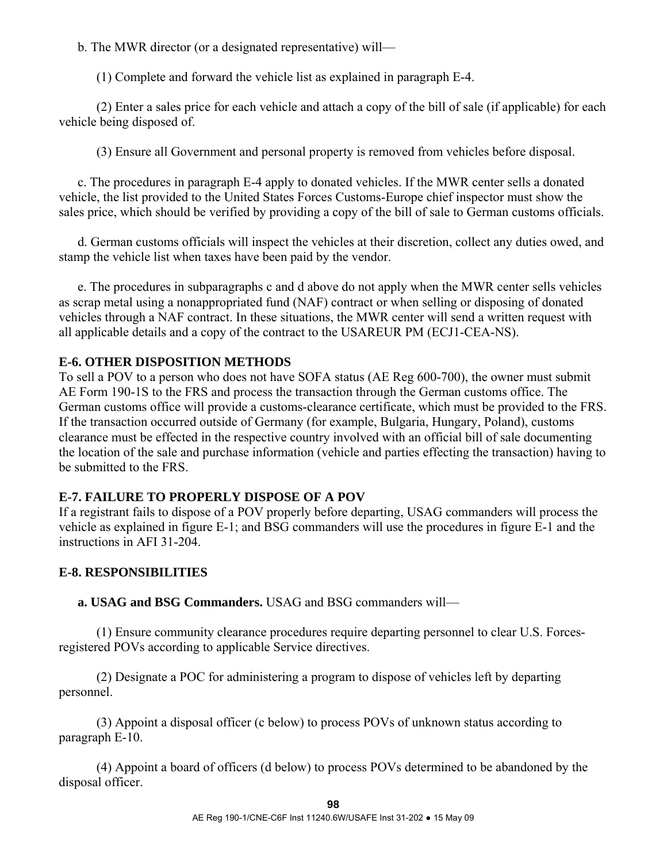b. The MWR director (or a designated representative) will—

(1) Complete and forward the vehicle list as explained in paragraph E-4.

 (2) Enter a sales price for each vehicle and attach a copy of the bill of sale (if applicable) for each vehicle being disposed of.

(3) Ensure all Government and personal property is removed from vehicles before disposal.

 c. The procedures in paragraph E-4 apply to donated vehicles. If the MWR center sells a donated vehicle, the list provided to the United States Forces Customs-Europe chief inspector must show the sales price, which should be verified by providing a copy of the bill of sale to German customs officials.

 d. German customs officials will inspect the vehicles at their discretion, collect any duties owed, and stamp the vehicle list when taxes have been paid by the vendor.

 e. The procedures in subparagraphs c and d above do not apply when the MWR center sells vehicles as scrap metal using a nonappropriated fund (NAF) contract or when selling or disposing of donated vehicles through a NAF contract. In these situations, the MWR center will send a written request with all applicable details and a copy of the contract to the USAREUR PM (ECJ1-CEA-NS).

# **E-6. OTHER DISPOSITION METHODS**

To sell a POV to a person who does not have SOFA status (AE Reg 600-700), the owner must submit AE Form 190-1S to the FRS and process the transaction through the German customs office. The German customs office will provide a customs-clearance certificate, which must be provided to the FRS. If the transaction occurred outside of Germany (for example, Bulgaria, Hungary, Poland), customs clearance must be effected in the respective country involved with an official bill of sale documenting the location of the sale and purchase information (vehicle and parties effecting the transaction) having to be submitted to the FRS.

# **E-7. FAILURE TO PROPERLY DISPOSE OF A POV**

If a registrant fails to dispose of a POV properly before departing, USAG commanders will process the vehicle as explained in figure E-1; and BSG commanders will use the procedures in figure E-1 and the instructions in AFI 31-204.

# **E-8. RESPONSIBILITIES**

 **a. USAG and BSG Commanders.** USAG and BSG commanders will—

 (1) Ensure community clearance procedures require departing personnel to clear U.S. Forcesregistered POVs according to applicable Service directives.

 (2) Designate a POC for administering a program to dispose of vehicles left by departing personnel.

 (3) Appoint a disposal officer (c below) to process POVs of unknown status according to paragraph E-10.

 (4) Appoint a board of officers (d below) to process POVs determined to be abandoned by the disposal officer.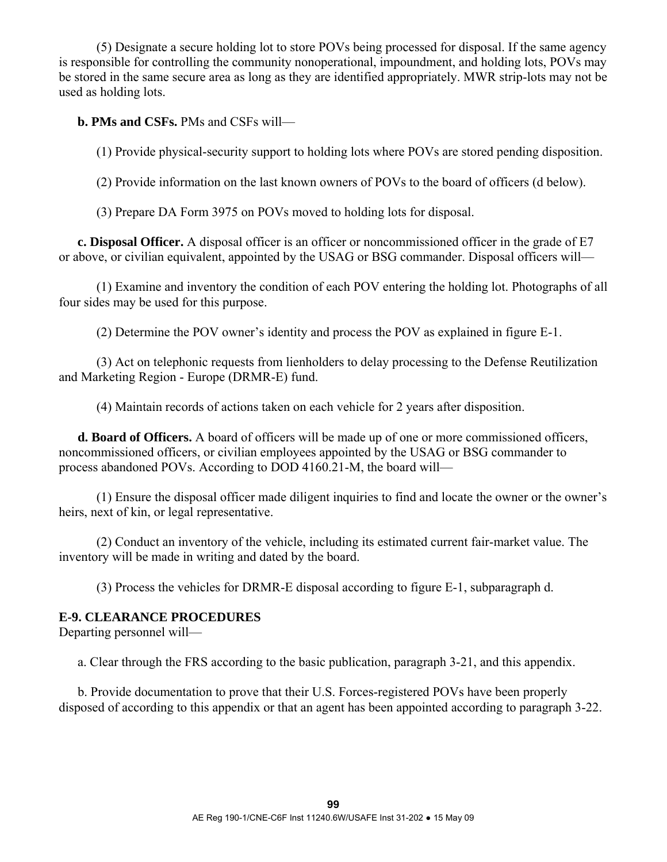(5) Designate a secure holding lot to store POVs being processed for disposal. If the same agency is responsible for controlling the community nonoperational, impoundment, and holding lots, POVs may be stored in the same secure area as long as they are identified appropriately. MWR strip-lots may not be used as holding lots.

 **b. PMs and CSFs.** PMs and CSFs will—

(1) Provide physical-security support to holding lots where POVs are stored pending disposition.

(2) Provide information on the last known owners of POVs to the board of officers (d below).

(3) Prepare DA Form 3975 on POVs moved to holding lots for disposal.

 **c. Disposal Officer.** A disposal officer is an officer or noncommissioned officer in the grade of E7 or above, or civilian equivalent, appointed by the USAG or BSG commander. Disposal officers will—

 (1) Examine and inventory the condition of each POV entering the holding lot. Photographs of all four sides may be used for this purpose.

(2) Determine the POV owner's identity and process the POV as explained in figure E-1.

 (3) Act on telephonic requests from lienholders to delay processing to the Defense Reutilization and Marketing Region - Europe (DRMR-E) fund.

(4) Maintain records of actions taken on each vehicle for 2 years after disposition.

 **d. Board of Officers.** A board of officers will be made up of one or more commissioned officers, noncommissioned officers, or civilian employees appointed by the USAG or BSG commander to process abandoned POVs. According to DOD 4160.21-M, the board will—

 (1) Ensure the disposal officer made diligent inquiries to find and locate the owner or the owner's heirs, next of kin, or legal representative.

 (2) Conduct an inventory of the vehicle, including its estimated current fair-market value. The inventory will be made in writing and dated by the board.

(3) Process the vehicles for DRMR-E disposal according to figure E-1, subparagraph d.

# **E-9. CLEARANCE PROCEDURES**

Departing personnel will—

a. Clear through the FRS according to the basic publication, paragraph 3-21, and this appendix.

 b. Provide documentation to prove that their U.S. Forces-registered POVs have been properly disposed of according to this appendix or that an agent has been appointed according to paragraph 3-22.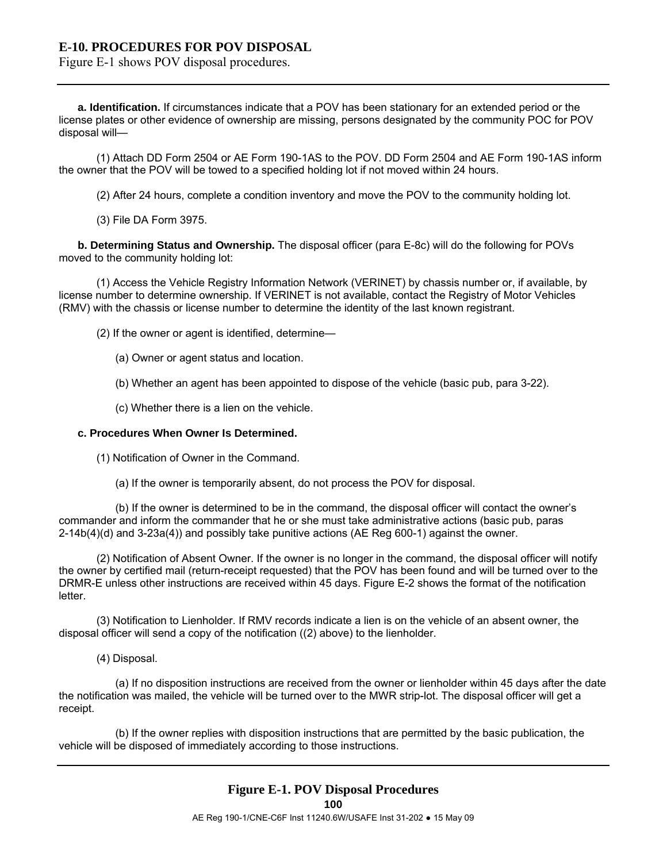### **E-10. PROCEDURES FOR POV DISPOSAL**

Figure E-1 shows POV disposal procedures.

**a. Identification.** If circumstances indicate that a POV has been stationary for an extended period or the license plates or other evidence of ownership are missing, persons designated by the community POC for POV disposal will—

 (1) Attach DD Form 2504 or AE Form 190-1AS to the POV. DD Form 2504 and AE Form 190-1AS inform the owner that the POV will be towed to a specified holding lot if not moved within 24 hours.

(2) After 24 hours, complete a condition inventory and move the POV to the community holding lot.

(3) File DA Form 3975.

 **b. Determining Status and Ownership.** The disposal officer (para E-8c) will do the following for POVs moved to the community holding lot:

 (1) Access the Vehicle Registry Information Network (VERINET) by chassis number or, if available, by license number to determine ownership. If VERINET is not available, contact the Registry of Motor Vehicles (RMV) with the chassis or license number to determine the identity of the last known registrant.

(2) If the owner or agent is identified, determine—

- (a) Owner or agent status and location.
- (b) Whether an agent has been appointed to dispose of the vehicle (basic pub, para 3-22).
- (c) Whether there is a lien on the vehicle.

#### **c. Procedures When Owner Is Determined.**

(1) Notification of Owner in the Command.

(a) If the owner is temporarily absent, do not process the POV for disposal.

 (b) If the owner is determined to be in the command, the disposal officer will contact the owner's commander and inform the commander that he or she must take administrative actions (basic pub, paras 2-14b(4)(d) and 3-23a(4)) and possibly take punitive actions (AE Reg 600-1) against the owner.

 (2) Notification of Absent Owner. If the owner is no longer in the command, the disposal officer will notify the owner by certified mail (return-receipt requested) that the POV has been found and will be turned over to the DRMR-E unless other instructions are received within 45 days. Figure E-2 shows the format of the notification letter.

 (3) Notification to Lienholder. If RMV records indicate a lien is on the vehicle of an absent owner, the disposal officer will send a copy of the notification ((2) above) to the lienholder.

(4) Disposal.

 (a) If no disposition instructions are received from the owner or lienholder within 45 days after the date the notification was mailed, the vehicle will be turned over to the MWR strip-lot. The disposal officer will get a receipt.

 (b) If the owner replies with disposition instructions that are permitted by the basic publication, the vehicle will be disposed of immediately according to those instructions.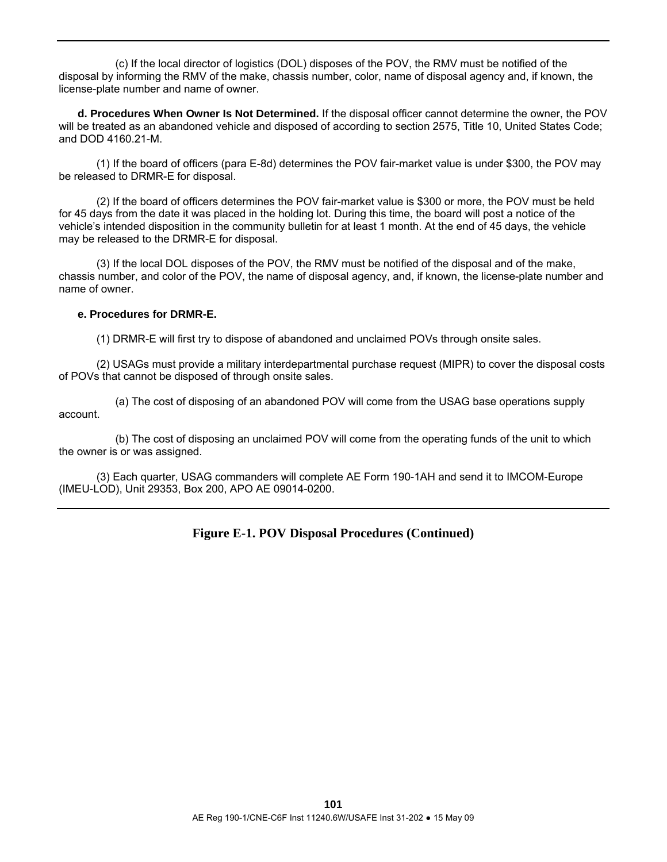(c) If the local director of logistics (DOL) disposes of the POV, the RMV must be notified of the disposal by informing the RMV of the make, chassis number, color, name of disposal agency and, if known, the license-plate number and name of owner.

 **d. Procedures When Owner Is Not Determined.** If the disposal officer cannot determine the owner, the POV will be treated as an abandoned vehicle and disposed of according to section 2575, Title 10, United States Code; and DOD 4160.21-M.

 (1) If the board of officers (para E-8d) determines the POV fair-market value is under \$300, the POV may be released to DRMR-E for disposal.

 (2) If the board of officers determines the POV fair-market value is \$300 or more, the POV must be held for 45 days from the date it was placed in the holding lot. During this time, the board will post a notice of the vehicle's intended disposition in the community bulletin for at least 1 month. At the end of 45 days, the vehicle may be released to the DRMR-E for disposal.

 (3) If the local DOL disposes of the POV, the RMV must be notified of the disposal and of the make, chassis number, and color of the POV, the name of disposal agency, and, if known, the license-plate number and name of owner.

#### **e. Procedures for DRMR-E.**

(1) DRMR-E will first try to dispose of abandoned and unclaimed POVs through onsite sales.

 (2) USAGs must provide a military interdepartmental purchase request (MIPR) to cover the disposal costs of POVs that cannot be disposed of through onsite sales.

 (a) The cost of disposing of an abandoned POV will come from the USAG base operations supply account.

 (b) The cost of disposing an unclaimed POV will come from the operating funds of the unit to which the owner is or was assigned.

 (3) Each quarter, USAG commanders will complete AE Form 190-1AH and send it to IMCOM-Europe (IMEU-LOD), Unit 29353, Box 200, APO AE 09014-0200.

### **Figure E-1. POV Disposal Procedures (Continued)**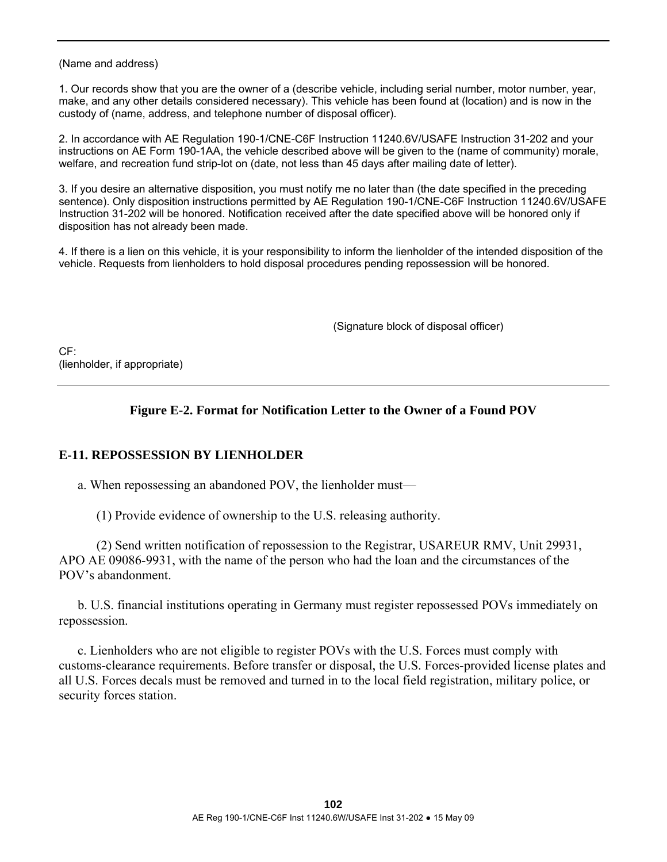(Name and address)

1. Our records show that you are the owner of a (describe vehicle, including serial number, motor number, year, make, and any other details considered necessary). This vehicle has been found at (location) and is now in the custody of (name, address, and telephone number of disposal officer).

2. In accordance with AE Regulation 190-1/CNE-C6F Instruction 11240.6V/USAFE Instruction 31-202 and your instructions on AE Form 190-1AA, the vehicle described above will be given to the (name of community) morale, welfare, and recreation fund strip-lot on (date, not less than 45 days after mailing date of letter).

3. If you desire an alternative disposition, you must notify me no later than (the date specified in the preceding sentence). Only disposition instructions permitted by AE Regulation 190-1/CNE-C6F Instruction 11240.6V/USAFE Instruction 31-202 will be honored. Notification received after the date specified above will be honored only if disposition has not already been made.

4. If there is a lien on this vehicle, it is your responsibility to inform the lienholder of the intended disposition of the vehicle. Requests from lienholders to hold disposal procedures pending repossession will be honored.

(Signature block of disposal officer)

 $CF$ (lienholder, if appropriate)

# **Figure E-2. Format for Notification Letter to the Owner of a Found POV**

### **E-11. REPOSSESSION BY LIENHOLDER**

a. When repossessing an abandoned POV, the lienholder must—

(1) Provide evidence of ownership to the U.S. releasing authority.

 (2) Send written notification of repossession to the Registrar, USAREUR RMV, Unit 29931, APO AE 09086-9931, with the name of the person who had the loan and the circumstances of the POV's abandonment.

 b. U.S. financial institutions operating in Germany must register repossessed POVs immediately on repossession.

 c. Lienholders who are not eligible to register POVs with the U.S. Forces must comply with customs-clearance requirements. Before transfer or disposal, the U.S. Forces-provided license plates and all U.S. Forces decals must be removed and turned in to the local field registration, military police, or security forces station.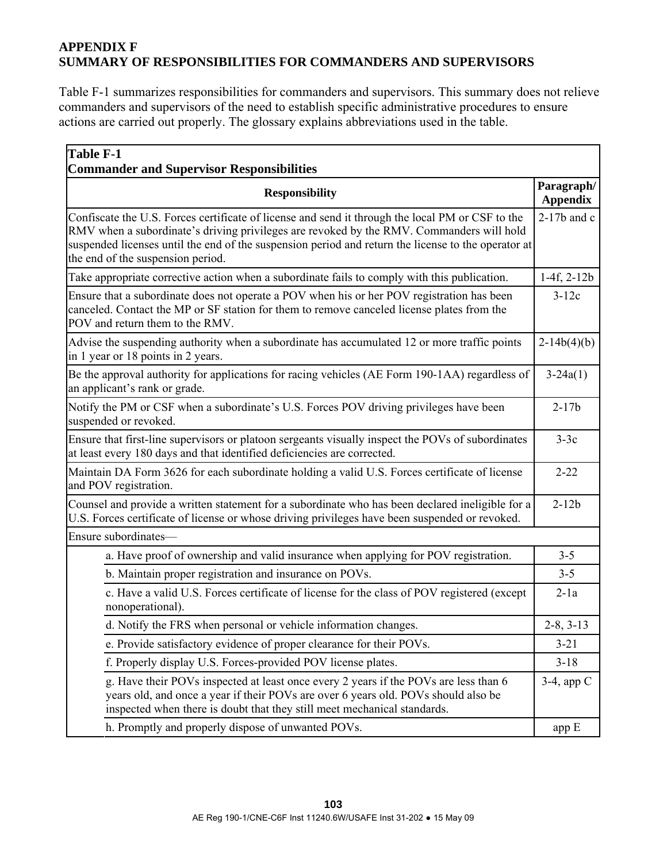# **APPENDIX F SUMMARY OF RESPONSIBILITIES FOR COMMANDERS AND SUPERVISORS**

Table F-1 summarizes responsibilities for commanders and supervisors. This summary does not relieve commanders and supervisors of the need to establish specific administrative procedures to ensure actions are carried out properly. The glossary explains abbreviations used in the table.

| <b>Table F-1</b><br><b>Commander and Supervisor Responsibilities</b>                                                                                                                                                                                                                                                                     |               |  |  |
|------------------------------------------------------------------------------------------------------------------------------------------------------------------------------------------------------------------------------------------------------------------------------------------------------------------------------------------|---------------|--|--|
| <b>Responsibility</b>                                                                                                                                                                                                                                                                                                                    |               |  |  |
| Confiscate the U.S. Forces certificate of license and send it through the local PM or CSF to the<br>RMV when a subordinate's driving privileges are revoked by the RMV. Commanders will hold<br>suspended licenses until the end of the suspension period and return the license to the operator at<br>the end of the suspension period. | $2-17b$ and c |  |  |
| Take appropriate corrective action when a subordinate fails to comply with this publication.                                                                                                                                                                                                                                             | $1-4f, 2-12b$ |  |  |
| Ensure that a subordinate does not operate a POV when his or her POV registration has been<br>canceled. Contact the MP or SF station for them to remove canceled license plates from the<br>POV and return them to the RMV.                                                                                                              | $3-12c$       |  |  |
| Advise the suspending authority when a subordinate has accumulated 12 or more traffic points<br>in 1 year or 18 points in 2 years.                                                                                                                                                                                                       | $2-14b(4)(b)$ |  |  |
| Be the approval authority for applications for racing vehicles (AE Form 190-1AA) regardless of<br>an applicant's rank or grade.                                                                                                                                                                                                          | $3-24a(1)$    |  |  |
| Notify the PM or CSF when a subordinate's U.S. Forces POV driving privileges have been<br>suspended or revoked.                                                                                                                                                                                                                          | $2 - 17b$     |  |  |
| Ensure that first-line supervisors or platoon sergeants visually inspect the POVs of subordinates<br>at least every 180 days and that identified deficiencies are corrected.                                                                                                                                                             | $3-3c$        |  |  |
| Maintain DA Form 3626 for each subordinate holding a valid U.S. Forces certificate of license<br>and POV registration.                                                                                                                                                                                                                   | $2 - 22$      |  |  |
| Counsel and provide a written statement for a subordinate who has been declared ineligible for a<br>U.S. Forces certificate of license or whose driving privileges have been suspended or revoked.                                                                                                                                       |               |  |  |
| Ensure subordinates-                                                                                                                                                                                                                                                                                                                     |               |  |  |
| a. Have proof of ownership and valid insurance when applying for POV registration.                                                                                                                                                                                                                                                       | $3 - 5$       |  |  |
| b. Maintain proper registration and insurance on POVs.                                                                                                                                                                                                                                                                                   | $3 - 5$       |  |  |
| c. Have a valid U.S. Forces certificate of license for the class of POV registered (except<br>nonoperational).                                                                                                                                                                                                                           | $2-1a$        |  |  |
| d. Notify the FRS when personal or vehicle information changes.                                                                                                                                                                                                                                                                          | $2-8, 3-13$   |  |  |
| e. Provide satisfactory evidence of proper clearance for their POVs.                                                                                                                                                                                                                                                                     | $3 - 21$      |  |  |
| f. Properly display U.S. Forces-provided POV license plates.                                                                                                                                                                                                                                                                             | $3 - 18$      |  |  |
| g. Have their POVs inspected at least once every 2 years if the POVs are less than 6<br>years old, and once a year if their POVs are over 6 years old. POVs should also be<br>inspected when there is doubt that they still meet mechanical standards.                                                                                   | $3-4$ , app C |  |  |
| h. Promptly and properly dispose of unwanted POVs.                                                                                                                                                                                                                                                                                       | app E         |  |  |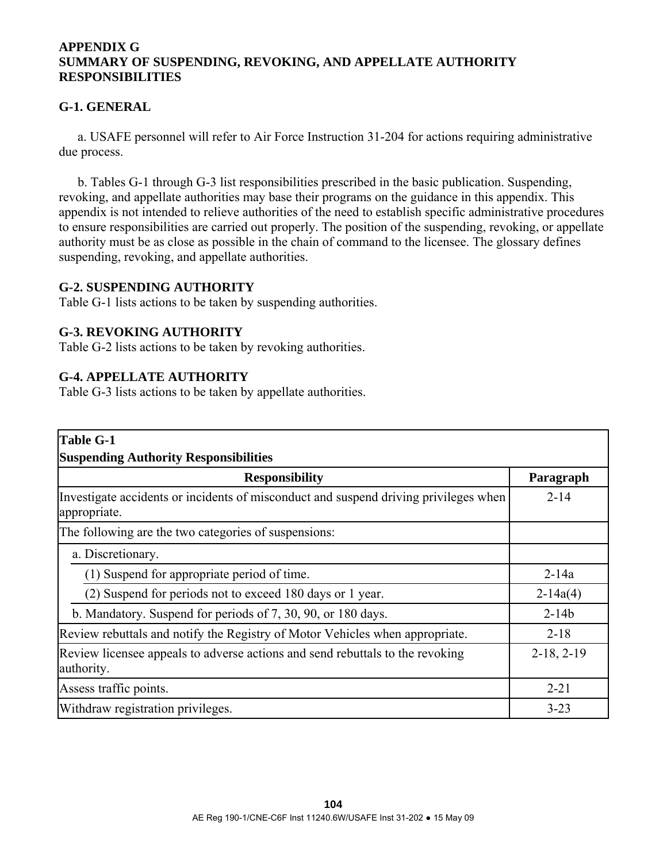### **APPENDIX G SUMMARY OF SUSPENDING, REVOKING, AND APPELLATE AUTHORITY RESPONSIBILITIES**

# **G-1. GENERAL**

 a. USAFE personnel will refer to Air Force Instruction 31-204 for actions requiring administrative due process.

 b. Tables G-1 through G-3 list responsibilities prescribed in the basic publication. Suspending, revoking, and appellate authorities may base their programs on the guidance in this appendix. This appendix is not intended to relieve authorities of the need to establish specific administrative procedures to ensure responsibilities are carried out properly. The position of the suspending, revoking, or appellate authority must be as close as possible in the chain of command to the licensee. The glossary defines suspending, revoking, and appellate authorities.

### **G-2. SUSPENDING AUTHORITY**

Table G-1 lists actions to be taken by suspending authorities.

### **G-3. REVOKING AUTHORITY**

Table G-2 lists actions to be taken by revoking authorities.

### **G-4. APPELLATE AUTHORITY**

Table G-3 lists actions to be taken by appellate authorities.

| <b>Table G-1</b>                                                                                     |              |
|------------------------------------------------------------------------------------------------------|--------------|
| <b>Suspending Authority Responsibilities</b>                                                         |              |
| <b>Responsibility</b>                                                                                | Paragraph    |
| Investigate accidents or incidents of misconduct and suspend driving privileges when<br>appropriate. | $2 - 14$     |
| The following are the two categories of suspensions:                                                 |              |
| a. Discretionary.                                                                                    |              |
| (1) Suspend for appropriate period of time.                                                          | $2 - 14a$    |
| (2) Suspend for periods not to exceed 180 days or 1 year.                                            | $2-14a(4)$   |
| b. Mandatory. Suspend for periods of 7, 30, 90, or 180 days.                                         | $2 - 14b$    |
| Review rebuttals and notify the Registry of Motor Vehicles when appropriate.                         | $2 - 18$     |
| Review licensee appeals to adverse actions and send rebuttals to the revoking<br>authority.          | $2-18, 2-19$ |
| Assess traffic points.                                                                               | $2 - 21$     |
| Withdraw registration privileges.                                                                    | $3 - 23$     |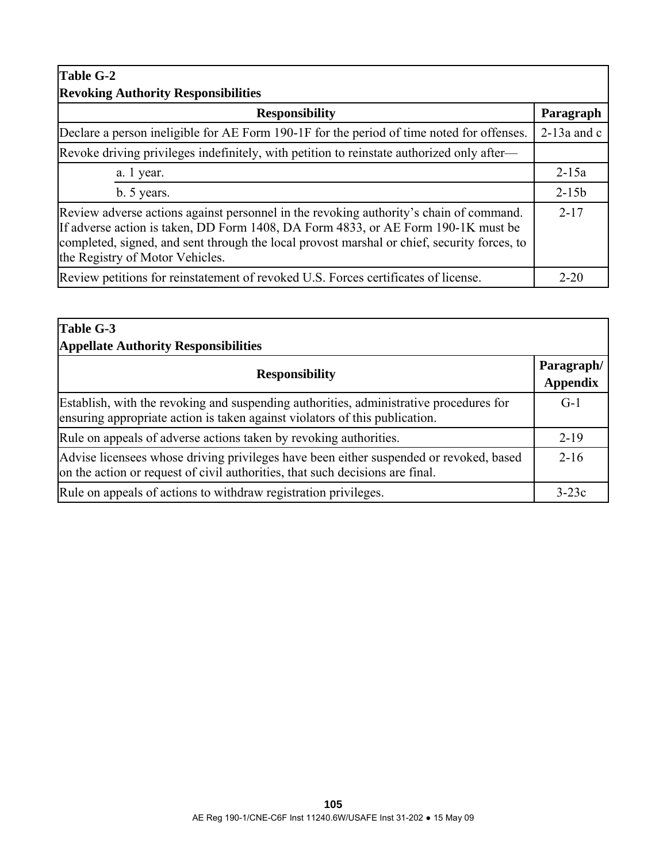| <b>Table G-2</b>                                                                                                                                                                                                                                                                                              |               |  |  |
|---------------------------------------------------------------------------------------------------------------------------------------------------------------------------------------------------------------------------------------------------------------------------------------------------------------|---------------|--|--|
| <b>Revoking Authority Responsibilities</b>                                                                                                                                                                                                                                                                    |               |  |  |
| <b>Responsibility</b>                                                                                                                                                                                                                                                                                         | Paragraph     |  |  |
| Declare a person ineligible for AE Form 190-1F for the period of time noted for offenses.                                                                                                                                                                                                                     | $2-13a$ and c |  |  |
| Revoke driving privileges indefinitely, with petition to reinstate authorized only after—                                                                                                                                                                                                                     |               |  |  |
| a. 1 year.                                                                                                                                                                                                                                                                                                    | $2 - 15a$     |  |  |
| b. 5 years.                                                                                                                                                                                                                                                                                                   | $2 - 15b$     |  |  |
| Review adverse actions against personnel in the revoking authority's chain of command.<br>If adverse action is taken, DD Form 1408, DA Form 4833, or AE Form 190-1K must be<br>completed, signed, and sent through the local provost marshal or chief, security forces, to<br>the Registry of Motor Vehicles. |               |  |  |
| Review petitions for reinstatement of revoked U.S. Forces certificates of license.                                                                                                                                                                                                                            | $2 - 20$      |  |  |

| Table G-3<br><b>Appellate Authority Responsibilities</b>                                                                                                                |                               |  |  |
|-------------------------------------------------------------------------------------------------------------------------------------------------------------------------|-------------------------------|--|--|
| <b>Responsibility</b>                                                                                                                                                   | Paragraph/<br><b>Appendix</b> |  |  |
| Establish, with the revoking and suspending authorities, administrative procedures for<br>ensuring appropriate action is taken against violators of this publication.   |                               |  |  |
| Rule on appeals of adverse actions taken by revoking authorities.                                                                                                       | $2-19$                        |  |  |
| Advise licensees whose driving privileges have been either suspended or revoked, based<br>on the action or request of civil authorities, that such decisions are final. | $2-16$                        |  |  |
| Rule on appeals of actions to withdraw registration privileges.                                                                                                         | $3-23c$                       |  |  |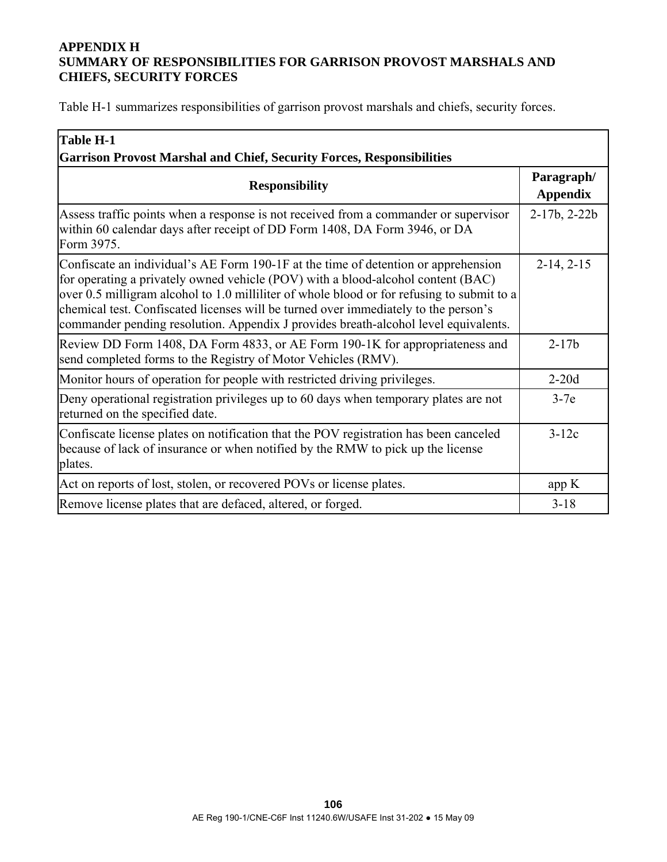# **APPENDIX H SUMMARY OF RESPONSIBILITIES FOR GARRISON PROVOST MARSHALS AND CHIEFS, SECURITY FORCES**

Table H-1 summarizes responsibilities of garrison provost marshals and chiefs, security forces.

| <b>Table H-1</b>                                                                                                                                                                                                                                                                                                                                                                                                                                   |                               |  |  |
|----------------------------------------------------------------------------------------------------------------------------------------------------------------------------------------------------------------------------------------------------------------------------------------------------------------------------------------------------------------------------------------------------------------------------------------------------|-------------------------------|--|--|
| <b>Garrison Provost Marshal and Chief, Security Forces, Responsibilities</b>                                                                                                                                                                                                                                                                                                                                                                       |                               |  |  |
| <b>Responsibility</b>                                                                                                                                                                                                                                                                                                                                                                                                                              | Paragraph/<br><b>Appendix</b> |  |  |
| Assess traffic points when a response is not received from a commander or supervisor<br>within 60 calendar days after receipt of DD Form 1408, DA Form 3946, or DA<br>Form 3975.                                                                                                                                                                                                                                                                   | $2-17b$ , $2-22b$             |  |  |
| Confiscate an individual's AE Form 190-1F at the time of detention or apprehension<br>for operating a privately owned vehicle (POV) with a blood-alcohol content (BAC)<br>over 0.5 milligram alcohol to 1.0 milliliter of whole blood or for refusing to submit to a<br>chemical test. Confiscated licenses will be turned over immediately to the person's<br>commander pending resolution. Appendix J provides breath-alcohol level equivalents. | $2-14, 2-15$                  |  |  |
| Review DD Form 1408, DA Form 4833, or AE Form 190-1K for appropriateness and<br>send completed forms to the Registry of Motor Vehicles (RMV).                                                                                                                                                                                                                                                                                                      | $2 - 17b$                     |  |  |
| Monitor hours of operation for people with restricted driving privileges.                                                                                                                                                                                                                                                                                                                                                                          | $2-20d$                       |  |  |
| Deny operational registration privileges up to 60 days when temporary plates are not<br>returned on the specified date.                                                                                                                                                                                                                                                                                                                            | $3-7e$                        |  |  |
| Confiscate license plates on notification that the POV registration has been canceled<br>because of lack of insurance or when notified by the RMW to pick up the license<br>plates.                                                                                                                                                                                                                                                                | $3-12c$                       |  |  |
| Act on reports of lost, stolen, or recovered POVs or license plates.                                                                                                                                                                                                                                                                                                                                                                               | app K                         |  |  |
| Remove license plates that are defaced, altered, or forged.                                                                                                                                                                                                                                                                                                                                                                                        | $3 - 18$                      |  |  |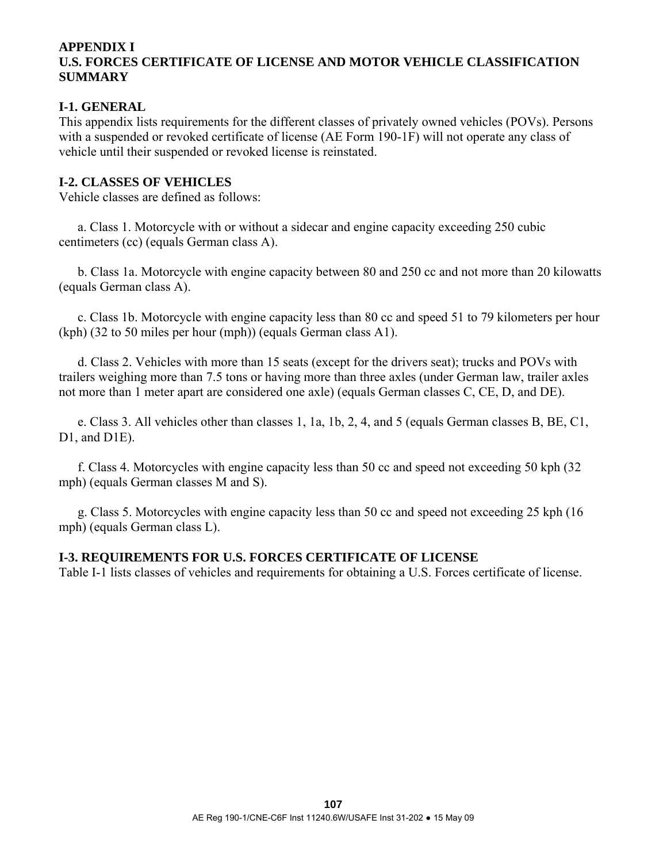# **APPENDIX I U.S. FORCES CERTIFICATE OF LICENSE AND MOTOR VEHICLE CLASSIFICATION SUMMARY**

# **I-1. GENERAL**

This appendix lists requirements for the different classes of privately owned vehicles (POVs). Persons with a suspended or revoked certificate of license (AE Form 190-1F) will not operate any class of vehicle until their suspended or revoked license is reinstated.

# **I-2. CLASSES OF VEHICLES**

Vehicle classes are defined as follows:

 a. Class 1. Motorcycle with or without a sidecar and engine capacity exceeding 250 cubic centimeters (cc) (equals German class A).

 b. Class 1a. Motorcycle with engine capacity between 80 and 250 cc and not more than 20 kilowatts (equals German class A).

 c. Class 1b. Motorcycle with engine capacity less than 80 cc and speed 51 to 79 kilometers per hour (kph) (32 to 50 miles per hour (mph)) (equals German class A1).

 d. Class 2. Vehicles with more than 15 seats (except for the drivers seat); trucks and POVs with trailers weighing more than 7.5 tons or having more than three axles (under German law, trailer axles not more than 1 meter apart are considered one axle) (equals German classes C, CE, D, and DE).

 e. Class 3. All vehicles other than classes 1, 1a, 1b, 2, 4, and 5 (equals German classes B, BE, C1, D1, and D1E).

 f. Class 4. Motorcycles with engine capacity less than 50 cc and speed not exceeding 50 kph (32 mph) (equals German classes M and S).

 g. Class 5. Motorcycles with engine capacity less than 50 cc and speed not exceeding 25 kph (16 mph) (equals German class L).

# **I-3. REQUIREMENTS FOR U.S. FORCES CERTIFICATE OF LICENSE**

Table I-1 lists classes of vehicles and requirements for obtaining a U.S. Forces certificate of license.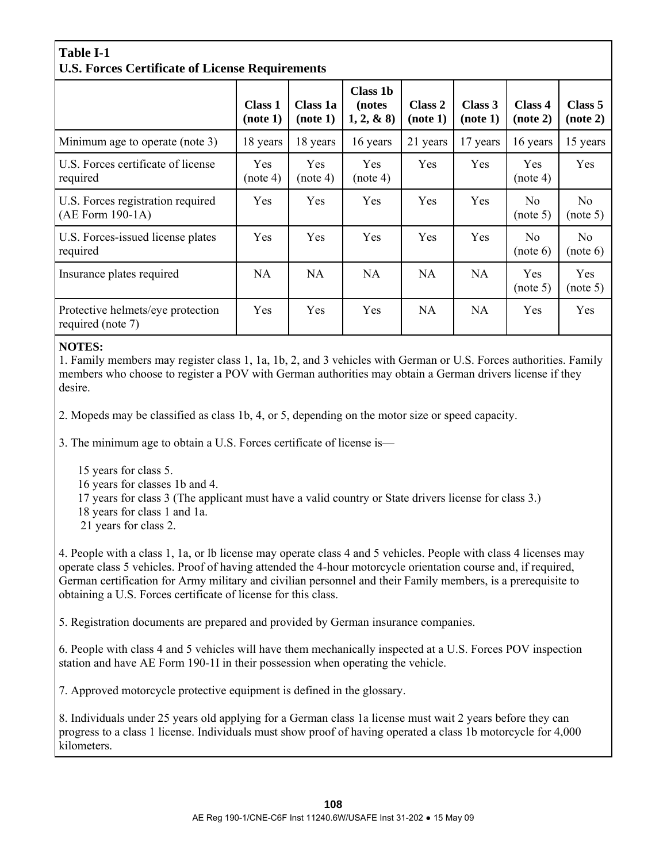# **Table I-1 U.S. Forces Certificate of License Requirements**

|                                                         | <b>Class 1</b><br>(note 1) | Class 1a<br>(note 1) | <b>Class 1b</b><br>(notes)<br>$1, 2, \& 8)$ | Class 2<br>(note 1) | Class 3<br>(note 1) | Class 4<br>(note 2)        | Class 5<br>(note 2)        |
|---------------------------------------------------------|----------------------------|----------------------|---------------------------------------------|---------------------|---------------------|----------------------------|----------------------------|
| Minimum age to operate (note 3)                         | 18 years                   | 18 years             | 16 years                                    | 21 years            | 17 years            | 16 years                   | 15 years                   |
| U.S. Forces certificate of license<br>required          | Yes.<br>(note 4)           | Yes<br>(note 4)      | <b>Yes</b><br>(note 4)                      | Yes                 | Yes                 | <b>Yes</b><br>(note 4)     | Yes                        |
| U.S. Forces registration required<br>$(AE$ Form 190-1A) | Yes                        | Yes                  | Yes                                         | Yes                 | Yes                 | N <sub>0</sub><br>(note 5) | N <sub>o</sub><br>(note 5) |
| U.S. Forces-issued license plates<br>required           | Yes                        | Yes                  | Yes                                         | Yes                 | Yes                 | No.<br>(note 6)            | No.<br>(note 6)            |
| Insurance plates required                               | <b>NA</b>                  | <b>NA</b>            | <b>NA</b>                                   | <b>NA</b>           | <b>NA</b>           | Yes<br>(note 5)            | Yes<br>(note 5)            |
| Protective helmets/eye protection<br>required (note 7)  | Yes                        | Yes                  | Yes                                         | <b>NA</b>           | <b>NA</b>           | Yes                        | Yes                        |

### **NOTES:**

1. Family members may register class 1, 1a, 1b, 2, and 3 vehicles with German or U.S. Forces authorities. Family members who choose to register a POV with German authorities may obtain a German drivers license if they desire.

2. Mopeds may be classified as class 1b, 4, or 5, depending on the motor size or speed capacity.

3. The minimum age to obtain a U.S. Forces certificate of license is—

- 15 years for class 5.
- 16 years for classes 1b and 4.
- 17 years for class 3 (The applicant must have a valid country or State drivers license for class 3.)
- 18 years for class 1 and 1a.
- 21 years for class 2.

4. People with a class 1, 1a, or lb license may operate class 4 and 5 vehicles. People with class 4 licenses may operate class 5 vehicles. Proof of having attended the 4-hour motorcycle orientation course and, if required, German certification for Army military and civilian personnel and their Family members, is a prerequisite to obtaining a U.S. Forces certificate of license for this class.

5. Registration documents are prepared and provided by German insurance companies.

6. People with class 4 and 5 vehicles will have them mechanically inspected at a U.S. Forces POV inspection station and have AE Form 190-1I in their possession when operating the vehicle.

7. Approved motorcycle protective equipment is defined in the glossary.

8. Individuals under 25 years old applying for a German class 1a license must wait 2 years before they can progress to a class 1 license. Individuals must show proof of having operated a class 1b motorcycle for 4,000 kilometers.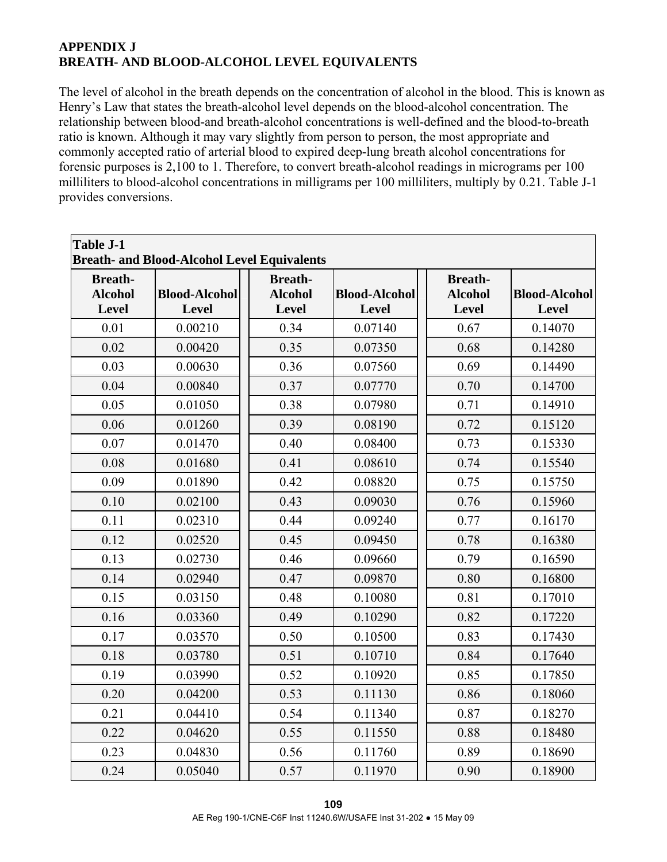# **APPENDIX J BREATH- AND BLOOD-ALCOHOL LEVEL EQUIVALENTS**

The level of alcohol in the breath depends on the concentration of alcohol in the blood. This is known as Henry's Law that states the breath-alcohol level depends on the blood-alcohol concentration. The relationship between blood-and breath-alcohol concentrations is well-defined and the blood-to-breath ratio is known. Although it may vary slightly from person to person, the most appropriate and commonly accepted ratio of arterial blood to expired deep-lung breath alcohol concentrations for forensic purposes is 2,100 to 1. Therefore, to convert breath-alcohol readings in micrograms per 100 milliliters to blood-alcohol concentrations in milligrams per 100 milliliters, multiply by 0.21. Table J-1 provides conversions.

| Table J-1<br><b>Breath- and Blood-Alcohol Level Equivalents</b> |                      |                                  |                      |                                  |                      |  |
|-----------------------------------------------------------------|----------------------|----------------------------------|----------------------|----------------------------------|----------------------|--|
| <b>Breath-</b><br><b>Alcohol</b>                                | <b>Blood-Alcohol</b> | <b>Breath-</b><br><b>Alcohol</b> | <b>Blood-Alcohol</b> | <b>Breath-</b><br><b>Alcohol</b> | <b>Blood-Alcohol</b> |  |
| <b>Level</b>                                                    | <b>Level</b>         | <b>Level</b>                     | Level                | <b>Level</b>                     | <b>Level</b>         |  |
| 0.01                                                            | 0.00210              | 0.34                             | 0.07140              | 0.67                             | 0.14070              |  |
| 0.02                                                            | 0.00420              | 0.35                             | 0.07350              | 0.68                             | 0.14280              |  |
| 0.03                                                            | 0.00630              | 0.36                             | 0.07560              | 0.69                             | 0.14490              |  |
| 0.04                                                            | 0.00840              | 0.37                             | 0.07770              | 0.70                             | 0.14700              |  |
| 0.05                                                            | 0.01050              | 0.38                             | 0.07980              | 0.71                             | 0.14910              |  |
| 0.06                                                            | 0.01260              | 0.39                             | 0.08190              | 0.72                             | 0.15120              |  |
| 0.07                                                            | 0.01470              | 0.40                             | 0.08400              | 0.73                             | 0.15330              |  |
| 0.08                                                            | 0.01680              | 0.41                             | 0.08610              | 0.74                             | 0.15540              |  |
| 0.09                                                            | 0.01890              | 0.42                             | 0.08820              | 0.75                             | 0.15750              |  |
| 0.10                                                            | 0.02100              | 0.43                             | 0.09030              | 0.76                             | 0.15960              |  |
| 0.11                                                            | 0.02310              | 0.44                             | 0.09240              | 0.77                             | 0.16170              |  |
| 0.12                                                            | 0.02520              | 0.45                             | 0.09450              | 0.78                             | 0.16380              |  |
| 0.13                                                            | 0.02730              | 0.46                             | 0.09660              | 0.79                             | 0.16590              |  |
| 0.14                                                            | 0.02940              | 0.47                             | 0.09870              | 0.80                             | 0.16800              |  |
| 0.15                                                            | 0.03150              | 0.48                             | 0.10080              | 0.81                             | 0.17010              |  |
| 0.16                                                            | 0.03360              | 0.49                             | 0.10290              | 0.82                             | 0.17220              |  |
| 0.17                                                            | 0.03570              | 0.50                             | 0.10500              | 0.83                             | 0.17430              |  |
| 0.18                                                            | 0.03780              | 0.51                             | 0.10710              | 0.84                             | 0.17640              |  |
| 0.19                                                            | 0.03990              | 0.52                             | 0.10920              | 0.85                             | 0.17850              |  |
| 0.20                                                            | 0.04200              | 0.53                             | 0.11130              | 0.86                             | 0.18060              |  |
| 0.21                                                            | 0.04410              | 0.54                             | 0.11340              | 0.87                             | 0.18270              |  |
| 0.22                                                            | 0.04620              | 0.55                             | 0.11550              | 0.88                             | 0.18480              |  |
| 0.23                                                            | 0.04830              | 0.56                             | 0.11760              | 0.89                             | 0.18690              |  |
| 0.24                                                            | 0.05040              | 0.57                             | 0.11970              | 0.90                             | 0.18900              |  |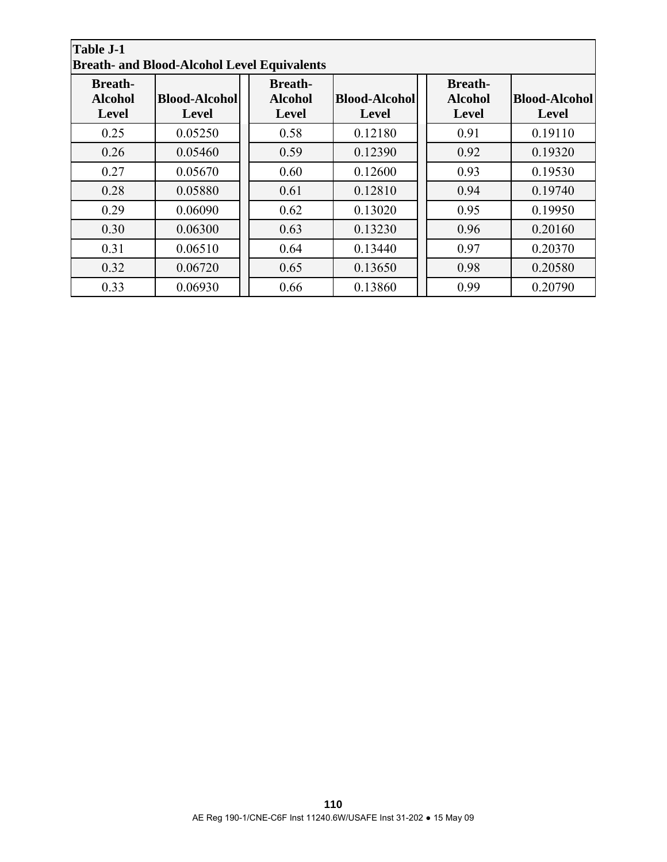| <b>Table J-1</b><br><b>Breath- and Blood-Alcohol Level Equivalents</b> |                                      |                                                  |                                      |  |                                                  |                                      |  |
|------------------------------------------------------------------------|--------------------------------------|--------------------------------------------------|--------------------------------------|--|--------------------------------------------------|--------------------------------------|--|
| <b>Breath-</b><br><b>Alcohol</b><br><b>Level</b>                       | <b>Blood-Alcohol</b><br><b>Level</b> | <b>Breath-</b><br><b>Alcohol</b><br><b>Level</b> | <b>Blood-Alcohol</b><br><b>Level</b> |  | <b>Breath-</b><br><b>Alcohol</b><br><b>Level</b> | <b>Blood-Alcohol</b><br><b>Level</b> |  |
| 0.25                                                                   | 0.05250                              | 0.58                                             | 0.12180                              |  | 0.91                                             | 0.19110                              |  |
| 0.26                                                                   | 0.05460                              | 0.59                                             | 0.12390                              |  | 0.92                                             | 0.19320                              |  |
| 0.27                                                                   | 0.05670                              | 0.60                                             | 0.12600                              |  | 0.93                                             | 0.19530                              |  |
| 0.28                                                                   | 0.05880                              | 0.61                                             | 0.12810                              |  | 0.94                                             | 0.19740                              |  |
| 0.29                                                                   | 0.06090                              | 0.62                                             | 0.13020                              |  | 0.95                                             | 0.19950                              |  |
| 0.30                                                                   | 0.06300                              | 0.63                                             | 0.13230                              |  | 0.96                                             | 0.20160                              |  |
| 0.31                                                                   | 0.06510                              | 0.64                                             | 0.13440                              |  | 0.97                                             | 0.20370                              |  |
| 0.32                                                                   | 0.06720                              | 0.65                                             | 0.13650                              |  | 0.98                                             | 0.20580                              |  |
| 0.33                                                                   | 0.06930                              | 0.66                                             | 0.13860                              |  | 0.99                                             | 0.20790                              |  |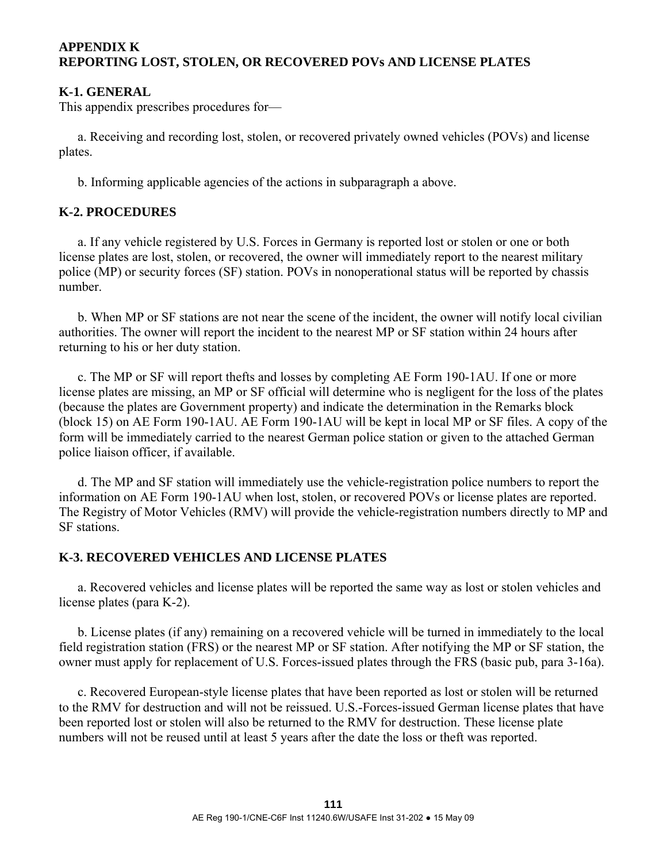# **APPENDIX K REPORTING LOST, STOLEN, OR RECOVERED POVs AND LICENSE PLATES**

# **K-1. GENERAL**

This appendix prescribes procedures for—

 a. Receiving and recording lost, stolen, or recovered privately owned vehicles (POVs) and license plates.

b. Informing applicable agencies of the actions in subparagraph a above.

# **K-2. PROCEDURES**

 a. If any vehicle registered by U.S. Forces in Germany is reported lost or stolen or one or both license plates are lost, stolen, or recovered, the owner will immediately report to the nearest military police (MP) or security forces (SF) station. POVs in nonoperational status will be reported by chassis number.

 b. When MP or SF stations are not near the scene of the incident, the owner will notify local civilian authorities. The owner will report the incident to the nearest MP or SF station within 24 hours after returning to his or her duty station.

 c. The MP or SF will report thefts and losses by completing AE Form 190-1AU. If one or more license plates are missing, an MP or SF official will determine who is negligent for the loss of the plates (because the plates are Government property) and indicate the determination in the Remarks block (block 15) on AE Form 190-1AU. AE Form 190-1AU will be kept in local MP or SF files. A copy of the form will be immediately carried to the nearest German police station or given to the attached German police liaison officer, if available.

 d. The MP and SF station will immediately use the vehicle-registration police numbers to report the information on AE Form 190-1AU when lost, stolen, or recovered POVs or license plates are reported. The Registry of Motor Vehicles (RMV) will provide the vehicle-registration numbers directly to MP and SF stations.

# **K-3. RECOVERED VEHICLES AND LICENSE PLATES**

 a. Recovered vehicles and license plates will be reported the same way as lost or stolen vehicles and license plates (para K-2).

 b. License plates (if any) remaining on a recovered vehicle will be turned in immediately to the local field registration station (FRS) or the nearest MP or SF station. After notifying the MP or SF station, the owner must apply for replacement of U.S. Forces-issued plates through the FRS (basic pub, para 3-16a).

 c. Recovered European-style license plates that have been reported as lost or stolen will be returned to the RMV for destruction and will not be reissued. U.S.-Forces-issued German license plates that have been reported lost or stolen will also be returned to the RMV for destruction. These license plate numbers will not be reused until at least 5 years after the date the loss or theft was reported.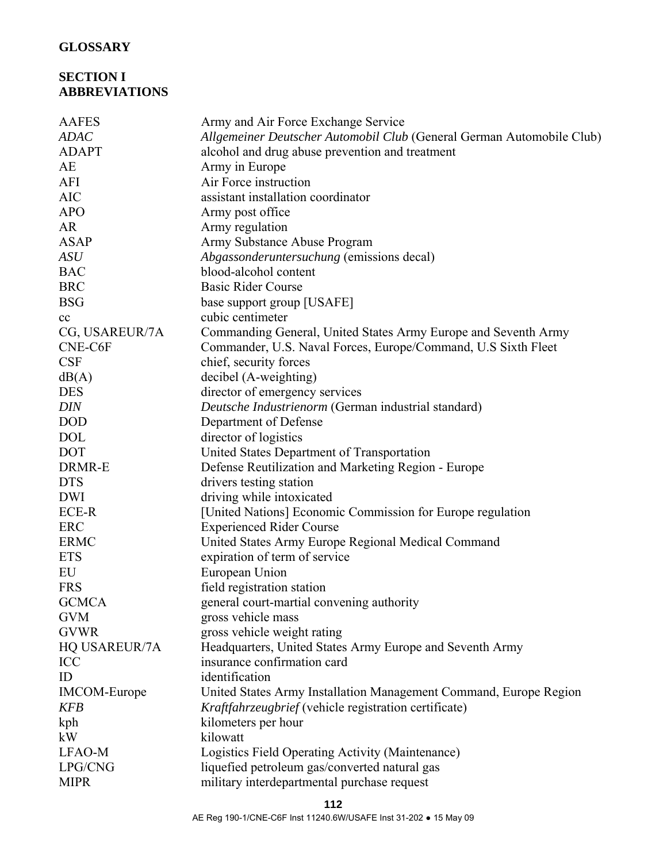# **GLOSSARY**

# **SECTION I ABBREVIATIONS**

| <b>AAFES</b>        | Army and Air Force Exchange Service                                   |
|---------------------|-----------------------------------------------------------------------|
| <b>ADAC</b>         | Allgemeiner Deutscher Automobil Club (General German Automobile Club) |
| <b>ADAPT</b>        | alcohol and drug abuse prevention and treatment                       |
| AE                  | Army in Europe                                                        |
| AFI                 | Air Force instruction                                                 |
| <b>AIC</b>          | assistant installation coordinator                                    |
| <b>APO</b>          | Army post office                                                      |
| <b>AR</b>           | Army regulation                                                       |
| <b>ASAP</b>         | Army Substance Abuse Program                                          |
| ASU                 | Abgassonderuntersuchung (emissions decal)                             |
| <b>BAC</b>          | blood-alcohol content                                                 |
| <b>BRC</b>          | <b>Basic Rider Course</b>                                             |
| <b>BSG</b>          | base support group [USAFE]                                            |
| cc                  | cubic centimeter                                                      |
| CG, USAREUR/7A      | Commanding General, United States Army Europe and Seventh Army        |
| CNE-C6F             | Commander, U.S. Naval Forces, Europe/Command, U.S Sixth Fleet         |
| <b>CSF</b>          | chief, security forces                                                |
| dB(A)               | decibel (A-weighting)                                                 |
| <b>DES</b>          | director of emergency services                                        |
| <b>DIN</b>          | Deutsche Industrienorm (German industrial standard)                   |
| <b>DOD</b>          | Department of Defense                                                 |
| <b>DOL</b>          | director of logistics                                                 |
| <b>DOT</b>          | United States Department of Transportation                            |
| DRMR-E              | Defense Reutilization and Marketing Region - Europe                   |
| <b>DTS</b>          | drivers testing station                                               |
| <b>DWI</b>          | driving while intoxicated                                             |
| ECE-R               | [United Nations] Economic Commission for Europe regulation            |
| <b>ERC</b>          | <b>Experienced Rider Course</b>                                       |
| <b>ERMC</b>         | United States Army Europe Regional Medical Command                    |
| <b>ETS</b>          | expiration of term of service                                         |
| ${\rm EU}$          | European Union                                                        |
| <b>FRS</b>          | field registration station                                            |
| <b>GCMCA</b>        | general court-martial convening authority                             |
| <b>GVM</b>          | gross vehicle mass                                                    |
| <b>GVWR</b>         | gross vehicle weight rating                                           |
| HQ USAREUR/7A       | Headquarters, United States Army Europe and Seventh Army              |
| <b>ICC</b>          | insurance confirmation card                                           |
| ID                  | identification                                                        |
| <b>IMCOM-Europe</b> | United States Army Installation Management Command, Europe Region     |
| <b>KFB</b>          | Kraftfahrzeugbrief (vehicle registration certificate)                 |
| kph                 | kilometers per hour                                                   |
| kW                  | kilowatt                                                              |
| LFAO-M              | Logistics Field Operating Activity (Maintenance)                      |
| LPG/CNG             | liquefied petroleum gas/converted natural gas                         |
| <b>MIPR</b>         | military interdepartmental purchase request                           |
|                     |                                                                       |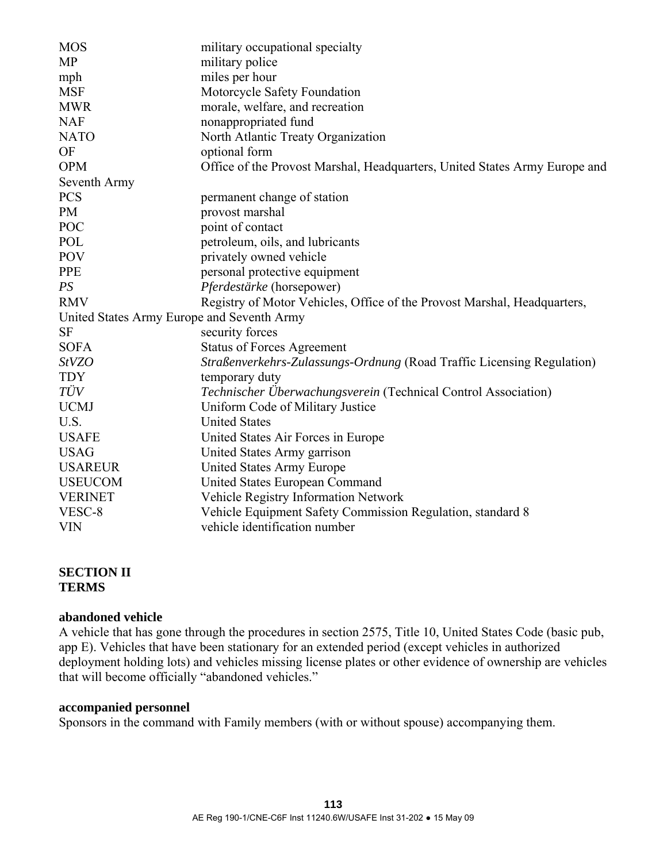| <b>MOS</b>                                 | military occupational specialty                                            |
|--------------------------------------------|----------------------------------------------------------------------------|
| <b>MP</b>                                  | military police                                                            |
| mph                                        | miles per hour                                                             |
| <b>MSF</b>                                 | Motorcycle Safety Foundation                                               |
| <b>MWR</b>                                 | morale, welfare, and recreation                                            |
| <b>NAF</b>                                 | nonappropriated fund                                                       |
| <b>NATO</b>                                | North Atlantic Treaty Organization                                         |
| OF                                         | optional form                                                              |
| <b>OPM</b>                                 | Office of the Provost Marshal, Headquarters, United States Army Europe and |
| Seventh Army                               |                                                                            |
| <b>PCS</b>                                 | permanent change of station                                                |
| <b>PM</b>                                  | provost marshal                                                            |
| <b>POC</b>                                 | point of contact                                                           |
| POL                                        | petroleum, oils, and lubricants                                            |
| <b>POV</b>                                 | privately owned vehicle                                                    |
| <b>PPE</b>                                 | personal protective equipment                                              |
| PS                                         | Pferdestärke (horsepower)                                                  |
| <b>RMV</b>                                 | Registry of Motor Vehicles, Office of the Provost Marshal, Headquarters,   |
| United States Army Europe and Seventh Army |                                                                            |
| <b>SF</b>                                  | security forces                                                            |
| <b>SOFA</b>                                | <b>Status of Forces Agreement</b>                                          |
| <b>StVZO</b>                               | Straßenverkehrs-Zulassungs-Ordnung (Road Traffic Licensing Regulation)     |
| <b>TDY</b>                                 | temporary duty                                                             |
| TÜV                                        | Technischer Überwachungsverein (Technical Control Association)             |
| <b>UCMJ</b>                                | Uniform Code of Military Justice                                           |
| U.S.                                       | <b>United States</b>                                                       |
| <b>USAFE</b>                               | United States Air Forces in Europe                                         |
| <b>USAG</b>                                | United States Army garrison                                                |
| <b>USAREUR</b>                             | <b>United States Army Europe</b>                                           |
| <b>USEUCOM</b>                             | United States European Command                                             |
| <b>VERINET</b>                             | Vehicle Registry Information Network                                       |
| VESC-8                                     | Vehicle Equipment Safety Commission Regulation, standard 8                 |
| <b>VIN</b>                                 | vehicle identification number                                              |

## **SECTION II TERMS**

## **abandoned vehicle**

A vehicle that has gone through the procedures in section 2575, Title 10, United States Code (basic pub, app E). Vehicles that have been stationary for an extended period (except vehicles in authorized deployment holding lots) and vehicles missing license plates or other evidence of ownership are vehicles that will become officially "abandoned vehicles."

## **accompanied personnel**

Sponsors in the command with Family members (with or without spouse) accompanying them.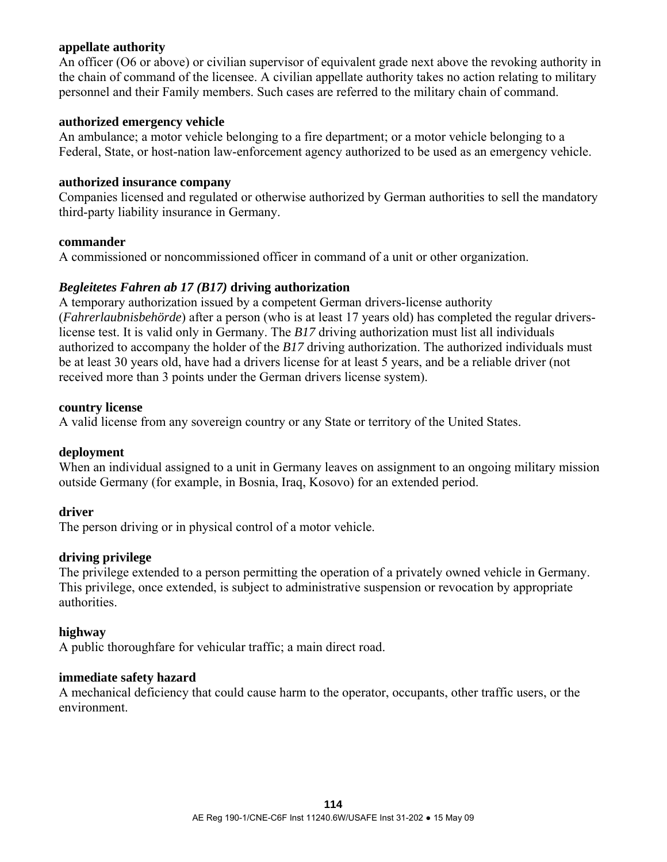## **appellate authority**

An officer (O6 or above) or civilian supervisor of equivalent grade next above the revoking authority in the chain of command of the licensee. A civilian appellate authority takes no action relating to military personnel and their Family members. Such cases are referred to the military chain of command.

## **authorized emergency vehicle**

An ambulance; a motor vehicle belonging to a fire department; or a motor vehicle belonging to a Federal, State, or host-nation law-enforcement agency authorized to be used as an emergency vehicle.

## **authorized insurance company**

Companies licensed and regulated or otherwise authorized by German authorities to sell the mandatory third-party liability insurance in Germany.

#### **commander**

A commissioned or noncommissioned officer in command of a unit or other organization.

## *Begleitetes Fahren ab 17 (B17)* **driving authorization**

A temporary authorization issued by a competent German drivers-license authority (*Fahrerlaubnisbehörde*) after a person (who is at least 17 years old) has completed the regular driverslicense test. It is valid only in Germany. The *B17* driving authorization must list all individuals authorized to accompany the holder of the *B17* driving authorization. The authorized individuals must be at least 30 years old, have had a drivers license for at least 5 years, and be a reliable driver (not received more than 3 points under the German drivers license system).

#### **country license**

A valid license from any sovereign country or any State or territory of the United States.

#### **deployment**

When an individual assigned to a unit in Germany leaves on assignment to an ongoing military mission outside Germany (for example, in Bosnia, Iraq, Kosovo) for an extended period.

#### **driver**

The person driving or in physical control of a motor vehicle.

## **driving privilege**

The privilege extended to a person permitting the operation of a privately owned vehicle in Germany. This privilege, once extended, is subject to administrative suspension or revocation by appropriate authorities.

#### **highway**

A public thoroughfare for vehicular traffic; a main direct road.

#### **immediate safety hazard**

A mechanical deficiency that could cause harm to the operator, occupants, other traffic users, or the environment.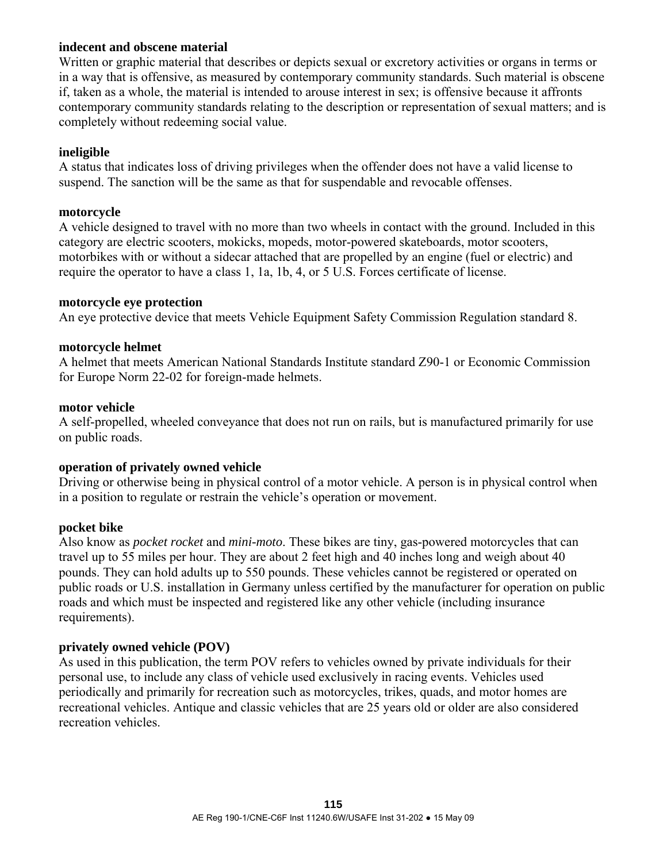## **indecent and obscene material**

Written or graphic material that describes or depicts sexual or excretory activities or organs in terms or in a way that is offensive, as measured by contemporary community standards. Such material is obscene if, taken as a whole, the material is intended to arouse interest in sex; is offensive because it affronts contemporary community standards relating to the description or representation of sexual matters; and is completely without redeeming social value.

## **ineligible**

A status that indicates loss of driving privileges when the offender does not have a valid license to suspend. The sanction will be the same as that for suspendable and revocable offenses.

## **motorcycle**

A vehicle designed to travel with no more than two wheels in contact with the ground. Included in this category are electric scooters, mokicks, mopeds, motor-powered skateboards, motor scooters, motorbikes with or without a sidecar attached that are propelled by an engine (fuel or electric) and require the operator to have a class 1, 1a, 1b, 4, or 5 U.S. Forces certificate of license.

## **motorcycle eye protection**

An eye protective device that meets Vehicle Equipment Safety Commission Regulation standard 8.

## **motorcycle helmet**

A helmet that meets American National Standards Institute standard Z90-1 or Economic Commission for Europe Norm 22-02 for foreign-made helmets.

## **motor vehicle**

A self-propelled, wheeled conveyance that does not run on rails, but is manufactured primarily for use on public roads.

## **operation of privately owned vehicle**

Driving or otherwise being in physical control of a motor vehicle. A person is in physical control when in a position to regulate or restrain the vehicle's operation or movement.

#### **pocket bike**

Also know as *pocket rocket* and *mini-moto*. These bikes are tiny, gas-powered motorcycles that can travel up to 55 miles per hour. They are about 2 feet high and 40 inches long and weigh about 40 pounds. They can hold adults up to 550 pounds. These vehicles cannot be registered or operated on public roads or U.S. installation in Germany unless certified by the manufacturer for operation on public roads and which must be inspected and registered like any other vehicle (including insurance requirements).

#### **privately owned vehicle (POV)**

As used in this publication, the term POV refers to vehicles owned by private individuals for their personal use, to include any class of vehicle used exclusively in racing events. Vehicles used periodically and primarily for recreation such as motorcycles, trikes, quads, and motor homes are recreational vehicles. Antique and classic vehicles that are 25 years old or older are also considered recreation vehicles.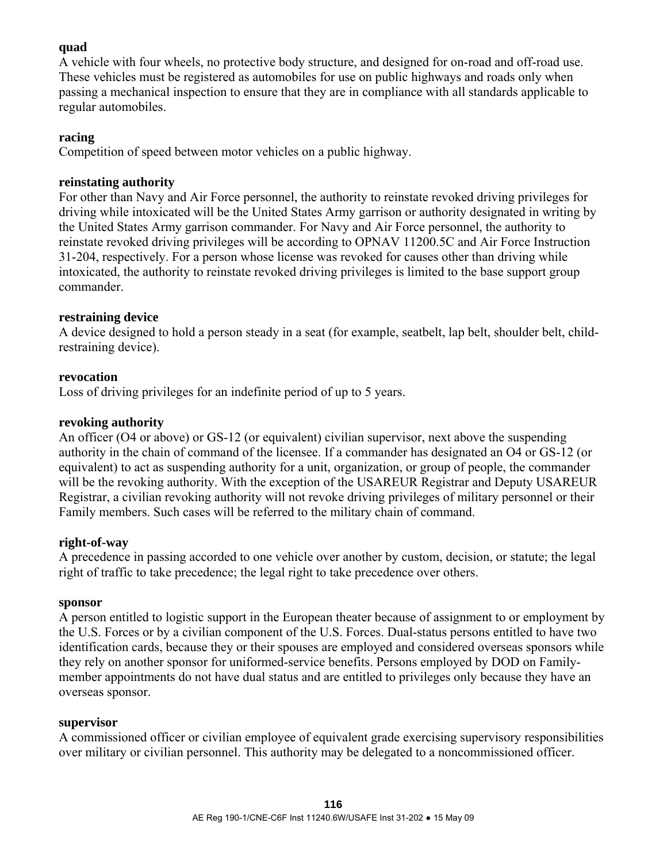## **quad**

A vehicle with four wheels, no protective body structure, and designed for on-road and off-road use. These vehicles must be registered as automobiles for use on public highways and roads only when passing a mechanical inspection to ensure that they are in compliance with all standards applicable to regular automobiles.

## **racing**

Competition of speed between motor vehicles on a public highway.

## **reinstating authority**

For other than Navy and Air Force personnel, the authority to reinstate revoked driving privileges for driving while intoxicated will be the United States Army garrison or authority designated in writing by the United States Army garrison commander. For Navy and Air Force personnel, the authority to reinstate revoked driving privileges will be according to OPNAV 11200.5C and Air Force Instruction 31-204, respectively. For a person whose license was revoked for causes other than driving while intoxicated, the authority to reinstate revoked driving privileges is limited to the base support group commander.

## **restraining device**

A device designed to hold a person steady in a seat (for example, seatbelt, lap belt, shoulder belt, childrestraining device).

## **revocation**

Loss of driving privileges for an indefinite period of up to 5 years.

# **revoking authority**

An officer (O4 or above) or GS-12 (or equivalent) civilian supervisor, next above the suspending authority in the chain of command of the licensee. If a commander has designated an O4 or GS-12 (or equivalent) to act as suspending authority for a unit, organization, or group of people, the commander will be the revoking authority. With the exception of the USAREUR Registrar and Deputy USAREUR Registrar, a civilian revoking authority will not revoke driving privileges of military personnel or their Family members. Such cases will be referred to the military chain of command.

## **right-of-way**

A precedence in passing accorded to one vehicle over another by custom, decision, or statute; the legal right of traffic to take precedence; the legal right to take precedence over others.

## **sponsor**

A person entitled to logistic support in the European theater because of assignment to or employment by the U.S. Forces or by a civilian component of the U.S. Forces. Dual-status persons entitled to have two identification cards, because they or their spouses are employed and considered overseas sponsors while they rely on another sponsor for uniformed-service benefits. Persons employed by DOD on Familymember appointments do not have dual status and are entitled to privileges only because they have an overseas sponsor.

## **supervisor**

A commissioned officer or civilian employee of equivalent grade exercising supervisory responsibilities over military or civilian personnel. This authority may be delegated to a noncommissioned officer.